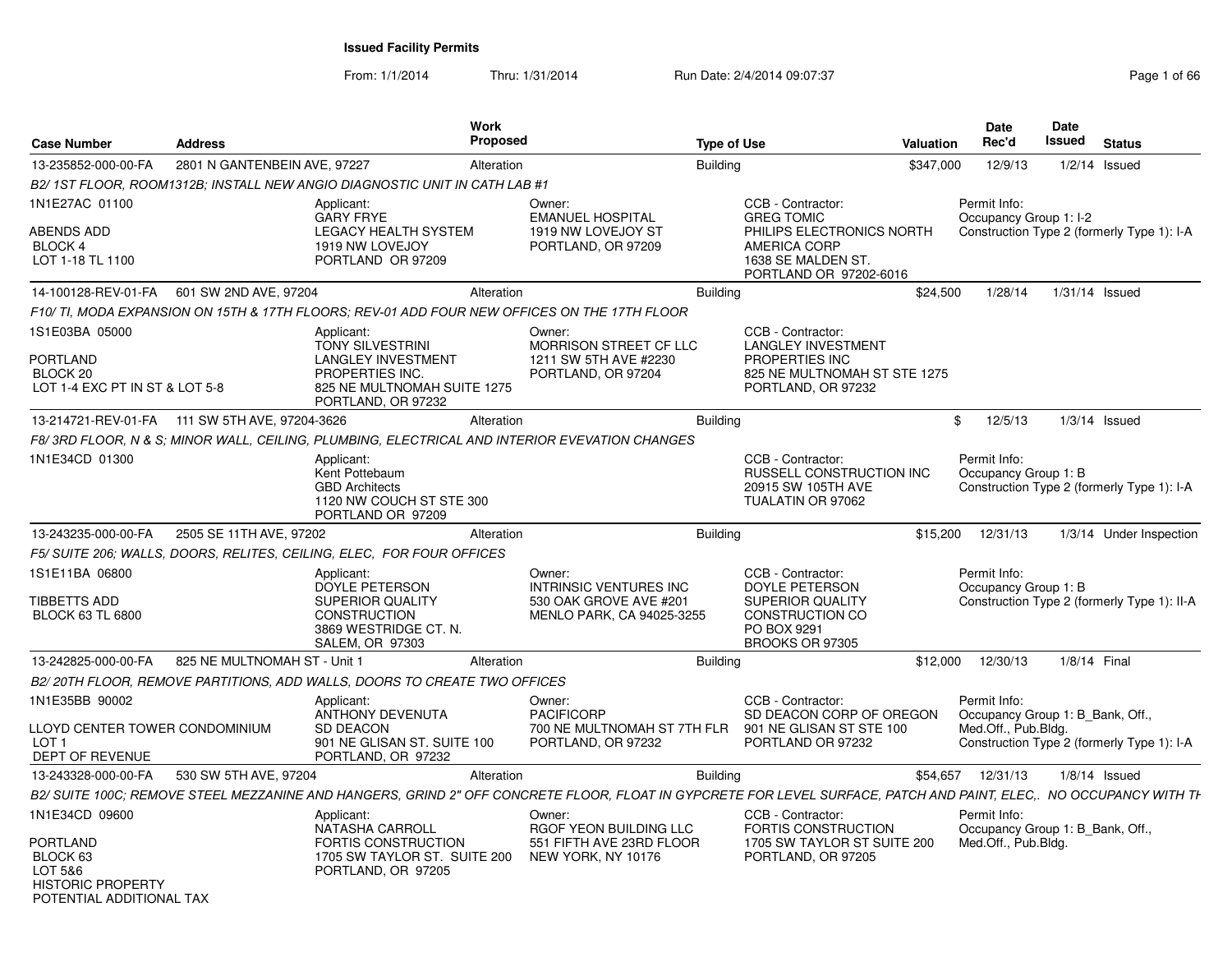From: 1/1/2014Thru: 1/31/2014 Run Date: 2/4/2014 09:07:37 Page 1 of 66

| <b>Case Number</b>                                                                      | <b>Address</b>                                 | Work<br>Proposed                                                                                                                                                |                                                                                                | <b>Type of Use</b>                                                                                                         | Valuation | Date<br>Rec'd                                    | Date<br>Issued | <b>Status</b>                               |
|-----------------------------------------------------------------------------------------|------------------------------------------------|-----------------------------------------------------------------------------------------------------------------------------------------------------------------|------------------------------------------------------------------------------------------------|----------------------------------------------------------------------------------------------------------------------------|-----------|--------------------------------------------------|----------------|---------------------------------------------|
| 13-235852-000-00-FA                                                                     | 2801 N GANTENBEIN AVE, 97227                   | Alteration                                                                                                                                                      |                                                                                                | <b>Building</b>                                                                                                            | \$347,000 | 12/9/13                                          |                | $1/2/14$ Issued                             |
|                                                                                         |                                                | B2/1ST FLOOR. ROOM1312B: INSTALL NEW ANGIO DIAGNOSTIC UNIT IN CATH LAB #1                                                                                       |                                                                                                |                                                                                                                            |           |                                                  |                |                                             |
| 1N1E27AC 01100                                                                          |                                                | Applicant:<br><b>GARY FRYE</b>                                                                                                                                  | Owner:<br><b>EMANUEL HOSPITAL</b>                                                              | CCB - Contractor:<br><b>GREG TOMIC</b>                                                                                     |           | Permit Info:<br>Occupancy Group 1: I-2           |                |                                             |
| ABENDS ADD<br>BLOCK 4<br>LOT 1-18 TL 1100                                               |                                                | <b>LEGACY HEALTH SYSTEM</b><br>1919 NW LOVEJOY<br>PORTLAND OR 97209                                                                                             | 1919 NW LOVEJOY ST<br>PORTLAND, OR 97209                                                       | PHILIPS ELECTRONICS NORTH<br><b>AMERICA CORP</b><br>1638 SE MALDEN ST.<br>PORTLAND OR 97202-6016                           |           |                                                  |                | Construction Type 2 (formerly Type 1): I-A  |
| 14-100128-REV-01-FA                                                                     | 601 SW 2ND AVE, 97204                          | Alteration                                                                                                                                                      |                                                                                                | <b>Building</b>                                                                                                            | \$24,500  | 1/28/14                                          | 1/31/14 Issued |                                             |
|                                                                                         |                                                | F10/TI, MODA EXPANSION ON 15TH & 17TH FLOORS; REV-01 ADD FOUR NEW OFFICES ON THE 17TH FLOOR                                                                     |                                                                                                |                                                                                                                            |           |                                                  |                |                                             |
| 1S1E03BA 05000<br>PORTLAND<br>BLOCK 20<br>LOT 1-4 EXC PT IN ST & LOT 5-8                |                                                | Applicant:<br><b>TONY SILVESTRINI</b><br><b>LANGLEY INVESTMENT</b><br>PROPERTIES INC.<br>825 NE MULTNOMAH SUITE 1275<br>PORTLAND, OR 97232                      | Owner:<br>MORRISON STREET CF LLC<br>1211 SW 5TH AVE #2230<br>PORTLAND, OR 97204                | CCB - Contractor:<br><b>LANGLEY INVESTMENT</b><br>PROPERTIES INC<br>825 NE MULTNOMAH ST STE 1275<br>PORTLAND, OR 97232     |           |                                                  |                |                                             |
|                                                                                         | 13-214721-REV-01-FA 111 SW 5TH AVE, 97204-3626 | Alteration                                                                                                                                                      |                                                                                                | <b>Building</b>                                                                                                            | \$        | 12/5/13                                          |                | $1/3/14$ Issued                             |
|                                                                                         |                                                | F8/3RD FLOOR, N & S; MINOR WALL, CEILING, PLUMBING, ELECTRICAL AND INTERIOR EVEVATION CHANGES                                                                   |                                                                                                |                                                                                                                            |           |                                                  |                |                                             |
| 1N1E34CD 01300                                                                          |                                                | Applicant:<br>Kent Pottebaum<br><b>GBD Architects</b><br>1120 NW COUCH ST STE 300<br>PORTLAND OR 97209                                                          |                                                                                                | CCB - Contractor:<br><b>RUSSELL CONSTRUCTION INC.</b><br>20915 SW 105TH AVE<br>TUALATIN OR 97062                           |           | Permit Info:<br>Occupancy Group 1: B             |                | Construction Type 2 (formerly Type 1): I-A  |
| 13-243235-000-00-FA                                                                     | 2505 SE 11TH AVE, 97202                        | Alteration                                                                                                                                                      |                                                                                                | <b>Building</b>                                                                                                            | \$15,200  | 12/31/13                                         |                | 1/3/14 Under Inspection                     |
|                                                                                         |                                                | F5/ SUITE 206; WALLS, DOORS, RELITES, CEILING, ELEC, FOR FOUR OFFICES                                                                                           |                                                                                                |                                                                                                                            |           |                                                  |                |                                             |
| 1S1E11BA 06800<br><b>TIBBETTS ADD</b><br><b>BLOCK 63 TL 6800</b>                        |                                                | Applicant:<br>DOYLE PETERSON<br><b>SUPERIOR QUALITY</b><br><b>CONSTRUCTION</b><br>3869 WESTRIDGE CT. N.<br><b>SALEM, OR 97303</b>                               | Owner:<br><b>INTRINSIC VENTURES INC</b><br>530 OAK GROVE AVE #201<br>MENLO PARK, CA 94025-3255 | CCB - Contractor:<br>DOYLE PETERSON<br><b>SUPERIOR QUALITY</b><br><b>CONSTRUCTION CO</b><br>PO BOX 9291<br>BROOKS OR 97305 |           | Permit Info:<br>Occupancy Group 1: B             |                | Construction Type 2 (formerly Type 1): II-A |
| 13-242825-000-00-FA                                                                     | 825 NE MULTNOMAH ST - Unit 1                   | Alteration                                                                                                                                                      |                                                                                                | <b>Building</b>                                                                                                            | \$12,000  | 12/30/13                                         | 1/8/14 Final   |                                             |
|                                                                                         |                                                | B2/20TH FLOOR, REMOVE PARTITIONS, ADD WALLS, DOORS TO CREATE TWO OFFICES                                                                                        |                                                                                                |                                                                                                                            |           |                                                  |                |                                             |
| 1N1E35BB 90002                                                                          |                                                | Applicant:<br>ANTHONY DEVENUTA                                                                                                                                  | Owner:<br><b>PACIFICORP</b>                                                                    | CCB - Contractor:<br>SD DEACON CORP OF OREGON                                                                              |           | Permit Info:<br>Occupancy Group 1: B Bank, Off., |                |                                             |
| LLOYD CENTER TOWER CONDOMINIUM<br>LOT <sub>1</sub><br>DEPT OF REVENUE                   |                                                | <b>SD DEACON</b><br>901 NE GLISAN ST. SUITE 100<br>PORTLAND, OR 97232                                                                                           | 700 NE MULTNOMAH ST 7TH FLR 901 NE GLISAN ST STE 100<br>PORTLAND, OR 97232                     | PORTLAND OR 97232                                                                                                          |           | Med.Off., Pub.Blda.                              |                | Construction Type 2 (formerly Type 1): I-A  |
| 13-243328-000-00-FA                                                                     | 530 SW 5TH AVE, 97204                          | Alteration                                                                                                                                                      |                                                                                                | <b>Building</b>                                                                                                            | \$54.657  | 12/31/13                                         |                | $1/8/14$ Issued                             |
|                                                                                         |                                                | B2/SUITE 100C: REMOVE STEEL MEZZANINE AND HANGERS, GRIND 2" OFF CONCRETE FLOOR, FLOAT IN GYPCRETE FOR LEVEL SURFACE, PATCH AND PAINT, ELEC NO OCCUPANCY WITH TH |                                                                                                |                                                                                                                            |           |                                                  |                |                                             |
| 1N1E34CD 09600                                                                          |                                                | Applicant:<br>NATASHA CARROLL                                                                                                                                   | Owner:<br>RGOF YEON BUILDING LLC                                                               | CCB - Contractor:<br>FORTIS CONSTRUCTION                                                                                   |           | Permit Info:<br>Occupancy Group 1: B Bank, Off., |                |                                             |
| PORTLAND<br>BLOCK 63<br>LOT 5&6<br><b>HISTORIC PROPERTY</b><br>POTENTIAI ADDITIONAI TAX |                                                | <b>FORTIS CONSTRUCTION</b><br>1705 SW TAYLOR ST. SUITE 200<br>PORTLAND, OR 97205                                                                                | 551 FIFTH AVE 23RD FLOOR<br>NEW YORK, NY 10176                                                 | 1705 SW TAYLOR ST SUITE 200<br>PORTLAND, OR 97205                                                                          |           | Med.Off., Pub.Bldg.                              |                |                                             |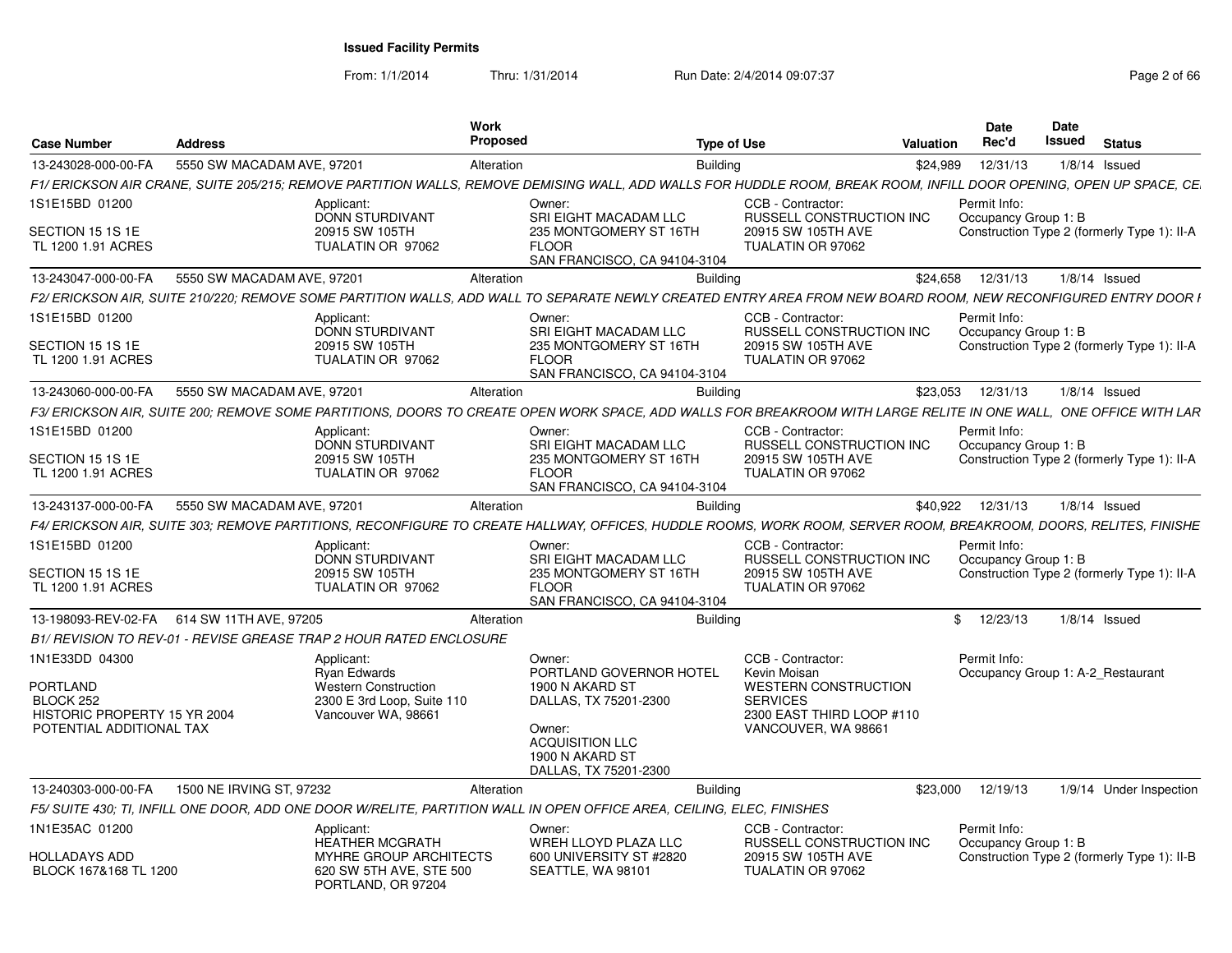From: 1/1/2014

Thru: 1/31/2014 Run Date: 2/4/2014 09:07:37 Page 2 of 66

| <b>Case Number</b>                                                                       | <b>Address</b>                                                                                                                                                      | Work<br><b>Proposed</b>                                                | <b>Type of Use</b>                                     |                                                                                                    | <b>Valuation</b> | <b>Date</b><br>Rec'd                 | Date<br>Issued | <b>Status</b>                               |
|------------------------------------------------------------------------------------------|---------------------------------------------------------------------------------------------------------------------------------------------------------------------|------------------------------------------------------------------------|--------------------------------------------------------|----------------------------------------------------------------------------------------------------|------------------|--------------------------------------|----------------|---------------------------------------------|
| 13-243028-000-00-FA                                                                      | 5550 SW MACADAM AVE, 97201                                                                                                                                          | Alteration                                                             | <b>Building</b>                                        |                                                                                                    | \$24.989         | 12/31/13                             |                | $1/8/14$ Issued                             |
|                                                                                          | F1/ ERICKSON AIR CRANE, SUITE 205/215; REMOVE PARTITION WALLS, REMOVE DEMISING WALL, ADD WALLS FOR HUDDLE ROOM, BREAK ROOM, INFILL DOOR OPENING, OPEN UP SPACE, CE. |                                                                        |                                                        |                                                                                                    |                  |                                      |                |                                             |
| 1S1E15BD 01200                                                                           | Applicant:<br><b>DONN STURDIVANT</b>                                                                                                                                | Owner:                                                                 | SRI EIGHT MACADAM LLC                                  | CCB - Contractor:<br>RUSSELL CONSTRUCTION INC                                                      |                  | Permit Info:<br>Occupancy Group 1: B |                |                                             |
| SECTION 15 1S 1E<br>TL 1200 1.91 ACRES                                                   | 20915 SW 105TH<br>TUALATIN OR 97062                                                                                                                                 | <b>FLOOR</b>                                                           | 235 MONTGOMERY ST 16TH<br>SAN FRANCISCO, CA 94104-3104 | 20915 SW 105TH AVE<br>TUALATIN OR 97062                                                            |                  |                                      |                | Construction Type 2 (formerly Type 1): II-A |
| 13-243047-000-00-FA                                                                      | 5550 SW MACADAM AVE, 97201                                                                                                                                          | Alteration                                                             | <b>Building</b>                                        |                                                                                                    | \$24,658         | 12/31/13                             |                | $1/8/14$ Issued                             |
|                                                                                          | F2/ ERICKSON AIR. SUITE 210/220: REMOVE SOME PARTITION WALLS. ADD WALL TO SEPARATE NEWLY CREATED ENTRY AREA FROM NEW BOARD ROOM. NEW RECONFIGURED ENTRY DOOR I      |                                                                        |                                                        |                                                                                                    |                  |                                      |                |                                             |
| 1S1E15BD 01200                                                                           | Applicant:<br><b>DONN STURDIVANT</b>                                                                                                                                | Owner:                                                                 | SRI EIGHT MACADAM LLC                                  | CCB - Contractor:<br>RUSSELL CONSTRUCTION INC                                                      |                  | Permit Info:<br>Occupancy Group 1: B |                |                                             |
| SECTION 15 1S 1E<br>TL 1200 1.91 ACRES                                                   | 20915 SW 105TH<br>TUALATIN OR 97062                                                                                                                                 | <b>FLOOR</b>                                                           | 235 MONTGOMERY ST 16TH<br>SAN FRANCISCO, CA 94104-3104 | 20915 SW 105TH AVE<br>TUALATIN OR 97062                                                            |                  |                                      |                | Construction Type 2 (formerly Type 1): II-A |
| 13-243060-000-00-FA                                                                      | 5550 SW MACADAM AVE, 97201                                                                                                                                          | Alteration                                                             | <b>Building</b>                                        |                                                                                                    | \$23,053         | 12/31/13                             |                | $1/8/14$ Issued                             |
|                                                                                          | F3/ ERICKSON AIR. SUITE 200: REMOVE SOME PARTITIONS. DOORS TO CREATE OPEN WORK SPACE. ADD WALLS FOR BREAKROOM WITH LARGE RELITE IN ONE WALL.  ONE OFFICE WITH LAR   |                                                                        |                                                        |                                                                                                    |                  |                                      |                |                                             |
| 1S1E15BD 01200                                                                           | Applicant:<br><b>DONN STURDIVANT</b>                                                                                                                                | Owner:                                                                 | SRI EIGHT MACADAM LLC                                  | CCB - Contractor:<br><b>RUSSELL CONSTRUCTION INC.</b>                                              |                  | Permit Info:<br>Occupancy Group 1: B |                |                                             |
| SECTION 15 1S 1E<br>TL 1200 1.91 ACRES                                                   | 20915 SW 105TH<br>TUALATIN OR 97062                                                                                                                                 | <b>FLOOR</b>                                                           | 235 MONTGOMERY ST 16TH<br>SAN FRANCISCO, CA 94104-3104 | 20915 SW 105TH AVE<br>TUALATIN OR 97062                                                            |                  |                                      |                | Construction Type 2 (formerly Type 1): II-A |
| 13-243137-000-00-FA                                                                      | 5550 SW MACADAM AVE, 97201                                                                                                                                          | Alteration                                                             | <b>Building</b>                                        |                                                                                                    | \$40.922         | 12/31/13                             |                | $1/8/14$ Issued                             |
|                                                                                          | F4/ ERICKSON AIR. SUITE 303: REMOVE PARTITIONS. RECONFIGURE TO CREATE HALLWAY. OFFICES. HUDDLE ROOMS. WORK ROOM. SERVER ROOM. BREAKROOM. DOORS. RELITES. FINISHE    |                                                                        |                                                        |                                                                                                    |                  |                                      |                |                                             |
| 1S1E15BD 01200                                                                           | Applicant:<br><b>DONN STURDIVANT</b>                                                                                                                                | Owner:                                                                 | SRI EIGHT MACADAM LLC                                  | CCB - Contractor:<br>RUSSELL CONSTRUCTION INC                                                      |                  | Permit Info:<br>Occupancy Group 1: B |                |                                             |
| SECTION 15 1S 1E<br>TL 1200 1.91 ACRES                                                   | 20915 SW 105TH<br>TUALATIN OR 97062                                                                                                                                 | <b>FLOOR</b>                                                           | 235 MONTGOMERY ST 16TH<br>SAN FRANCISCO, CA 94104-3104 | 20915 SW 105TH AVE<br>TUALATIN OR 97062                                                            |                  |                                      |                | Construction Type 2 (formerly Type 1): II-A |
| 13-198093-REV-02-FA                                                                      | 614 SW 11TH AVE, 97205                                                                                                                                              | Alteration                                                             | Buildina                                               |                                                                                                    |                  | \$12/23/13                           |                | $1/8/14$ Issued                             |
|                                                                                          | B1/ REVISION TO REV-01 - REVISE GREASE TRAP 2 HOUR RATED ENCLOSURE                                                                                                  |                                                                        |                                                        |                                                                                                    |                  |                                      |                |                                             |
| 1N1E33DD 04300                                                                           | Applicant:<br>Rvan Edwards                                                                                                                                          | Owner:                                                                 | PORTLAND GOVERNOR HOTEL                                | CCB - Contractor:<br>Kevin Moisan                                                                  |                  | Permit Info:                         |                | Occupancy Group 1: A-2 Restaurant           |
| <b>PORTLAND</b><br>BLOCK 252<br>HISTORIC PROPERTY 15 YR 2004<br>POTENTIAL ADDITIONAL TAX | Western Construction<br>2300 E 3rd Loop, Suite 110<br>Vancouver WA, 98661                                                                                           | 1900 N AKARD ST<br>Owner:<br><b>ACQUISITION LLC</b><br>1900 N AKARD ST | DALLAS, TX 75201-2300<br>DALLAS, TX 75201-2300         | <b>WESTERN CONSTRUCTION</b><br><b>SERVICES</b><br>2300 EAST THIRD LOOP #110<br>VANCOUVER, WA 98661 |                  |                                      |                |                                             |
| 13-240303-000-00-FA                                                                      | 1500 NE IRVING ST, 97232                                                                                                                                            | Alteration                                                             | <b>Building</b>                                        |                                                                                                    | \$23,000         | 12/19/13                             |                | 1/9/14 Under Inspection                     |
|                                                                                          | F5/ SUITE 430; TI, INFILL ONE DOOR, ADD ONE DOOR W/RELITE, PARTITION WALL IN OPEN OFFICE AREA, CEILING, ELEC, FINISHES                                              |                                                                        |                                                        |                                                                                                    |                  |                                      |                |                                             |
| 1N1E35AC 01200                                                                           | Applicant:<br><b>HEATHER MCGRATH</b>                                                                                                                                | Owner:                                                                 | WREH LLOYD PLAZA LLC                                   | CCB - Contractor:<br>RUSSELL CONSTRUCTION INC                                                      |                  | Permit Info:<br>Occupancy Group 1: B |                |                                             |
| HOLLADAYS ADD<br>BLOCK 167&168 TL 1200                                                   | MYHRE GROUP ARCHITECTS<br>620 SW 5TH AVE, STE 500<br>PORTLAND, OR 97204                                                                                             | SEATTLE, WA 98101                                                      | 600 UNIVERSITY ST #2820                                | 20915 SW 105TH AVE<br>TUALATIN OR 97062                                                            |                  |                                      |                | Construction Type 2 (formerly Type 1): II-B |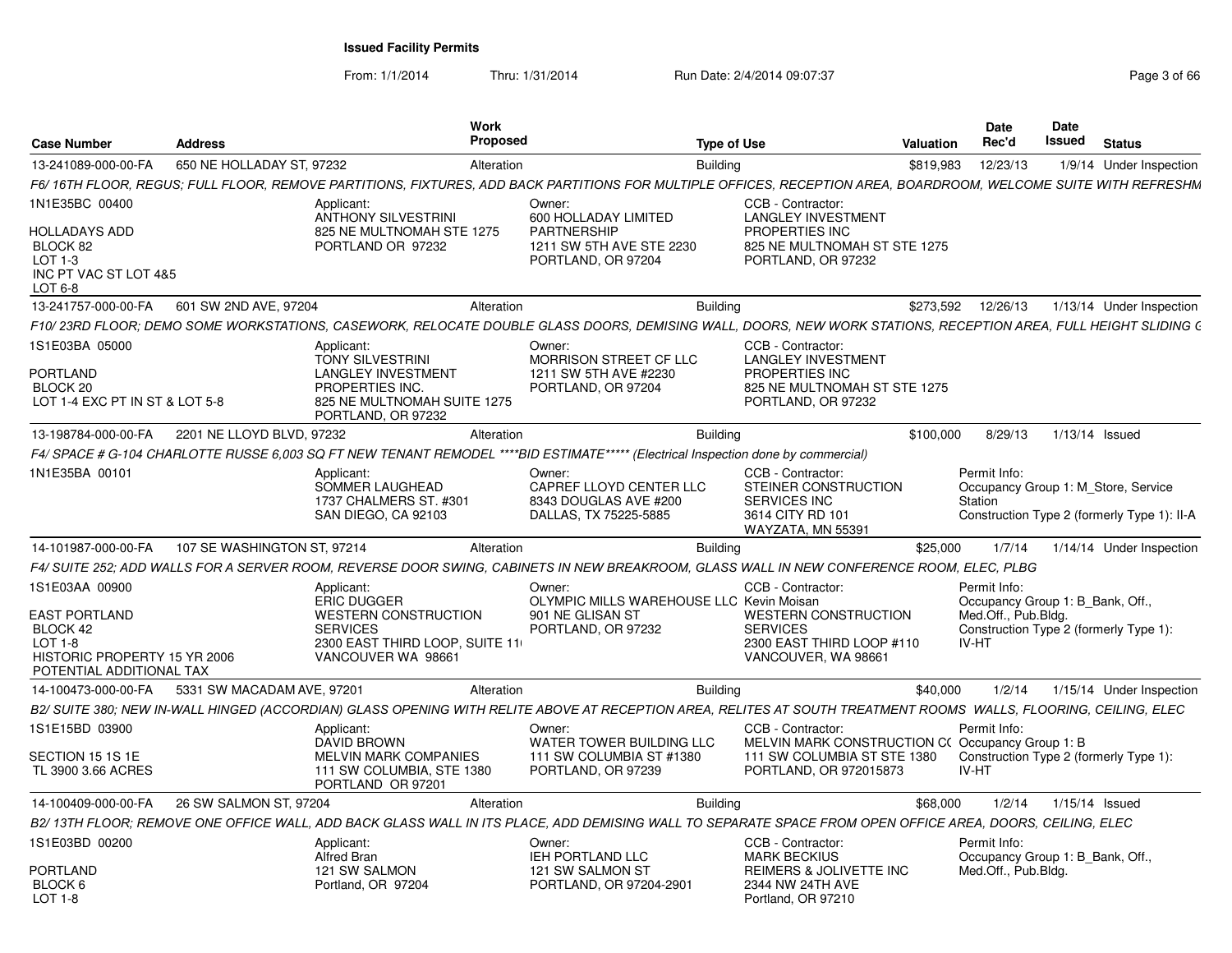From: 1/1/2014

Thru: 1/31/2014 Run Date: 2/4/2014 09:07:37 Page 3 of 66

| <b>Case Number</b>                                                                                                          | <b>Address</b>              |                                                                                                                                            | Work<br>Proposed | <b>Type of Use</b>                                                                                                                                               |                                                                                                                         | <b>Valuation</b> | Date<br>Rec'd                                                                    | Date<br>Issued | <b>Status</b>                                                                      |
|-----------------------------------------------------------------------------------------------------------------------------|-----------------------------|--------------------------------------------------------------------------------------------------------------------------------------------|------------------|------------------------------------------------------------------------------------------------------------------------------------------------------------------|-------------------------------------------------------------------------------------------------------------------------|------------------|----------------------------------------------------------------------------------|----------------|------------------------------------------------------------------------------------|
| 13-241089-000-00-FA                                                                                                         | 650 NE HOLLADAY ST. 97232   |                                                                                                                                            | Alteration       | <b>Building</b>                                                                                                                                                  |                                                                                                                         | \$819.983        | 12/23/13                                                                         |                | 1/9/14 Under Inspection                                                            |
|                                                                                                                             |                             |                                                                                                                                            |                  | F6/ 16TH FLOOR, REGUS; FULL FLOOR, REMOVE PARTITIONS, FIXTURES, ADD BACK PARTITIONS FOR MULTIPLE OFFICES, RECEPTION AREA, BOARDROOM, WELCOME SUITE WITH REFRESHM |                                                                                                                         |                  |                                                                                  |                |                                                                                    |
| 1N1E35BC 00400                                                                                                              |                             | Applicant:<br><b>ANTHONY SILVESTRINI</b>                                                                                                   |                  | Owner:<br>600 HOLLADAY LIMITED                                                                                                                                   | CCB - Contractor:<br><b>LANGLEY INVESTMENT</b>                                                                          |                  |                                                                                  |                |                                                                                    |
| HOLLADAYS ADD<br>BLOCK 82<br>LOT 1-3<br>INC PT VAC ST LOT 4&5<br>$LOT6-8$                                                   |                             | 825 NE MULTNOMAH STE 1275<br>PORTLAND OR 97232                                                                                             |                  | <b>PARTNERSHIP</b><br>1211 SW 5TH AVE STE 2230<br>PORTLAND, OR 97204                                                                                             | PROPERTIES INC<br>825 NE MULTNOMAH ST STE 1275<br>PORTLAND, OR 97232                                                    |                  |                                                                                  |                |                                                                                    |
| 13-241757-000-00-FA                                                                                                         | 601 SW 2ND AVE, 97204       |                                                                                                                                            | Alteration       | <b>Building</b>                                                                                                                                                  |                                                                                                                         | \$273,592        | 12/26/13                                                                         |                | 1/13/14 Under Inspection                                                           |
|                                                                                                                             |                             |                                                                                                                                            |                  | F10/ 23RD FLOOR: DEMO SOME WORKSTATIONS. CASEWORK. RELOCATE DOUBLE GLASS DOORS. DEMISING WALL. DOORS. NEW WORK STATIONS. RECEPTION AREA. FULL HEIGHT SLIDING (   |                                                                                                                         |                  |                                                                                  |                |                                                                                    |
| 1S1E03BA 05000                                                                                                              |                             | Applicant:<br><b>TONY SILVESTRINI</b>                                                                                                      |                  | Owner:<br>MORRISON STREET CF LLC                                                                                                                                 | CCB - Contractor:<br><b>LANGLEY INVESTMENT</b>                                                                          |                  |                                                                                  |                |                                                                                    |
| <b>PORTLAND</b><br>BLOCK <sub>20</sub><br>LOT 1-4 EXC PT IN ST & LOT 5-8                                                    |                             | <b>LANGLEY INVESTMENT</b><br>PROPERTIES INC.<br>825 NE MULTNOMAH SUITE 1275<br>PORTLAND, OR 97232                                          |                  | 1211 SW 5TH AVE #2230<br>PORTLAND, OR 97204                                                                                                                      | PROPERTIES INC<br>825 NE MULTNOMAH ST STE 1275<br>PORTLAND, OR 97232                                                    |                  |                                                                                  |                |                                                                                    |
| 13-198784-000-00-FA                                                                                                         | 2201 NE LLOYD BLVD, 97232   |                                                                                                                                            | Alteration       | <b>Building</b>                                                                                                                                                  |                                                                                                                         | \$100,000        | 8/29/13                                                                          |                | 1/13/14 Issued                                                                     |
|                                                                                                                             |                             |                                                                                                                                            |                  | F4/ SPACE # G-104 CHARLOTTE RUSSE 6,003 SQ FT NEW TENANT REMODEL ****BID ESTIMATE***** (Electrical Inspection done by commercial)                                |                                                                                                                         |                  |                                                                                  |                |                                                                                    |
| 1N1E35BA 00101                                                                                                              |                             | Applicant:<br>SOMMER LAUGHEAD<br>1737 CHALMERS ST. #301<br>SAN DIEGO, CA 92103                                                             |                  | Owner:<br>CAPREF LLOYD CENTER LLC<br>8343 DOUGLAS AVE #200<br>DALLAS, TX 75225-5885                                                                              | CCB - Contractor:<br>STEINER CONSTRUCTION<br>SERVICES INC<br>3614 CITY RD 101<br>WAYZATA, MN 55391                      |                  | Permit Info:<br>Station                                                          |                | Occupancy Group 1: M_Store, Service<br>Construction Type 2 (formerly Type 1): II-A |
| 14-101987-000-00-FA                                                                                                         | 107 SE WASHINGTON ST, 97214 |                                                                                                                                            | Alteration       | Buildina                                                                                                                                                         |                                                                                                                         | \$25,000         | 1/7/14                                                                           |                | 1/14/14 Under Inspection                                                           |
|                                                                                                                             |                             |                                                                                                                                            |                  | F4/ SUITE 252; ADD WALLS FOR A SERVER ROOM, REVERSE DOOR SWING, CABINETS IN NEW BREAKROOM, GLASS WALL IN NEW CONFERENCE ROOM, ELEC, PLBG                         |                                                                                                                         |                  |                                                                                  |                |                                                                                    |
| 1S1E03AA 00900<br><b>EAST PORTLAND</b><br>BLOCK 42<br>$LOT 1-8$<br>HISTORIC PROPERTY 15 YR 2006<br>POTENTIAL ADDITIONAL TAX |                             | Applicant:<br><b>ERIC DUGGER</b><br><b>WESTERN CONSTRUCTION</b><br><b>SERVICES</b><br>2300 EAST THIRD LOOP, SUITE 11<br>VANCOUVER WA 98661 |                  | Owner:<br>OLYMPIC MILLS WAREHOUSE LLC Kevin Moisan<br>901 NE GLISAN ST<br>PORTLAND, OR 97232                                                                     | CCB - Contractor:<br><b>WESTERN CONSTRUCTION</b><br><b>SERVICES</b><br>2300 EAST THIRD LOOP #110<br>VANCOUVER, WA 98661 |                  | Permit Info:<br>Occupancy Group 1: B Bank, Off.,<br>Med.Off., Pub.Bldg.<br>IV-HT |                | Construction Type 2 (formerly Type 1):                                             |
| 14-100473-000-00-FA                                                                                                         | 5331 SW MACADAM AVE, 97201  |                                                                                                                                            | Alteration       | <b>Building</b>                                                                                                                                                  |                                                                                                                         | \$40,000         | 1/2/14                                                                           |                | 1/15/14 Under Inspection                                                           |
|                                                                                                                             |                             |                                                                                                                                            |                  | B2/ SUITE 380; NEW IN-WALL HINGED (ACCORDIAN) GLASS OPENING WITH RELITE ABOVE AT RECEPTION AREA, RELITES AT SOUTH TREATMENT ROOMS WALLS, FLOORING, CEILING, ELEC |                                                                                                                         |                  |                                                                                  |                |                                                                                    |
| 1S1E15BD 03900                                                                                                              |                             | Applicant:<br><b>DAVID BROWN</b>                                                                                                           |                  | Owner:<br>WATER TOWER BUILDING LLC                                                                                                                               | CCB - Contractor:<br>MELVIN MARK CONSTRUCTION C(Occupancy Group 1: B)                                                   |                  | Permit Info:                                                                     |                |                                                                                    |
| SECTION 15 1S 1E<br>TL 3900 3.66 ACRES                                                                                      |                             | <b>MELVIN MARK COMPANIES</b><br>111 SW COLUMBIA, STE 1380<br>PORTLAND OR 97201                                                             |                  | 111 SW COLUMBIA ST #1380<br>PORTLAND, OR 97239                                                                                                                   | 111 SW COLUMBIA ST STE 1380<br>PORTLAND, OR 972015873                                                                   |                  | IV-HT                                                                            |                | Construction Type 2 (formerly Type 1):                                             |
| 14-100409-000-00-FA                                                                                                         | 26 SW SALMON ST, 97204      |                                                                                                                                            | Alteration       | <b>Building</b>                                                                                                                                                  |                                                                                                                         | \$68,000         | 1/2/14                                                                           |                | $1/15/14$ Issued                                                                   |
|                                                                                                                             |                             |                                                                                                                                            |                  | B2/ 13TH FLOOR; REMOVE ONE OFFICE WALL, ADD BACK GLASS WALL IN ITS PLACE, ADD DEMISING WALL TO SEPARATE SPACE FROM OPEN OFFICE AREA, DOORS, CEILING, ELEC        |                                                                                                                         |                  |                                                                                  |                |                                                                                    |
| 1S1E03BD 00200                                                                                                              |                             | Applicant:<br><b>Alfred Bran</b>                                                                                                           |                  | Owner:<br><b>IEH PORTLAND LLC</b>                                                                                                                                | CCB - Contractor:<br><b>MARK BECKIUS</b>                                                                                |                  | Permit Info:<br>Occupancy Group 1: B Bank, Off.,                                 |                |                                                                                    |
| PORTLAND<br>BLOCK 6<br>$LOT 1-8$                                                                                            |                             | 121 SW SALMON<br>Portland, OR 97204                                                                                                        |                  | 121 SW SALMON ST<br>PORTLAND, OR 97204-2901                                                                                                                      | REIMERS & JOLIVETTE INC<br>2344 NW 24TH AVE<br>Portland, OR 97210                                                       |                  | Med.Off., Pub.Bldg.                                                              |                |                                                                                    |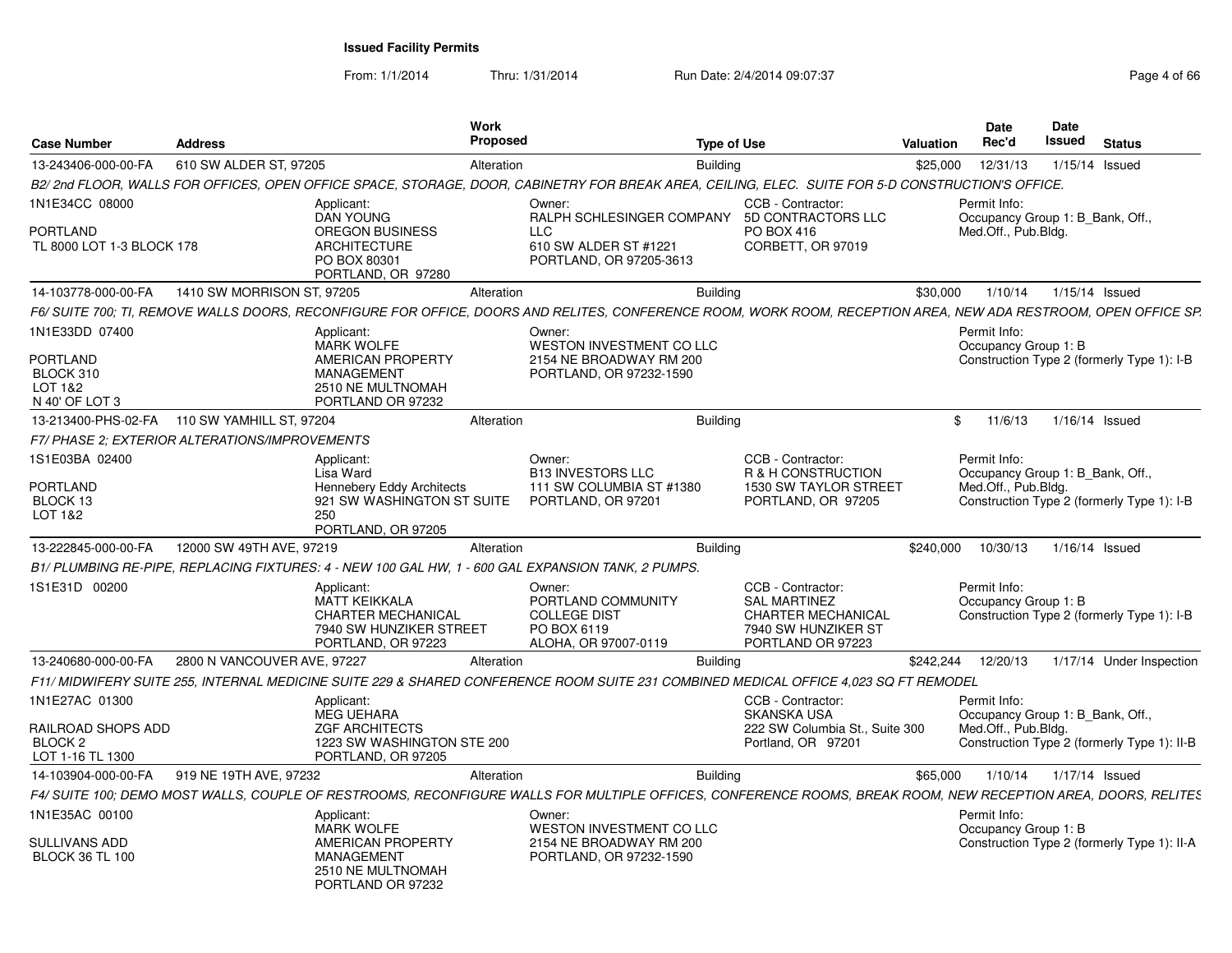From: 1/1/2014Thru: 1/31/2014 Run Date: 2/4/2014 09:07:37 Page 4 of 66

| <b>Case Number</b>                                | <b>Address</b>                                 | <b>Work</b>                                                                                                                                                     | Proposed   | <b>Type of Use</b>                                                               |                                                                                                                   | <b>Valuation</b> | <b>Date</b><br>Rec'd                                    | <b>Date</b><br><b>Issued</b> | <b>Status</b>                               |
|---------------------------------------------------|------------------------------------------------|-----------------------------------------------------------------------------------------------------------------------------------------------------------------|------------|----------------------------------------------------------------------------------|-------------------------------------------------------------------------------------------------------------------|------------------|---------------------------------------------------------|------------------------------|---------------------------------------------|
| 13-243406-000-00-FA                               | 610 SW ALDER ST, 97205                         |                                                                                                                                                                 | Alteration | <b>Building</b>                                                                  |                                                                                                                   | \$25,000         | 12/31/13                                                | 1/15/14 Issued               |                                             |
|                                                   |                                                | B2/ 2nd FLOOR, WALLS FOR OFFICES, OPEN OFFICE SPACE, STORAGE, DOOR, CABINETRY FOR BREAK AREA, CEILING, ELEC. SUITE FOR 5-D CONSTRUCTION'S OFFICE                |            |                                                                                  |                                                                                                                   |                  |                                                         |                              |                                             |
| 1N1E34CC 08000                                    |                                                | Applicant:                                                                                                                                                      | Owner:     |                                                                                  | CCB - Contractor:                                                                                                 |                  | Permit Info:                                            |                              |                                             |
| PORTLAND<br>TL 8000 LOT 1-3 BLOCK 178             |                                                | <b>DAN YOUNG</b><br><b>OREGON BUSINESS</b><br><b>ARCHITECTURE</b><br>PO BOX 80301<br>PORTLAND, OR 97280                                                         | LLC        | RALPH SCHLESINGER COMPANY<br>610 SW ALDER ST #1221<br>PORTLAND, OR 97205-3613    | 5D CONTRACTORS LLC<br>PO BOX 416<br>CORBETT, OR 97019                                                             |                  | Occupancy Group 1: B_Bank, Off.,<br>Med.Off., Pub.Bldg. |                              |                                             |
| 14-103778-000-00-FA                               | 1410 SW MORRISON ST. 97205                     |                                                                                                                                                                 | Alteration | Buildina                                                                         |                                                                                                                   | \$30,000         | 1/10/14                                                 | 1/15/14 Issued               |                                             |
|                                                   |                                                | F6/ SUITE 700: TI. REMOVE WALLS DOORS. RECONFIGURE FOR OFFICE. DOORS AND RELITES. CONFERENCE ROOM. WORK ROOM. RECEPTION AREA. NEW ADA RESTROOM. OPEN OFFICE SP. |            |                                                                                  |                                                                                                                   |                  |                                                         |                              |                                             |
| 1N1E33DD 07400<br><b>PORTLAND</b>                 |                                                | Applicant:<br><b>MARK WOLFE</b><br>AMERICAN PROPERTY                                                                                                            | Owner:     | WESTON INVESTMENT CO LLC<br>2154 NE BROADWAY RM 200                              |                                                                                                                   |                  | Permit Info:<br>Occupancy Group 1: B                    |                              | Construction Type 2 (formerly Type 1): I-B  |
| BLOCK 310<br>LOT 1&2<br>N 40' OF LOT 3            |                                                | <b>MANAGEMENT</b><br>2510 NE MULTNOMAH<br>PORTLAND OR 97232                                                                                                     |            | PORTLAND, OR 97232-1590                                                          |                                                                                                                   |                  |                                                         |                              |                                             |
| 13-213400-PHS-02-FA                               | 110 SW YAMHILL ST, 97204                       |                                                                                                                                                                 | Alteration | <b>Building</b>                                                                  |                                                                                                                   | \$               | 11/6/13                                                 | 1/16/14 Issued               |                                             |
|                                                   | F7/ PHASE 2: EXTERIOR ALTERATIONS/IMPROVEMENTS |                                                                                                                                                                 |            |                                                                                  |                                                                                                                   |                  |                                                         |                              |                                             |
| 1S1E03BA 02400                                    |                                                | Applicant:<br>Lisa Ward                                                                                                                                         | Owner:     | <b>B13 INVESTORS LLC</b>                                                         | CCB - Contractor:<br>R & H CONSTRUCTION                                                                           |                  | Permit Info:<br>Occupancy Group 1: B Bank, Off          |                              |                                             |
| PORTLAND<br>BLOCK 13<br>LOT 1&2                   |                                                | Hennebery Eddy Architects<br>921 SW WASHINGTON ST SUITE<br>250<br>PORTLAND, OR 97205                                                                            |            | 111 SW COLUMBIA ST #1380<br>PORTLAND, OR 97201                                   | 1530 SW TAYLOR STREET<br>PORTLAND, OR 97205                                                                       |                  | Med.Off., Pub.Bldg.                                     |                              | Construction Type 2 (formerly Type 1): I-B  |
| 13-222845-000-00-FA                               | 12000 SW 49TH AVE, 97219                       |                                                                                                                                                                 | Alteration | <b>Building</b>                                                                  |                                                                                                                   | \$240,000        | 10/30/13                                                | 1/16/14 Issued               |                                             |
|                                                   |                                                | B1/PLUMBING RE-PIPE, REPLACING FIXTURES: 4 - NEW 100 GAL HW, 1 - 600 GAL EXPANSION TANK, 2 PUMPS.                                                               |            |                                                                                  |                                                                                                                   |                  |                                                         |                              |                                             |
| 1S1E31D 00200                                     |                                                | Applicant:<br><b>MATT KEIKKALA</b><br><b>CHARTER MECHANICAL</b><br>7940 SW HUNZIKER STREET<br>PORTLAND, OR 97223                                                | Owner:     | PORTLAND COMMUNITY<br><b>COLLEGE DIST</b><br>PO BOX 6119<br>ALOHA, OR 97007-0119 | CCB - Contractor:<br><b>SAL MARTINEZ</b><br><b>CHARTER MECHANICAL</b><br>7940 SW HUNZIKER ST<br>PORTLAND OR 97223 |                  | Permit Info:<br>Occupancy Group 1: B                    |                              | Construction Type 2 (formerly Type 1): I-B  |
| 13-240680-000-00-FA                               | 2800 N VANCOUVER AVE, 97227                    |                                                                                                                                                                 | Alteration | <b>Building</b>                                                                  |                                                                                                                   | \$242,244        | 12/20/13                                                |                              | 1/17/14 Under Inspection                    |
|                                                   |                                                | F11/ MIDWIFERY SUITE 255, INTERNAL MEDICINE SUITE 229 & SHARED CONFERENCE ROOM SUITE 231 COMBINED MEDICAL OFFICE 4,023 SQ FT REMODEL                            |            |                                                                                  |                                                                                                                   |                  |                                                         |                              |                                             |
| 1N1E27AC 01300                                    |                                                | Applicant:<br><b>MEG UEHARA</b>                                                                                                                                 |            |                                                                                  | CCB - Contractor:<br><b>SKANSKA USA</b>                                                                           |                  | Permit Info:<br>Occupancy Group 1: B Bank, Off          |                              |                                             |
| RAILROAD SHOPS ADD<br>BLOCK 2<br>LOT 1-16 TL 1300 |                                                | <b>ZGF ARCHITECTS</b><br>1223 SW WASHINGTON STE 200<br>PORTLAND, OR 97205                                                                                       |            |                                                                                  | 222 SW Columbia St., Suite 300<br>Portland, OR 97201                                                              |                  | Med.Off., Pub.Bldg.                                     |                              | Construction Type 2 (formerly Type 1): II-B |
| 14-103904-000-00-FA                               | 919 NE 19TH AVE, 97232                         |                                                                                                                                                                 | Alteration | <b>Building</b>                                                                  |                                                                                                                   | \$65,000         | 1/10/14                                                 | 1/17/14 Issued               |                                             |
|                                                   |                                                | F4/ SUITE 100: DEMO MOST WALLS. COUPLE OF RESTROOMS. RECONFIGURE WALLS FOR MULTIPLE OFFICES. CONFERENCE ROOMS. BREAK ROOM. NEW RECEPTION AREA. DOORS. RELITES   |            |                                                                                  |                                                                                                                   |                  |                                                         |                              |                                             |
| 1N1E35AC 00100                                    |                                                | Applicant:                                                                                                                                                      | Owner:     |                                                                                  |                                                                                                                   |                  | Permit Info:                                            |                              |                                             |
| <b>SULLIVANS ADD</b><br><b>BLOCK 36 TL 100</b>    |                                                | <b>MARK WOLFE</b><br>AMERICAN PROPERTY<br>MANAGEMENT<br>2510 NE MULTNOMAH                                                                                       |            | WESTON INVESTMENT CO LLC<br>2154 NE BROADWAY RM 200<br>PORTLAND, OR 97232-1590   |                                                                                                                   |                  | Occupancy Group 1: B                                    |                              | Construction Type 2 (formerly Type 1): II-A |
|                                                   |                                                | PORTLAND OR 97232                                                                                                                                               |            |                                                                                  |                                                                                                                   |                  |                                                         |                              |                                             |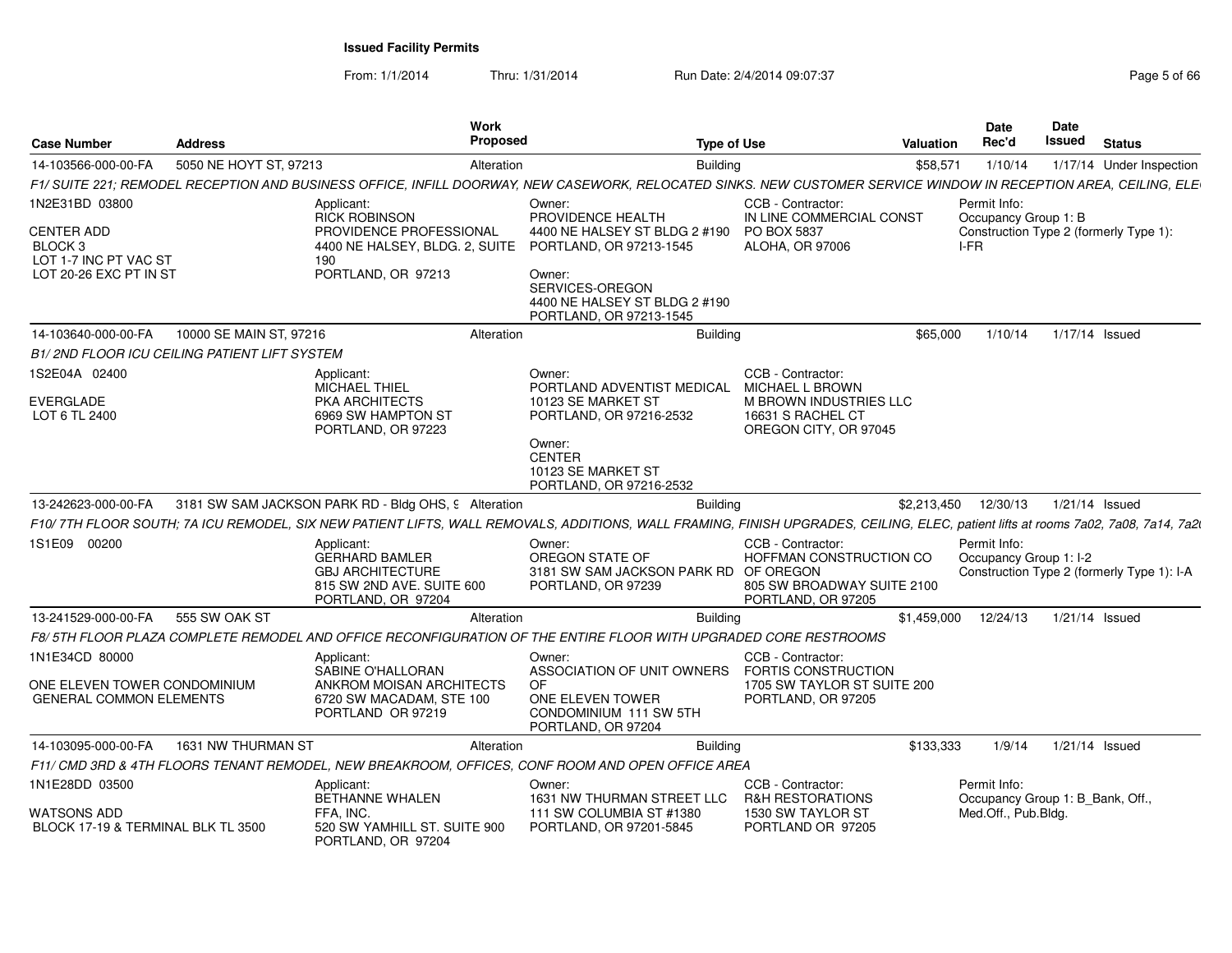From: 1/1/2014

Thru: 1/31/2014 **Run Date: 2/4/2014 09:07:37** Christian Bag 5 of 66 of 66 of 666 of 7.37

|  | Page 5 of 66 |  |  |  |
|--|--------------|--|--|--|
|--|--------------|--|--|--|

| <b>Case Number</b>                                               | <b>Address</b>                               | <b>Work</b><br><b>Proposed</b>                                                                                                                                                     |                                                                                          | <b>Type of Use</b>                                                                               | <b>Valuation</b> | <b>Date</b><br>Rec'd                                    | <b>Date</b><br><b>Issued</b> | <b>Status</b>                              |
|------------------------------------------------------------------|----------------------------------------------|------------------------------------------------------------------------------------------------------------------------------------------------------------------------------------|------------------------------------------------------------------------------------------|--------------------------------------------------------------------------------------------------|------------------|---------------------------------------------------------|------------------------------|--------------------------------------------|
| 14-103566-000-00-FA                                              | 5050 NE HOYT ST, 97213                       | Alteration                                                                                                                                                                         |                                                                                          | <b>Building</b>                                                                                  | \$58,571         | 1/10/14                                                 |                              | 1/17/14 Under Inspection                   |
|                                                                  |                                              | F1/ SUITE 221; REMODEL RECEPTION AND BUSINESS OFFICE, INFILL DOORWAY, NEW CASEWORK, RELOCATED SINKS. NEW CUSTOMER SERVICE WINDOW IN RECEPTION AREA, CEILING, ELE                   |                                                                                          |                                                                                                  |                  |                                                         |                              |                                            |
| 1N2E31BD 03800                                                   |                                              | Applicant:                                                                                                                                                                         | Owner:                                                                                   | CCB - Contractor:                                                                                |                  | Permit Info:                                            |                              |                                            |
| <b>CENTER ADD</b><br>BLOCK <sub>3</sub><br>LOT 1-7 INC PT VAC ST |                                              | RICK ROBINSON<br>PROVIDENCE PROFESSIONAL<br>4400 NE HALSEY, BLDG. 2, SUITE<br>190                                                                                                  | PROVIDENCE HEALTH<br>4400 NE HALSEY ST BLDG 2 #190<br>PORTLAND, OR 97213-1545            | IN LINE COMMERCIAL CONST<br>PO BOX 5837<br>ALOHA, OR 97006                                       |                  | Occupancy Group 1: B<br>I-FR                            |                              | Construction Type 2 (formerly Type 1):     |
| LOT 20-26 EXC PT IN ST                                           |                                              | PORTLAND, OR 97213                                                                                                                                                                 | Owner:<br>SERVICES-OREGON<br>4400 NE HALSEY ST BLDG 2 #190<br>PORTLAND, OR 97213-1545    |                                                                                                  |                  |                                                         |                              |                                            |
| 14-103640-000-00-FA                                              | 10000 SE MAIN ST, 97216                      | Alteration                                                                                                                                                                         |                                                                                          | <b>Building</b>                                                                                  | \$65,000         | 1/10/14                                                 |                              | 1/17/14 Issued                             |
|                                                                  | B1/2ND FLOOR ICU CEILING PATIENT LIFT SYSTEM |                                                                                                                                                                                    |                                                                                          |                                                                                                  |                  |                                                         |                              |                                            |
| 1S2E04A 02400                                                    |                                              | Applicant:<br><b>MICHAEL THIEL</b>                                                                                                                                                 | Owner:<br>PORTLAND ADVENTIST MEDICAL                                                     | CCB - Contractor:<br>MICHAEL L BROWN                                                             |                  |                                                         |                              |                                            |
| EVERGLADE<br>LOT 6 TL 2400                                       |                                              | PKA ARCHITECTS<br>6969 SW HAMPTON ST<br>PORTLAND, OR 97223                                                                                                                         | 10123 SE MARKET ST<br>PORTLAND, OR 97216-2532                                            | M BROWN INDUSTRIES LLC<br>16631 S RACHEL CT<br>OREGON CITY, OR 97045                             |                  |                                                         |                              |                                            |
|                                                                  |                                              |                                                                                                                                                                                    | Owner:<br><b>CENTER</b><br>10123 SE MARKET ST<br>PORTLAND, OR 97216-2532                 |                                                                                                  |                  |                                                         |                              |                                            |
| 13-242623-000-00-FA                                              |                                              | 3181 SW SAM JACKSON PARK RD - Bldg OHS, 9 Alteration                                                                                                                               |                                                                                          | <b>Building</b>                                                                                  | \$2.213.450      | 12/30/13                                                |                              | 1/21/14 Issued                             |
|                                                                  |                                              | F10/ 7TH FLOOR SOUTH; 7A ICU REMODEL, SIX NEW PATIENT LIFTS, WALL REMOVALS, ADDITIONS, WALL FRAMING, FINISH UPGRADES, CEILING, ELEC, patient lifts at rooms 7a02, 7a08, 7a14, 7a2l |                                                                                          |                                                                                                  |                  |                                                         |                              |                                            |
| 1S1E09 00200                                                     |                                              | Applicant:<br><b>GERHARD BAMLER</b><br><b>GBJ ARCHITECTURE</b><br>815 SW 2ND AVE. SUITE 600<br>PORTLAND, OR 97204                                                                  | Owner:<br>OREGON STATE OF<br>3181 SW SAM JACKSON PARK RD OF OREGON<br>PORTLAND, OR 97239 | CCB - Contractor:<br>HOFFMAN CONSTRUCTION CO<br>805 SW BROADWAY SUITE 2100<br>PORTLAND, OR 97205 |                  | Permit Info:<br>Occupancy Group 1: I-2                  |                              | Construction Type 2 (formerly Type 1): I-A |
| 13-241529-000-00-FA                                              | 555 SW OAK ST                                | Alteration                                                                                                                                                                         |                                                                                          | <b>Building</b>                                                                                  | \$1,459,000      | 12/24/13                                                |                              | $1/21/14$ Issued                           |
|                                                                  |                                              | F8/5TH FLOOR PLAZA COMPLETE REMODEL AND OFFICE RECONFIGURATION OF THE ENTIRE FLOOR WITH UPGRADED CORE RESTROOMS                                                                    |                                                                                          |                                                                                                  |                  |                                                         |                              |                                            |
| 1N1E34CD 80000                                                   |                                              | Applicant:<br>SABINE O'HALLORAN                                                                                                                                                    | Owner:<br>ASSOCIATION OF UNIT OWNERS FORTIS CONSTRUCTION                                 | CCB - Contractor:                                                                                |                  |                                                         |                              |                                            |
| ONE ELEVEN TOWER CONDOMINIUM<br><b>GENERAL COMMON ELEMENTS</b>   |                                              | ANKROM MOISAN ARCHITECTS<br>6720 SW MACADAM, STE 100<br>PORTLAND OR 97219                                                                                                          | <b>OF</b><br>ONE ELEVEN TOWER<br>CONDOMINIUM 111 SW 5TH<br>PORTLAND, OR 97204            | 1705 SW TAYLOR ST SUITE 200<br>PORTLAND, OR 97205                                                |                  |                                                         |                              |                                            |
| 14-103095-000-00-FA                                              | 1631 NW THURMAN ST                           | Alteration                                                                                                                                                                         |                                                                                          | <b>Building</b>                                                                                  | \$133,333        | 1/9/14                                                  |                              | $1/21/14$ Issued                           |
|                                                                  |                                              | F11/ CMD 3RD & 4TH FLOORS TENANT REMODEL, NEW BREAKROOM, OFFICES, CONF ROOM AND OPEN OFFICE AREA                                                                                   |                                                                                          |                                                                                                  |                  |                                                         |                              |                                            |
| 1N1E28DD 03500                                                   |                                              | Applicant:                                                                                                                                                                         | Owner:                                                                                   | CCB - Contractor:                                                                                |                  | Permit Info:                                            |                              |                                            |
| WATSONS ADD<br>BLOCK 17-19 & TERMINAL BLK TL 3500                |                                              | BETHANNE WHALEN<br>FFA. INC.<br>520 SW YAMHILL ST. SUITE 900<br>PORTLAND, OR 97204                                                                                                 | 1631 NW THURMAN STREET LLC<br>111 SW COLUMBIA ST #1380<br>PORTLAND, OR 97201-5845        | <b>R&amp;H RESTORATIONS</b><br>1530 SW TAYLOR ST<br>PORTLAND OR 97205                            |                  | Occupancy Group 1: B_Bank, Off.,<br>Med.Off., Pub.Bldg. |                              |                                            |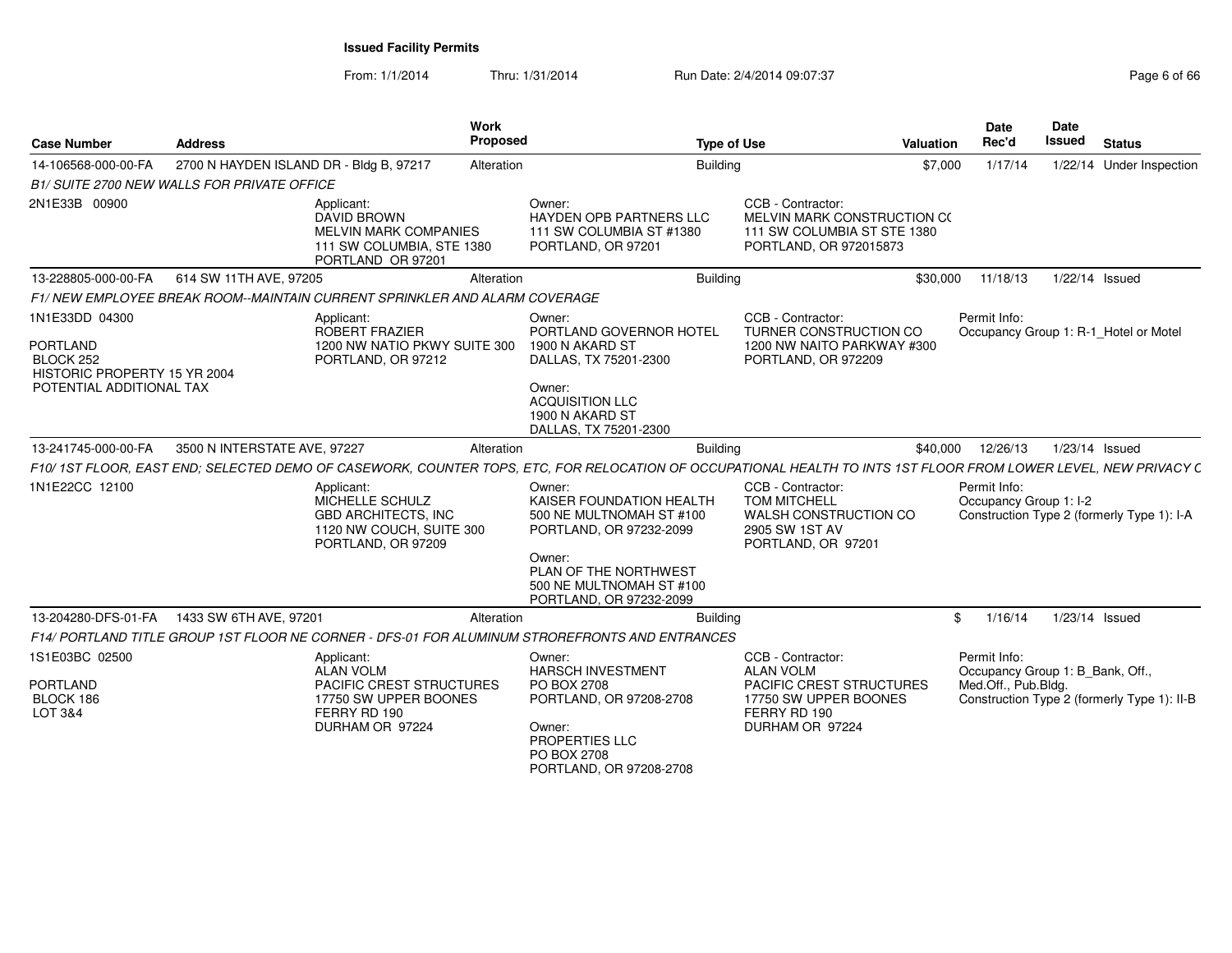From: 1/1/2014

Thru: 1/31/2014 Run Date: 2/4/2014 09:07:37 Page 6 of 66

| <b>Case Number</b>                                                                                         | <b>Address</b>                              | Work<br>Proposed                                                                                                                                               |                                                                                                                                                                                     | <b>Type of Use</b>                                                                                                                   | Valuation | <b>Date</b><br>Rec'd                                                    | Date<br><b>Issued</b> | <b>Status</b>                               |
|------------------------------------------------------------------------------------------------------------|---------------------------------------------|----------------------------------------------------------------------------------------------------------------------------------------------------------------|-------------------------------------------------------------------------------------------------------------------------------------------------------------------------------------|--------------------------------------------------------------------------------------------------------------------------------------|-----------|-------------------------------------------------------------------------|-----------------------|---------------------------------------------|
| 14-106568-000-00-FA                                                                                        | 2700 N HAYDEN ISLAND DR - Bldg B, 97217     | Alteration                                                                                                                                                     | <b>Building</b>                                                                                                                                                                     |                                                                                                                                      | \$7,000   | 1/17/14                                                                 |                       | 1/22/14 Under Inspection                    |
|                                                                                                            | B1/ SUITE 2700 NEW WALLS FOR PRIVATE OFFICE |                                                                                                                                                                |                                                                                                                                                                                     |                                                                                                                                      |           |                                                                         |                       |                                             |
| 2N1E33B 00900                                                                                              |                                             | Applicant:<br><b>DAVID BROWN</b><br><b>MELVIN MARK COMPANIES</b><br>111 SW COLUMBIA, STE 1380<br>PORTLAND OR 97201                                             | Owner:<br><b>HAYDEN OPB PARTNERS LLC</b><br>111 SW COLUMBIA ST #1380<br>PORTLAND, OR 97201                                                                                          | CCB - Contractor:<br>MELVIN MARK CONSTRUCTION C(<br>111 SW COLUMBIA ST STE 1380<br>PORTLAND, OR 972015873                            |           |                                                                         |                       |                                             |
| 13-228805-000-00-FA                                                                                        | 614 SW 11TH AVE, 97205                      | Alteration                                                                                                                                                     | <b>Building</b>                                                                                                                                                                     |                                                                                                                                      | \$30,000  | 11/18/13                                                                |                       | 1/22/14 Issued                              |
|                                                                                                            |                                             | F1/NEW EMPLOYEE BREAK ROOM-MAINTAIN CURRENT SPRINKLER AND ALARM COVERAGE                                                                                       |                                                                                                                                                                                     |                                                                                                                                      |           |                                                                         |                       |                                             |
| 1N1E33DD 04300<br><b>PORTLAND</b><br>BLOCK 252<br>HISTORIC PROPERTY 15 YR 2004<br>POTENTIAL ADDITIONAL TAX |                                             | Applicant:<br>ROBERT FRAZIER<br>1200 NW NATIO PKWY SUITE 300<br>PORTLAND, OR 97212                                                                             | Owner:<br>PORTLAND GOVERNOR HOTEL<br>1900 N AKARD ST<br>DALLAS, TX 75201-2300<br>Owner:<br><b>ACQUISITION LLC</b><br>1900 N AKARD ST<br>DALLAS, TX 75201-2300                       | CCB - Contractor:<br><b>TURNER CONSTRUCTION CO</b><br>1200 NW NAITO PARKWAY #300<br>PORTLAND, OR 972209                              |           | Permit Info:                                                            |                       | Occupancy Group 1: R-1_Hotel or Motel       |
| 13-241745-000-00-FA                                                                                        | 3500 N INTERSTATE AVE, 97227                | Alteration                                                                                                                                                     | <b>Building</b>                                                                                                                                                                     |                                                                                                                                      | \$40,000  | 12/26/13                                                                |                       | 1/23/14 Issued                              |
|                                                                                                            |                                             | F10/1ST FLOOR, EAST END; SELECTED DEMO OF CASEWORK, COUNTER TOPS, ETC, FOR RELOCATION OF OCCUPATIONAL HEALTH TO INTS 1ST FLOOR FROM LOWER LEVEL, NEW PRIVACY C |                                                                                                                                                                                     |                                                                                                                                      |           |                                                                         |                       |                                             |
| 1N1E22CC 12100                                                                                             |                                             | Applicant:<br>MICHELLE SCHULZ<br><b>GBD ARCHITECTS. INC</b><br>1120 NW COUCH, SUITE 300<br>PORTLAND, OR 97209                                                  | Owner:<br>KAISER FOUNDATION HEALTH<br>500 NE MULTNOMAH ST #100<br>PORTLAND, OR 97232-2099<br>Owner:<br>PLAN OF THE NORTHWEST<br>500 NE MULTNOMAH ST #100<br>PORTLAND, OR 97232-2099 | CCB - Contractor:<br><b>TOM MITCHELL</b><br>WALSH CONSTRUCTION CO<br>2905 SW 1ST AV<br>PORTLAND, OR 97201                            |           | Permit Info:<br>Occupancy Group 1: I-2                                  |                       | Construction Type 2 (formerly Type 1): I-A  |
| 13-204280-DFS-01-FA                                                                                        | 1433 SW 6TH AVE, 97201                      | Alteration                                                                                                                                                     | <b>Building</b>                                                                                                                                                                     |                                                                                                                                      | \$        | 1/16/14                                                                 |                       | 1/23/14 Issued                              |
|                                                                                                            |                                             | F14/ PORTLAND TITLE GROUP 1ST FLOOR NE CORNER - DFS-01 FOR ALUMINUM STROREFRONTS AND ENTRANCES                                                                 |                                                                                                                                                                                     |                                                                                                                                      |           |                                                                         |                       |                                             |
| 1S1E03BC 02500<br><b>PORTLAND</b><br>BLOCK 186<br>LOT 3&4                                                  |                                             | Applicant:<br><b>ALAN VOLM</b><br><b>PACIFIC CREST STRUCTURES</b><br>17750 SW UPPER BOONES<br>FERRY RD 190<br>DURHAM OR 97224                                  | Owner:<br><b>HARSCH INVESTMENT</b><br>PO BOX 2708<br>PORTLAND, OR 97208-2708<br>Owner:<br>PROPERTIES LLC<br>PO BOX 2708                                                             | CCB - Contractor:<br><b>ALAN VOLM</b><br><b>PACIFIC CREST STRUCTURES</b><br>17750 SW UPPER BOONES<br>FERRY RD 190<br>DURHAM OR 97224 |           | Permit Info:<br>Occupancy Group 1: B Bank, Off.,<br>Med.Off., Pub.Bldg. |                       | Construction Type 2 (formerly Type 1): II-B |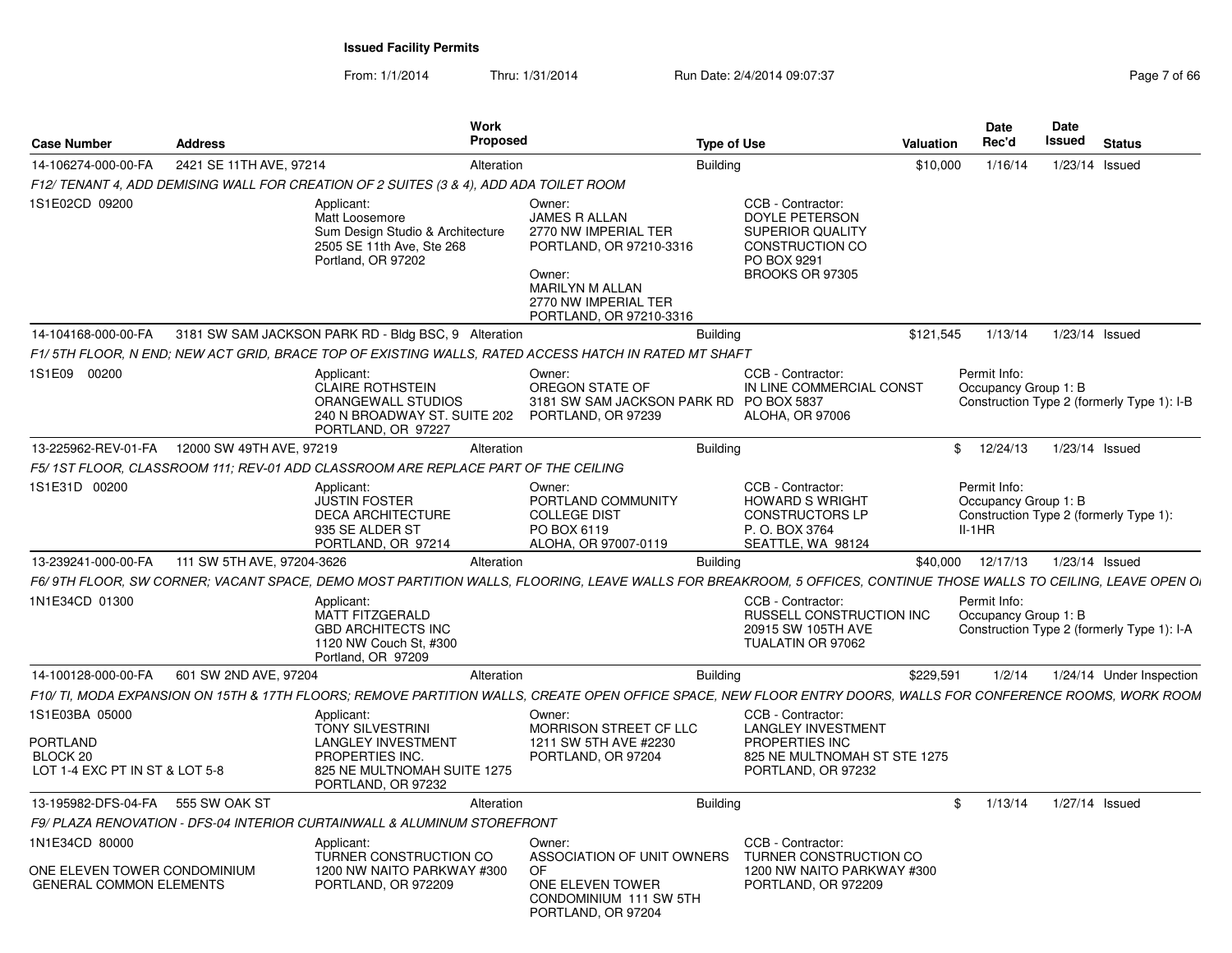From: 1/1/2014Thru: 1/31/2014 Run Date: 2/4/2014 09:07:37 Page 7 of 66

| <b>Case Number</b>                                | <b>Address</b>             |                                                                                                                     | Work<br>Proposed |                                                                                                                                                                   | Type of Use                                                                                                                | <b>Valuation</b> | <b>Date</b><br>Rec'd                             | Date<br><b>Issued</b> | <b>Status</b>                              |
|---------------------------------------------------|----------------------------|---------------------------------------------------------------------------------------------------------------------|------------------|-------------------------------------------------------------------------------------------------------------------------------------------------------------------|----------------------------------------------------------------------------------------------------------------------------|------------------|--------------------------------------------------|-----------------------|--------------------------------------------|
| 14-106274-000-00-FA                               | 2421 SE 11TH AVE, 97214    |                                                                                                                     | Alteration       | <b>Building</b>                                                                                                                                                   |                                                                                                                            | \$10,000         | 1/16/14                                          | 1/23/14 Issued        |                                            |
|                                                   |                            | F12/TENANT 4, ADD DEMISING WALL FOR CREATION OF 2 SUITES (3 & 4), ADD ADA TOILET ROOM                               |                  |                                                                                                                                                                   |                                                                                                                            |                  |                                                  |                       |                                            |
| 1S1E02CD 09200                                    |                            | Applicant:<br>Matt Loosemore<br>Sum Design Studio & Architecture<br>2505 SE 11th Ave, Ste 268<br>Portland, OR 97202 |                  | Owner:<br><b>JAMES R ALLAN</b><br>2770 NW IMPERIAL TER<br>PORTLAND, OR 97210-3316<br>Owner:<br>MARILYN M ALLAN<br>2770 NW IMPERIAL TER<br>PORTLAND, OR 97210-3316 | CCB - Contractor:<br><b>DOYLE PETERSON</b><br><b>SUPERIOR QUALITY</b><br>CONSTRUCTION CO<br>PO BOX 9291<br>BROOKS OR 97305 |                  |                                                  |                       |                                            |
| 14-104168-000-00-FA                               |                            | 3181 SW SAM JACKSON PARK RD - Bldg BSC, 9 Alteration                                                                |                  | <b>Building</b>                                                                                                                                                   |                                                                                                                            | \$121,545        | 1/13/14                                          |                       | 1/23/14 Issued                             |
|                                                   |                            |                                                                                                                     |                  | F1/ 5TH FLOOR, N END; NEW ACT GRID, BRACE TOP OF EXISTING WALLS, RATED ACCESS HATCH IN RATED MT SHAFT                                                             |                                                                                                                            |                  |                                                  |                       |                                            |
| 1S1E09 00200                                      |                            | Applicant:<br><b>CLAIRE ROTHSTEIN</b><br>ORANGEWALL STUDIOS<br>240 N BROADWAY ST. SUITE 202<br>PORTLAND, OR 97227   |                  | Owner:<br>OREGON STATE OF<br>3181 SW SAM JACKSON PARK RD PO BOX 5837<br>PORTLAND, OR 97239                                                                        | CCB - Contractor:<br>IN LINE COMMERCIAL CONST<br>ALOHA, OR 97006                                                           |                  | Permit Info:<br>Occupancy Group 1: B             |                       | Construction Type 2 (formerly Type 1): I-B |
| 13-225962-REV-01-FA                               | 12000 SW 49TH AVE, 97219   |                                                                                                                     | Alteration       | <b>Building</b>                                                                                                                                                   |                                                                                                                            |                  | 12/24/13<br>$\mathbb{S}$                         | 1/23/14 Issued        |                                            |
|                                                   |                            | F5/1ST FLOOR, CLASSROOM 111; REV-01 ADD CLASSROOM ARE REPLACE PART OF THE CEILING                                   |                  |                                                                                                                                                                   |                                                                                                                            |                  |                                                  |                       |                                            |
| 1S1E31D 00200                                     |                            | Applicant:<br><b>JUSTIN FOSTER</b><br><b>DECA ARCHITECTURE</b><br>935 SE ALDER ST<br>PORTLAND, OR 97214             |                  | Owner:<br>PORTLAND COMMUNITY<br><b>COLLEGE DIST</b><br>PO BOX 6119<br>ALOHA, OR 97007-0119                                                                        | CCB - Contractor:<br><b>HOWARD S WRIGHT</b><br><b>CONSTRUCTORS LP</b><br>P. O. BOX 3764<br>SEATTLE, WA 98124               |                  | Permit Info:<br>Occupancy Group 1: B<br>$II-1HR$ |                       | Construction Type 2 (formerly Type 1):     |
| 13-239241-000-00-FA                               | 111 SW 5TH AVE, 97204-3626 |                                                                                                                     | Alteration       | <b>Building</b>                                                                                                                                                   |                                                                                                                            |                  | \$40,000 12/17/13                                | 1/23/14 Issued        |                                            |
|                                                   |                            |                                                                                                                     |                  | F6/9TH FLOOR, SW CORNER; VACANT SPACE, DEMO MOST PARTITION WALLS, FLOORING, LEAVE WALLS FOR BREAKROOM, 5 OFFICES, CONTINUE THOSE WALLS TO CEILING, LEAVE OPEN OI  |                                                                                                                            |                  |                                                  |                       |                                            |
| 1N1E34CD 01300                                    |                            | Applicant:<br><b>MATT FITZGERALD</b><br><b>GBD ARCHITECTS INC</b><br>1120 NW Couch St. #300<br>Portland, OR 97209   |                  |                                                                                                                                                                   | CCB - Contractor:<br><b>RUSSELL CONSTRUCTION INC</b><br>20915 SW 105TH AVE<br>TUALATIN OR 97062                            |                  | Permit Info:<br>Occupancy Group 1: B             |                       | Construction Type 2 (formerly Type 1): I-A |
| 14-100128-000-00-FA                               | 601 SW 2ND AVE, 97204      |                                                                                                                     | Alteration       | <b>Building</b>                                                                                                                                                   |                                                                                                                            | \$229,591        | 1/2/14                                           |                       | 1/24/14 Under Inspection                   |
|                                                   |                            |                                                                                                                     |                  | F10/ TI, MODA EXPANSION ON 15TH & 17TH FLOORS; REMOVE PARTITION WALLS, CREATE OPEN OFFICE SPACE, NEW FLOOR ENTRY DOORS, WALLS FOR CONFERENCE ROOMS, WORK ROOM     |                                                                                                                            |                  |                                                  |                       |                                            |
| 1S1E03BA 05000<br>PORTLAND<br>BLOCK <sub>20</sub> |                            | Applicant:<br><b>TONY SILVESTRINI</b><br><b>LANGLEY INVESTMENT</b><br>PROPERTIES INC.                               |                  | Owner:<br>MORRISON STREET CF LLC<br>1211 SW 5TH AVE #2230<br>PORTLAND, OR 97204                                                                                   | CCB - Contractor:<br><b>LANGLEY INVESTMENT</b><br>PROPERTIES INC<br>825 NE MULTNOMAH ST STE 1275                           |                  |                                                  |                       |                                            |
| LOT 1-4 EXC PT IN ST & LOT 5-8                    |                            | 825 NE MULTNOMAH SUITE 1275<br>PORTLAND, OR 97232                                                                   |                  |                                                                                                                                                                   | PORTLAND, OR 97232                                                                                                         |                  |                                                  |                       |                                            |
| 13-195982-DFS-04-FA                               | 555 SW OAK ST              |                                                                                                                     | Alteration       | <b>Building</b>                                                                                                                                                   |                                                                                                                            | \$               | 1/13/14                                          | 1/27/14 Issued        |                                            |
|                                                   |                            | F9/ PLAZA RENOVATION - DFS-04 INTERIOR CURTAINWALL & ALUMINUM STOREFRONT                                            |                  |                                                                                                                                                                   |                                                                                                                            |                  |                                                  |                       |                                            |
| 1N1E34CD 80000<br>ONE ELEVEN TOWER CONDOMINIUM    |                            | Applicant:<br>TURNER CONSTRUCTION CO<br>1200 NW NAITO PARKWAY #300                                                  |                  | Owner:<br>ASSOCIATION OF UNIT OWNERS<br>OF.                                                                                                                       | CCB - Contractor:<br>TURNER CONSTRUCTION CO<br>1200 NW NAITO PARKWAY #300                                                  |                  |                                                  |                       |                                            |
| <b>GENERAL COMMON ELEMENTS</b>                    |                            | PORTLAND, OR 972209                                                                                                 |                  | ONE ELEVEN TOWER<br>CONDOMINIUM 111 SW 5TH<br>PORTLAND, OR 97204                                                                                                  | PORTLAND, OR 972209                                                                                                        |                  |                                                  |                       |                                            |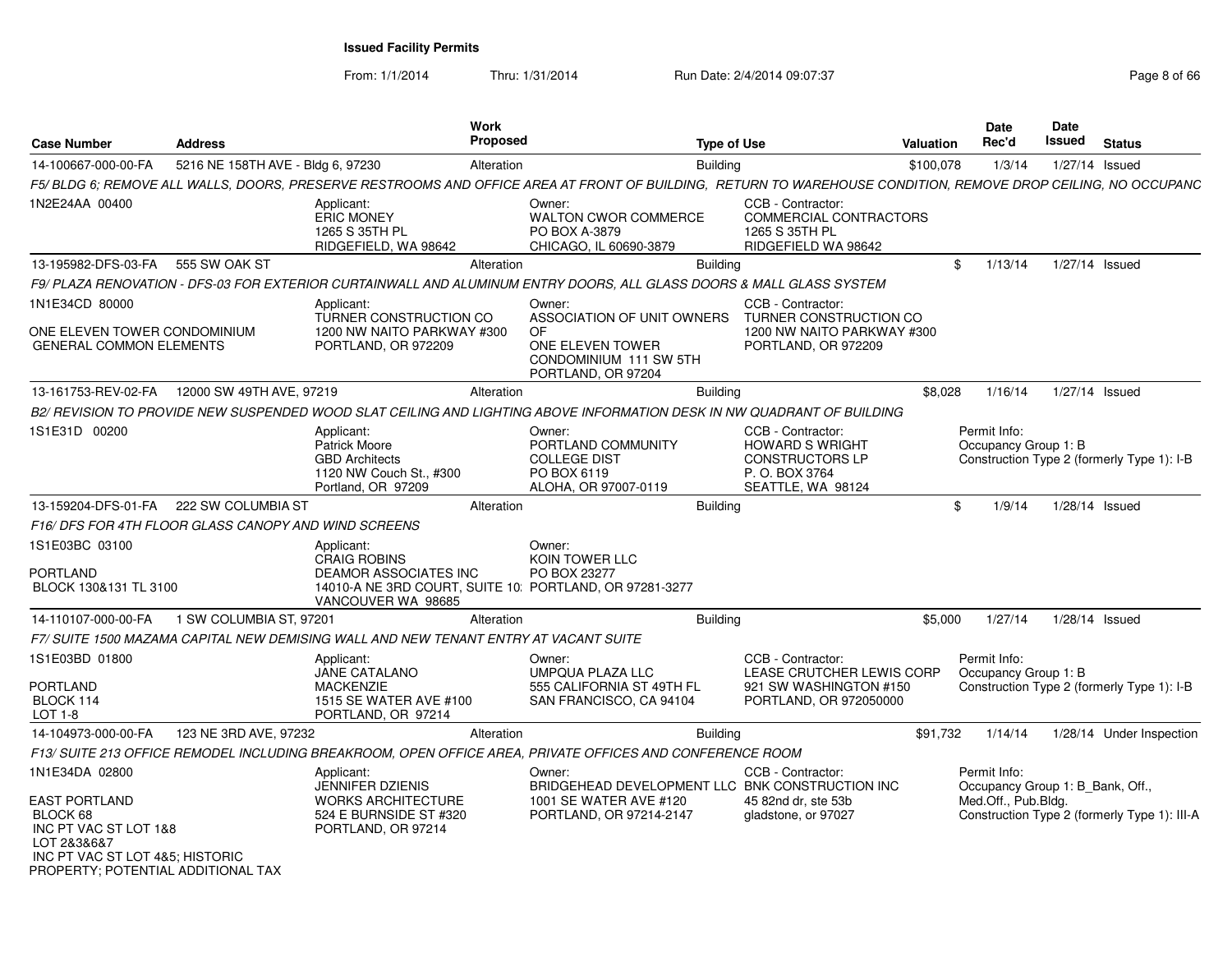From: 1/1/2014

Thru: 1/31/2014 Run Date: 2/4/2014 09:07:37 Page 8 of 66

| <b>Case Number</b>                                                                   | <b>Address</b>                    |                                                                                                                                                               | <b>Work</b><br><b>Proposed</b>               |                                                                  | <b>Type of Use</b>                                                                                                 | <b>Valuation</b> | Date<br>Rec'd                                                           | Date<br>Issued   | <b>Status</b>                                |
|--------------------------------------------------------------------------------------|-----------------------------------|---------------------------------------------------------------------------------------------------------------------------------------------------------------|----------------------------------------------|------------------------------------------------------------------|--------------------------------------------------------------------------------------------------------------------|------------------|-------------------------------------------------------------------------|------------------|----------------------------------------------|
| 14-100667-000-00-FA                                                                  | 5216 NE 158TH AVE - Bldg 6, 97230 |                                                                                                                                                               | Alteration                                   | <b>Building</b>                                                  |                                                                                                                    | \$100,078        | 1/3/14                                                                  | 1/27/14 Issued   |                                              |
|                                                                                      |                                   | F5/ BLDG 6; REMOVE ALL WALLS, DOORS, PRESERVE RESTROOMS AND OFFICE AREA AT FRONT OF BUILDING, RETURN TO WAREHOUSE CONDITION, REMOVE DROP CEILING, NO OCCUPANC |                                              |                                                                  |                                                                                                                    |                  |                                                                         |                  |                                              |
| 1N2E24AA 00400                                                                       |                                   | Applicant:<br><b>ERIC MONEY</b><br>1265 S 35TH PL<br>RIDGEFIELD, WA 98642                                                                                     | Owner:<br>PO BOX A-3879                      | <b>WALTON CWOR COMMERCE</b><br>CHICAGO, IL 60690-3879            | CCB - Contractor:<br>COMMERCIAL CONTRACTORS<br>1265 S 35TH PL<br>RIDGEFIELD WA 98642                               |                  |                                                                         |                  |                                              |
| 13-195982-DFS-03-FA                                                                  | 555 SW OAK ST                     |                                                                                                                                                               | Alteration                                   | <b>Building</b>                                                  |                                                                                                                    | \$               | 1/13/14                                                                 | 1/27/14 Issued   |                                              |
|                                                                                      |                                   | F9/ PLAZA RENOVATION - DFS-03 FOR EXTERIOR CURTAINWALL AND ALUMINUM ENTRY DOORS, ALL GLASS DOORS & MALL GLASS SYSTEM                                          |                                              |                                                                  |                                                                                                                    |                  |                                                                         |                  |                                              |
| 1N1E34CD 80000                                                                       |                                   | Applicant:<br>TURNER CONSTRUCTION CO                                                                                                                          | Owner:                                       | ASSOCIATION OF UNIT OWNERS                                       | CCB - Contractor:<br>TURNER CONSTRUCTION CO                                                                        |                  |                                                                         |                  |                                              |
| ONE ELEVEN TOWER CONDOMINIUM<br><b>GENERAL COMMON ELEMENTS</b>                       |                                   | 1200 NW NAITO PARKWAY #300<br>PORTLAND, OR 972209                                                                                                             | <b>OF</b>                                    | ONE ELEVEN TOWER<br>CONDOMINIUM 111 SW 5TH<br>PORTLAND, OR 97204 | 1200 NW NAITO PARKWAY #300<br>PORTLAND, OR 972209                                                                  |                  |                                                                         |                  |                                              |
| 13-161753-REV-02-FA                                                                  | 12000 SW 49TH AVE, 97219          |                                                                                                                                                               | Alteration                                   | <b>Building</b>                                                  |                                                                                                                    | \$8,028          | 1/16/14                                                                 | 1/27/14 Issued   |                                              |
|                                                                                      |                                   | B2/ REVISION TO PROVIDE NEW SUSPENDED WOOD SLAT CEILING AND LIGHTING ABOVE INFORMATION DESK IN NW QUADRANT OF BUILDING                                        |                                              |                                                                  |                                                                                                                    |                  |                                                                         |                  |                                              |
| 1S1E31D 00200                                                                        |                                   | Applicant:<br>Patrick Moore<br><b>GBD Architects</b><br>1120 NW Couch St., #300<br>Portland, OR 97209                                                         | Owner:<br><b>COLLEGE DIST</b><br>PO BOX 6119 | PORTLAND COMMUNITY<br>ALOHA, OR 97007-0119                       | CCB - Contractor:<br><b>HOWARD S WRIGHT</b><br><b>CONSTRUCTORS LP</b><br>P. O. BOX 3764<br>SEATTLE, WA 98124       |                  | Permit Info:<br>Occupancy Group 1: B                                    |                  | Construction Type 2 (formerly Type 1): I-B   |
| 13-159204-DFS-01-FA                                                                  | 222 SW COLUMBIA ST                |                                                                                                                                                               | Alteration                                   | <b>Building</b>                                                  |                                                                                                                    | \$               | 1/9/14                                                                  | 1/28/14 Issued   |                                              |
| F16/DFS FOR 4TH FLOOR GLASS CANOPY AND WIND SCREENS                                  |                                   |                                                                                                                                                               |                                              |                                                                  |                                                                                                                    |                  |                                                                         |                  |                                              |
| 1S1E03BC 03100<br>PORTLAND<br>BLOCK 130&131 TL 3100                                  |                                   | Applicant:<br><b>CRAIG ROBINS</b><br>DEAMOR ASSOCIATES INC<br>14010-A NE 3RD COURT, SUITE 10: PORTLAND, OR 97281-3277<br>VANCOUVER WA 98685                   | Owner:<br>KOIN TOWER LLC<br>PO BOX 23277     |                                                                  |                                                                                                                    |                  |                                                                         |                  |                                              |
| 14-110107-000-00-FA                                                                  | 1 SW COLUMBIA ST, 97201           |                                                                                                                                                               | Alteration                                   | <b>Building</b>                                                  |                                                                                                                    | \$5,000          | 1/27/14                                                                 | $1/28/14$ Issued |                                              |
|                                                                                      |                                   | F7/SUITE 1500 MAZAMA CAPITAL NEW DEMISING WALL AND NEW TENANT ENTRY AT VACANT SUITE                                                                           |                                              |                                                                  |                                                                                                                    |                  |                                                                         |                  |                                              |
| 1S1E03BD 01800                                                                       |                                   | Applicant:<br><b>JANE CATALANO</b>                                                                                                                            | Owner:                                       | UMPQUA PLAZA LLC                                                 | CCB - Contractor:<br>LEASE CRUTCHER LEWIS CORP                                                                     |                  | Permit Info:<br>Occupancy Group 1: B                                    |                  |                                              |
| PORTLAND<br>BLOCK 114<br>LOT 1-8                                                     |                                   | <b>MACKENZIE</b><br>1515 SE WATER AVE #100<br>PORTLAND, OR 97214                                                                                              |                                              | 555 CALIFORNIA ST 49TH FL<br>SAN FRANCISCO, CA 94104             | 921 SW WASHINGTON #150<br>PORTLAND, OR 972050000                                                                   |                  |                                                                         |                  | Construction Type 2 (formerly Type 1): I-B   |
| 14-104973-000-00-FA                                                                  | 123 NE 3RD AVE, 97232             |                                                                                                                                                               | Alteration                                   | <b>Building</b>                                                  |                                                                                                                    | \$91,732         | 1/14/14                                                                 |                  | 1/28/14 Under Inspection                     |
|                                                                                      |                                   | F13/ SUITE 213 OFFICE REMODEL INCLUDING BREAKROOM, OPEN OFFICE AREA, PRIVATE OFFICES AND CONFERENCE ROOM                                                      |                                              |                                                                  |                                                                                                                    |                  |                                                                         |                  |                                              |
| 1N1E34DA 02800<br><b>EAST PORTLAND</b><br>BLOCK 68<br>INC PT VAC ST LOT 1&8          |                                   | Applicant:<br>JENNIFER DZIENIS<br><b>WORKS ARCHITECTURE</b><br>524 E BURNSIDE ST #320<br>PORTLAND, OR 97214                                                   | Owner:                                       | 1001 SE WATER AVE #120<br>PORTLAND, OR 97214-2147                | CCB - Contractor:<br>BRIDGEHEAD DEVELOPMENT LLC BNK CONSTRUCTION INC<br>45 82nd dr. ste 53b<br>gladstone, or 97027 |                  | Permit Info:<br>Occupancy Group 1: B Bank, Off.,<br>Med.Off., Pub.Bldg. |                  | Construction Type 2 (formerly Type 1): III-A |
| LOT 2&3&6&7<br>INC PT VAC ST LOT 4&5; HISTORIC<br>PROPERTY: POTENTIAL ADDITIONAL TAX |                                   |                                                                                                                                                               |                                              |                                                                  |                                                                                                                    |                  |                                                                         |                  |                                              |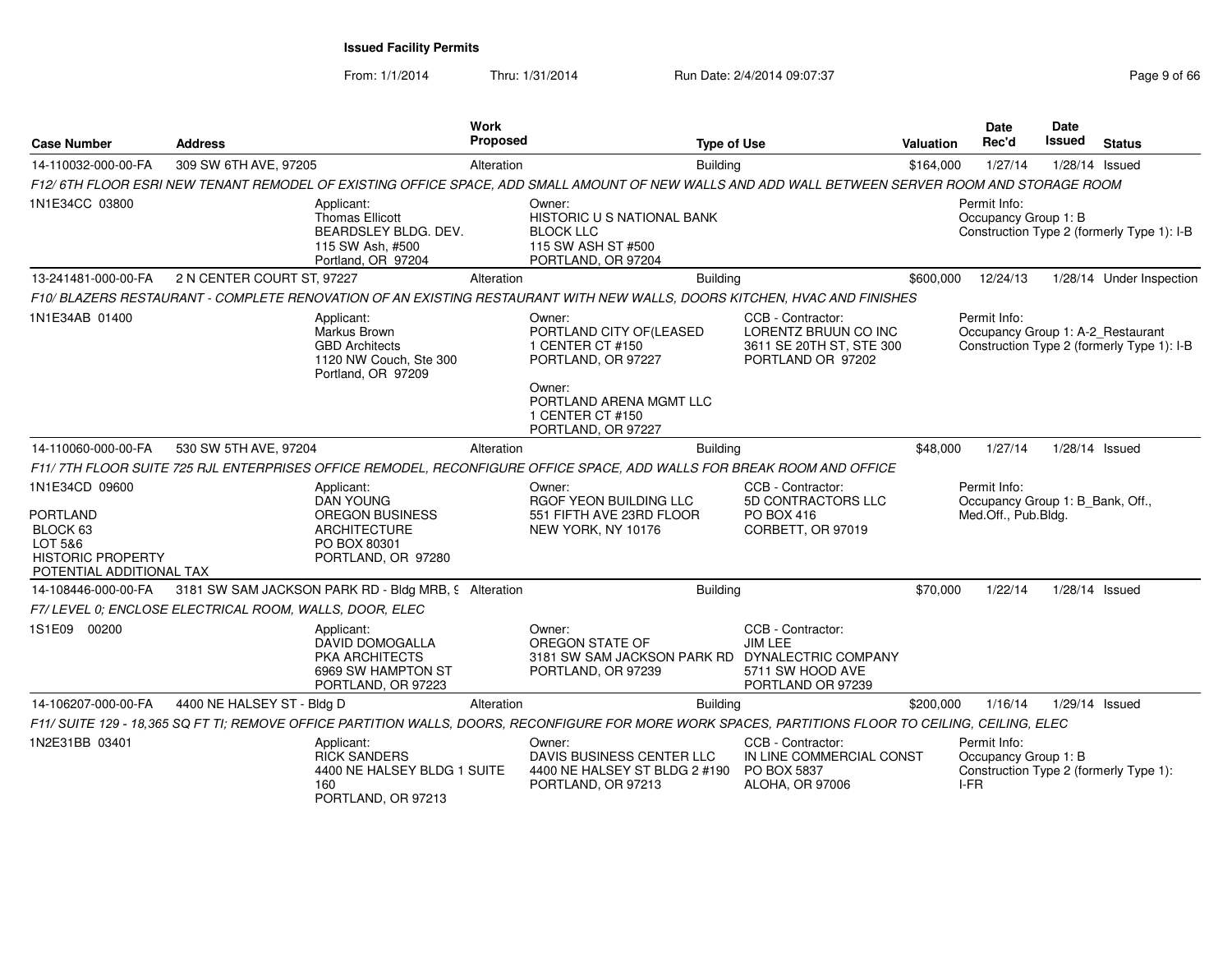From: 1/1/2014

Thru: 1/31/2014 Run Date: 2/4/2014 09:07:37 Page 9 of 66

| <b>Case Number</b>                                                                                               | <b>Address</b>                                                                                                                                       | Work<br>Proposed | <b>Type of Use</b>                                                                                   |                                                                                            | <b>Valuation</b> | <b>Date</b><br>Rec'd                                                    | <b>Date</b><br>Issued | <b>Status</b>                              |
|------------------------------------------------------------------------------------------------------------------|------------------------------------------------------------------------------------------------------------------------------------------------------|------------------|------------------------------------------------------------------------------------------------------|--------------------------------------------------------------------------------------------|------------------|-------------------------------------------------------------------------|-----------------------|--------------------------------------------|
| 14-110032-000-00-FA                                                                                              | 309 SW 6TH AVE, 97205                                                                                                                                | Alteration       | Building                                                                                             |                                                                                            | \$164,000        | 1/27/14                                                                 |                       | 1/28/14 Issued                             |
|                                                                                                                  | F12/6TH FLOOR ESRI NEW TENANT REMODEL OF EXISTING OFFICE SPACE, ADD SMALL AMOUNT OF NEW WALLS AND ADD WALL BETWEEN SERVER ROOM AND STORAGE ROOM      |                  |                                                                                                      |                                                                                            |                  |                                                                         |                       |                                            |
| 1N1E34CC 03800                                                                                                   | Applicant:<br>Thomas Ellicott<br>BEARDSLEY BLDG. DEV.<br>115 SW Ash, #500<br>Portland, OR 97204                                                      |                  | Owner:<br>HISTORIC U S NATIONAL BANK<br><b>BLOCK LLC</b><br>115 SW ASH ST #500<br>PORTLAND, OR 97204 |                                                                                            |                  | Permit Info:<br>Occupancy Group 1: B                                    |                       | Construction Type 2 (formerly Type 1): I-B |
| 13-241481-000-00-FA                                                                                              | 2 N CENTER COURT ST, 97227                                                                                                                           | Alteration       | Building                                                                                             |                                                                                            | \$600,000        | 12/24/13                                                                |                       | 1/28/14 Under Inspection                   |
|                                                                                                                  | F10/ BLAZERS RESTAURANT - COMPLETE RENOVATION OF AN EXISTING RESTAURANT WITH NEW WALLS, DOORS KITCHEN, HVAC AND FINISHES                             |                  |                                                                                                      |                                                                                            |                  |                                                                         |                       |                                            |
| 1N1E34AB 01400                                                                                                   | Applicant:<br>Markus Brown<br><b>GBD Architects</b><br>1120 NW Couch, Ste 300<br>Portland, OR 97209                                                  |                  | Owner:<br>PORTLAND CITY OF (LEASED<br>1 CENTER CT #150<br>PORTLAND, OR 97227                         | CCB - Contractor:<br>LORENTZ BRUUN CO INC<br>3611 SE 20TH ST, STE 300<br>PORTLAND OR 97202 |                  | Permit Info:<br>Occupancy Group 1: A-2 Restaurant                       |                       | Construction Type 2 (formerly Type 1): I-B |
|                                                                                                                  |                                                                                                                                                      |                  | Owner:<br>PORTLAND ARENA MGMT LLC<br>1 CENTER CT #150<br>PORTLAND, OR 97227                          |                                                                                            |                  |                                                                         |                       |                                            |
| 14-110060-000-00-FA                                                                                              | 530 SW 5TH AVE, 97204                                                                                                                                | Alteration       | <b>Building</b>                                                                                      |                                                                                            | \$48,000         | 1/27/14                                                                 |                       | 1/28/14 Issued                             |
|                                                                                                                  | F11/7TH FLOOR SUITE 725 RJL ENTERPRISES OFFICE REMODEL, RECONFIGURE OFFICE SPACE, ADD WALLS FOR BREAK ROOM AND OFFICE                                |                  |                                                                                                      |                                                                                            |                  |                                                                         |                       |                                            |
| 1N1E34CD 09600<br><b>PORTLAND</b><br>BLOCK 63<br>LOT 5&6<br><b>HISTORIC PROPERTY</b><br>POTENTIAL ADDITIONAL TAX | Applicant:<br><b>DAN YOUNG</b><br><b>OREGON BUSINESS</b><br><b>ARCHITECTURE</b><br>PO BOX 80301<br>PORTLAND, OR 97280                                |                  | Owner:<br>RGOF YEON BUILDING LLC<br>551 FIFTH AVE 23RD FLOOR<br>NEW YORK, NY 10176                   | CCB - Contractor:<br>5D CONTRACTORS LLC<br>PO BOX 416<br>CORBETT, OR 97019                 |                  | Permit Info:<br>Occupancy Group 1: B Bank, Off.,<br>Med.Off., Pub.Bldg. |                       |                                            |
| 14-108446-000-00-FA                                                                                              | 3181 SW SAM JACKSON PARK RD - Bldg MRB, 9 Alteration                                                                                                 |                  | <b>Building</b>                                                                                      |                                                                                            | \$70,000         | 1/22/14                                                                 |                       | 1/28/14 Issued                             |
|                                                                                                                  | F7/LEVEL 0; ENCLOSE ELECTRICAL ROOM, WALLS, DOOR, ELEC                                                                                               |                  |                                                                                                      |                                                                                            |                  |                                                                         |                       |                                            |
| 1S1E09 00200                                                                                                     | Applicant:<br><b>DAVID DOMOGALLA</b><br>PKA ARCHITECTS<br>6969 SW HAMPTON ST<br>PORTLAND, OR 97223                                                   |                  | Owner:<br>OREGON STATE OF<br>3181 SW SAM JACKSON PARK RD DYNALECTRIC COMPANY<br>PORTLAND, OR 97239   | CCB - Contractor:<br>JIM LEE<br>5711 SW HOOD AVE<br>PORTLAND OR 97239                      |                  |                                                                         |                       |                                            |
| 14-106207-000-00-FA                                                                                              | 4400 NE HALSEY ST - Bldg D                                                                                                                           | Alteration       | Building                                                                                             |                                                                                            | \$200,000        | 1/16/14                                                                 |                       | 1/29/14 Issued                             |
|                                                                                                                  | F11/ SUITE 129 - 18,365 SQ FT TI; REMOVE OFFICE PARTITION WALLS, DOORS, RECONFIGURE FOR MORE WORK SPACES, PARTITIONS FLOOR TO CEILING, CEILING, ELEC |                  |                                                                                                      |                                                                                            |                  |                                                                         |                       |                                            |
| 1N2E31BB 03401                                                                                                   | Applicant:<br><b>RICK SANDERS</b><br>4400 NE HALSEY BLDG 1 SUITE<br>160<br>PORTLAND, OR 97213                                                        |                  | Owner:<br>DAVIS BUSINESS CENTER LLC<br>4400 NE HALSEY ST BLDG 2 #190<br>PORTLAND, OR 97213           | CCB - Contractor:<br>IN LINE COMMERCIAL CONST<br>PO BOX 5837<br>ALOHA, OR 97006            |                  | Permit Info:<br>Occupancy Group 1: B<br>$I-FR$                          |                       | Construction Type 2 (formerly Type 1):     |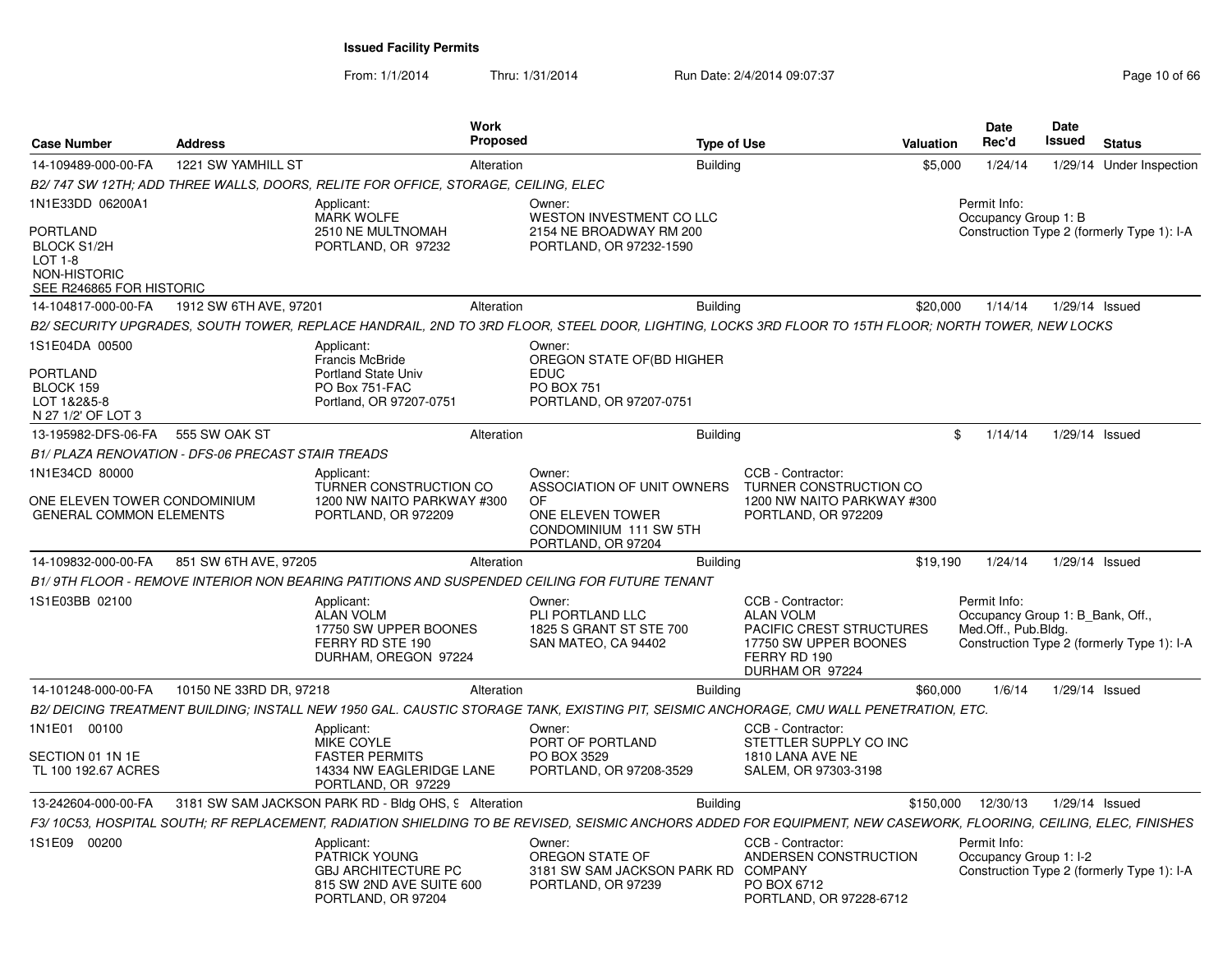From: 1/1/2014

Thru: 1/31/2014 Run Date: 2/4/2014 09:07:37 Page 10 of 66

| <b>Case Number</b>                                                                                  | <b>Address</b>                                     |                                                                                                             | <b>Work</b><br>Proposed |                                                                                                             | <b>Type of Use</b> |                                                                                                                                                                    | <b>Valuation</b> | <b>Date</b><br>Rec'd                                                    | <b>Date</b><br>Issued | <b>Status</b>                              |
|-----------------------------------------------------------------------------------------------------|----------------------------------------------------|-------------------------------------------------------------------------------------------------------------|-------------------------|-------------------------------------------------------------------------------------------------------------|--------------------|--------------------------------------------------------------------------------------------------------------------------------------------------------------------|------------------|-------------------------------------------------------------------------|-----------------------|--------------------------------------------|
| 14-109489-000-00-FA                                                                                 | 1221 SW YAMHILL ST                                 |                                                                                                             | Alteration              |                                                                                                             | <b>Building</b>    |                                                                                                                                                                    | \$5,000          | 1/24/14                                                                 |                       | 1/29/14 Under Inspection                   |
|                                                                                                     |                                                    | B2/ 747 SW 12TH; ADD THREE WALLS, DOORS, RELITE FOR OFFICE, STORAGE, CEILING, ELEC                          |                         |                                                                                                             |                    |                                                                                                                                                                    |                  |                                                                         |                       |                                            |
| 1N1E33DD 06200A1                                                                                    |                                                    | Applicant:<br><b>MARK WOLFE</b>                                                                             |                         | Owner:<br><b>WESTON INVESTMENT CO LLC</b>                                                                   |                    |                                                                                                                                                                    |                  | Permit Info:<br>Occupancy Group 1: B                                    |                       |                                            |
| <b>PORTLAND</b><br>BLOCK S1/2H<br><b>LOT 1-8</b><br><b>NON-HISTORIC</b><br>SEE R246865 FOR HISTORIC |                                                    | 2510 NE MULTNOMAH<br>PORTLAND, OR 97232                                                                     |                         | 2154 NE BROADWAY RM 200<br>PORTLAND, OR 97232-1590                                                          |                    |                                                                                                                                                                    |                  |                                                                         |                       | Construction Type 2 (formerly Type 1): I-A |
| 14-104817-000-00-FA                                                                                 | 1912 SW 6TH AVE, 97201                             |                                                                                                             | Alteration              |                                                                                                             | <b>Building</b>    |                                                                                                                                                                    | \$20,000         | 1/14/14                                                                 | 1/29/14 Issued        |                                            |
|                                                                                                     |                                                    |                                                                                                             |                         |                                                                                                             |                    | B2/ SECURITY UPGRADES, SOUTH TOWER, REPLACE HANDRAIL, 2ND TO 3RD FLOOR, STEEL DOOR, LIGHTING, LOCKS 3RD FLOOR TO 15TH FLOOR; NORTH TOWER, NEW LOCKS                |                  |                                                                         |                       |                                            |
| 1S1E04DA 00500                                                                                      |                                                    | Applicant:<br>Francis McBride                                                                               |                         | Owner:<br>OREGON STATE OF (BD HIGHER                                                                        |                    |                                                                                                                                                                    |                  |                                                                         |                       |                                            |
| <b>PORTLAND</b><br>BLOCK 159<br>LOT 1&2&5-8<br>N 27 1/2' OF LOT 3                                   |                                                    | <b>Portland State Univ</b><br>PO Box 751-FAC<br>Portland, OR 97207-0751                                     |                         | <b>EDUC</b><br>PO BOX 751<br>PORTLAND, OR 97207-0751                                                        |                    |                                                                                                                                                                    |                  |                                                                         |                       |                                            |
| 13-195982-DFS-06-FA                                                                                 | 555 SW OAK ST                                      |                                                                                                             | Alteration              |                                                                                                             | <b>Building</b>    |                                                                                                                                                                    | \$               | 1/14/14                                                                 | 1/29/14 Issued        |                                            |
|                                                                                                     | B1/ PLAZA RENOVATION - DFS-06 PRECAST STAIR TREADS |                                                                                                             |                         |                                                                                                             |                    |                                                                                                                                                                    |                  |                                                                         |                       |                                            |
| 1N1E34CD 80000                                                                                      |                                                    | Applicant:                                                                                                  |                         | Owner:                                                                                                      |                    | CCB - Contractor:                                                                                                                                                  |                  |                                                                         |                       |                                            |
| ONE ELEVEN TOWER CONDOMINIUM<br><b>GENERAL COMMON ELEMENTS</b>                                      |                                                    | TURNER CONSTRUCTION CO<br>1200 NW NAITO PARKWAY #300<br>PORTLAND, OR 972209                                 |                         | ASSOCIATION OF UNIT OWNERS<br><b>OF</b><br>ONE ELEVEN TOWER<br>CONDOMINIUM 111 SW 5TH<br>PORTLAND, OR 97204 |                    | TURNER CONSTRUCTION CO<br>1200 NW NAITO PARKWAY #300<br>PORTLAND, OR 972209                                                                                        |                  |                                                                         |                       |                                            |
| 14-109832-000-00-FA                                                                                 | 851 SW 6TH AVE, 97205                              |                                                                                                             | Alteration              |                                                                                                             | <b>Building</b>    |                                                                                                                                                                    | \$19,190         | 1/24/14                                                                 | $1/29/14$ Issued      |                                            |
|                                                                                                     |                                                    |                                                                                                             |                         | B1/9TH FLOOR - REMOVE INTERIOR NON BEARING PATITIONS AND SUSPENDED CEILING FOR FUTURE TENANT                |                    |                                                                                                                                                                    |                  |                                                                         |                       |                                            |
| 1S1E03BB 02100                                                                                      |                                                    | Applicant:<br><b>ALAN VOLM</b><br>17750 SW UPPER BOONES<br>FERRY RD STE 190<br>DURHAM, OREGON 97224         |                         | Owner:<br>PLI PORTLAND LLC<br>1825 S GRANT ST STE 700<br>SAN MATEO, CA 94402                                |                    | CCB - Contractor:<br><b>ALAN VOLM</b><br>PACIFIC CREST STRUCTURES<br>17750 SW UPPER BOONES<br>FERRY RD 190<br>DURHAM OR 97224                                      |                  | Permit Info:<br>Occupancy Group 1: B_Bank, Off.,<br>Med.Off., Pub.Bldg. |                       | Construction Type 2 (formerly Type 1): I-A |
| 14-101248-000-00-FA                                                                                 | 10150 NE 33RD DR, 97218                            |                                                                                                             | Alteration              |                                                                                                             | <b>Building</b>    |                                                                                                                                                                    | \$60.000         | 1/6/14                                                                  | 1/29/14 Issued        |                                            |
|                                                                                                     |                                                    |                                                                                                             |                         |                                                                                                             |                    | B2/ DEICING TREATMENT BUILDING; INSTALL NEW 1950 GAL. CAUSTIC STORAGE TANK, EXISTING PIT, SEISMIC ANCHORAGE, CMU WALL PENETRATION, ETC.                            |                  |                                                                         |                       |                                            |
| 1N1E01 00100                                                                                        |                                                    | Applicant:<br>MIKE COYLE                                                                                    |                         | Owner:<br>PORT OF PORTLAND                                                                                  |                    | CCB - Contractor:<br>STETTLER SUPPLY CO INC                                                                                                                        |                  |                                                                         |                       |                                            |
| SECTION 01 1N 1E<br>TL 100 192.67 ACRES                                                             |                                                    | <b>FASTER PERMITS</b><br>14334 NW EAGLERIDGE LANE<br>PORTLAND, OR 97229                                     |                         | PO BOX 3529<br>PORTLAND, OR 97208-3529                                                                      |                    | 1810 LANA AVE NE<br>SALEM, OR 97303-3198                                                                                                                           |                  |                                                                         |                       |                                            |
| 13-242604-000-00-FA                                                                                 |                                                    | 3181 SW SAM JACKSON PARK RD - Bldg OHS, 9 Alteration                                                        |                         |                                                                                                             | <b>Building</b>    |                                                                                                                                                                    | \$150,000        | 12/30/13                                                                | $1/29/14$ Issued      |                                            |
|                                                                                                     |                                                    |                                                                                                             |                         |                                                                                                             |                    | F3/ 10C53, HOSPITAL SOUTH; RF REPLACEMENT, RADIATION SHIELDING TO BE REVISED, SEISMIC ANCHORS ADDED FOR EQUIPMENT, NEW CASEWORK, FLOORING, CEILING, ELEC, FINISHES |                  |                                                                         |                       |                                            |
| 1S1E09 00200                                                                                        |                                                    | Applicant:<br>PATRICK YOUNG<br><b>GBJ ARCHITECTURE PC</b><br>815 SW 2ND AVE SUITE 600<br>PORTLAND, OR 97204 |                         | Owner:<br>OREGON STATE OF<br>3181 SW SAM JACKSON PARK RD COMPANY<br>PORTLAND, OR 97239                      |                    | CCB - Contractor:<br>ANDERSEN CONSTRUCTION<br>PO BOX 6712<br>PORTLAND, OR 97228-6712                                                                               |                  | Permit Info:<br>Occupancy Group 1: I-2                                  |                       | Construction Type 2 (formerly Type 1): I-A |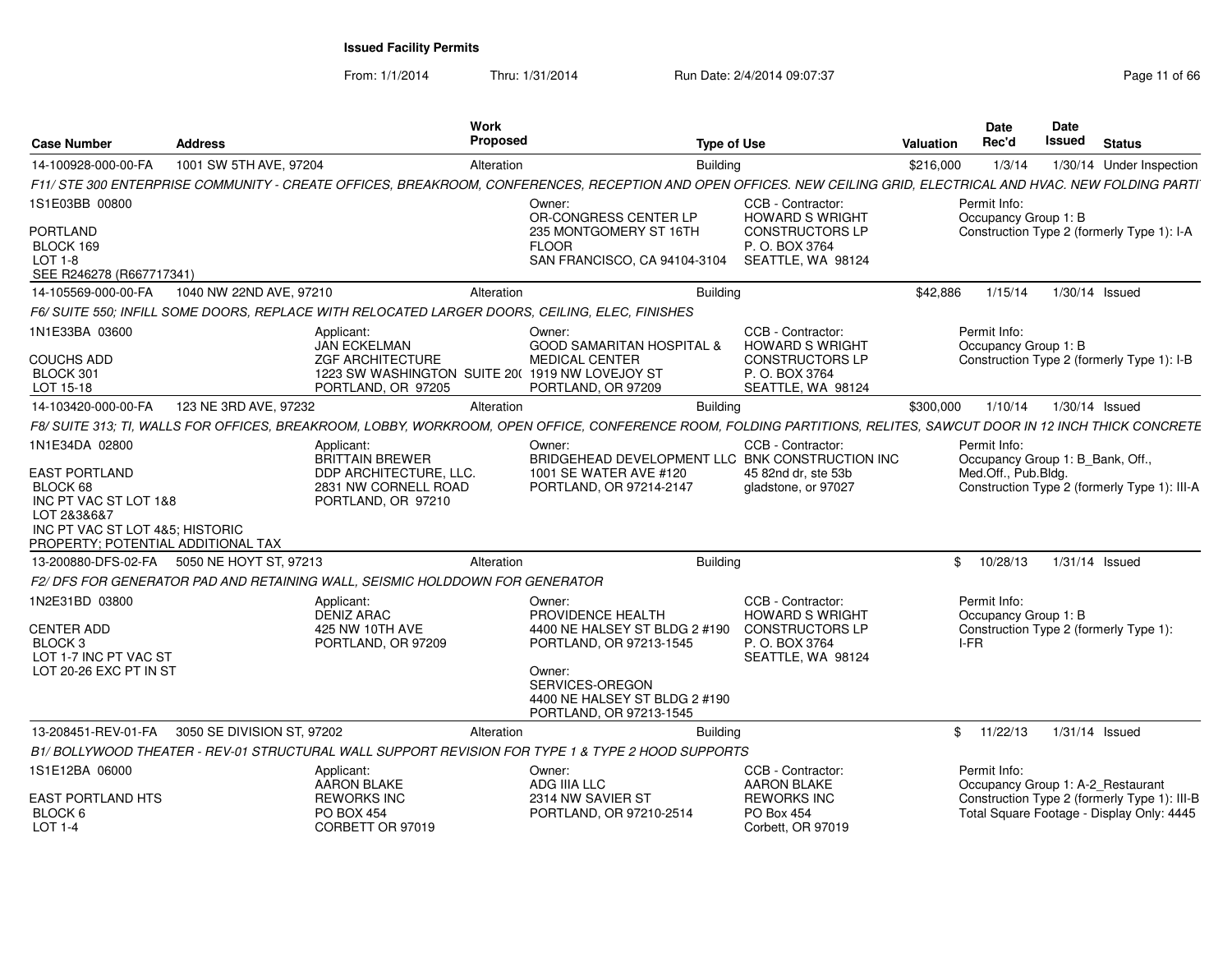From: 1/1/2014

Thru: 1/31/2014 Run Date: 2/4/2014 09:07:37 Page 11 of 66

| <b>Case Number</b>                                                                                                                         | <b>Address</b>             | Work<br><b>Proposed</b>                                                                                                                                            |                                                                                               | <b>Type of Use</b>                                                                                           | Valuation | <b>Date</b><br>Rec'd                         | <b>Date</b><br><b>Issued</b> | <b>Status</b>                                                                             |
|--------------------------------------------------------------------------------------------------------------------------------------------|----------------------------|--------------------------------------------------------------------------------------------------------------------------------------------------------------------|-----------------------------------------------------------------------------------------------|--------------------------------------------------------------------------------------------------------------|-----------|----------------------------------------------|------------------------------|-------------------------------------------------------------------------------------------|
| 14-100928-000-00-FA                                                                                                                        | 1001 SW 5TH AVE, 97204     | Alteration                                                                                                                                                         | <b>Building</b>                                                                               |                                                                                                              | \$216,000 | 1/3/14                                       |                              | 1/30/14 Under Inspection                                                                  |
|                                                                                                                                            |                            | F11/ STE 300 ENTERPRISE COMMUNITY - CREATE OFFICES. BREAKROOM. CONFERENCES. RECEPTION AND OPEN OFFICES. NEW CEILING GRID. ELECTRICAL AND HVAC. NEW FOLDING PARTI   |                                                                                               |                                                                                                              |           |                                              |                              |                                                                                           |
| 1S1E03BB 00800                                                                                                                             |                            |                                                                                                                                                                    | Owner:<br>OR-CONGRESS CENTER LP                                                               | CCB - Contractor:<br><b>HOWARD S WRIGHT</b>                                                                  |           | Permit Info:<br>Occupancy Group 1: B         |                              |                                                                                           |
| <b>PORTLAND</b><br>BLOCK 169<br>LOT 1-8<br>SEE R246278 (R667717341)                                                                        |                            |                                                                                                                                                                    | 235 MONTGOMERY ST 16TH<br><b>FLOOR</b><br>SAN FRANCISCO, CA 94104-3104                        | <b>CONSTRUCTORS LP</b><br>P. O. BOX 3764<br>SEATTLE, WA 98124                                                |           |                                              |                              | Construction Type 2 (formerly Type 1): I-A                                                |
| 14-105569-000-00-FA                                                                                                                        | 1040 NW 22ND AVE, 97210    | Alteration                                                                                                                                                         | <b>Building</b>                                                                               |                                                                                                              | \$42,886  | 1/15/14                                      |                              | 1/30/14 Issued                                                                            |
|                                                                                                                                            |                            | F6/ SUITE 550: INFILL SOME DOORS. REPLACE WITH RELOCATED LARGER DOORS. CEILING. ELEC. FINISHES                                                                     |                                                                                               |                                                                                                              |           |                                              |                              |                                                                                           |
| 1N1E33BA 03600<br><b>COUCHS ADD</b><br>BLOCK 301<br>LOT 15-18                                                                              |                            | Applicant:<br><b>JAN ECKELMAN</b><br><b>ZGF ARCHITECTURE</b><br>1223 SW WASHINGTON SUITE 20( 1919 NW LOVEJOY ST<br>PORTLAND, OR 97205                              | Owner:<br><b>GOOD SAMARITAN HOSPITAL &amp;</b><br><b>MEDICAL CENTER</b><br>PORTLAND, OR 97209 | CCB - Contractor:<br><b>HOWARD S WRIGHT</b><br><b>CONSTRUCTORS LP</b><br>P. O. BOX 3764<br>SEATTLE, WA 98124 |           | Permit Info:<br>Occupancy Group 1: B         |                              | Construction Type 2 (formerly Type 1): I-B                                                |
| 14-103420-000-00-FA                                                                                                                        | 123 NE 3RD AVE, 97232      | Alteration                                                                                                                                                         | <b>Building</b>                                                                               |                                                                                                              | \$300,000 | 1/10/14                                      |                              | 1/30/14 Issued                                                                            |
|                                                                                                                                            |                            | F8/ SUITE 313; TI, WALLS FOR OFFICES, BREAKROOM, LOBBY, WORKROOM, OPEN OFFICE, CONFERENCE ROOM, FOLDING PARTITIONS, RELITES, SAWCUT DOOR IN 12 INCH THICK CONCRETE |                                                                                               |                                                                                                              |           |                                              |                              |                                                                                           |
| 1N1E34DA 02800                                                                                                                             |                            | Applicant:<br><b>BRITTAIN BREWER</b>                                                                                                                               | Owner:<br>BRIDGEHEAD DEVELOPMENT LLC BNK CONSTRUCTION INC                                     | CCB - Contractor:                                                                                            |           | Permit Info:                                 |                              | Occupancy Group 1: B_Bank, Off.,                                                          |
| EAST PORTLAND<br>BLOCK 68<br>INC PT VAC ST LOT 1&8<br>LOT 2&3&6&7<br>INC PT VAC ST LOT 4&5; HISTORIC<br>PROPERTY; POTENTIAL ADDITIONAL TAX |                            | DDP ARCHITECTURE, LLC.<br>2831 NW CORNELL ROAD<br>PORTLAND, OR 97210                                                                                               | 1001 SE WATER AVE #120<br>PORTLAND, OR 97214-2147                                             | 45 82nd dr. ste 53b<br>gladstone, or 97027                                                                   |           | Med.Off., Pub.Bldg.                          |                              | Construction Type 2 (formerly Type 1): III-A                                              |
| 13-200880-DFS-02-FA 5050 NE HOYT ST, 97213                                                                                                 |                            | Alteration                                                                                                                                                         | <b>Building</b>                                                                               |                                                                                                              | \$        | 10/28/13                                     |                              | 1/31/14 Issued                                                                            |
|                                                                                                                                            |                            | F2/ DFS FOR GENERATOR PAD AND RETAINING WALL. SEISMIC HOLDDOWN FOR GENERATOR                                                                                       |                                                                                               |                                                                                                              |           |                                              |                              |                                                                                           |
| 1N2E31BD 03800<br><b>CENTER ADD</b><br>BLOCK 3<br>LOT 1-7 INC PT VAC ST                                                                    |                            | Applicant:<br>DENIZ ARAC<br>425 NW 10TH AVE<br>PORTLAND, OR 97209                                                                                                  | Owner:<br>PROVIDENCE HEALTH<br>4400 NE HALSEY ST BLDG 2 #190<br>PORTLAND, OR 97213-1545       | CCB - Contractor:<br><b>HOWARD S WRIGHT</b><br><b>CONSTRUCTORS LP</b><br>P. O. BOX 3764<br>SEATTLE, WA 98124 |           | Permit Info:<br>Occupancy Group 1: B<br>I-FR |                              | Construction Type 2 (formerly Type 1):                                                    |
| LOT 20-26 EXC PT IN ST                                                                                                                     |                            |                                                                                                                                                                    | Owner:<br>SERVICES-OREGON<br>4400 NE HALSEY ST BLDG 2 #190<br>PORTLAND, OR 97213-1545         |                                                                                                              |           |                                              |                              |                                                                                           |
| 13-208451-REV-01-FA                                                                                                                        | 3050 SE DIVISION ST, 97202 | Alteration                                                                                                                                                         | <b>Building</b>                                                                               |                                                                                                              | \$        | 11/22/13                                     |                              | 1/31/14 Issued                                                                            |
|                                                                                                                                            |                            | B1/BOLLYWOOD THEATER - REV-01 STRUCTURAL WALL SUPPORT REVISION FOR TYPE 1 & TYPE 2 HOOD SUPPORTS                                                                   |                                                                                               |                                                                                                              |           |                                              |                              |                                                                                           |
| 1S1E12BA 06000                                                                                                                             |                            | Applicant:<br><b>AARON BLAKE</b>                                                                                                                                   | Owner:<br>ADG IIIA LLC                                                                        | CCB - Contractor:<br><b>AARON BLAKE</b>                                                                      |           | Permit Info:                                 |                              | Occupancy Group 1: A-2_Restaurant                                                         |
| EAST PORTLAND HTS<br>BLOCK 6<br><b>LOT 1-4</b>                                                                                             |                            | <b>REWORKS INC</b><br><b>PO BOX 454</b><br>CORBETT OR 97019                                                                                                        | 2314 NW SAVIER ST<br>PORTLAND, OR 97210-2514                                                  | <b>REWORKS INC</b><br><b>PO Box 454</b><br>Corbett, OR 97019                                                 |           |                                              |                              | Construction Type 2 (formerly Type 1): III-B<br>Total Square Footage - Display Only: 4445 |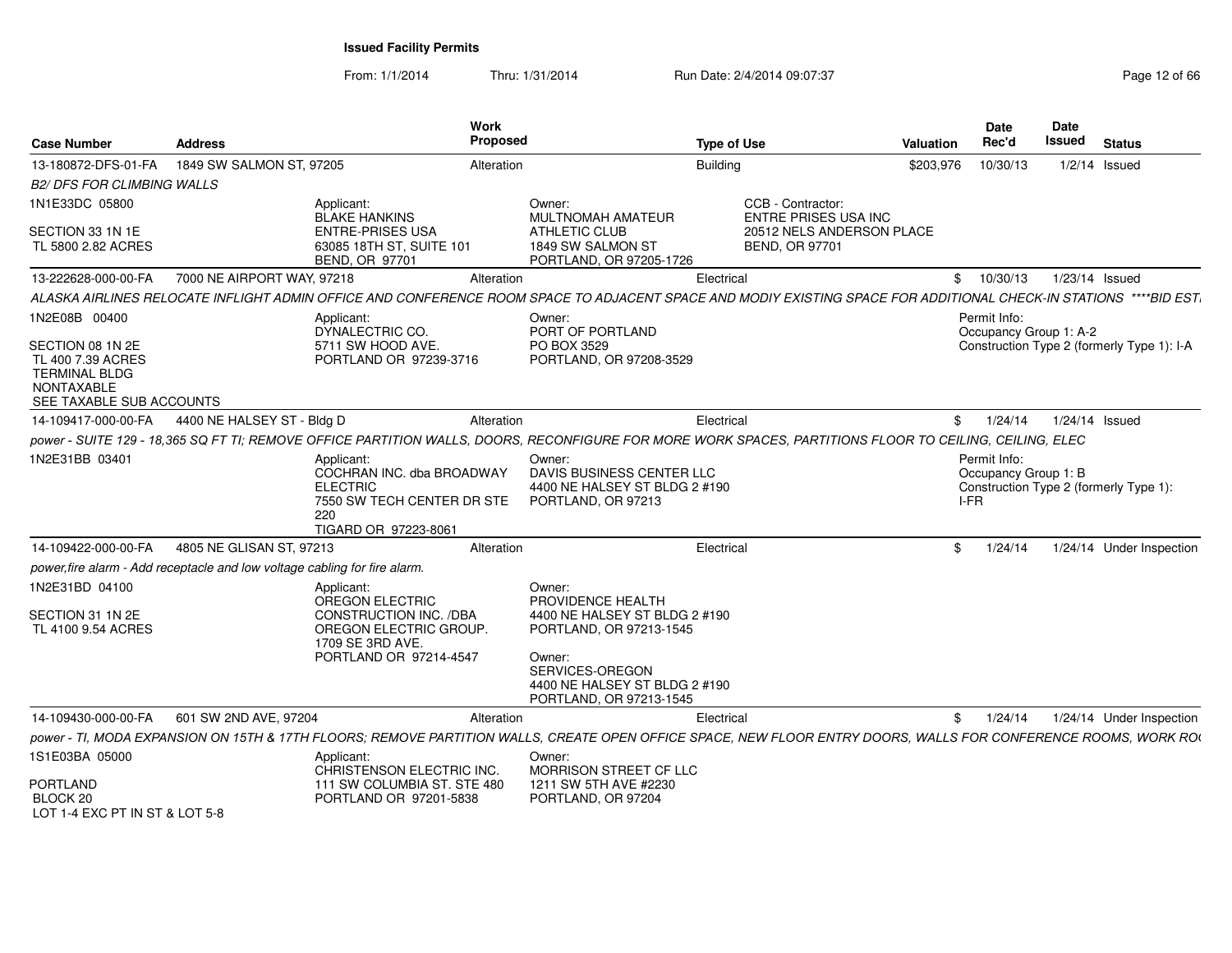From: 1/1/2014

Thru: 1/31/2014 Run Date: 2/4/2014 09:07:37 Page 12 of 66

| <b>Case Number</b>                                                                                             | <b>Address</b>             |                                                                                                                         | Work<br><b>Proposed</b> |                                                                                                                                                                   | Type of Use     |                                                    | Valuation  | Date<br>Rec'd                                | Date<br>Issued | <b>Status</b>                              |
|----------------------------------------------------------------------------------------------------------------|----------------------------|-------------------------------------------------------------------------------------------------------------------------|-------------------------|-------------------------------------------------------------------------------------------------------------------------------------------------------------------|-----------------|----------------------------------------------------|------------|----------------------------------------------|----------------|--------------------------------------------|
| 13-180872-DFS-01-FA                                                                                            | 1849 SW SALMON ST, 97205   |                                                                                                                         | Alteration              |                                                                                                                                                                   | <b>Building</b> |                                                    | \$203,976  | 10/30/13                                     |                | $1/2/14$ Issued                            |
| <b>B2/ DFS FOR CLIMBING WALLS</b>                                                                              |                            |                                                                                                                         |                         |                                                                                                                                                                   |                 |                                                    |            |                                              |                |                                            |
| 1N1E33DC 05800                                                                                                 |                            | Applicant:<br><b>BLAKE HANKINS</b>                                                                                      |                         | Owner:<br><b>MULTNOMAH AMATEUR</b>                                                                                                                                |                 | CCB - Contractor:<br><b>ENTRE PRISES USA INC</b>   |            |                                              |                |                                            |
| SECTION 33 1N 1E<br>TL 5800 2.82 ACRES                                                                         |                            | <b>ENTRE-PRISES USA</b><br>63085 18TH ST, SUITE 101<br><b>BEND, OR 97701</b>                                            |                         | <b>ATHLETIC CLUB</b><br>1849 SW SALMON ST<br>PORTLAND, OR 97205-1726                                                                                              |                 | 20512 NELS ANDERSON PLACE<br><b>BEND, OR 97701</b> |            |                                              |                |                                            |
| 13-222628-000-00-FA                                                                                            | 7000 NE AIRPORT WAY, 97218 |                                                                                                                         | Alteration              |                                                                                                                                                                   | Electrical      |                                                    |            | \$10/30/13                                   |                | 1/23/14 Issued                             |
|                                                                                                                |                            |                                                                                                                         |                         | ALASKA AIRLINES RELOCATE INFLIGHT ADMIN OFFICE AND CONFERENCE ROOM SPACE TO ADJACENT SPACE AND MODIY EXISTING SPACE FOR ADDITIONAL CHECK-IN STATIONS ****BID EST. |                 |                                                    |            |                                              |                |                                            |
| 1N2E08B 00400                                                                                                  |                            | Applicant:<br>DYNALECTRIC CO.                                                                                           |                         | Owner:<br>PORT OF PORTLAND                                                                                                                                        |                 |                                                    |            | Permit Info:<br>Occupancy Group 1: A-2       |                |                                            |
| SECTION 08 1N 2E<br>TL 400 7.39 ACRES<br><b>TERMINAL BLDG</b><br><b>NONTAXABLE</b><br>SEE TAXABLE SUB ACCOUNTS |                            | 5711 SW HOOD AVE.<br>PORTLAND OR 97239-3716                                                                             |                         | PO BOX 3529<br>PORTLAND, OR 97208-3529                                                                                                                            |                 |                                                    |            |                                              |                | Construction Type 2 (formerly Type 1): I-A |
| 14-109417-000-00-FA                                                                                            | 4400 NE HALSEY ST - Bldg D |                                                                                                                         | Alteration              |                                                                                                                                                                   | Electrical      |                                                    | $^{\circ}$ | 1/24/14                                      |                | 1/24/14 Issued                             |
|                                                                                                                |                            |                                                                                                                         |                         | power - SUITE 129 - 18,365 SQ FT TI; REMOVE OFFICE PARTITION WALLS, DOORS, RECONFIGURE FOR MORE WORK SPACES, PARTITIONS FLOOR TO CEILING, CEILING, ELEC           |                 |                                                    |            |                                              |                |                                            |
| 1N2E31BB 03401                                                                                                 |                            | Applicant:<br>COCHRAN INC. dba BROADWAY<br><b>ELECTRIC</b><br>7550 SW TECH CENTER DR STE<br>220<br>TIGARD OR 97223-8061 |                         | Owner:<br>DAVIS BUSINESS CENTER LLC<br>4400 NE HALSEY ST BLDG 2 #190<br>PORTLAND, OR 97213                                                                        |                 |                                                    |            | Permit Info:<br>Occupancy Group 1: B<br>I-FR |                | Construction Type 2 (formerly Type 1):     |
| 14-109422-000-00-FA                                                                                            | 4805 NE GLISAN ST, 97213   |                                                                                                                         | Alteration              |                                                                                                                                                                   | Electrical      |                                                    | \$         | 1/24/14                                      |                | 1/24/14 Under Inspection                   |
| power, fire alarm - Add receptacle and low voltage cabling for fire alarm.                                     |                            |                                                                                                                         |                         |                                                                                                                                                                   |                 |                                                    |            |                                              |                |                                            |
| 1N2E31BD 04100<br>SECTION 31 1N 2E<br>TL 4100 9.54 ACRES                                                       |                            | Applicant:<br>OREGON ELECTRIC<br>CONSTRUCTION INC. /DBA<br>OREGON ELECTRIC GROUP.                                       |                         | Owner:<br>PROVIDENCE HEALTH<br>4400 NE HALSEY ST BLDG 2 #190<br>PORTLAND, OR 97213-1545                                                                           |                 |                                                    |            |                                              |                |                                            |
|                                                                                                                |                            | 1709 SE 3RD AVE.<br>PORTLAND OR 97214-4547                                                                              |                         | Owner:<br>SERVICES-OREGON<br>4400 NE HALSEY ST BLDG 2 #190<br>PORTLAND, OR 97213-1545                                                                             |                 |                                                    |            |                                              |                |                                            |
| 14-109430-000-00-FA                                                                                            | 601 SW 2ND AVE, 97204      |                                                                                                                         | Alteration              |                                                                                                                                                                   | Electrical      |                                                    | \$         | 1/24/14                                      |                | 1/24/14 Under Inspection                   |
|                                                                                                                |                            |                                                                                                                         |                         | power - TI, MODA EXPANSION ON 15TH & 17TH FLOORS; REMOVE PARTITION WALLS, CREATE OPEN OFFICE SPACE, NEW FLOOR ENTRY DOORS, WALLS FOR CONFERENCE ROOMS, WORK ROI   |                 |                                                    |            |                                              |                |                                            |
| 1S1E03BA 05000<br>PORTLAND                                                                                     |                            | Applicant:<br>CHRISTENSON ELECTRIC INC.<br>111 SW COLUMBIA ST. STE 480                                                  |                         | Owner:<br>MORRISON STREET CF LLC<br>1211 SW 5TH AVE #2230                                                                                                         |                 |                                                    |            |                                              |                |                                            |
| BLOCK 20<br>LOT 1-4 FXC PT IN ST & LOT 5-8                                                                     |                            | PORTLAND OR 97201-5838                                                                                                  |                         | PORTLAND, OR 97204                                                                                                                                                |                 |                                                    |            |                                              |                |                                            |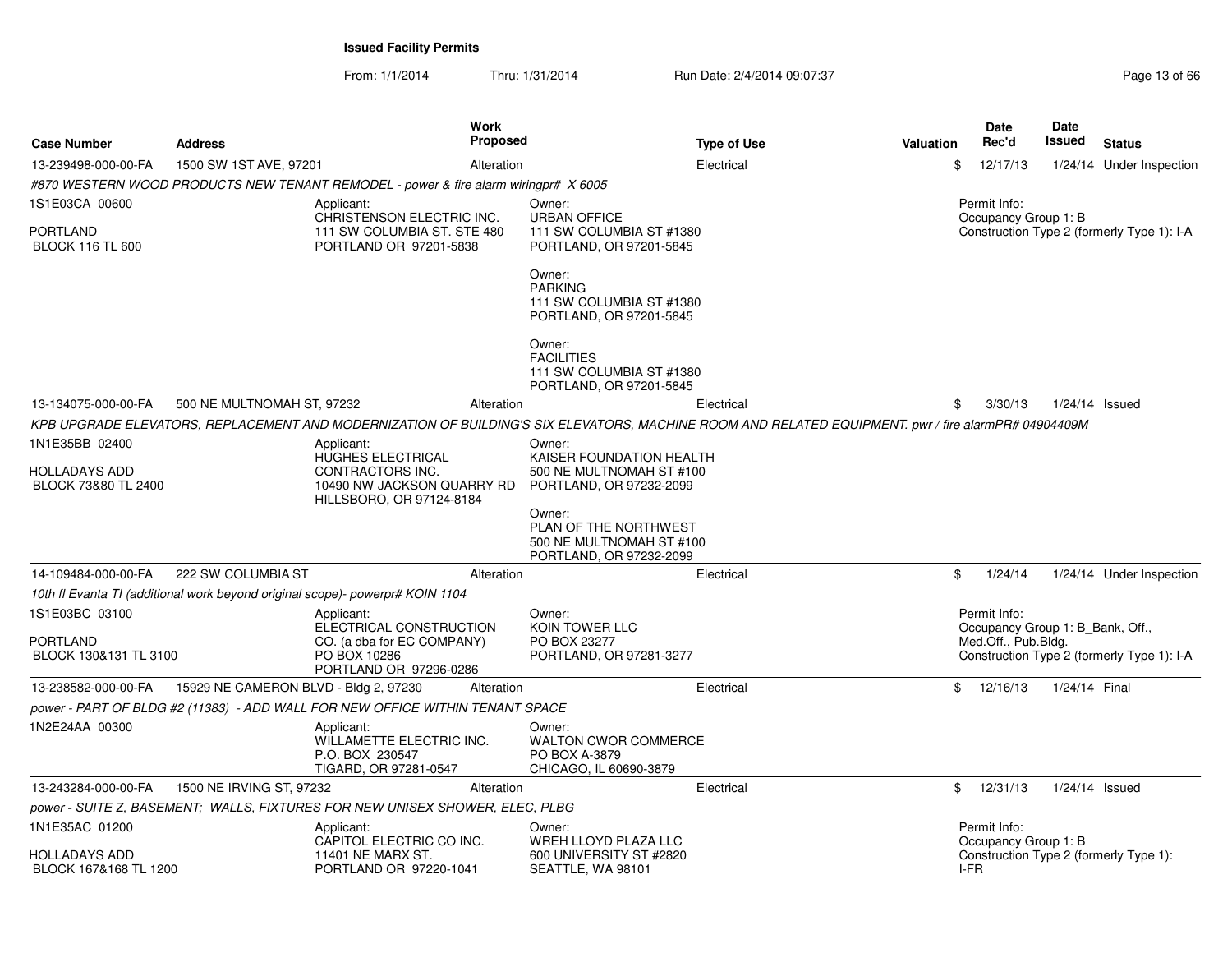From: 1/1/2014Thru: 1/31/2014 Run Date: 2/4/2014 09:07:37 Page 13 of 66

| <b>Case Number</b>                         | <b>Address</b>                        | Work<br>Proposed                                                                                                                                    |                                                                                        | <b>Type of Use</b> | <b>Valuation</b> | Date<br>Rec'd                                           | Date<br>Issued | <b>Status</b>                              |
|--------------------------------------------|---------------------------------------|-----------------------------------------------------------------------------------------------------------------------------------------------------|----------------------------------------------------------------------------------------|--------------------|------------------|---------------------------------------------------------|----------------|--------------------------------------------|
| 13-239498-000-00-FA                        | 1500 SW 1ST AVE, 97201                | Alteration                                                                                                                                          |                                                                                        | Electrical         | \$               | 12/17/13                                                |                | 1/24/14 Under Inspection                   |
|                                            |                                       | #870 WESTERN WOOD PRODUCTS NEW TENANT REMODEL - power & fire alarm wiringpr# X 6005                                                                 |                                                                                        |                    |                  |                                                         |                |                                            |
| 1S1E03CA 00600                             |                                       | Applicant:                                                                                                                                          | Owner:                                                                                 |                    |                  | Permit Info:                                            |                |                                            |
| <b>PORTLAND</b><br><b>BLOCK 116 TL 600</b> |                                       | CHRISTENSON ELECTRIC INC.<br>111 SW COLUMBIA ST. STE 480<br>PORTLAND OR 97201-5838                                                                  | <b>URBAN OFFICE</b><br>111 SW COLUMBIA ST #1380<br>PORTLAND, OR 97201-5845             |                    |                  | Occupancy Group 1: B                                    |                | Construction Type 2 (formerly Type 1): I-A |
|                                            |                                       |                                                                                                                                                     | Owner:<br><b>PARKING</b><br>111 SW COLUMBIA ST #1380<br>PORTLAND, OR 97201-5845        |                    |                  |                                                         |                |                                            |
|                                            |                                       |                                                                                                                                                     | Owner:<br><b>FACILITIES</b><br>111 SW COLUMBIA ST #1380<br>PORTLAND, OR 97201-5845     |                    |                  |                                                         |                |                                            |
| 13-134075-000-00-FA                        | 500 NE MULTNOMAH ST, 97232            | Alteration                                                                                                                                          |                                                                                        | Electrical         | \$               | 3/30/13                                                 |                | 1/24/14 Issued                             |
|                                            |                                       | KPB UPGRADE ELEVATORS, REPLACEMENT AND MODERNIZATION OF BUILDING'S SIX ELEVATORS, MACHINE ROOM AND RELATED EQUIPMENT. pwr / fire alarmPR# 04904409M |                                                                                        |                    |                  |                                                         |                |                                            |
| 1N1E35BB 02400                             |                                       | Applicant:                                                                                                                                          | Owner:                                                                                 |                    |                  |                                                         |                |                                            |
| HOLLADAYS ADD<br>BLOCK 73&80 TL 2400       |                                       | HUGHES ELECTRICAL<br>CONTRACTORS INC.<br>10490 NW JACKSON QUARRY RD<br>HILLSBORO, OR 97124-8184                                                     | KAISER FOUNDATION HEALTH<br>500 NE MULTNOMAH ST #100<br>PORTLAND, OR 97232-2099        |                    |                  |                                                         |                |                                            |
|                                            |                                       |                                                                                                                                                     | Owner:<br>PLAN OF THE NORTHWEST<br>500 NE MULTNOMAH ST #100<br>PORTLAND, OR 97232-2099 |                    |                  |                                                         |                |                                            |
| 14-109484-000-00-FA                        | 222 SW COLUMBIA ST                    | Alteration                                                                                                                                          |                                                                                        | Electrical         | \$               | 1/24/14                                                 |                | 1/24/14 Under Inspection                   |
|                                            |                                       | 10th fl Evanta TI (additional work beyond original scope)- powerpr# KOIN 1104                                                                       |                                                                                        |                    |                  |                                                         |                |                                            |
| 1S1E03BC 03100                             |                                       | Applicant:                                                                                                                                          | Owner:                                                                                 |                    |                  | Permit Info:                                            |                |                                            |
| PORTLAND<br>BLOCK 130&131 TL 3100          |                                       | ELECTRICAL CONSTRUCTION<br>CO. (a dba for EC COMPANY)<br>PO BOX 10286<br>PORTLAND OR 97296-0286                                                     | KOIN TOWER LLC<br>PO BOX 23277<br>PORTLAND, OR 97281-3277                              |                    |                  | Occupancy Group 1: B_Bank, Off.,<br>Med.Off., Pub.Bldg. |                | Construction Type 2 (formerly Type 1): I-A |
| 13-238582-000-00-FA                        | 15929 NE CAMERON BLVD - Bldg 2, 97230 | Alteration                                                                                                                                          |                                                                                        | Electrical         |                  | \$12/16/13                                              | 1/24/14 Final  |                                            |
|                                            |                                       | power - PART OF BLDG #2 (11383) - ADD WALL FOR NEW OFFICE WITHIN TENANT SPACE                                                                       |                                                                                        |                    |                  |                                                         |                |                                            |
| 1N2E24AA 00300                             |                                       | Applicant:<br>WILLAMETTE ELECTRIC INC.<br>P.O. BOX 230547<br>TIGARD, OR 97281-0547                                                                  | Owner:<br><b>WALTON CWOR COMMERCE</b><br>PO BOX A-3879<br>CHICAGO, IL 60690-3879       |                    |                  |                                                         |                |                                            |
| 13-243284-000-00-FA                        | 1500 NE IRVING ST, 97232              | Alteration                                                                                                                                          |                                                                                        | Electrical         | \$               | 12/31/13                                                |                | $1/24/14$ Issued                           |
|                                            |                                       | power - SUITE Z, BASEMENT; WALLS, FIXTURES FOR NEW UNISEX SHOWER, ELEC, PLBG                                                                        |                                                                                        |                    |                  |                                                         |                |                                            |
| 1N1E35AC 01200<br>HOLLADAYS ADD            |                                       | Applicant:<br>CAPITOL ELECTRIC CO INC.<br>11401 NE MARX ST.                                                                                         | Owner:<br>WREH LLOYD PLAZA LLC<br>600 UNIVERSITY ST #2820                              |                    |                  | Permit Info:<br>Occupancy Group 1: B                    |                |                                            |
| BLOCK 167&168 TL 1200                      |                                       | PORTLAND OR 97220-1041                                                                                                                              | SEATTLE, WA 98101                                                                      |                    |                  | I-FR                                                    |                | Construction Type 2 (formerly Type 1):     |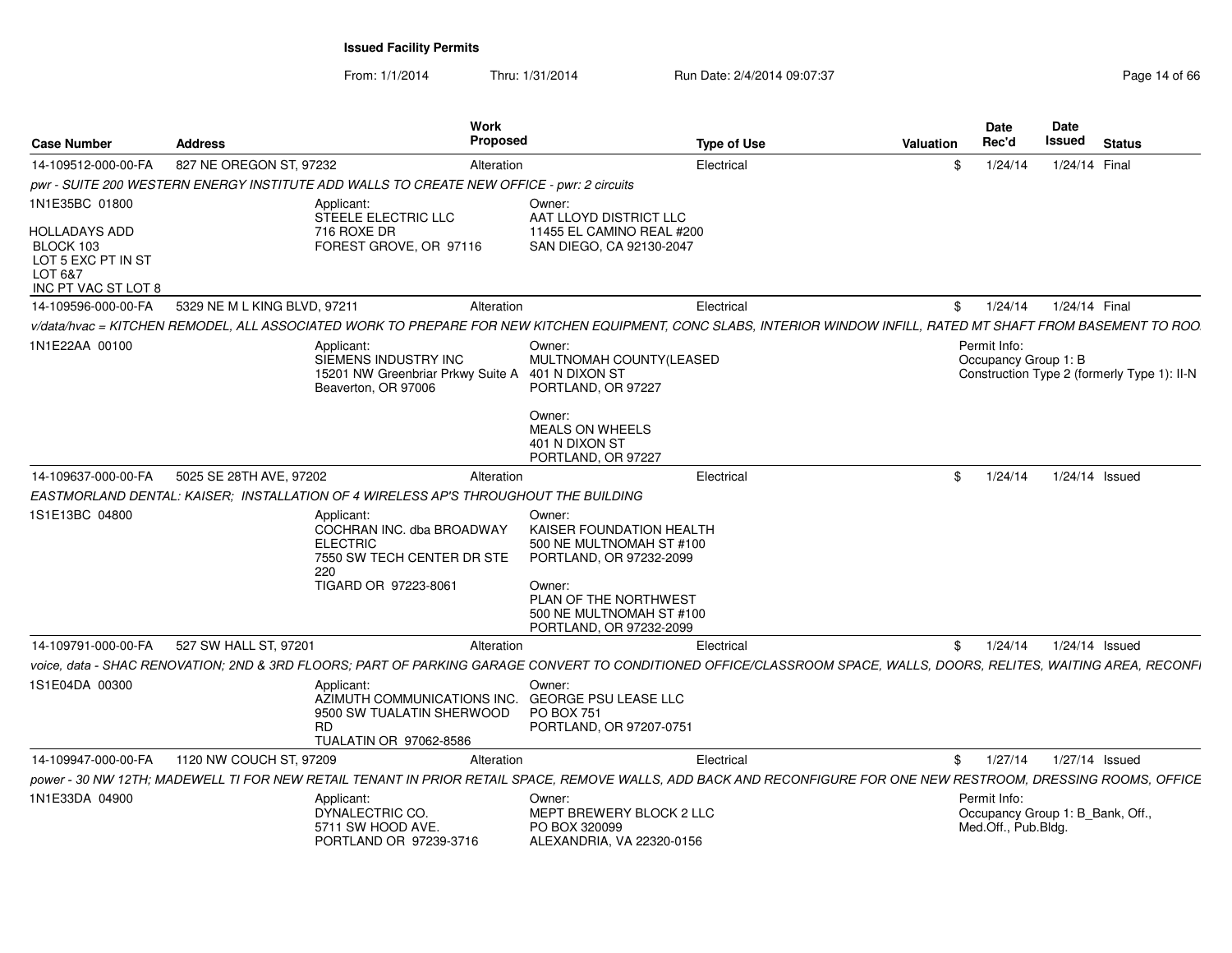From: 1/1/2014

Thru: 1/31/2014 Run Date: 2/4/2014 09:07:37 Page 14 of 66

| <b>Case Number</b>                                                                        | <b>Address</b>                                                                                                                                                      | Work<br><b>Proposed</b> |                                                                                                                                                                                     | <b>Type of Use</b> | Valuation | Date<br>Rec'd                                                           | Date<br>Issued | <b>Status</b>                               |
|-------------------------------------------------------------------------------------------|---------------------------------------------------------------------------------------------------------------------------------------------------------------------|-------------------------|-------------------------------------------------------------------------------------------------------------------------------------------------------------------------------------|--------------------|-----------|-------------------------------------------------------------------------|----------------|---------------------------------------------|
| 14-109512-000-00-FA                                                                       | 827 NE OREGON ST, 97232                                                                                                                                             | Alteration              |                                                                                                                                                                                     | Electrical         | \$        | 1/24/14                                                                 | 1/24/14 Final  |                                             |
|                                                                                           | pwr - SUITE 200 WESTERN ENERGY INSTITUTE ADD WALLS TO CREATE NEW OFFICE - pwr: 2 circuits                                                                           |                         |                                                                                                                                                                                     |                    |           |                                                                         |                |                                             |
| 1N1E35BC 01800                                                                            | Applicant:                                                                                                                                                          |                         | Owner:                                                                                                                                                                              |                    |           |                                                                         |                |                                             |
| <b>HOLLADAYS ADD</b><br>BLOCK 103<br>LOT 5 EXC PT IN ST<br>LOT 6&7<br>INC PT VAC ST LOT 8 | STEELE ELECTRIC LLC<br>716 ROXE DR<br>FOREST GROVE, OR 97116                                                                                                        |                         | AAT LLOYD DISTRICT LLC<br>11455 EL CAMINO REAL #200<br>SAN DIEGO, CA 92130-2047                                                                                                     |                    |           |                                                                         |                |                                             |
| 14-109596-000-00-FA                                                                       | 5329 NE M L KING BLVD, 97211                                                                                                                                        | Alteration              |                                                                                                                                                                                     | Electrical         | \$        | 1/24/14                                                                 | 1/24/14 Final  |                                             |
|                                                                                           | v/data/hvac = KITCHEN REMODEL, ALL ASSOCIATED WORK TO PREPARE FOR NEW KITCHEN EQUIPMENT, CONC SLABS, INTERIOR WINDOW INFILL, RATED MT SHAFT FROM BASEMENT TO ROO    |                         |                                                                                                                                                                                     |                    |           |                                                                         |                |                                             |
| 1N1E22AA 00100                                                                            | Applicant:<br>SIEMENS INDUSTRY INC<br>15201 NW Greenbriar Prkwy Suite A 401 N DIXON ST<br>Beaverton, OR 97006                                                       |                         | Owner:<br>MULTNOMAH COUNTY(LEASED<br>PORTLAND, OR 97227<br>Owner:<br><b>MEALS ON WHEELS</b><br>401 N DIXON ST<br>PORTLAND, OR 97227                                                 |                    |           | Permit Info:<br>Occupancy Group 1: B                                    |                | Construction Type 2 (formerly Type 1): II-N |
| 14-109637-000-00-FA                                                                       | 5025 SE 28TH AVE, 97202                                                                                                                                             | Alteration              |                                                                                                                                                                                     | Electrical         | -SG       | 1/24/14                                                                 |                | 1/24/14 Issued                              |
|                                                                                           | EASTMORLAND DENTAL: KAISER: INSTALLATION OF 4 WIRELESS AP'S THROUGHOUT THE BUILDING                                                                                 |                         |                                                                                                                                                                                     |                    |           |                                                                         |                |                                             |
| 1S1E13BC 04800                                                                            | Applicant:<br>COCHRAN INC. dba BROADWAY<br><b>ELECTRIC</b><br>7550 SW TECH CENTER DR STE<br>220<br>TIGARD OR 97223-8061                                             |                         | Owner:<br>KAISER FOUNDATION HEALTH<br>500 NE MULTNOMAH ST #100<br>PORTLAND, OR 97232-2099<br>Owner:<br>PLAN OF THE NORTHWEST<br>500 NE MULTNOMAH ST #100<br>PORTLAND, OR 97232-2099 |                    |           |                                                                         |                |                                             |
| 14-109791-000-00-FA                                                                       | 527 SW HALL ST, 97201                                                                                                                                               | Alteration              |                                                                                                                                                                                     | Electrical         | \$        | 1/24/14                                                                 |                | $1/24/14$ Issued                            |
|                                                                                           | voice. data - SHAC RENOVATION: 2ND & 3RD FLOORS: PART OF PARKING GARAGE CONVERT TO CONDITIONED OFFICE/CLASSROOM SPACE. WALLS. DOORS. RELITES. WAITING AREA. RECONFI |                         |                                                                                                                                                                                     |                    |           |                                                                         |                |                                             |
| 1S1E04DA 00300                                                                            | Applicant:<br>AZIMUTH COMMUNICATIONS INC.<br>9500 SW TUALATIN SHERWOOD<br><b>RD</b><br>TUALATIN OR 97062-8586                                                       |                         | Owner:<br><b>GEORGE PSU LEASE LLC</b><br><b>PO BOX 751</b><br>PORTLAND, OR 97207-0751                                                                                               |                    |           |                                                                         |                |                                             |
| 14-109947-000-00-FA                                                                       | 1120 NW COUCH ST, 97209                                                                                                                                             | Alteration              |                                                                                                                                                                                     | Electrical         | \$        | 1/27/14                                                                 |                | 1/27/14 Issued                              |
|                                                                                           | power - 30 NW 12TH; MADEWELL TI FOR NEW RETAIL TENANT IN PRIOR RETAIL SPACE, REMOVE WALLS, ADD BACK AND RECONFIGURE FOR ONE NEW RESTROOM, DRESSING ROOMS, OFFICE    |                         |                                                                                                                                                                                     |                    |           |                                                                         |                |                                             |
| 1N1E33DA 04900                                                                            | Applicant:<br>DYNALECTRIC CO.<br>5711 SW HOOD AVE.<br>PORTLAND OR 97239-3716                                                                                        |                         | Owner:<br>MEPT BREWERY BLOCK 2 LLC<br>PO BOX 320099<br>ALEXANDRIA, VA 22320-0156                                                                                                    |                    |           | Permit Info:<br>Occupancy Group 1: B_Bank, Off.,<br>Med.Off., Pub.Bldg. |                |                                             |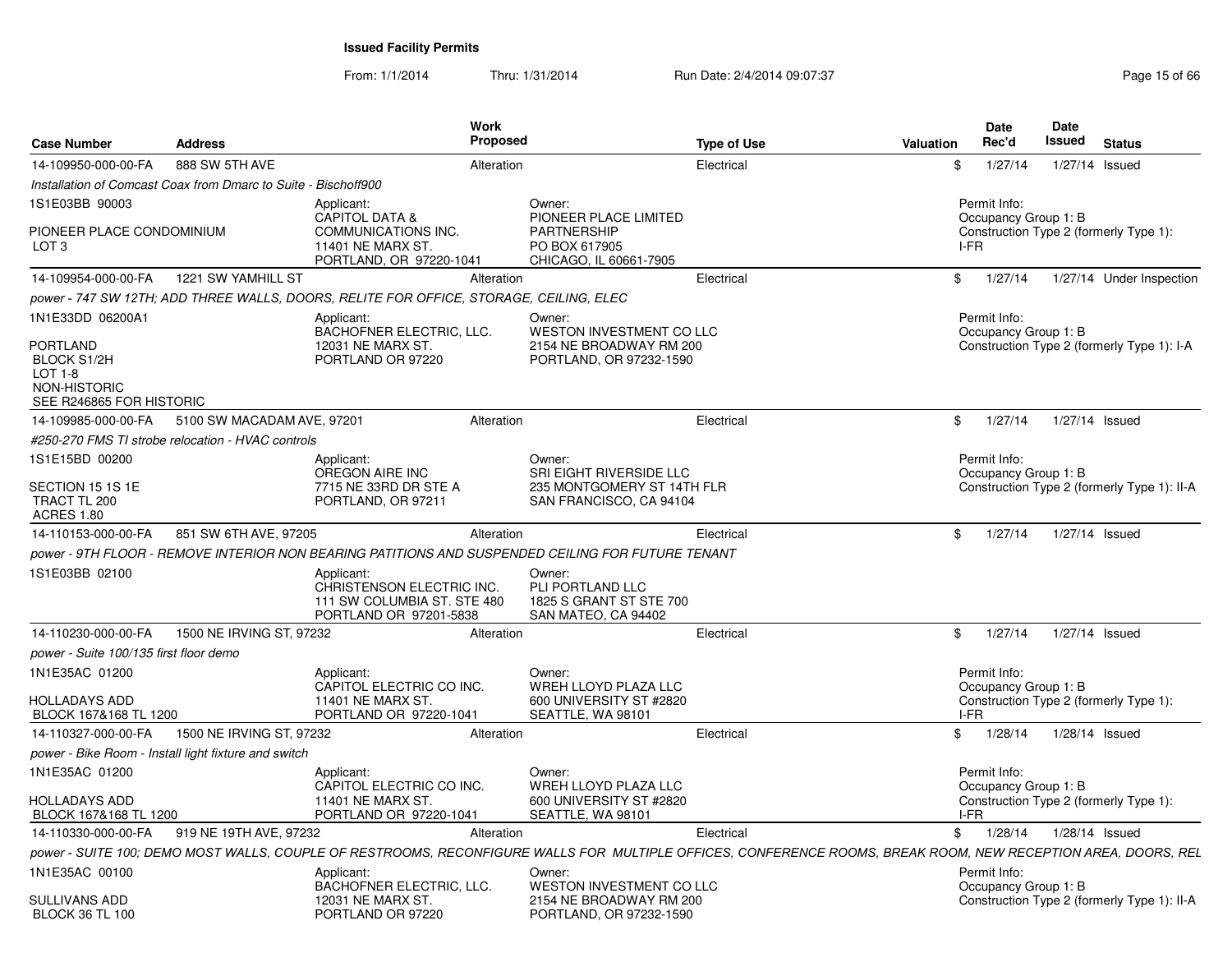From: 1/1/2014Thru: 1/31/2014 Run Date: 2/4/2014 09:07:37 Page 15 of 66

| <b>Case Number</b>                                                                                               | <b>Address</b>                                                 | <b>Work</b><br><b>Proposed</b>                                                                                                                                |                                                                                          | <b>Type of Use</b> | Valuation | Date<br>Rec'd                        | Date<br><b>Issued</b> | <b>Status</b>                               |
|------------------------------------------------------------------------------------------------------------------|----------------------------------------------------------------|---------------------------------------------------------------------------------------------------------------------------------------------------------------|------------------------------------------------------------------------------------------|--------------------|-----------|--------------------------------------|-----------------------|---------------------------------------------|
| 14-109950-000-00-FA                                                                                              | 888 SW 5TH AVE                                                 | Alteration                                                                                                                                                    |                                                                                          | Electrical         | \$        | 1/27/14                              |                       | 1/27/14 Issued                              |
|                                                                                                                  | Installation of Comcast Coax from Dmarc to Suite - Bischoff900 |                                                                                                                                                               |                                                                                          |                    |           |                                      |                       |                                             |
| 1S1E03BB 90003                                                                                                   |                                                                | Applicant:                                                                                                                                                    | Owner:                                                                                   |                    |           | Permit Info:                         |                       |                                             |
| PIONEER PLACE CONDOMINIUM<br>LOT <sub>3</sub>                                                                    |                                                                | <b>CAPITOL DATA &amp;</b><br>COMMUNICATIONS INC.<br>11401 NE MARX ST<br>PORTLAND, OR 97220-1041                                                               | PIONEER PLACE LIMITED<br><b>PARTNERSHIP</b><br>PO BOX 617905<br>CHICAGO, IL 60661-7905   |                    |           | Occupancy Group 1: B<br>I-FR         |                       | Construction Type 2 (formerly Type 1):      |
| 14-109954-000-00-FA                                                                                              | 1221 SW YAMHILL ST                                             | Alteration                                                                                                                                                    |                                                                                          | Electrical         | \$        | 1/27/14                              |                       | 1/27/14 Under Inspection                    |
|                                                                                                                  |                                                                | power - 747 SW 12TH; ADD THREE WALLS, DOORS, RELITE FOR OFFICE, STORAGE, CEILING, ELEC                                                                        |                                                                                          |                    |           |                                      |                       |                                             |
| 1N1E33DD 06200A1<br><b>PORTLAND</b><br><b>BLOCK S1/2H</b><br>LOT 1-8<br>NON-HISTORIC<br>SEE R246865 FOR HISTORIC |                                                                | Applicant:<br><b>BACHOFNER ELECTRIC, LLC.</b><br>12031 NE MARX ST.<br>PORTLAND OR 97220                                                                       | Owner:<br>WESTON INVESTMENT CO LLC<br>2154 NE BROADWAY RM 200<br>PORTLAND, OR 97232-1590 |                    |           | Permit Info:<br>Occupancy Group 1: B |                       | Construction Type 2 (formerly Type 1): I-A  |
| 14-109985-000-00-FA                                                                                              | 5100 SW MACADAM AVE, 97201                                     | Alteration                                                                                                                                                    |                                                                                          | Electrical         | \$        | 1/27/14                              |                       | 1/27/14 Issued                              |
|                                                                                                                  | #250-270 FMS TI strobe relocation - HVAC controls              |                                                                                                                                                               |                                                                                          |                    |           |                                      |                       |                                             |
| 1S1E15BD 00200                                                                                                   |                                                                | Applicant:<br>OREGON AIRE INC                                                                                                                                 | Owner:<br>SRI EIGHT RIVERSIDE LLC                                                        |                    |           | Permit Info:<br>Occupancy Group 1: B |                       |                                             |
| SECTION 15 1S 1E<br>TRACT TL 200<br><b>ACRES 1.80</b>                                                            |                                                                | 7715 NE 33RD DR STE A<br>PORTLAND, OR 97211                                                                                                                   | 235 MONTGOMERY ST 14TH FLR<br>SAN FRANCISCO, CA 94104                                    |                    |           |                                      |                       | Construction Type 2 (formerly Type 1): II-A |
| 14-110153-000-00-FA                                                                                              | 851 SW 6TH AVE, 97205                                          | Alteration                                                                                                                                                    |                                                                                          | Electrical         | \$        | 1/27/14                              |                       | 1/27/14 Issued                              |
|                                                                                                                  |                                                                | power - 9TH FLOOR - REMOVE INTERIOR NON BEARING PATITIONS AND SUSPENDED CEILING FOR FUTURE TENANT                                                             |                                                                                          |                    |           |                                      |                       |                                             |
| 1S1E03BB 02100                                                                                                   |                                                                | Applicant:<br>CHRISTENSON ELECTRIC INC.<br>111 SW COLUMBIA ST. STE 480<br>PORTLAND OR 97201-5838                                                              | Owner:<br>PLI PORTLAND LLC<br>1825 S GRANT ST STE 700<br>SAN MATEO, CA 94402             |                    |           |                                      |                       |                                             |
| 14-110230-000-00-FA                                                                                              | 1500 NE IRVING ST, 97232                                       | Alteration                                                                                                                                                    |                                                                                          | Electrical         | \$        | 1/27/14                              |                       | 1/27/14 Issued                              |
| power - Suite 100/135 first floor demo                                                                           |                                                                |                                                                                                                                                               |                                                                                          |                    |           |                                      |                       |                                             |
| 1N1E35AC 01200                                                                                                   |                                                                | Applicant:<br>CAPITOL ELECTRIC CO INC.                                                                                                                        | Owner:<br>WREH LLOYD PLAZA LLC                                                           |                    |           | Permit Info:<br>Occupancy Group 1: B |                       |                                             |
| <b>HOLLADAYS ADD</b><br>BLOCK 167&168 TL 1200                                                                    |                                                                | 11401 NE MARX ST<br>PORTLAND OR 97220-1041                                                                                                                    | 600 UNIVERSITY ST #2820<br>SEATTLE, WA 98101                                             |                    | I-FR      |                                      |                       | Construction Type 2 (formerly Type 1):      |
| 14-110327-000-00-FA                                                                                              | 1500 NE IRVING ST, 97232                                       | Alteration                                                                                                                                                    |                                                                                          | Electrical         |           | \$1/28/14                            |                       | 1/28/14 Issued                              |
|                                                                                                                  | power - Bike Room - Install light fixture and switch           |                                                                                                                                                               |                                                                                          |                    |           |                                      |                       |                                             |
| 1N1E35AC 01200                                                                                                   |                                                                | Applicant:<br>CAPITOL ELECTRIC CO INC.                                                                                                                        | Owner:<br>WREH LLOYD PLAZA LLC                                                           |                    |           | Permit Info:<br>Occupancy Group 1: B |                       |                                             |
| HOLLADAYS ADD<br>BLOCK 167&168 TL 1200                                                                           |                                                                | 11401 NE MARX ST<br>PORTLAND OR 97220-1041                                                                                                                    | 600 UNIVERSITY ST #2820<br>SEATTLE, WA 98101                                             |                    |           | I-FR                                 |                       | Construction Type 2 (formerly Type 1):      |
| 14-110330-000-00-FA                                                                                              | 919 NE 19TH AVE, 97232                                         | Alteration                                                                                                                                                    |                                                                                          | Electrical         |           | \$1/28/14                            |                       | 1/28/14 Issued                              |
|                                                                                                                  |                                                                | power - SUITE 100; DEMO MOST WALLS, COUPLE OF RESTROOMS, RECONFIGURE WALLS FOR MULTIPLE OFFICES, CONFERENCE ROOMS, BREAK ROOM, NEW RECEPTION AREA, DOORS, REL |                                                                                          |                    |           |                                      |                       |                                             |
| 1N1E35AC 00100                                                                                                   |                                                                | Applicant:<br><b>BACHOFNER ELECTRIC, LLC.</b>                                                                                                                 | Owner:<br>WESTON INVESTMENT CO LLC                                                       |                    |           | Permit Info:<br>Occupancy Group 1: B |                       |                                             |
| <b>SULLIVANS ADD</b><br><b>BLOCK 36 TL 100</b>                                                                   |                                                                | 12031 NE MARX ST.<br>PORTLAND OR 97220                                                                                                                        | 2154 NE BROADWAY RM 200<br>PORTLAND, OR 97232-1590                                       |                    |           |                                      |                       | Construction Type 2 (formerly Type 1): II-A |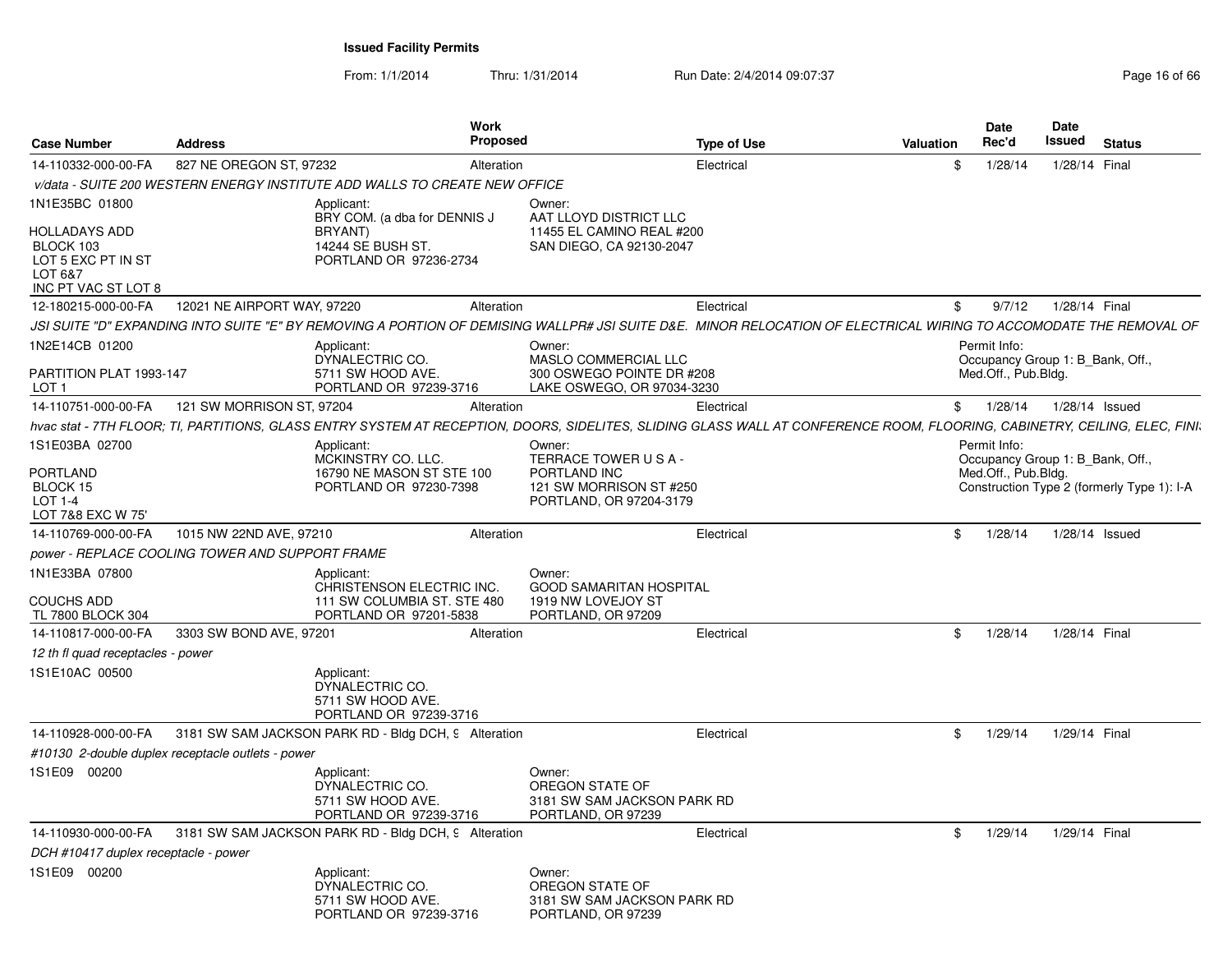From: 1/1/2014Thru: 1/31/2014 Run Date: 2/4/2014 09:07:37 Page 16 of 66

| <b>Case Number</b>                                          | <b>Address</b>                                    | <b>Work</b><br><b>Proposed</b>                                                                                                                                             |                                                                                | <b>Type of Use</b> | Valuation | <b>Date</b><br>Rec'd                                    | Date<br>Issued | <b>Status</b>                              |
|-------------------------------------------------------------|---------------------------------------------------|----------------------------------------------------------------------------------------------------------------------------------------------------------------------------|--------------------------------------------------------------------------------|--------------------|-----------|---------------------------------------------------------|----------------|--------------------------------------------|
| 14-110332-000-00-FA                                         | 827 NE OREGON ST, 97232                           | Alteration                                                                                                                                                                 |                                                                                | Electrical         | \$        | 1/28/14                                                 | 1/28/14 Final  |                                            |
|                                                             |                                                   | v/data - SUITE 200 WESTERN ENERGY INSTITUTE ADD WALLS TO CREATE NEW OFFICE                                                                                                 |                                                                                |                    |           |                                                         |                |                                            |
| 1N1E35BC 01800                                              |                                                   | Applicant:<br>BRY COM. (a dba for DENNIS J                                                                                                                                 | Owner:<br>AAT LLOYD DISTRICT LLC                                               |                    |           |                                                         |                |                                            |
| HOLLADAYS ADD<br>BLOCK 103<br>LOT 5 EXC PT IN ST<br>LOT 6&7 |                                                   | BRYANT)<br>14244 SE BUSH ST.<br>PORTLAND OR 97236-2734                                                                                                                     | 11455 EL CAMINO REAL #200<br>SAN DIEGO, CA 92130-2047                          |                    |           |                                                         |                |                                            |
| INC PT VAC ST LOT 8<br>12-180215-000-00-FA                  | 12021 NE AIRPORT WAY, 97220                       | Alteration                                                                                                                                                                 |                                                                                | Electrical         | \$        | 9/7/12                                                  | 1/28/14 Final  |                                            |
|                                                             |                                                   | JSI SUITE "D" EXPANDING INTO SUITE "E" BY REMOVING A PORTION OF DEMISING WALLPR# JSI SUITE D&E. MINOR RELOCATION OF ELECTRICAL WIRING TO ACCOMODATE THE REMOVAL OF         |                                                                                |                    |           |                                                         |                |                                            |
| 1N2E14CB 01200                                              |                                                   | Applicant:                                                                                                                                                                 | Owner:                                                                         |                    |           | Permit Info:                                            |                |                                            |
| PARTITION PLAT 1993-147                                     |                                                   | DYNALECTRIC CO.<br>5711 SW HOOD AVE.<br>PORTLAND OR 97239-3716                                                                                                             | MASLO COMMERCIAL LLC<br>300 OSWEGO POINTE DR #208                              |                    |           | Occupancy Group 1: B Bank, Off.,<br>Med.Off., Pub.Bldg. |                |                                            |
| LOT <sub>1</sub><br>14-110751-000-00-FA                     | 121 SW MORRISON ST, 97204                         | Alteration                                                                                                                                                                 | LAKE OSWEGO, OR 97034-3230                                                     | Electrical         | \$        | 1/28/14                                                 | 1/28/14 Issued |                                            |
|                                                             |                                                   | hvac stat - 7TH FLOOR; TI, PARTITIONS, GLASS ENTRY SYSTEM AT RECEPTION, DOORS, SIDELITES, SLIDING GLASS WALL AT CONFERENCE ROOM, FLOORING, CABINETRY, CEILING, ELEC, FINI. |                                                                                |                    |           |                                                         |                |                                            |
| 1S1E03BA 02700                                              |                                                   | Applicant:                                                                                                                                                                 | Owner:                                                                         |                    |           | Permit Info:                                            |                |                                            |
|                                                             |                                                   | MCKINSTRY CO. LLC.                                                                                                                                                         | TERRACE TOWER USA-                                                             |                    |           | Occupancy Group 1: B Bank, Off.,                        |                |                                            |
| <b>PORTLAND</b>                                             |                                                   | 16790 NE MASON ST STE 100                                                                                                                                                  | PORTLAND INC                                                                   |                    |           | Med.Off., Pub.Bldg.                                     |                |                                            |
| BLOCK 15<br>$LOT 1-4$                                       |                                                   | PORTLAND OR 97230-7398                                                                                                                                                     | 121 SW MORRISON ST #250<br>PORTLAND, OR 97204-3179                             |                    |           |                                                         |                | Construction Type 2 (formerly Type 1): I-A |
| LOT 7&8 EXC W 75'                                           |                                                   |                                                                                                                                                                            |                                                                                |                    |           |                                                         |                |                                            |
| 14-110769-000-00-FA                                         | 1015 NW 22ND AVE, 97210                           | Alteration                                                                                                                                                                 |                                                                                | Electrical         | \$        | 1/28/14                                                 | 1/28/14 Issued |                                            |
|                                                             | power - REPLACE COOLING TOWER AND SUPPORT FRAME   |                                                                                                                                                                            |                                                                                |                    |           |                                                         |                |                                            |
| 1N1E33BA 07800                                              |                                                   | Applicant:<br>CHRISTENSON ELECTRIC INC.                                                                                                                                    | Owner:<br><b>GOOD SAMARITAN HOSPITAL</b>                                       |                    |           |                                                         |                |                                            |
| <b>COUCHS ADD</b><br>TL 7800 BLOCK 304                      |                                                   | 111 SW COLUMBIA ST. STE 480<br>PORTLAND OR 97201-5838                                                                                                                      | 1919 NW LOVEJOY ST<br>PORTLAND, OR 97209                                       |                    |           |                                                         |                |                                            |
| 14-110817-000-00-FA                                         | 3303 SW BOND AVE, 97201                           | Alteration                                                                                                                                                                 |                                                                                | Electrical         | \$        | 1/28/14                                                 | 1/28/14 Final  |                                            |
| 12 th fl quad receptacles - power                           |                                                   |                                                                                                                                                                            |                                                                                |                    |           |                                                         |                |                                            |
| 1S1E10AC 00500                                              |                                                   | Applicant:<br>DYNALECTRIC CO.<br>5711 SW HOOD AVE.<br>PORTLAND OR 97239-3716                                                                                               |                                                                                |                    |           |                                                         |                |                                            |
| 14-110928-000-00-FA                                         |                                                   | 3181 SW SAM JACKSON PARK RD - Bldg DCH, 9 Alteration                                                                                                                       |                                                                                | Electrical         | \$        | 1/29/14                                                 | 1/29/14 Final  |                                            |
|                                                             | #10130 2-double duplex receptacle outlets - power |                                                                                                                                                                            |                                                                                |                    |           |                                                         |                |                                            |
| 1S1E09 00200                                                |                                                   | Applicant:<br>DYNALECTRIC CO.<br>5711 SW HOOD AVE.<br>PORTLAND OR 97239-3716                                                                                               | Owner:<br>OREGON STATE OF<br>3181 SW SAM JACKSON PARK RD<br>PORTLAND, OR 97239 |                    |           |                                                         |                |                                            |
| 14-110930-000-00-FA                                         |                                                   | 3181 SW SAM JACKSON PARK RD - Bldg DCH, 9 Alteration                                                                                                                       |                                                                                | Electrical         | \$        | 1/29/14                                                 | 1/29/14 Final  |                                            |
| DCH #10417 duplex receptacle - power                        |                                                   |                                                                                                                                                                            |                                                                                |                    |           |                                                         |                |                                            |
| 1S1E09 00200                                                |                                                   | Applicant:<br>DYNALECTRIC CO.<br>5711 SW HOOD AVE.<br>PORTLAND OR 97239-3716                                                                                               | Owner:<br>OREGON STATE OF<br>3181 SW SAM JACKSON PARK RD<br>PORTLAND, OR 97239 |                    |           |                                                         |                |                                            |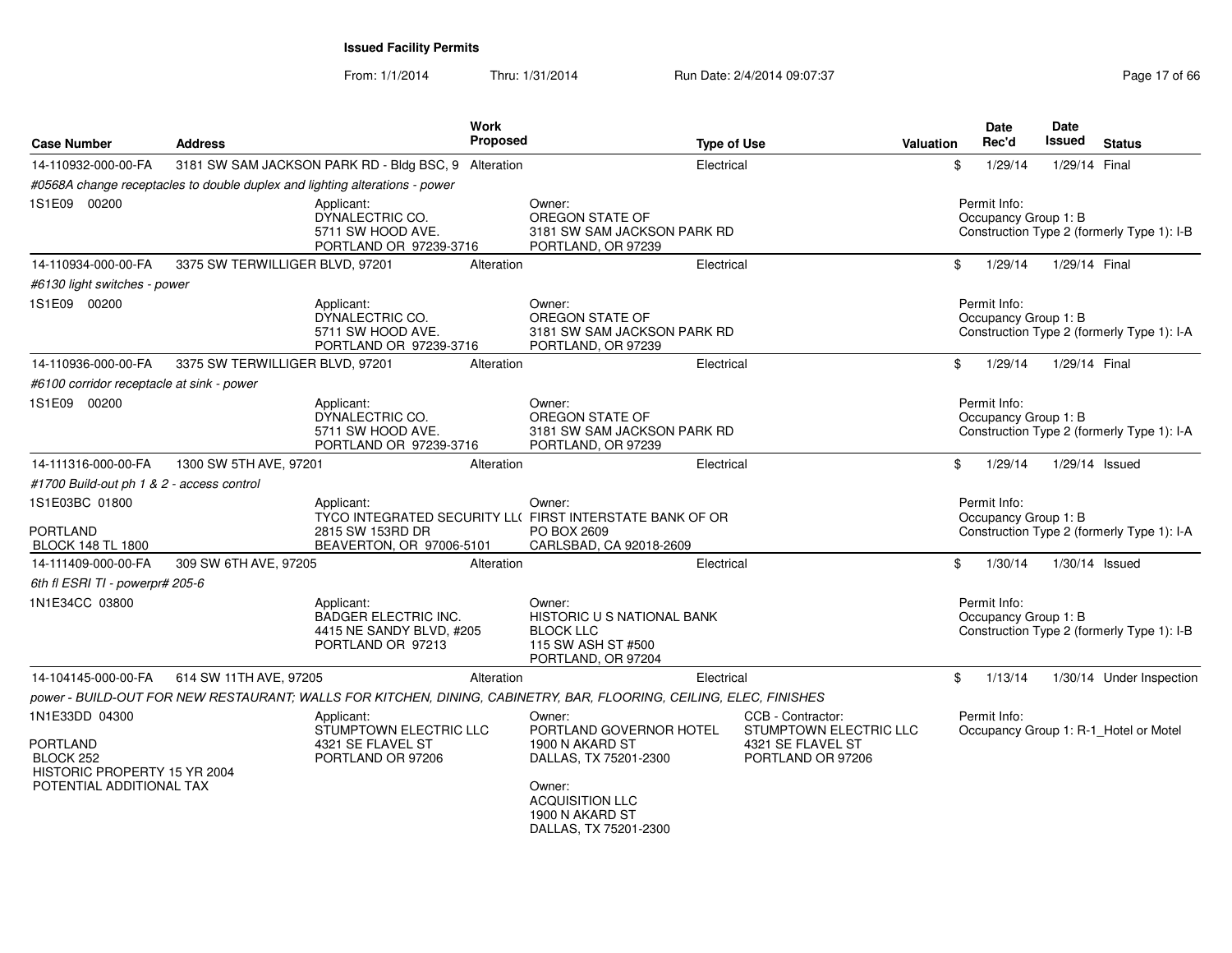From: 1/1/2014Thru: 1/31/2014 Run Date: 2/4/2014 09:07:37 Page 17 of 66

| <b>Case Number</b>                                                                                         | <b>Address</b>                  |                                                                                            | Work<br>Proposed |                                                                                                                                                               | <b>Type of Use</b>                                                                    | Valuation    | Date<br>Rec'd                        | <b>Date</b><br><b>Issued</b> | <b>Status</b>                              |
|------------------------------------------------------------------------------------------------------------|---------------------------------|--------------------------------------------------------------------------------------------|------------------|---------------------------------------------------------------------------------------------------------------------------------------------------------------|---------------------------------------------------------------------------------------|--------------|--------------------------------------|------------------------------|--------------------------------------------|
| 14-110932-000-00-FA                                                                                        |                                 | 3181 SW SAM JACKSON PARK RD - Bldg BSC, 9 Alteration                                       |                  | Electrical                                                                                                                                                    |                                                                                       | \$           | 1/29/14                              | 1/29/14 Final                |                                            |
|                                                                                                            |                                 | #0568A change receptacles to double duplex and lighting alterations - power                |                  |                                                                                                                                                               |                                                                                       |              |                                      |                              |                                            |
| 1S1E09 00200                                                                                               |                                 | Applicant:<br>DYNALECTRIC CO.<br>5711 SW HOOD AVE.<br>PORTLAND OR 97239-3716               |                  | Owner:<br>OREGON STATE OF<br>3181 SW SAM JACKSON PARK RD<br>PORTLAND, OR 97239                                                                                |                                                                                       |              | Permit Info:<br>Occupancy Group 1: B |                              | Construction Type 2 (formerly Type 1): I-B |
| 14-110934-000-00-FA                                                                                        | 3375 SW TERWILLIGER BLVD, 97201 |                                                                                            | Alteration       | Electrical                                                                                                                                                    |                                                                                       | \$           | 1/29/14                              | 1/29/14 Final                |                                            |
| #6130 light switches - power                                                                               |                                 |                                                                                            |                  |                                                                                                                                                               |                                                                                       |              |                                      |                              |                                            |
| 1S1E09 00200                                                                                               |                                 | Applicant:<br>DYNALECTRIC CO.<br>5711 SW HOOD AVE.<br>PORTLAND OR 97239-3716               |                  | Owner:<br>OREGON STATE OF<br>3181 SW SAM JACKSON PARK RD<br>PORTLAND, OR 97239                                                                                |                                                                                       |              | Permit Info:<br>Occupancy Group 1: B |                              | Construction Type 2 (formerly Type 1): I-A |
| 14-110936-000-00-FA                                                                                        | 3375 SW TERWILLIGER BLVD, 97201 |                                                                                            | Alteration       | Electrical                                                                                                                                                    |                                                                                       | \$           | 1/29/14                              | 1/29/14 Final                |                                            |
| #6100 corridor receptacle at sink - power                                                                  |                                 |                                                                                            |                  |                                                                                                                                                               |                                                                                       |              |                                      |                              |                                            |
| 1S1E09 00200                                                                                               |                                 | Applicant:<br>DYNALECTRIC CO.<br>5711 SW HOOD AVE.<br>PORTLAND OR 97239-3716               |                  | Owner:<br>OREGON STATE OF<br>3181 SW SAM JACKSON PARK RD<br>PORTLAND, OR 97239                                                                                |                                                                                       |              | Permit Info:<br>Occupancy Group 1: B |                              | Construction Type 2 (formerly Type 1): I-A |
| 14-111316-000-00-FA                                                                                        | 1300 SW 5TH AVE, 97201          |                                                                                            | Alteration       | Electrical                                                                                                                                                    |                                                                                       | \$           | 1/29/14                              |                              | 1/29/14 Issued                             |
| #1700 Build-out ph 1 & 2 - access control                                                                  |                                 |                                                                                            |                  |                                                                                                                                                               |                                                                                       |              |                                      |                              |                                            |
| 1S1E03BC 01800<br>PORTLAND<br><b>BLOCK 148 TL 1800</b>                                                     |                                 | Applicant:<br>2815 SW 153RD DR<br>BEAVERTON, OR 97006-5101                                 |                  | Owner:<br>TYCO INTEGRATED SECURITY LL( FIRST INTERSTATE BANK OF OR<br>PO BOX 2609<br>CARLSBAD, CA 92018-2609                                                  |                                                                                       |              | Permit Info:<br>Occupancy Group 1: B |                              | Construction Type 2 (formerly Type 1): I-A |
| 14-111409-000-00-FA                                                                                        | 309 SW 6TH AVE, 97205           |                                                                                            | Alteration       | Electrical                                                                                                                                                    |                                                                                       | \$           | 1/30/14                              |                              | 1/30/14 Issued                             |
| 6th fl ESRI TI - powerpr# 205-6                                                                            |                                 |                                                                                            |                  |                                                                                                                                                               |                                                                                       |              |                                      |                              |                                            |
| 1N1E34CC 03800                                                                                             |                                 | Applicant:<br><b>BADGER ELECTRIC INC.</b><br>4415 NE SANDY BLVD, #205<br>PORTLAND OR 97213 |                  | Owner:<br>HISTORIC U S NATIONAL BANK<br><b>BLOCK LLC</b><br>115 SW ASH ST #500<br>PORTLAND, OR 97204                                                          |                                                                                       |              | Permit Info:<br>Occupancy Group 1: B |                              | Construction Type 2 (formerly Type 1): I-B |
| 14-104145-000-00-FA                                                                                        | 614 SW 11TH AVE, 97205          |                                                                                            | Alteration       | Electrical                                                                                                                                                    |                                                                                       | $\mathbb{S}$ | 1/13/14                              |                              | 1/30/14 Under Inspection                   |
|                                                                                                            |                                 |                                                                                            |                  | power - BUILD-OUT FOR NEW RESTAURANT; WALLS FOR KITCHEN, DINING, CABINETRY, BAR, FLOORING, CEILING, ELEC, FINISHES                                            |                                                                                       |              |                                      |                              |                                            |
| 1N1E33DD 04300<br><b>PORTLAND</b><br>BLOCK 252<br>HISTORIC PROPERTY 15 YR 2004<br>POTENTIAL ADDITIONAL TAX |                                 | Applicant:<br>STUMPTOWN ELECTRIC LLC<br>4321 SE FLAVEL ST<br>PORTLAND OR 97206             |                  | Owner:<br>PORTLAND GOVERNOR HOTEL<br>1900 N AKARD ST<br>DALLAS, TX 75201-2300<br>Owner:<br><b>ACQUISITION LLC</b><br>1900 N AKARD ST<br>DALLAS, TX 75201-2300 | CCB - Contractor:<br>STUMPTOWN ELECTRIC LLC<br>4321 SE FLAVEL ST<br>PORTLAND OR 97206 |              | Permit Info:                         |                              | Occupancy Group 1: R-1_Hotel or Motel      |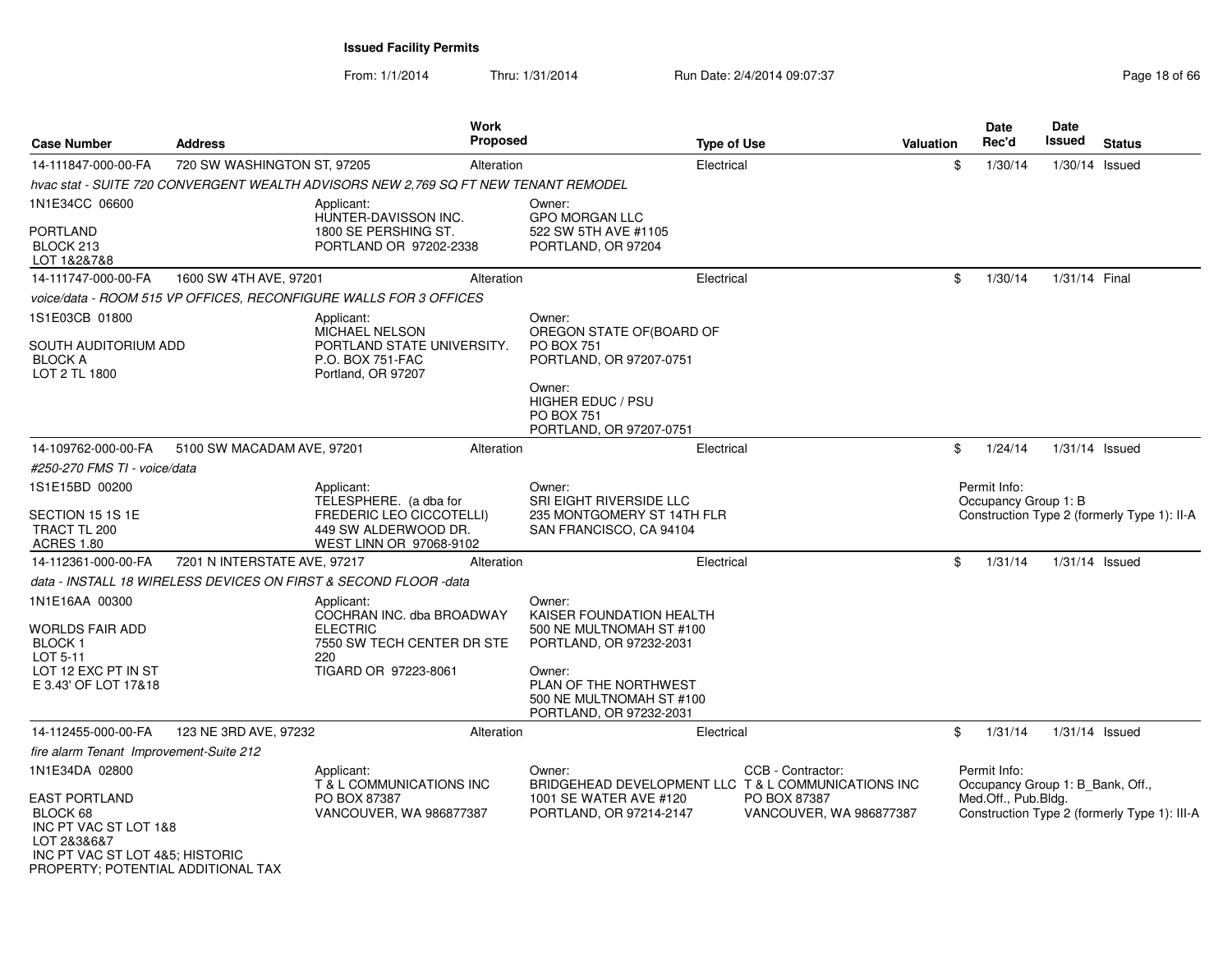From: 1/1/2014Thru: 1/31/2014 Run Date: 2/4/2014 09:07:37 Page 18 of 66

| <b>Case Number</b>                                                                                                                                | <b>Address</b>               | <b>Work</b><br><b>Proposed</b>                                                                        | <b>Type of Use</b>                                                                     |                                         | <b>Valuation</b> | <b>Date</b><br>Rec'd | Date<br>Issued                   | <b>Status</b>                                |
|---------------------------------------------------------------------------------------------------------------------------------------------------|------------------------------|-------------------------------------------------------------------------------------------------------|----------------------------------------------------------------------------------------|-----------------------------------------|------------------|----------------------|----------------------------------|----------------------------------------------|
| 14-111847-000-00-FA                                                                                                                               | 720 SW WASHINGTON ST, 97205  | Alteration                                                                                            | Electrical                                                                             |                                         | \$               | 1/30/14              | $1/30/14$ Issued                 |                                              |
|                                                                                                                                                   |                              | hvac stat - SUITE 720 CONVERGENT WEALTH ADVISORS NEW 2,769 SQ FT NEW TENANT REMODEL                   |                                                                                        |                                         |                  |                      |                                  |                                              |
| 1N1E34CC 06600                                                                                                                                    |                              | Applicant:<br>HUNTER-DAVISSON INC.                                                                    | Owner:<br><b>GPO MORGAN LLC</b>                                                        |                                         |                  |                      |                                  |                                              |
| <b>PORTLAND</b><br>BLOCK 213<br>LOT 1&2&7&8                                                                                                       |                              | 1800 SE PERSHING ST.<br>PORTLAND OR 97202-2338                                                        | 522 SW 5TH AVE #1105<br>PORTLAND, OR 97204                                             |                                         |                  |                      |                                  |                                              |
| 14-111747-000-00-FA                                                                                                                               | 1600 SW 4TH AVE, 97201       | Alteration                                                                                            | Electrical                                                                             |                                         | \$               | 1/30/14              | 1/31/14 Final                    |                                              |
|                                                                                                                                                   |                              | voice/data - ROOM 515 VP OFFICES, RECONFIGURE WALLS FOR 3 OFFICES                                     |                                                                                        |                                         |                  |                      |                                  |                                              |
| 1S1E03CB 01800<br>SOUTH AUDITORIUM ADD                                                                                                            |                              | Applicant:<br>MICHAEL NELSON<br>PORTLAND STATE UNIVERSITY.                                            | Owner:<br>OREGON STATE OF (BOARD OF<br><b>PO BOX 751</b>                               |                                         |                  |                      |                                  |                                              |
| <b>BLOCK A</b><br>LOT 2 TL 1800                                                                                                                   |                              | P.O. BOX 751-FAC<br>Portland, OR 97207                                                                | PORTLAND, OR 97207-0751<br>Owner:                                                      |                                         |                  |                      |                                  |                                              |
|                                                                                                                                                   |                              |                                                                                                       | HIGHER EDUC / PSU<br><b>PO BOX 751</b><br>PORTLAND, OR 97207-0751                      |                                         |                  |                      |                                  |                                              |
| 14-109762-000-00-FA                                                                                                                               | 5100 SW MACADAM AVE, 97201   | Alteration                                                                                            | Electrical                                                                             |                                         | \$               | 1/24/14              | $1/31/14$ Issued                 |                                              |
| #250-270 FMS TI - voice/data                                                                                                                      |                              |                                                                                                       |                                                                                        |                                         |                  |                      |                                  |                                              |
| 1S1E15BD 00200                                                                                                                                    |                              | Applicant:                                                                                            | Owner:                                                                                 |                                         |                  | Permit Info:         |                                  |                                              |
| SECTION 15 1S 1E<br>TRACT TL 200<br><b>ACRES 1.80</b>                                                                                             |                              | TELESPHERE. (a dba for<br>FREDERIC LEO CICCOTELLI)<br>449 SW ALDERWOOD DR.<br>WEST LINN OR 97068-9102 | SRI EIGHT RIVERSIDE LLC<br>235 MONTGOMERY ST 14TH FLR<br>SAN FRANCISCO, CA 94104       |                                         |                  | Occupancy Group 1: B |                                  | Construction Type 2 (formerly Type 1): II-A  |
| 14-112361-000-00-FA                                                                                                                               | 7201 N INTERSTATE AVE, 97217 | Alteration                                                                                            | Electrical                                                                             |                                         | \$               | 1/31/14              | $1/31/14$ Issued                 |                                              |
|                                                                                                                                                   |                              | data - INSTALL 18 WIRELESS DEVICES ON FIRST & SECOND FLOOR -data                                      |                                                                                        |                                         |                  |                      |                                  |                                              |
| 1N1E16AA 00300                                                                                                                                    |                              | Applicant:<br>COCHRAN INC. dba BROADWAY                                                               | Owner:<br>KAISER FOUNDATION HEALTH                                                     |                                         |                  |                      |                                  |                                              |
| WORLDS FAIR ADD<br><b>BLOCK1</b><br>LOT 5-11                                                                                                      |                              | <b>ELECTRIC</b><br>7550 SW TECH CENTER DR STE<br>220                                                  | 500 NE MULTNOMAH ST #100<br>PORTLAND, OR 97232-2031                                    |                                         |                  |                      |                                  |                                              |
| LOT 12 EXC PT IN ST<br>E 3.43' OF LOT 17&18                                                                                                       |                              | TIGARD OR 97223-8061                                                                                  | Owner:<br>PLAN OF THE NORTHWEST<br>500 NE MULTNOMAH ST #100<br>PORTLAND, OR 97232-2031 |                                         |                  |                      |                                  |                                              |
| 14-112455-000-00-FA                                                                                                                               | 123 NE 3RD AVE, 97232        | Alteration                                                                                            | Electrical                                                                             |                                         | \$               | 1/31/14              | $1/31/14$ Issued                 |                                              |
| fire alarm Tenant Improvement-Suite 212                                                                                                           |                              |                                                                                                       |                                                                                        |                                         |                  |                      |                                  |                                              |
| 1N1E34DA 02800                                                                                                                                    |                              | Applicant:<br>T & L COMMUNICATIONS INC                                                                | Owner:<br>BRIDGEHEAD DEVELOPMENT LLC T & L COMMUNICATIONS INC                          | CCB - Contractor:                       |                  | Permit Info:         | Occupancy Group 1: B_Bank, Off., |                                              |
| <b>EAST PORTLAND</b><br>BLOCK 68<br>INC PT VAC ST LOT 1&8<br>LOT 2&3&6&7<br>INC PT VAC ST LOT 4&5; HISTORIC<br>PROPERTY; POTENTIAL ADDITIONAL TAX |                              | PO BOX 87387<br>VANCOUVER, WA 986877387                                                               | 1001 SE WATER AVE #120<br>PORTLAND, OR 97214-2147                                      | PO BOX 87387<br>VANCOUVER, WA 986877387 |                  | Med.Off., Pub.Bldg.  |                                  | Construction Type 2 (formerly Type 1): III-A |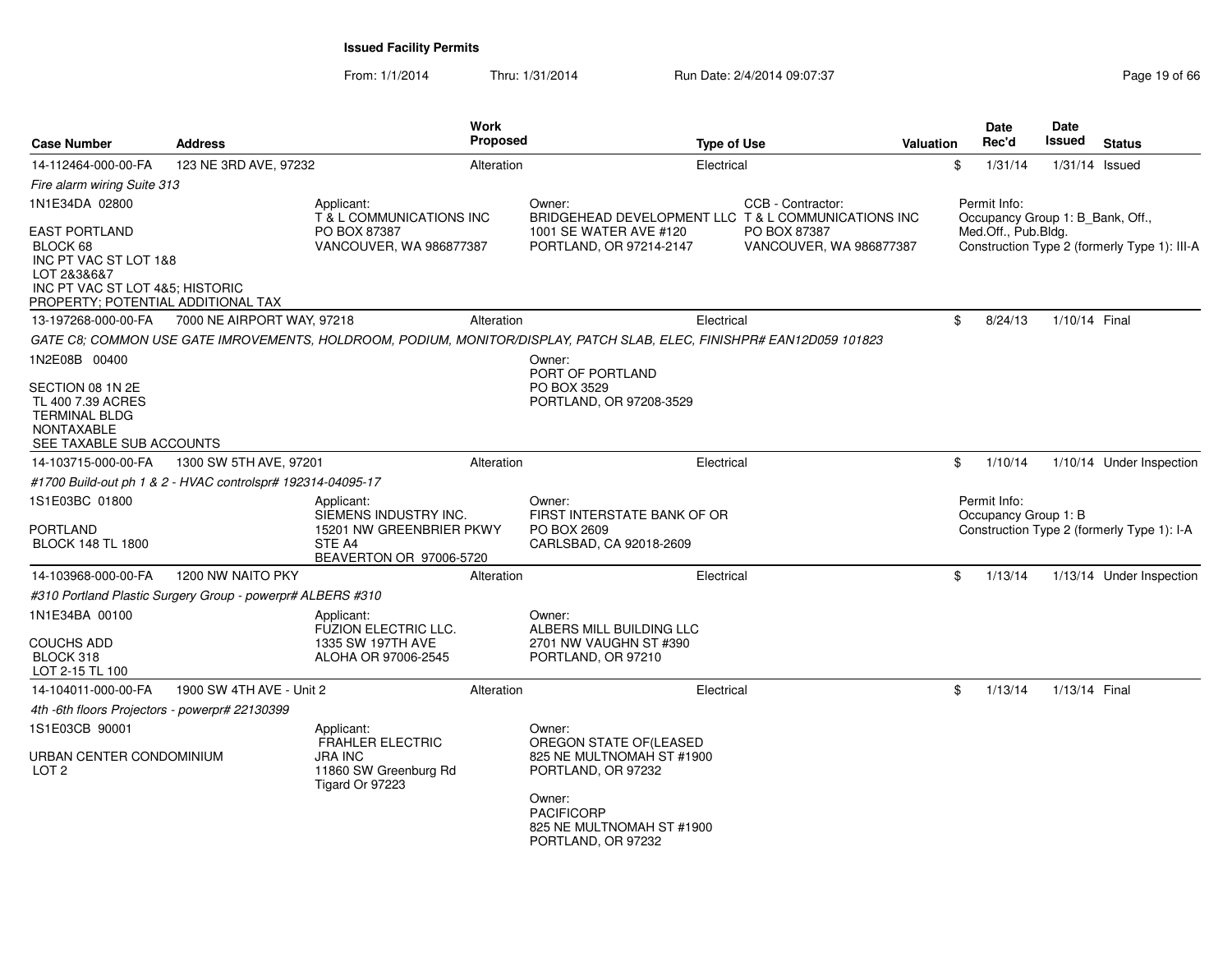From: 1/1/2014Thru: 1/31/2014 Run Date: 2/4/2014 09:07:37 Page 19 of 66

| <b>Case Number</b>                                                                                                                                | <b>Address</b>                                              |                                                                                                      | <b>Work</b><br>Proposed |                                                                                                                       | <b>Type of Use</b>                      | Valuation | Date<br>Rec'd                                    | <b>Date</b><br><b>Issued</b> | <b>Status</b>                                |
|---------------------------------------------------------------------------------------------------------------------------------------------------|-------------------------------------------------------------|------------------------------------------------------------------------------------------------------|-------------------------|-----------------------------------------------------------------------------------------------------------------------|-----------------------------------------|-----------|--------------------------------------------------|------------------------------|----------------------------------------------|
| 14-112464-000-00-FA                                                                                                                               | 123 NE 3RD AVE, 97232                                       |                                                                                                      | Alteration              | Electrical                                                                                                            |                                         | \$        | 1/31/14                                          | $1/31/14$ Issued             |                                              |
| Fire alarm wiring Suite 313                                                                                                                       |                                                             |                                                                                                      |                         |                                                                                                                       |                                         |           |                                                  |                              |                                              |
| 1N1E34DA 02800                                                                                                                                    |                                                             | Applicant:<br>T & L COMMUNICATIONS INC                                                               |                         | Owner:<br>BRIDGEHEAD DEVELOPMENT LLC T & L COMMUNICATIONS INC                                                         | CCB - Contractor:                       |           | Permit Info:<br>Occupancy Group 1: B_Bank, Off., |                              |                                              |
| <b>EAST PORTLAND</b><br>BLOCK 68<br>INC PT VAC ST LOT 1&8<br>LOT 2&3&6&7<br>INC PT VAC ST LOT 4&5; HISTORIC<br>PROPERTY; POTENTIAL ADDITIONAL TAX |                                                             | PO BOX 87387<br>VANCOUVER, WA 986877387                                                              |                         | 1001 SE WATER AVE #120<br>PORTLAND, OR 97214-2147                                                                     | PO BOX 87387<br>VANCOUVER, WA 986877387 |           | Med.Off., Pub.Bldg.                              |                              | Construction Type 2 (formerly Type 1): III-A |
| 13-197268-000-00-FA                                                                                                                               | 7000 NE AIRPORT WAY, 97218                                  |                                                                                                      | Alteration              | Electrical                                                                                                            |                                         | \$        | 8/24/13                                          | 1/10/14 Final                |                                              |
|                                                                                                                                                   |                                                             |                                                                                                      |                         | GATE C8: COMMON USE GATE IMROVEMENTS, HOLDROOM, PODIUM, MONITOR/DISPLAY, PATCH SLAB, ELEC, FINISHPR# EAN12D059 101823 |                                         |           |                                                  |                              |                                              |
| 1N2E08B 00400                                                                                                                                     |                                                             |                                                                                                      |                         | Owner:<br>PORT OF PORTLAND                                                                                            |                                         |           |                                                  |                              |                                              |
| SECTION 08 1N 2E<br>TL 400 7.39 ACRES<br><b>TERMINAL BLDG</b><br><b>NONTAXABLE</b><br>SEE TAXABLE SUB ACCOUNTS                                    |                                                             |                                                                                                      |                         | PO BOX 3529<br>PORTLAND, OR 97208-3529                                                                                |                                         |           |                                                  |                              |                                              |
| 14-103715-000-00-FA                                                                                                                               | 1300 SW 5TH AVE, 97201                                      |                                                                                                      | Alteration              | Electrical                                                                                                            |                                         | \$        | 1/10/14                                          |                              | 1/10/14 Under Inspection                     |
|                                                                                                                                                   | #1700 Build-out ph 1 & 2 - HVAC controlspr# 192314-04095-17 |                                                                                                      |                         |                                                                                                                       |                                         |           |                                                  |                              |                                              |
| 1S1E03BC 01800<br><b>PORTLAND</b><br><b>BLOCK 148 TL 1800</b>                                                                                     |                                                             | Applicant:<br>SIEMENS INDUSTRY INC.<br>15201 NW GREENBRIER PKWY<br>STE A4<br>BEAVERTON OR 97006-5720 |                         | Owner:<br>FIRST INTERSTATE BANK OF OR<br>PO BOX 2609<br>CARLSBAD, CA 92018-2609                                       |                                         |           | Permit Info:<br>Occupancy Group 1: B             |                              | Construction Type 2 (formerly Type 1): I-A   |
| 14-103968-000-00-FA                                                                                                                               | 1200 NW NAITO PKY                                           |                                                                                                      | Alteration              | Electrical                                                                                                            |                                         | \$        | 1/13/14                                          |                              | 1/13/14 Under Inspection                     |
|                                                                                                                                                   | #310 Portland Plastic Surgery Group - powerpr# ALBERS #310  |                                                                                                      |                         |                                                                                                                       |                                         |           |                                                  |                              |                                              |
| 1N1E34BA 00100<br><b>COUCHS ADD</b><br>BLOCK 318<br>LOT 2-15 TL 100                                                                               |                                                             | Applicant:<br>FUZION ELECTRIC LLC.<br>1335 SW 197TH AVE<br>ALOHA OR 97006-2545                       |                         | Owner:<br>ALBERS MILL BUILDING LLC<br>2701 NW VAUGHN ST #390<br>PORTLAND, OR 97210                                    |                                         |           |                                                  |                              |                                              |
| 14-104011-000-00-FA                                                                                                                               | 1900 SW 4TH AVE - Unit 2                                    |                                                                                                      | Alteration              | Electrical                                                                                                            |                                         | \$        | 1/13/14                                          | 1/13/14 Final                |                                              |
| 4th -6th floors Projectors - powerpr# 22130399                                                                                                    |                                                             |                                                                                                      |                         |                                                                                                                       |                                         |           |                                                  |                              |                                              |
| 1S1E03CB 90001                                                                                                                                    |                                                             | Applicant:                                                                                           |                         | Owner:                                                                                                                |                                         |           |                                                  |                              |                                              |
| URBAN CENTER CONDOMINIUM<br>LOT <sub>2</sub>                                                                                                      |                                                             | <b>FRAHLER ELECTRIC</b><br><b>JRA INC</b><br>11860 SW Greenburg Rd<br>Tigard Or 97223                |                         | OREGON STATE OF(LEASED<br>825 NE MULTNOMAH ST #1900<br>PORTLAND, OR 97232                                             |                                         |           |                                                  |                              |                                              |
|                                                                                                                                                   |                                                             |                                                                                                      |                         | Owner:<br><b>PACIFICORP</b><br>825 NE MULTNOMAH ST #1900<br>PORTLAND, OR 97232                                        |                                         |           |                                                  |                              |                                              |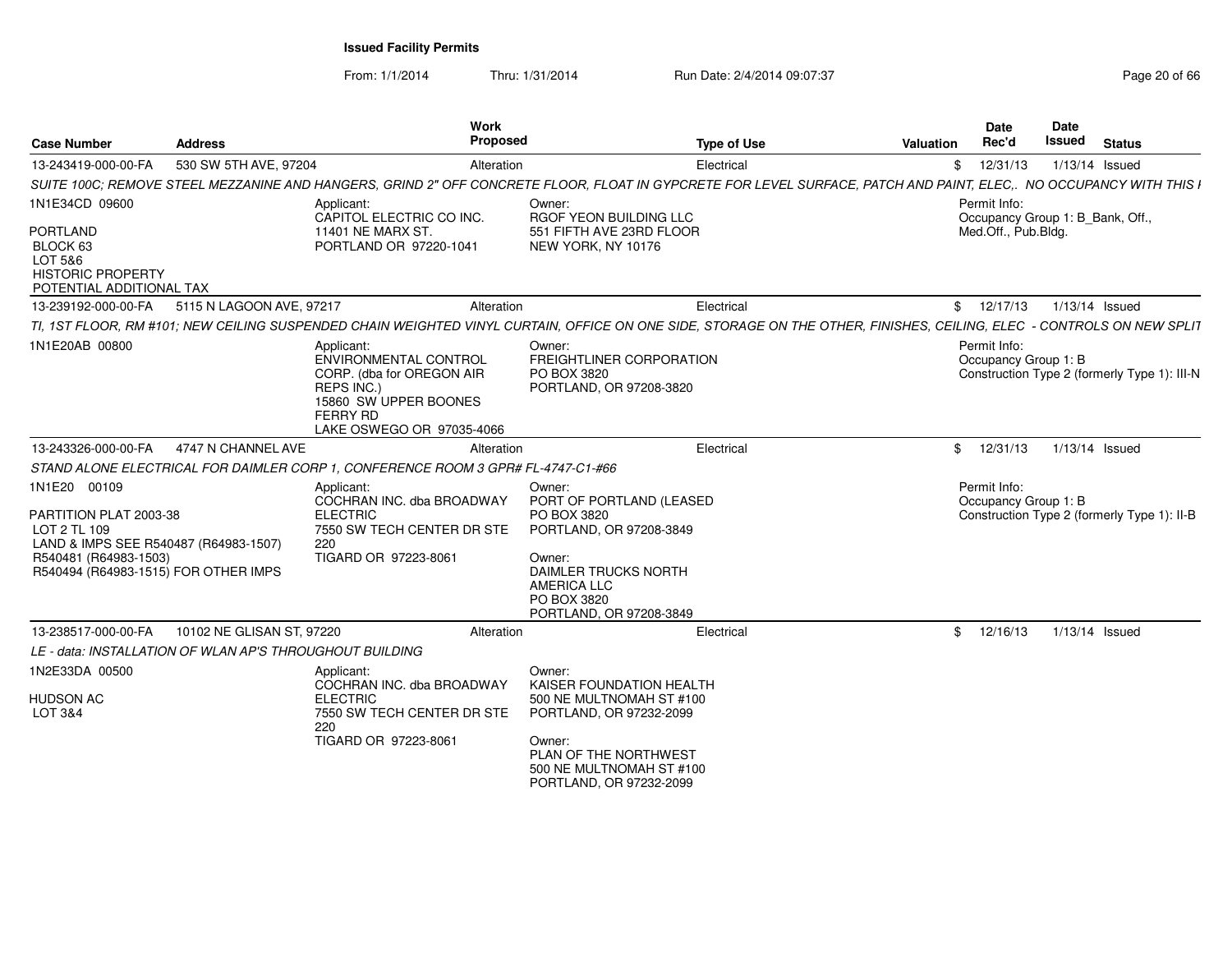From: 1/1/2014Thru: 1/31/2014 Run Date: 2/4/2014 09:07:37 Page 20 of 66

| <b>Case Number</b>                                                                             | <b>Address</b>                                           | Work<br>Proposed                                                                                                                                        | <b>Type of Use</b>                                                                                                                                                    | <b>Valuation</b> | <b>Date</b><br>Rec'd                                                                 | <b>Date</b><br><b>Issued</b> | <b>Status</b>  |  |
|------------------------------------------------------------------------------------------------|----------------------------------------------------------|---------------------------------------------------------------------------------------------------------------------------------------------------------|-----------------------------------------------------------------------------------------------------------------------------------------------------------------------|------------------|--------------------------------------------------------------------------------------|------------------------------|----------------|--|
| 13-243419-000-00-FA                                                                            | 530 SW 5TH AVE, 97204                                    | Alteration                                                                                                                                              | Electrical                                                                                                                                                            |                  | 12/31/13<br>\$                                                                       |                              | 1/13/14 Issued |  |
|                                                                                                |                                                          |                                                                                                                                                         | SUITE 100C; REMOVE STEEL MEZZANINE AND HANGERS, GRIND 2" OFF CONCRETE FLOOR, FLOAT IN GYPCRETE FOR LEVEL SURFACE, PATCH AND PAINT, ELEC NO OCCUPANCY WITH THIS I      |                  |                                                                                      |                              |                |  |
| 1N1E34CD 09600                                                                                 |                                                          | Applicant:<br>CAPITOL ELECTRIC CO INC.                                                                                                                  | Owner:<br><b>RGOF YEON BUILDING LLC</b>                                                                                                                               |                  | Permit Info:<br>Occupancy Group 1: B Bank, Off.,                                     |                              |                |  |
| <b>PORTLAND</b><br>BLOCK 63<br>LOT 5&6<br><b>HISTORIC PROPERTY</b><br>POTENTIAL ADDITIONAL TAX |                                                          | <b>11401 NE MARX ST</b><br>PORTLAND OR 97220-1041                                                                                                       | 551 FIFTH AVE 23RD FLOOR<br>NEW YORK, NY 10176                                                                                                                        |                  | Med.Off., Pub.Bldg.                                                                  |                              |                |  |
| 13-239192-000-00-FA                                                                            | 5115 N LAGOON AVE, 97217                                 | Alteration                                                                                                                                              | Electrical                                                                                                                                                            |                  | \$12/17/13                                                                           |                              | 1/13/14 Issued |  |
|                                                                                                |                                                          |                                                                                                                                                         | TI, 1ST FLOOR, RM #101; NEW CEILING SUSPENDED CHAIN WEIGHTED VINYL CURTAIN, OFFICE ON ONE SIDE, STORAGE ON THE OTHER, FINISHES, CEILING, ELEC - CONTROLS ON NEW SPLIT |                  |                                                                                      |                              |                |  |
| 1N1E20AB 00800                                                                                 |                                                          | Applicant:<br>ENVIRONMENTAL CONTROL<br>CORP. (dba for OREGON AIR<br>REPS INC.)<br>15860 SW UPPER BOONES<br><b>FERRY RD</b><br>LAKE OSWEGO OR 97035-4066 | Owner:<br><b>FREIGHTLINER CORPORATION</b><br>PO BOX 3820<br>PORTLAND, OR 97208-3820                                                                                   |                  | Permit Info:<br>Occupancy Group 1: B<br>Construction Type 2 (formerly Type 1): III-N |                              |                |  |
| 13-243326-000-00-FA                                                                            | 4747 N CHANNEL AVE                                       | Alteration                                                                                                                                              | Electrical                                                                                                                                                            |                  | 12/31/13<br>$^{\circ}$                                                               |                              | 1/13/14 Issued |  |
|                                                                                                |                                                          | STAND ALONE ELECTRICAL FOR DAIMLER CORP 1, CONFERENCE ROOM 3 GPR# FL-4747-C1-#66                                                                        |                                                                                                                                                                       |                  |                                                                                      |                              |                |  |
| 1N1E20 00109                                                                                   |                                                          | Applicant<br>COCHRAN INC. dba BROADWAY                                                                                                                  | Owner:<br>PORT OF PORTLAND (LEASED                                                                                                                                    |                  | Permit Info:<br>Occupancy Group 1: B                                                 |                              |                |  |
| PARTITION PLAT 2003-38<br>LOT 2 TL 109<br>LAND & IMPS SEE R540487 (R64983-1507)                |                                                          | <b>ELECTRIC</b><br>7550 SW TECH CENTER DR STE<br>220                                                                                                    | PO BOX 3820<br>PORTLAND, OR 97208-3849                                                                                                                                |                  | Construction Type 2 (formerly Type 1): II-B                                          |                              |                |  |
| R540481 (R64983-1503)<br>R540494 (R64983-1515) FOR OTHER IMPS                                  |                                                          | TIGARD OR 97223-8061                                                                                                                                    | Owner:<br>DAIMLER TRUCKS NORTH<br><b>AMERICA LLC</b><br>PO BOX 3820<br>PORTLAND, OR 97208-3849                                                                        |                  |                                                                                      |                              |                |  |
| 13-238517-000-00-FA                                                                            | 10102 NE GLISAN ST. 97220                                | Alteration                                                                                                                                              | Electrical                                                                                                                                                            |                  | \$12/16/13                                                                           |                              | 1/13/14 Issued |  |
|                                                                                                | LE - data: INSTALLATION OF WLAN AP'S THROUGHOUT BUILDING |                                                                                                                                                         |                                                                                                                                                                       |                  |                                                                                      |                              |                |  |
| 1N2E33DA 00500                                                                                 |                                                          | Applicant:<br>COCHRAN INC. dba BROADWAY                                                                                                                 | Owner:<br>KAISER FOUNDATION HEALTH                                                                                                                                    |                  |                                                                                      |                              |                |  |
| <b>HUDSON AC</b><br>LOT 3&4                                                                    |                                                          | <b>ELECTRIC</b><br>7550 SW TECH CENTER DR STE<br>220                                                                                                    | 500 NE MULTNOMAH ST #100<br>PORTLAND, OR 97232-2099                                                                                                                   |                  |                                                                                      |                              |                |  |
|                                                                                                |                                                          | TIGARD OR 97223-8061                                                                                                                                    | Owner:<br>PLAN OF THE NORTHWEST<br>500 NE MULTNOMAH ST #100<br>PORTLAND, OR 97232-2099                                                                                |                  |                                                                                      |                              |                |  |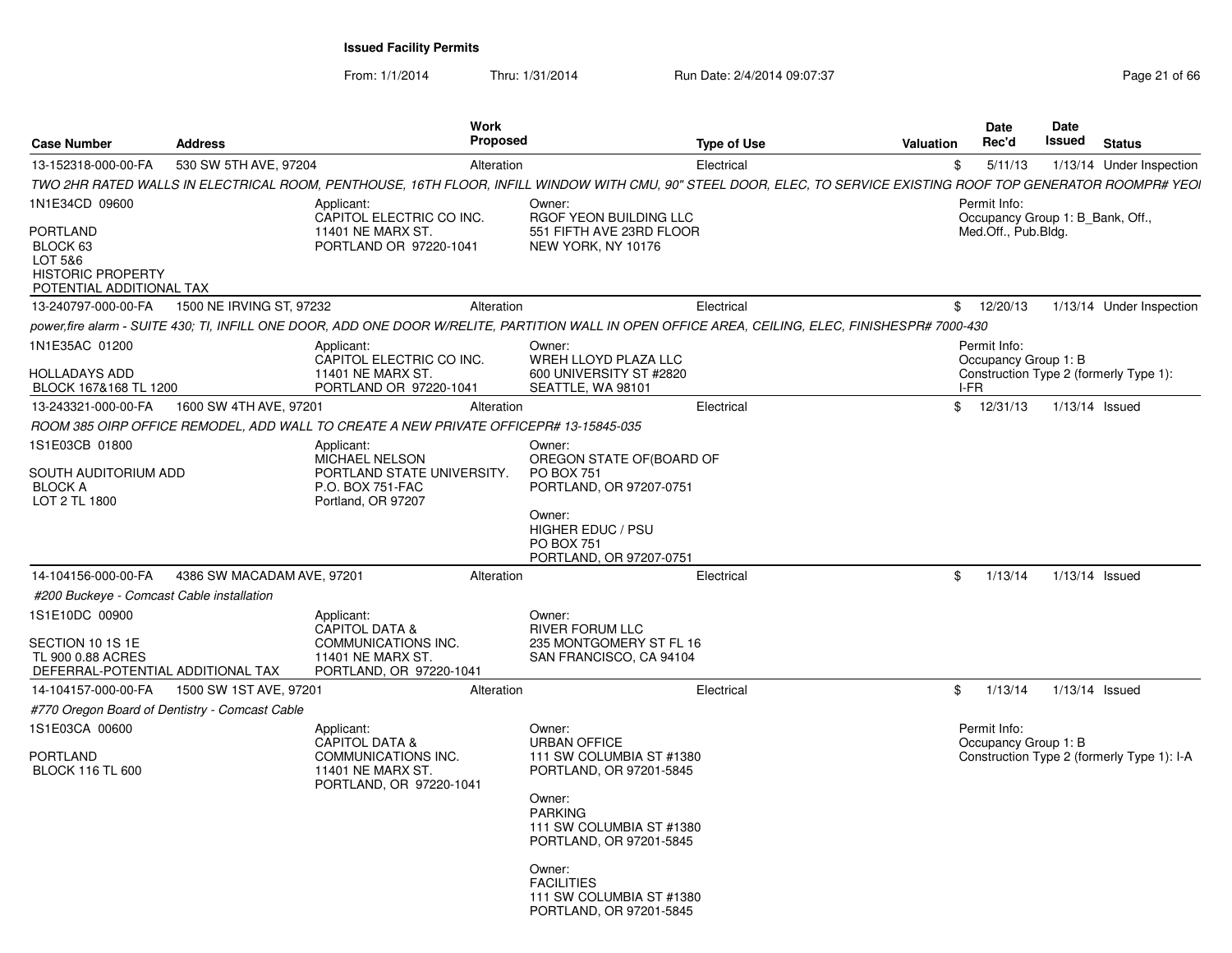From: 1/1/2014

Thru: 1/31/2014 Run Date: 2/4/2014 09:07:37 Page 21 of 66

| <b>Case Number</b>                                                                      | <b>Address</b>             | <b>Work</b><br><b>Proposed</b>                                                                          |                                                                                    | <b>Type of Use</b>                                                                                                                                               | Valuation | Date<br>Rec'd                                    | Date<br>Issued | <b>Status</b>                              |
|-----------------------------------------------------------------------------------------|----------------------------|---------------------------------------------------------------------------------------------------------|------------------------------------------------------------------------------------|------------------------------------------------------------------------------------------------------------------------------------------------------------------|-----------|--------------------------------------------------|----------------|--------------------------------------------|
| 13-152318-000-00-FA                                                                     | 530 SW 5TH AVE, 97204      | Alteration                                                                                              |                                                                                    | Electrical                                                                                                                                                       | \$        | 5/11/13                                          |                | 1/13/14 Under Inspection                   |
|                                                                                         |                            |                                                                                                         |                                                                                    | TWO 2HR RATED WALLS IN ELECTRICAL ROOM, PENTHOUSE, 16TH FLOOR, INFILL WINDOW WITH CMU, 90" STEEL DOOR, ELEC, TO SERVICE EXISTING ROOF TOP GENERATOR ROOMPR# YEOI |           |                                                  |                |                                            |
| 1N1E34CD 09600                                                                          |                            | Applicant:<br>CAPITOL ELECTRIC CO INC.                                                                  | Owner:<br>RGOF YEON BUILDING LLC                                                   |                                                                                                                                                                  |           | Permit Info:<br>Occupancy Group 1: B Bank, Off., |                |                                            |
| PORTLAND<br>BLOCK 63<br>LOT 5&6<br><b>HISTORIC PROPERTY</b><br>POTENTIAL ADDITIONAL TAX |                            | 11401 NE MARX ST.<br>PORTLAND OR 97220-1041                                                             | 551 FIFTH AVE 23RD FLOOR<br>NEW YORK, NY 10176                                     |                                                                                                                                                                  |           | Med.Off., Pub.Bldg.                              |                |                                            |
| 13-240797-000-00-FA                                                                     | 1500 NE IRVING ST, 97232   | Alteration                                                                                              |                                                                                    | Electrical                                                                                                                                                       |           | \$12/20/13                                       |                | 1/13/14 Under Inspection                   |
|                                                                                         |                            |                                                                                                         |                                                                                    | power.fire alarm - SUITE 430; TI, INFILL ONE DOOR, ADD ONE DOOR W/RELITE, PARTITION WALL IN OPEN OFFICE AREA, CEILING, ELEC, FINISHESPR# 7000-430                |           |                                                  |                |                                            |
| 1N1E35AC 01200                                                                          |                            | Applicant:<br>CAPITOL ELECTRIC CO INC.                                                                  | Owner:<br>WREH LLOYD PLAZA LLC                                                     |                                                                                                                                                                  |           | Permit Info:<br>Occupancy Group 1: B             |                |                                            |
| <b>HOLLADAYS ADD</b><br>BLOCK 167&168 TL 1200                                           |                            | 11401 NE MARX ST.<br>PORTLAND OR 97220-1041                                                             | 600 UNIVERSITY ST #2820<br>SEATTLE, WA 98101                                       |                                                                                                                                                                  |           | I-FR                                             |                | Construction Type 2 (formerly Type 1):     |
| 13-243321-000-00-FA                                                                     | 1600 SW 4TH AVE, 97201     | Alteration                                                                                              |                                                                                    | Electrical                                                                                                                                                       |           | \$12/31/13                                       |                | $1/13/14$ Issued                           |
|                                                                                         |                            | ROOM 385 OIRP OFFICE REMODEL, ADD WALL TO CREATE A NEW PRIVATE OFFICEPR# 13-15845-035                   |                                                                                    |                                                                                                                                                                  |           |                                                  |                |                                            |
| 1S1E03CB 01800                                                                          |                            | Applicant:                                                                                              | Owner:                                                                             |                                                                                                                                                                  |           |                                                  |                |                                            |
| SOUTH AUDITORIUM ADD<br><b>BLOCK A</b><br>LOT 2 TL 1800                                 |                            | MICHAEL NELSON<br>PORTLAND STATE UNIVERSITY.<br>P.O. BOX 751-FAC<br>Portland, OR 97207                  | OREGON STATE OF(BOARD OF<br><b>PO BOX 751</b><br>PORTLAND, OR 97207-0751           |                                                                                                                                                                  |           |                                                  |                |                                            |
|                                                                                         |                            |                                                                                                         | Owner:<br>HIGHER EDUC / PSU<br><b>PO BOX 751</b><br>PORTLAND, OR 97207-0751        |                                                                                                                                                                  |           |                                                  |                |                                            |
| 14-104156-000-00-FA                                                                     | 4386 SW MACADAM AVE, 97201 | Alteration                                                                                              |                                                                                    | Electrical                                                                                                                                                       | \$        | 1/13/14                                          |                | 1/13/14 Issued                             |
| #200 Buckeye - Comcast Cable installation                                               |                            |                                                                                                         |                                                                                    |                                                                                                                                                                  |           |                                                  |                |                                            |
| 1S1E10DC 00900                                                                          |                            | Applicant:<br><b>CAPITOL DATA &amp;</b>                                                                 | Owner:<br><b>RIVER FORUM LLC</b>                                                   |                                                                                                                                                                  |           |                                                  |                |                                            |
| SECTION 10 1S 1E                                                                        |                            | COMMUNICATIONS INC.                                                                                     | 235 MONTGOMERY ST FL 16                                                            |                                                                                                                                                                  |           |                                                  |                |                                            |
| TL 900 0.88 ACRES<br>DEFERRAL-POTENTIAL ADDITIONAL TAX                                  |                            | 11401 NE MARX ST.<br>PORTLAND, OR 97220-1041                                                            | SAN FRANCISCO, CA 94104                                                            |                                                                                                                                                                  |           |                                                  |                |                                            |
| 14-104157-000-00-FA                                                                     | 1500 SW 1ST AVE, 97201     | Alteration                                                                                              |                                                                                    | Electrical                                                                                                                                                       | \$        | 1/13/14                                          |                | 1/13/14 Issued                             |
| #770 Oregon Board of Dentistry - Comcast Cable                                          |                            |                                                                                                         |                                                                                    |                                                                                                                                                                  |           |                                                  |                |                                            |
| 1S1E03CA 00600                                                                          |                            | Applicant:                                                                                              | Owner:                                                                             |                                                                                                                                                                  |           | Permit Info:                                     |                |                                            |
| <b>PORTLAND</b><br><b>BLOCK 116 TL 600</b>                                              |                            | <b>CAPITOL DATA &amp;</b><br><b>COMMUNICATIONS INC.</b><br>11401 NE MARX ST.<br>PORTLAND, OR 97220-1041 | <b>URBAN OFFICE</b><br>111 SW COLUMBIA ST #1380<br>PORTLAND, OR 97201-5845         |                                                                                                                                                                  |           | Occupancy Group 1: B                             |                | Construction Type 2 (formerly Type 1): I-A |
|                                                                                         |                            |                                                                                                         | Owner:<br><b>PARKING</b><br>111 SW COLUMBIA ST #1380<br>PORTLAND, OR 97201-5845    |                                                                                                                                                                  |           |                                                  |                |                                            |
|                                                                                         |                            |                                                                                                         | Owner:<br><b>FACILITIES</b><br>111 SW COLUMBIA ST #1380<br>PORTLAND, OR 97201-5845 |                                                                                                                                                                  |           |                                                  |                |                                            |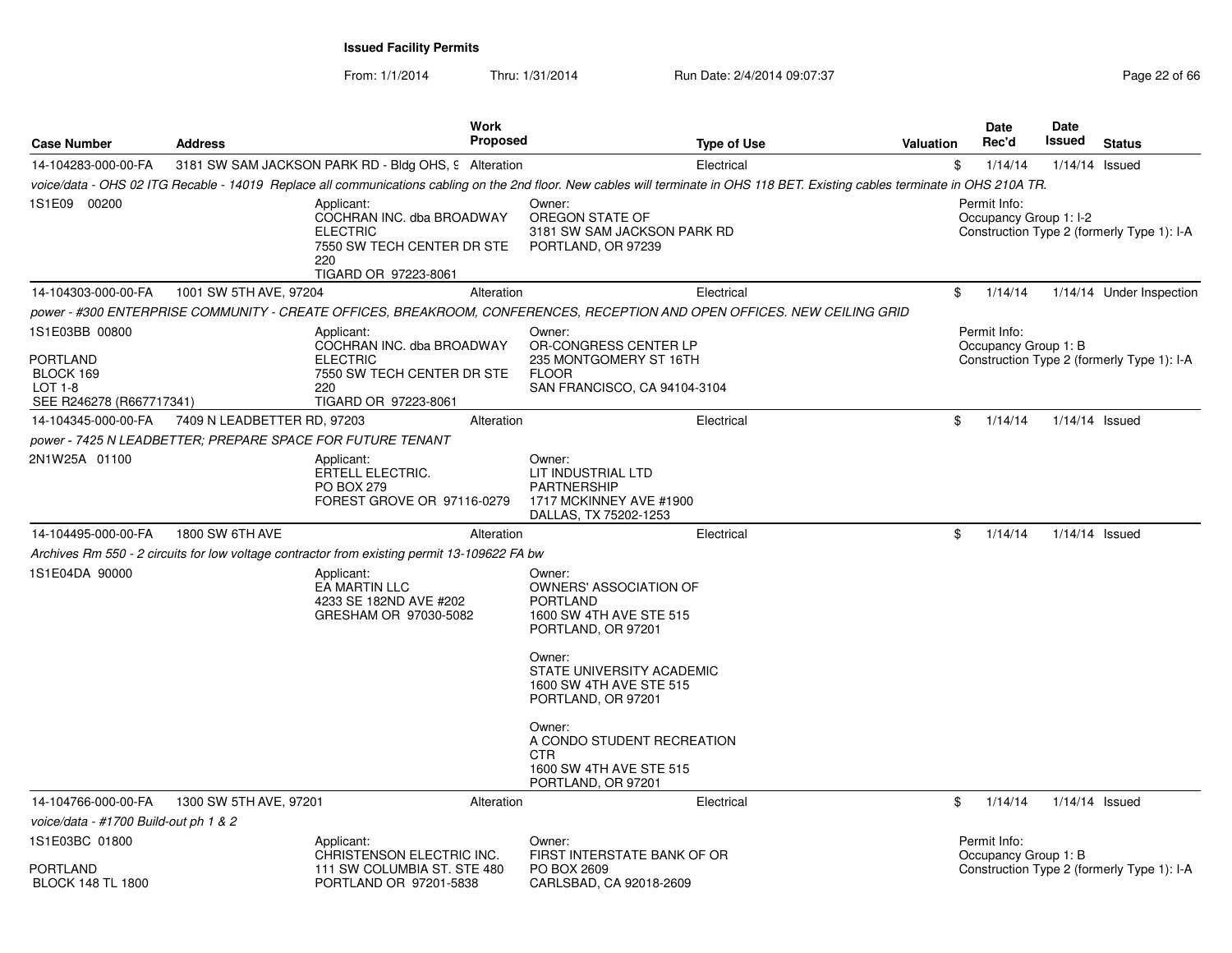From: 1/1/2014

Thru: 1/31/2014 Run Date: 2/4/2014 09:07:37 Page 22 of 66

| <b>Case Number</b>                                                                           | <b>Address</b>              | <b>Work</b><br><b>Proposed</b>                                                                                          | <b>Type of Use</b>                                                                                                                                                               | Valuation | Date<br>Rec'd                          | Date<br>Issued | <b>Status</b>                              |
|----------------------------------------------------------------------------------------------|-----------------------------|-------------------------------------------------------------------------------------------------------------------------|----------------------------------------------------------------------------------------------------------------------------------------------------------------------------------|-----------|----------------------------------------|----------------|--------------------------------------------|
| 14-104283-000-00-FA                                                                          |                             | 3181 SW SAM JACKSON PARK RD - Bldg OHS, 9 Alteration                                                                    | Electrical                                                                                                                                                                       |           | \$<br>1/14/14                          | 1/14/14        | Issued                                     |
|                                                                                              |                             |                                                                                                                         | voice/data - OHS 02 ITG Recable - 14019 Replace all communications cabling on the 2nd floor. New cables will terminate in OHS 118 BET. Existing cables terminate in OHS 210A TR. |           |                                        |                |                                            |
| 1S1E09 00200                                                                                 |                             | Applicant:<br>COCHRAN INC. dba BROADWAY<br><b>ELECTRIC</b><br>7550 SW TECH CENTER DR STE<br>220<br>TIGARD OR 97223-8061 | Owner:<br>OREGON STATE OF<br>3181 SW SAM JACKSON PARK RD<br>PORTLAND, OR 97239                                                                                                   |           | Permit Info:<br>Occupancy Group 1: I-2 |                | Construction Type 2 (formerly Type 1): I-A |
| 14-104303-000-00-FA                                                                          | 1001 SW 5TH AVE, 97204      | Alteration                                                                                                              | Electrical                                                                                                                                                                       |           | \$<br>1/14/14                          |                | 1/14/14 Under Inspection                   |
|                                                                                              |                             |                                                                                                                         | power - #300 ENTERPRISE COMMUNITY - CREATE OFFICES, BREAKROOM, CONFERENCES, RECEPTION AND OPEN OFFICES. NEW CEILING GRID                                                         |           |                                        |                |                                            |
| 1S1E03BB 00800<br><b>PORTLAND</b><br>BLOCK 169<br><b>LOT 1-8</b><br>SEE R246278 (R667717341) |                             | Applicant:<br>COCHRAN INC. dba BROADWAY<br><b>ELECTRIC</b><br>7550 SW TECH CENTER DR STE<br>220<br>TIGARD OR 97223-8061 | Owner:<br>OR-CONGRESS CENTER LP<br>235 MONTGOMERY ST 16TH<br><b>FLOOR</b><br>SAN FRANCISCO, CA 94104-3104                                                                        |           | Permit Info:<br>Occupancy Group 1: B   |                | Construction Type 2 (formerly Type 1): I-A |
| 14-104345-000-00-FA                                                                          | 7409 N LEADBETTER RD, 97203 | Alteration                                                                                                              | Electrical                                                                                                                                                                       |           | \$<br>1/14/14                          |                | 1/14/14 Issued                             |
| power - 7425 N LEADBETTER; PREPARE SPACE FOR FUTURE TENANT                                   |                             |                                                                                                                         |                                                                                                                                                                                  |           |                                        |                |                                            |
| 2N1W25A 01100                                                                                |                             | Applicant:<br>ERTELL ELECTRIC.<br>PO BOX 279<br>FOREST GROVE OR 97116-0279                                              | Owner:<br>LIT INDUSTRIAL LTD<br><b>PARTNERSHIP</b><br>1717 MCKINNEY AVE #1900<br>DALLAS, TX 75202-1253                                                                           |           |                                        |                |                                            |
| 14-104495-000-00-FA                                                                          | 1800 SW 6TH AVE             | Alteration                                                                                                              | Electrical                                                                                                                                                                       |           | \$<br>1/14/14                          |                | 1/14/14 Issued                             |
|                                                                                              |                             | Archives Rm 550 - 2 circuits for low voltage contractor from existing permit 13-109622 FA bw                            |                                                                                                                                                                                  |           |                                        |                |                                            |
| 1S1E04DA 90000                                                                               |                             | Applicant:<br>EA MARTIN LLC<br>4233 SE 182ND AVE #202<br>GRESHAM OR 97030-5082                                          | Owner:<br>OWNERS' ASSOCIATION OF<br><b>PORTLAND</b><br>1600 SW 4TH AVE STE 515<br>PORTLAND, OR 97201<br>Owner:<br>STATE UNIVERSITY ACADEMIC<br>1600 SW 4TH AVE STE 515           |           |                                        |                |                                            |
|                                                                                              |                             |                                                                                                                         | PORTLAND, OR 97201<br>Owner:<br>A CONDO STUDENT RECREATION                                                                                                                       |           |                                        |                |                                            |
|                                                                                              |                             |                                                                                                                         | CTR<br>1600 SW 4TH AVE STE 515<br>PORTLAND, OR 97201                                                                                                                             |           |                                        |                |                                            |
| 14-104766-000-00-FA                                                                          | 1300 SW 5TH AVE, 97201      | Alteration                                                                                                              | Electrical                                                                                                                                                                       |           | \$<br>1/14/14                          |                | 1/14/14 Issued                             |
| voice/data - #1700 Build-out ph 1 & 2                                                        |                             |                                                                                                                         |                                                                                                                                                                                  |           |                                        |                |                                            |
| 1S1E03BC 01800<br>PORTLAND<br><b>BLOCK 148 TL 1800</b>                                       |                             | Applicant:<br>CHRISTENSON ELECTRIC INC.<br>111 SW COLUMBIA ST. STE 480<br>PORTLAND OR 97201-5838                        | Owner:<br>FIRST INTERSTATE BANK OF OR<br>PO BOX 2609<br>CARLSBAD, CA 92018-2609                                                                                                  |           | Permit Info:<br>Occupancy Group 1: B   |                | Construction Type 2 (formerly Type 1): I-A |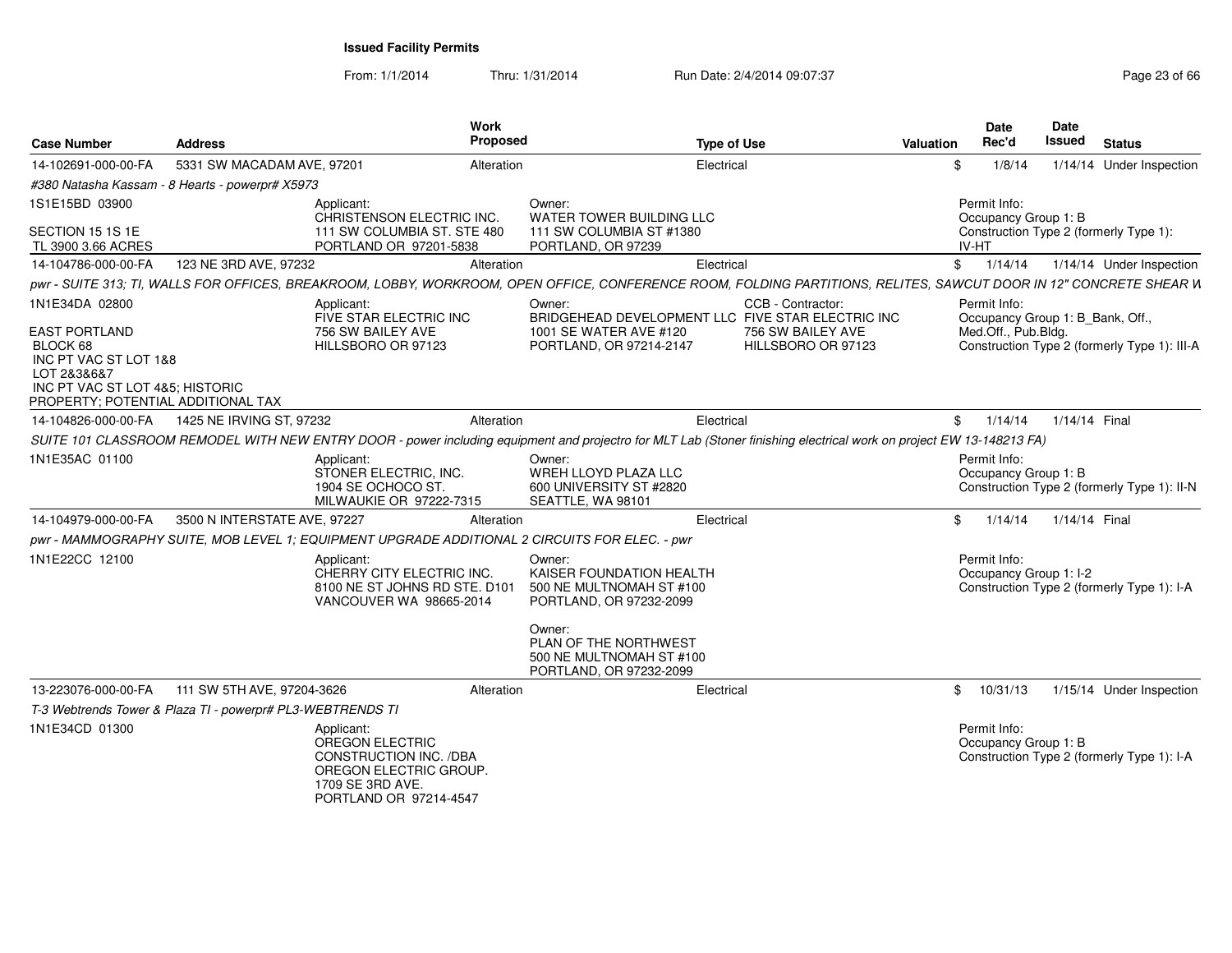From: 1/1/2014

Thru: 1/31/2014 Run Date: 2/4/2014 09:07:37 Page 23 of 66

| <b>Case Number</b>                                                                                                                                                  | <b>Address</b>                                             | <b>Work</b><br><b>Proposed</b>                                                                                                                                      |                                                                                                                                                                                     | <b>Type of Use</b>                                                                                                | Valuation | Date<br>Rec'd                                                           | <b>Date</b><br>Issued | <b>Status</b>                                |
|---------------------------------------------------------------------------------------------------------------------------------------------------------------------|------------------------------------------------------------|---------------------------------------------------------------------------------------------------------------------------------------------------------------------|-------------------------------------------------------------------------------------------------------------------------------------------------------------------------------------|-------------------------------------------------------------------------------------------------------------------|-----------|-------------------------------------------------------------------------|-----------------------|----------------------------------------------|
| 14-102691-000-00-FA                                                                                                                                                 | 5331 SW MACADAM AVE, 97201                                 | Alteration                                                                                                                                                          |                                                                                                                                                                                     | Electrical                                                                                                        | \$        | 1/8/14                                                                  |                       | 1/14/14 Under Inspection                     |
|                                                                                                                                                                     | #380 Natasha Kassam - 8 Hearts - powerpr# X5973            |                                                                                                                                                                     |                                                                                                                                                                                     |                                                                                                                   |           |                                                                         |                       |                                              |
| 1S1E15BD 03900<br>SECTION 15 1S 1E                                                                                                                                  |                                                            | Applicant:<br>CHRISTENSON ELECTRIC INC.<br>111 SW COLUMBIA ST. STE 480                                                                                              | Owner:<br>WATER TOWER BUILDING LLC<br>111 SW COLUMBIA ST #1380                                                                                                                      |                                                                                                                   |           | Permit Info:<br>Occupancy Group 1: B                                    |                       | Construction Type 2 (formerly Type 1):       |
| TL 3900 3.66 ACRES                                                                                                                                                  |                                                            | PORTLAND OR 97201-5838                                                                                                                                              | PORTLAND, OR 97239                                                                                                                                                                  |                                                                                                                   |           | <b>IV-HT</b>                                                            |                       |                                              |
| 14-104786-000-00-FA                                                                                                                                                 | 123 NE 3RD AVE, 97232                                      | Alteration                                                                                                                                                          |                                                                                                                                                                                     | Electrical                                                                                                        |           | $\mathbb{S}$<br>1/14/14                                                 |                       | 1/14/14 Under Inspection                     |
|                                                                                                                                                                     |                                                            | pwr - SUITE 313; TI, WALLS FOR OFFICES, BREAKROOM, LOBBY, WORKROOM, OPEN OFFICE, CONFERENCE ROOM, FOLDING PARTITIONS, RELITES, SAWCUT DOOR IN 12" CONCRETE SHEAR W  |                                                                                                                                                                                     |                                                                                                                   |           |                                                                         |                       |                                              |
| 1N1E34DA 02800<br><b>EAST PORTLAND</b><br>BLOCK 68<br>INC PT VAC ST LOT 1&8<br>LOT 2&3&6&7<br>INC PT VAC ST LOT 4&5; HISTORIC<br>PROPERTY; POTENTIAL ADDITIONAL TAX |                                                            | Applicant:<br>FIVE STAR ELECTRIC INC<br>756 SW BAILEY AVE<br>HILLSBORO OR 97123                                                                                     | Owner:<br>1001 SE WATER AVE #120<br>PORTLAND, OR 97214-2147                                                                                                                         | CCB - Contractor:<br>BRIDGEHEAD DEVELOPMENT LLC FIVE STAR ELECTRIC INC<br>756 SW BAILEY AVE<br>HILLSBORO OR 97123 |           | Permit Info:<br>Occupancy Group 1: B_Bank, Off.,<br>Med.Off., Pub.Bldg. |                       | Construction Type 2 (formerly Type 1): III-A |
| 14-104826-000-00-FA                                                                                                                                                 | 1425 NE IRVING ST, 97232                                   | Alteration                                                                                                                                                          |                                                                                                                                                                                     | Electrical                                                                                                        |           | $^{\circ}$<br>1/14/14                                                   | 1/14/14 Final         |                                              |
|                                                                                                                                                                     |                                                            | SUITE 101 CLASSROOM REMODEL WITH NEW ENTRY DOOR - power including equipment and projectro for MLT Lab (Stoner finishing electrical work on project EW 13-148213 FA) |                                                                                                                                                                                     |                                                                                                                   |           |                                                                         |                       |                                              |
| 1N1E35AC 01100                                                                                                                                                      |                                                            | Applicant:<br>STONER ELECTRIC, INC.<br>1904 SE OCHOCO ST.<br>MILWAUKIE OR 97222-7315                                                                                | Owner:<br>WREH LLOYD PLAZA LLC<br>600 UNIVERSITY ST #2820<br>SEATTLE, WA 98101                                                                                                      |                                                                                                                   |           | Permit Info:<br>Occupancy Group 1: B                                    |                       | Construction Type 2 (formerly Type 1): II-N  |
| 14-104979-000-00-FA                                                                                                                                                 | 3500 N INTERSTATE AVE, 97227                               | Alteration                                                                                                                                                          |                                                                                                                                                                                     | Electrical                                                                                                        | \$        | 1/14/14                                                                 | 1/14/14 Final         |                                              |
|                                                                                                                                                                     |                                                            | pwr - MAMMOGRAPHY SUITE, MOB LEVEL 1; EQUIPMENT UPGRADE ADDITIONAL 2 CIRCUITS FOR ELEC. - pwr                                                                       |                                                                                                                                                                                     |                                                                                                                   |           |                                                                         |                       |                                              |
| 1N1E22CC 12100                                                                                                                                                      |                                                            | Applicant:<br>CHERRY CITY ELECTRIC INC.<br>8100 NE ST JOHNS RD STE, D101<br>VANCOUVER WA 98665-2014                                                                 | Owner:<br>KAISER FOUNDATION HEALTH<br>500 NE MULTNOMAH ST #100<br>PORTLAND, OR 97232-2099<br>Owner:<br>PLAN OF THE NORTHWEST<br>500 NE MULTNOMAH ST #100<br>PORTLAND, OR 97232-2099 |                                                                                                                   |           | Permit Info:<br>Occupancy Group 1: I-2                                  |                       | Construction Type 2 (formerly Type 1): I-A   |
| 13-223076-000-00-FA                                                                                                                                                 | 111 SW 5TH AVE, 97204-3626                                 | Alteration                                                                                                                                                          |                                                                                                                                                                                     | Electrical                                                                                                        |           | \$10/31/13                                                              |                       | 1/15/14 Under Inspection                     |
|                                                                                                                                                                     | T-3 Webtrends Tower & Plaza TI - powerpr# PL3-WEBTRENDS TI |                                                                                                                                                                     |                                                                                                                                                                                     |                                                                                                                   |           |                                                                         |                       |                                              |
| 1N1E34CD 01300                                                                                                                                                      |                                                            | Applicant:<br><b>OREGON ELECTRIC</b><br><b>CONSTRUCTION INC. /DBA</b><br>OREGON ELECTRIC GROUP.<br>1709 SE 3RD AVE.<br>PORTLAND OR 97214-4547                       |                                                                                                                                                                                     |                                                                                                                   |           | Permit Info:<br>Occupancy Group 1: B                                    |                       | Construction Type 2 (formerly Type 1): I-A   |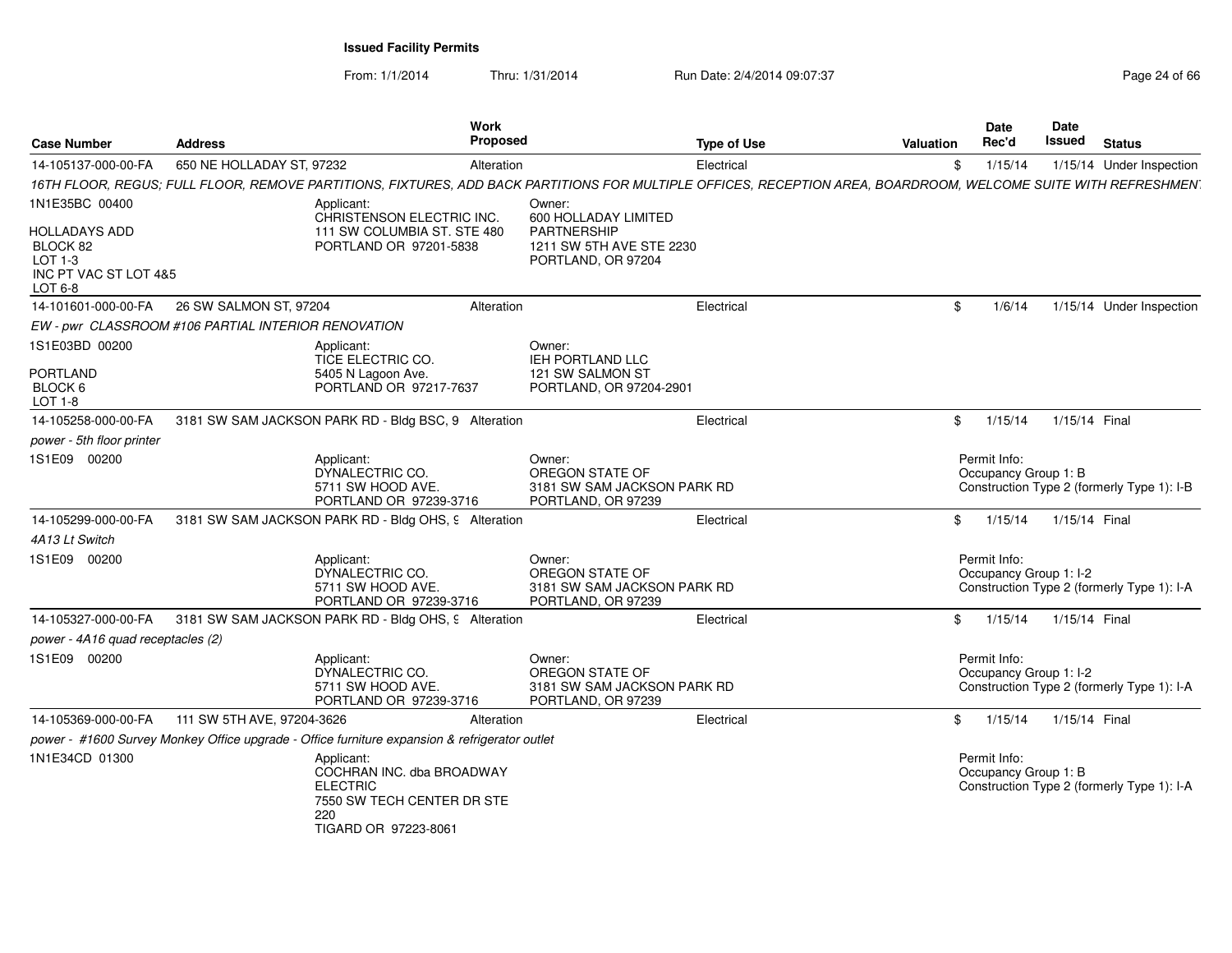From: 1/1/2014Thru: 1/31/2014 Run Date: 2/4/2014 09:07:37 Page 24 of 66

| <b>Case Number</b>                                                       | <b>Address</b>                                      | Work<br><b>Proposed</b>                                                                                                                                         |                                                                                       | <b>Type of Use</b> | <b>Valuation</b> | <b>Date</b><br>Rec'd                   | <b>Date</b><br>Issued | <b>Status</b>                              |
|--------------------------------------------------------------------------|-----------------------------------------------------|-----------------------------------------------------------------------------------------------------------------------------------------------------------------|---------------------------------------------------------------------------------------|--------------------|------------------|----------------------------------------|-----------------------|--------------------------------------------|
| 14-105137-000-00-FA                                                      | 650 NE HOLLADAY ST, 97232                           | Alteration                                                                                                                                                      |                                                                                       | Electrical         | \$               | 1/15/14                                |                       | 1/15/14 Under Inspection                   |
|                                                                          |                                                     | 16TH FLOOR, REGUS; FULL FLOOR, REMOVE PARTITIONS, FIXTURES, ADD BACK PARTITIONS FOR MULTIPLE OFFICES, RECEPTION AREA, BOARDROOM, WELCOME SUITE WITH REFRESHMEN. |                                                                                       |                    |                  |                                        |                       |                                            |
| 1N1E35BC 00400                                                           |                                                     | Applicant:                                                                                                                                                      | Owner:                                                                                |                    |                  |                                        |                       |                                            |
| HOLLADAYS ADD<br>BLOCK 82<br>LOT 1-3<br>INC PT VAC ST LOT 4&5<br>LOT 6-8 |                                                     | CHRISTENSON ELECTRIC INC.<br>111 SW COLUMBIA ST. STE 480<br>PORTLAND OR 97201-5838                                                                              | 600 HOLLADAY LIMITED<br>PARTNERSHIP<br>1211 SW 5TH AVE STE 2230<br>PORTLAND, OR 97204 |                    |                  |                                        |                       |                                            |
| 14-101601-000-00-FA                                                      | 26 SW SALMON ST, 97204                              | Alteration                                                                                                                                                      |                                                                                       | Electrical         | \$               | 1/6/14                                 |                       | 1/15/14 Under Inspection                   |
|                                                                          | EW - pwr CLASSROOM #106 PARTIAL INTERIOR RENOVATION |                                                                                                                                                                 |                                                                                       |                    |                  |                                        |                       |                                            |
| 1S1E03BD 00200                                                           |                                                     | Applicant:<br>TICE ELECTRIC CO.                                                                                                                                 | Owner:<br>IEH PORTLAND LLC                                                            |                    |                  |                                        |                       |                                            |
| PORTLAND<br>BLOCK 6<br>LOT 1-8                                           |                                                     | 5405 N Lagoon Ave.<br>PORTLAND OR 97217-7637                                                                                                                    | 121 SW SALMON ST<br>PORTLAND, OR 97204-2901                                           |                    |                  |                                        |                       |                                            |
| 14-105258-000-00-FA                                                      |                                                     | 3181 SW SAM JACKSON PARK RD - Bldg BSC, 9 Alteration                                                                                                            |                                                                                       | Electrical         | \$               | 1/15/14                                | 1/15/14 Final         |                                            |
| power - 5th floor printer                                                |                                                     |                                                                                                                                                                 |                                                                                       |                    |                  |                                        |                       |                                            |
| 1S1E09 00200                                                             |                                                     | Applicant:<br>DYNALECTRIC CO.<br>5711 SW HOOD AVE.<br>PORTLAND OR 97239-3716                                                                                    | Owner:<br>OREGON STATE OF<br>3181 SW SAM JACKSON PARK RD<br>PORTLAND, OR 97239        |                    |                  | Permit Info:<br>Occupancy Group 1: B   |                       | Construction Type 2 (formerly Type 1): I-B |
| 14-105299-000-00-FA                                                      |                                                     | 3181 SW SAM JACKSON PARK RD - Bldg OHS, 9 Alteration                                                                                                            |                                                                                       | Electrical         | \$               | 1/15/14                                | 1/15/14 Final         |                                            |
| 4A13 Lt Switch                                                           |                                                     |                                                                                                                                                                 |                                                                                       |                    |                  |                                        |                       |                                            |
| 1S1E09 00200                                                             |                                                     | Applicant:<br>DYNALECTRIC CO.<br>5711 SW HOOD AVE.<br>PORTLAND OR 97239-3716                                                                                    | Owner:<br>OREGON STATE OF<br>3181 SW SAM JACKSON PARK RD<br>PORTLAND, OR 97239        |                    |                  | Permit Info:<br>Occupancy Group 1: I-2 |                       | Construction Type 2 (formerly Type 1): I-A |
| 14-105327-000-00-FA                                                      |                                                     | 3181 SW SAM JACKSON PARK RD - Bldg OHS, 9 Alteration                                                                                                            |                                                                                       | Electrical         | \$               | 1/15/14                                | 1/15/14 Final         |                                            |
| power - 4A16 quad receptacles (2)                                        |                                                     |                                                                                                                                                                 |                                                                                       |                    |                  |                                        |                       |                                            |
| 1S1E09 00200                                                             |                                                     | Applicant:<br>DYNALECTRIC CO.<br>5711 SW HOOD AVE.<br>PORTLAND OR 97239-3716                                                                                    | Owner:<br>OREGON STATE OF<br>3181 SW SAM JACKSON PARK RD<br>PORTLAND, OR 97239        |                    |                  | Permit Info:<br>Occupancy Group 1: I-2 |                       | Construction Type 2 (formerly Type 1): I-A |
| 14-105369-000-00-FA                                                      | 111 SW 5TH AVE, 97204-3626                          | Alteration                                                                                                                                                      |                                                                                       | Electrical         | \$               | 1/15/14                                | 1/15/14 Final         |                                            |
|                                                                          |                                                     | power - #1600 Survey Monkey Office upgrade - Office furniture expansion & refrigerator outlet                                                                   |                                                                                       |                    |                  |                                        |                       |                                            |
| 1N1E34CD 01300                                                           |                                                     | Applicant:<br>COCHRAN INC. dba BROADWAY<br><b>ELECTRIC</b><br>7550 SW TECH CENTER DR STE<br>220<br>TIGARD OR 97223-8061                                         |                                                                                       |                    |                  | Permit Info:<br>Occupancy Group 1: B   |                       | Construction Type 2 (formerly Type 1): I-A |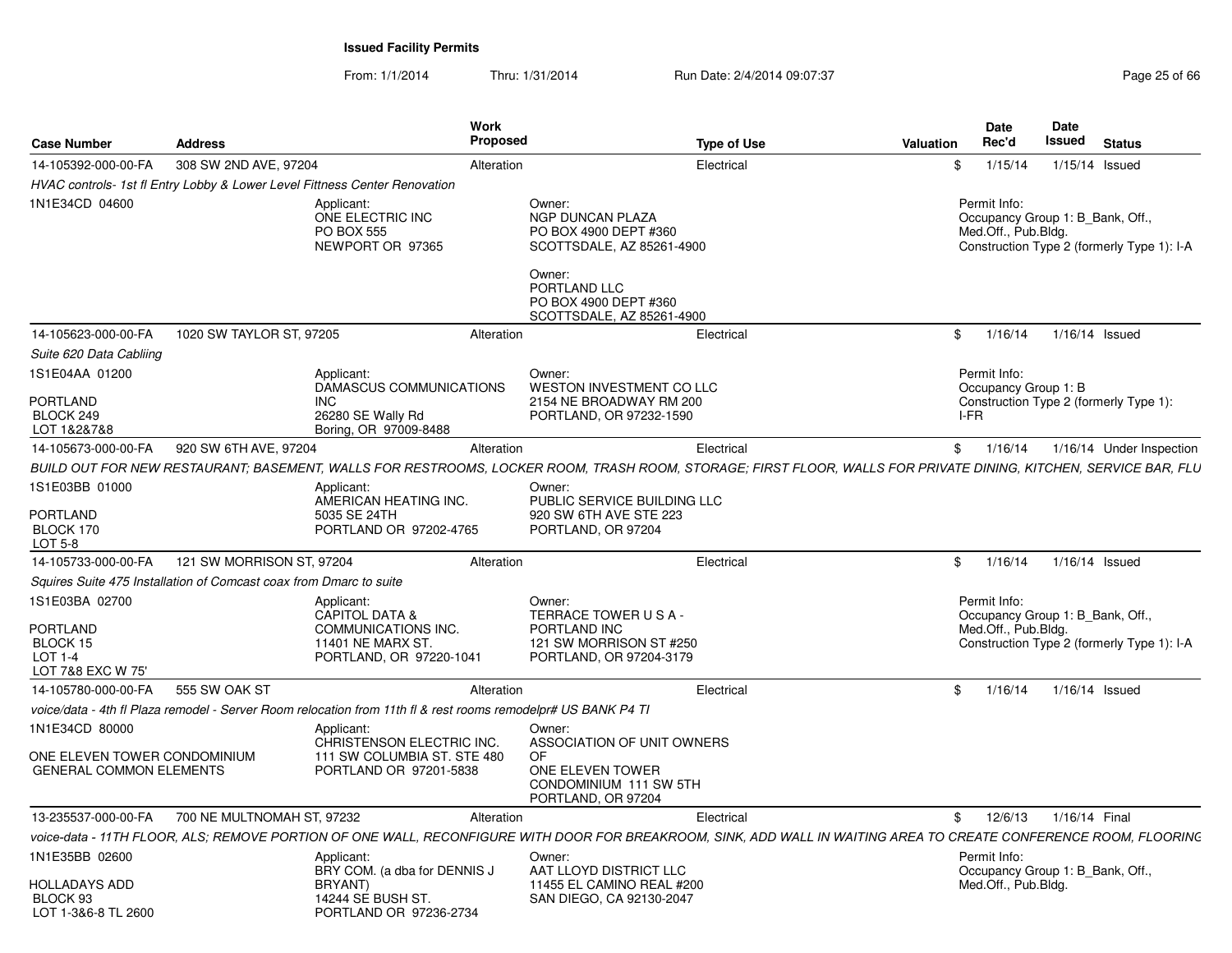From: 1/1/2014Thru: 1/31/2014 Run Date: 2/4/2014 09:07:37 Page 25 of 66

| <b>Case Number</b>                                                               | <b>Address</b>                                                     |                                                                                                               | Work<br><b>Proposed</b> | <b>Type of Use</b>                                                                                                                                                      | <b>Valuation</b> | <b>Date</b><br>Rec'd                                                    | Date<br>Issued | <b>Status</b>                              |
|----------------------------------------------------------------------------------|--------------------------------------------------------------------|---------------------------------------------------------------------------------------------------------------|-------------------------|-------------------------------------------------------------------------------------------------------------------------------------------------------------------------|------------------|-------------------------------------------------------------------------|----------------|--------------------------------------------|
| 14-105392-000-00-FA                                                              | 308 SW 2ND AVE, 97204                                              |                                                                                                               | Alteration              | Electrical                                                                                                                                                              | \$               | 1/15/14                                                                 | 1/15/14 Issued |                                            |
|                                                                                  |                                                                    | HVAC controls- 1st fl Entry Lobby & Lower Level Fittness Center Renovation                                    |                         |                                                                                                                                                                         |                  |                                                                         |                |                                            |
| 1N1E34CD 04600                                                                   |                                                                    | Applicant:<br>ONE ELECTRIC INC<br>PO BOX 555<br>NEWPORT OR 97365                                              |                         | Owner:<br><b>NGP DUNCAN PLAZA</b><br>PO BOX 4900 DEPT #360<br>SCOTTSDALE, AZ 85261-4900<br>Owner:<br>PORTLAND LLC<br>PO BOX 4900 DEPT #360<br>SCOTTSDALE, AZ 85261-4900 |                  | Permit Info:<br>Occupancy Group 1: B Bank, Off.,<br>Med.Off., Pub.Bldg. |                | Construction Type 2 (formerly Type 1): I-A |
| 14-105623-000-00-FA                                                              | 1020 SW TAYLOR ST, 97205                                           |                                                                                                               | Alteration              | Electrical                                                                                                                                                              | \$               | 1/16/14                                                                 | 1/16/14 Issued |                                            |
| Suite 620 Data Cabliing                                                          |                                                                    |                                                                                                               |                         |                                                                                                                                                                         |                  |                                                                         |                |                                            |
| 1S1E04AA 01200<br><b>PORTLAND</b><br>BLOCK 249<br>LOT 1&2&7&8                    |                                                                    | Applicant:<br>DAMASCUS COMMUNICATIONS<br><b>INC</b><br>26280 SE Wally Rd<br>Boring, OR 97009-8488             |                         | Owner:<br>WESTON INVESTMENT CO LLC<br>2154 NE BROADWAY RM 200<br>PORTLAND, OR 97232-1590                                                                                |                  | Permit Info:<br>Occupancy Group 1: B<br>I-FR                            |                | Construction Type 2 (formerly Type 1):     |
| 14-105673-000-00-FA                                                              | 920 SW 6TH AVE, 97204                                              |                                                                                                               | Alteration              | Electrical                                                                                                                                                              | \$               | 1/16/14                                                                 |                | 1/16/14 Under Inspection                   |
|                                                                                  |                                                                    |                                                                                                               |                         | BUILD OUT FOR NEW RESTAURANT; BASEMENT, WALLS FOR RESTROOMS, LOCKER ROOM, TRASH ROOM, STORAGE; FIRST FLOOR, WALLS FOR PRIVATE DINING, KITCHEN, SERVICE BAR, FLU         |                  |                                                                         |                |                                            |
| 1S1E03BB 01000<br><b>PORTLAND</b><br>BLOCK 170                                   |                                                                    | Applicant:<br>AMERICAN HEATING INC.<br>5035 SE 24TH<br>PORTLAND OR 97202-4765                                 |                         | Owner:<br>PUBLIC SERVICE BUILDING LLC<br>920 SW 6TH AVE STE 223<br>PORTLAND, OR 97204                                                                                   |                  |                                                                         |                |                                            |
| LOT 5-8                                                                          |                                                                    |                                                                                                               |                         |                                                                                                                                                                         |                  |                                                                         |                |                                            |
| 14-105733-000-00-FA                                                              | 121 SW MORRISON ST, 97204                                          |                                                                                                               | Alteration              | Electrical                                                                                                                                                              | \$               | 1/16/14                                                                 | 1/16/14 Issued |                                            |
|                                                                                  | Squires Suite 475 Installation of Comcast coax from Dmarc to suite |                                                                                                               |                         |                                                                                                                                                                         |                  |                                                                         |                |                                            |
| 1S1E03BA 02700<br>PORTLAND<br>BLOCK 15<br>LOT 1-4<br>LOT 7&8 EXC W 75'           |                                                                    | Applicant:<br><b>CAPITOL DATA &amp;</b><br>COMMUNICATIONS INC.<br>11401 NE MARX ST<br>PORTLAND, OR 97220-1041 |                         | Owner:<br>TERRACE TOWER USA-<br>PORTLAND INC<br>121 SW MORRISON ST #250<br>PORTLAND, OR 97204-3179                                                                      |                  | Permit Info:<br>Occupancy Group 1: B_Bank, Off.,<br>Med.Off., Pub.Bldg. |                | Construction Type 2 (formerly Type 1): I-A |
| 14-105780-000-00-FA                                                              | 555 SW OAK ST                                                      |                                                                                                               | Alteration              | Electrical                                                                                                                                                              | \$               | 1/16/14                                                                 |                | $1/16/14$ Issued                           |
|                                                                                  |                                                                    | voice/data - 4th fl Plaza remodel - Server Room relocation from 11th fl & rest rooms remodelpr# US BANK P4 Tl |                         |                                                                                                                                                                         |                  |                                                                         |                |                                            |
| 1N1E34CD 80000<br>ONE ELEVEN TOWER CONDOMINIUM<br><b>GENERAL COMMON ELEMENTS</b> |                                                                    | Applicant:<br>CHRISTENSON ELECTRIC INC.<br>111 SW COLUMBIA ST. STE 480<br>PORTLAND OR 97201-5838              |                         | Owner:<br>ASSOCIATION OF UNIT OWNERS<br>OF.<br>ONE ELEVEN TOWER<br>CONDOMINIUM 111 SW 5TH<br>PORTLAND, OR 97204                                                         |                  |                                                                         |                |                                            |
| 13-235537-000-00-FA                                                              | 700 NE MULTNOMAH ST, 97232                                         |                                                                                                               | Alteration              | Electrical                                                                                                                                                              | \$               | 12/6/13                                                                 | 1/16/14 Final  |                                            |
|                                                                                  |                                                                    |                                                                                                               |                         | voice-data - 11TH FLOOR, ALS; REMOVE PORTION OF ONE WALL, RECONFIGURE WITH DOOR FOR BREAKROOM, SINK, ADD WALL IN WAITING AREA TO CREATE CONFERENCE ROOM, FLOORING       |                  |                                                                         |                |                                            |
| 1N1E35BB 02600<br><b>HOLLADAYS ADD</b><br>BLOCK 93<br>LOT 1-3&6-8 TL 2600        |                                                                    | Applicant:<br>BRY COM. (a dba for DENNIS J<br>BRYANT)<br>14244 SE BUSH ST.<br>PORTLAND OR 97236-2734          |                         | Owner:<br>AAT LLOYD DISTRICT LLC<br>11455 EL CAMINO REAL #200<br>SAN DIEGO, CA 92130-2047                                                                               |                  | Permit Info:<br>Occupancy Group 1: B Bank, Off.,<br>Med.Off., Pub.Bldg. |                |                                            |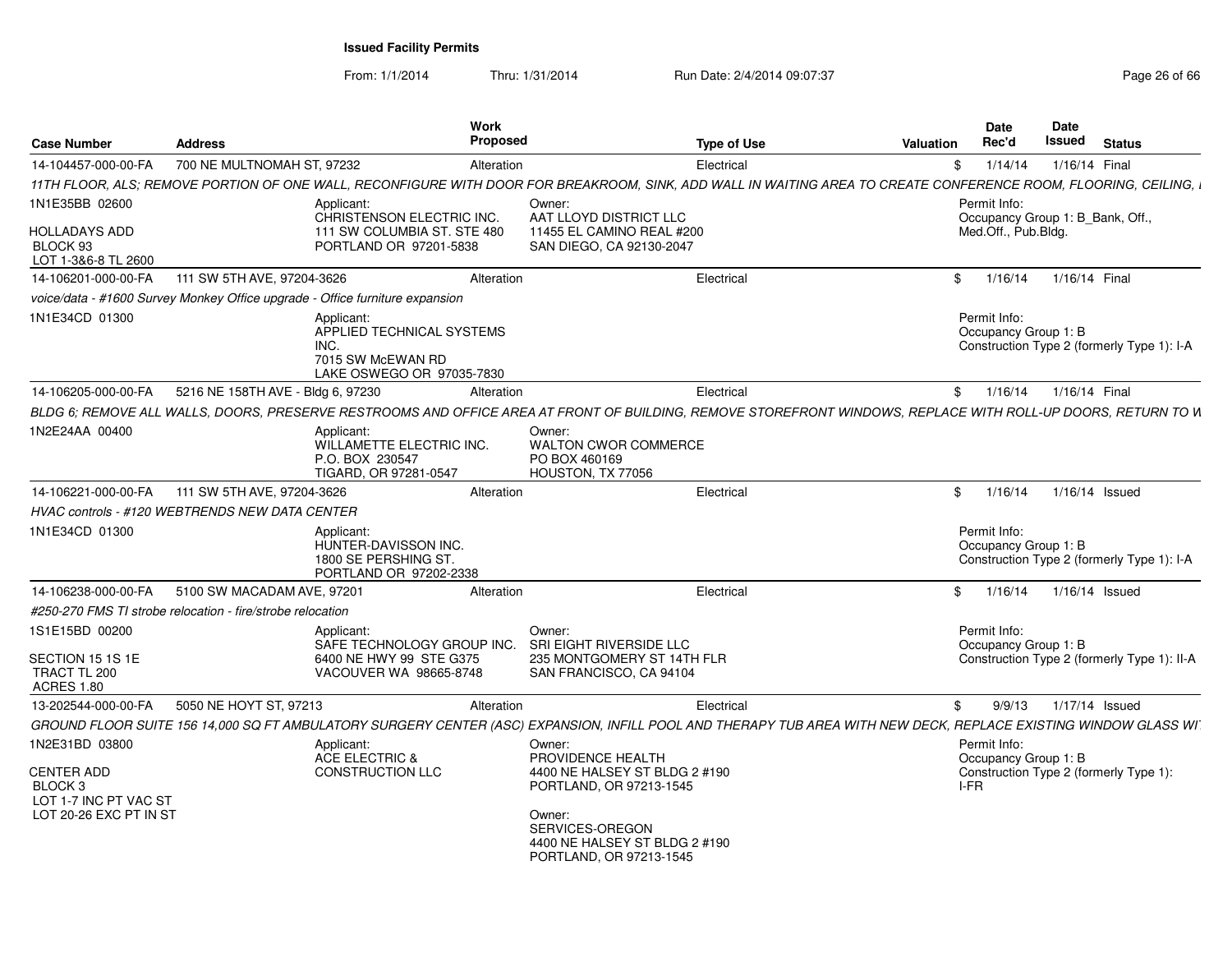From: 1/1/2014

Thru: 1/31/2014 Run Date: 2/4/2014 09:07:37 Page 26 of 66

| <b>Case Number</b>                                               | <b>Address</b>                                                               | Work<br>Proposed                                                                          |                                                                                       | <b>Type of Use</b>                                                                                                                                               | <b>Valuation</b> | Date<br>Rec'd                                                                      | <b>Date</b><br>Issued | <b>Status</b>    |  |
|------------------------------------------------------------------|------------------------------------------------------------------------------|-------------------------------------------------------------------------------------------|---------------------------------------------------------------------------------------|------------------------------------------------------------------------------------------------------------------------------------------------------------------|------------------|------------------------------------------------------------------------------------|-----------------------|------------------|--|
| 14-104457-000-00-FA                                              | 700 NE MULTNOMAH ST, 97232                                                   | Alteration                                                                                |                                                                                       | Electrical                                                                                                                                                       | \$               | 1/14/14                                                                            |                       | 1/16/14 Final    |  |
|                                                                  |                                                                              |                                                                                           |                                                                                       | 11TH FLOOR, ALS; REMOVE PORTION OF ONE WALL, RECONFIGURE WITH DOOR FOR BREAKROOM, SINK, ADD WALL IN WAITING AREA TO CREATE CONFERENCE ROOM, FLOORING, CEILING, I |                  |                                                                                    |                       |                  |  |
| 1N1E35BB 02600                                                   |                                                                              | Applicant:<br>CHRISTENSON ELECTRIC INC.                                                   | Owner:<br>AAT LLOYD DISTRICT LLC                                                      |                                                                                                                                                                  |                  | Permit Info:<br>Occupancy Group 1: B_Bank, Off.,                                   |                       |                  |  |
| <b>HOLLADAYS ADD</b><br>BLOCK 93<br>LOT 1-3&6-8 TL 2600          |                                                                              | 111 SW COLUMBIA ST. STE 480<br>PORTLAND OR 97201-5838                                     | 11455 EL CAMINO REAL #200<br>SAN DIEGO, CA 92130-2047                                 |                                                                                                                                                                  |                  | Med.Off., Pub.Bldg.                                                                |                       |                  |  |
| 14-106201-000-00-FA                                              | 111 SW 5TH AVE, 97204-3626                                                   | Alteration                                                                                |                                                                                       | Electrical                                                                                                                                                       |                  | \$1/16/14                                                                          |                       | 1/16/14 Final    |  |
|                                                                  | voice/data - #1600 Survey Monkey Office upgrade - Office furniture expansion |                                                                                           |                                                                                       |                                                                                                                                                                  |                  |                                                                                    |                       |                  |  |
| 1N1E34CD 01300                                                   | INC.                                                                         | Applicant:<br>APPLIED TECHNICAL SYSTEMS<br>7015 SW McEWAN RD<br>LAKE OSWEGO OR 97035-7830 |                                                                                       |                                                                                                                                                                  |                  | Permit Info:<br>Occupancy Group 1: B<br>Construction Type 2 (formerly Type 1): I-A |                       |                  |  |
| 14-106205-000-00-FA                                              | 5216 NE 158TH AVE - Bldg 6, 97230                                            | Alteration                                                                                |                                                                                       | Electrical                                                                                                                                                       |                  | \$1/16/14                                                                          |                       | 1/16/14 Final    |  |
|                                                                  |                                                                              |                                                                                           |                                                                                       | BLDG 6; REMOVE ALL WALLS, DOORS, PRESERVE RESTROOMS AND OFFICE AREA AT FRONT OF BUILDING, REMOVE STOREFRONT WINDOWS, REPLACE WITH ROLL-UP DOORS, RETURN TO IN    |                  |                                                                                    |                       |                  |  |
| 1N2E24AA 00400                                                   |                                                                              | Applicant:<br>WILLAMETTE ELECTRIC INC.<br>P.O. BOX 230547<br>TIGARD, OR 97281-0547        | Owner:<br><b>WALTON CWOR COMMERCE</b><br>PO BOX 460169<br>HOUSTON, TX 77056           |                                                                                                                                                                  |                  |                                                                                    |                       |                  |  |
| 14-106221-000-00-FA                                              | 111 SW 5TH AVE, 97204-3626                                                   | Alteration                                                                                |                                                                                       | Electrical                                                                                                                                                       |                  | \$1/16/14                                                                          |                       | 1/16/14 Issued   |  |
|                                                                  | <b>HVAC controls - #120 WEBTRENDS NEW DATA CENTER</b>                        |                                                                                           |                                                                                       |                                                                                                                                                                  |                  |                                                                                    |                       |                  |  |
| 1N1E34CD 01300                                                   |                                                                              | Applicant:<br>HUNTER-DAVISSON INC.<br>1800 SE PERSHING ST.<br>PORTLAND OR 97202-2338      |                                                                                       |                                                                                                                                                                  |                  | Permit Info:<br>Occupancy Group 1: B<br>Construction Type 2 (formerly Type 1): I-A |                       |                  |  |
| 14-106238-000-00-FA                                              | 5100 SW MACADAM AVE, 97201                                                   | Alteration                                                                                |                                                                                       | Electrical                                                                                                                                                       |                  | \$1/16/14                                                                          |                       | $1/16/14$ Issued |  |
|                                                                  | #250-270 FMS TI strobe relocation - fire/strobe relocation                   |                                                                                           |                                                                                       |                                                                                                                                                                  |                  |                                                                                    |                       |                  |  |
| 1S1E15BD 00200                                                   |                                                                              | Applicant:<br>SAFE TECHNOLOGY GROUP INC.                                                  | Owner:<br>SRI EIGHT RIVERSIDE LLC                                                     |                                                                                                                                                                  |                  | Permit Info:<br>Occupancy Group 1: B                                               |                       |                  |  |
| SECTION 15 1S 1E<br>TRACT TL 200<br><b>ACRES 1.80</b>            |                                                                              | 6400 NE HWY 99 STE G375<br>VACOUVER WA 98665-8748                                         | 235 MONTGOMERY ST 14TH FLR<br>SAN FRANCISCO, CA 94104                                 |                                                                                                                                                                  |                  | Construction Type 2 (formerly Type 1): II-A                                        |                       |                  |  |
| 13-202544-000-00-FA                                              | 5050 NE HOYT ST, 97213                                                       | Alteration                                                                                |                                                                                       | Electrical                                                                                                                                                       | \$               | 9/9/13                                                                             |                       | 1/17/14 Issued   |  |
|                                                                  |                                                                              |                                                                                           |                                                                                       | GROUND FLOOR SUITE 156 14,000 SQ FT AMBULATORY SURGERY CENTER (ASC) EXPANSION, INFILL POOL AND THERAPY TUB AREA WITH NEW DECK, REPLACE EXISTING WINDOW GLASS WI  |                  |                                                                                    |                       |                  |  |
| 1N2E31BD 03800                                                   |                                                                              | Applicant:                                                                                | Owner:                                                                                |                                                                                                                                                                  |                  | Permit Info:                                                                       |                       |                  |  |
| <b>CENTER ADD</b><br>BLOCK <sub>3</sub><br>LOT 1-7 INC PT VAC ST |                                                                              | <b>ACE ELECTRIC &amp;</b><br>CONSTRUCTION LLC                                             | PROVIDENCE HEALTH<br>4400 NE HALSEY ST BLDG 2 #190<br>PORTLAND, OR 97213-1545         |                                                                                                                                                                  |                  | Occupancy Group 1: B<br>Construction Type 2 (formerly Type 1):<br>I-FR             |                       |                  |  |
| LOT 20-26 EXC PT IN ST                                           |                                                                              |                                                                                           | Owner:<br>SERVICES-OREGON<br>4400 NE HALSEY ST BLDG 2 #190<br>PORTLAND, OR 97213-1545 |                                                                                                                                                                  |                  |                                                                                    |                       |                  |  |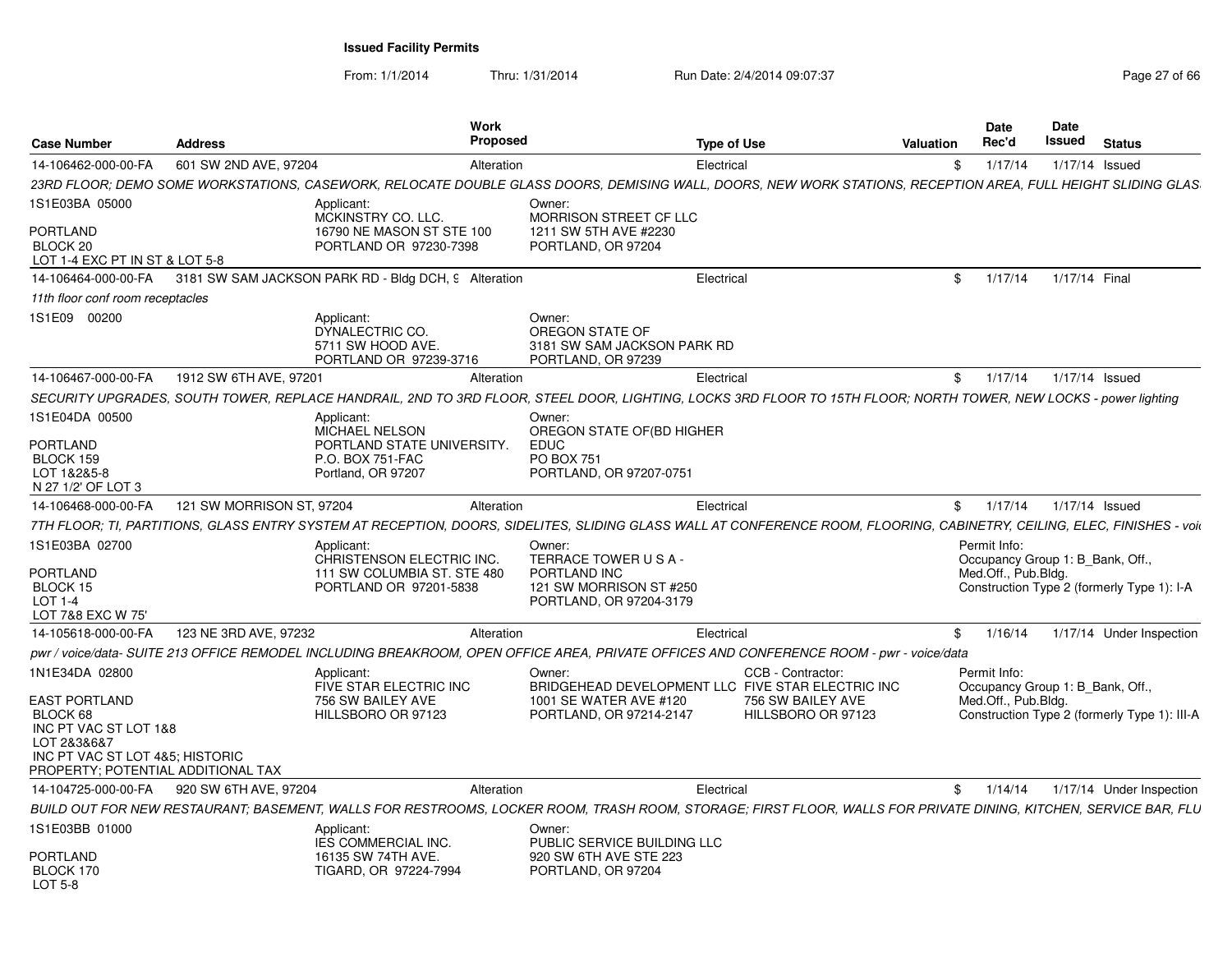From: 1/1/2014Thru: 1/31/2014 Run Date: 2/4/2014 09:07:37 Page 27 of 66

| <b>Case Number</b>                                                                                                                                                  | <b>Address</b>            | Work<br><b>Proposed</b>                                                                                                                                                  |                                                                                                                  | <b>Type of Use</b>                                           | Valuation | Date<br>Rec'd                       | <b>Date</b><br>Issued            | <b>Status</b>                                |
|---------------------------------------------------------------------------------------------------------------------------------------------------------------------|---------------------------|--------------------------------------------------------------------------------------------------------------------------------------------------------------------------|------------------------------------------------------------------------------------------------------------------|--------------------------------------------------------------|-----------|-------------------------------------|----------------------------------|----------------------------------------------|
| 14-106462-000-00-FA                                                                                                                                                 | 601 SW 2ND AVE, 97204     | Alteration                                                                                                                                                               |                                                                                                                  | Electrical                                                   | S.        | 1/17/14                             | 1/17/14 Issued                   |                                              |
|                                                                                                                                                                     |                           | 23RD FLOOR: DEMO SOME WORKSTATIONS, CASEWORK, RELOCATE DOUBLE GLASS DOORS, DEMISING WALL, DOORS, NEW WORK STATIONS, RECEPTION AREA, FULL HEIGHT SLIDING GLAS             |                                                                                                                  |                                                              |           |                                     |                                  |                                              |
| 1S1E03BA 05000<br>PORTLAND<br>BLOCK 20<br>LOT 1-4 EXC PT IN ST & LOT 5-8                                                                                            |                           | Applicant:<br>MCKINSTRY CO. LLC.<br>16790 NE MASON ST STE 100<br>PORTLAND OR 97230-7398                                                                                  | Owner:<br><b>MORRISON STREET CF LLC</b><br>1211 SW 5TH AVE #2230<br>PORTLAND, OR 97204                           |                                                              |           |                                     |                                  |                                              |
|                                                                                                                                                                     |                           | 14-106464-000-00-FA 3181 SW SAM JACKSON PARK RD - Bldg DCH, 9 Alteration                                                                                                 |                                                                                                                  | Electrical                                                   |           | \$1/17/14                           | 1/17/14 Final                    |                                              |
| 11th floor conf room receptacles                                                                                                                                    |                           |                                                                                                                                                                          |                                                                                                                  |                                                              |           |                                     |                                  |                                              |
| 1S1E09 00200                                                                                                                                                        |                           | Applicant:<br>DYNALECTRIC CO.<br>5711 SW HOOD AVE.<br>PORTLAND OR 97239-3716                                                                                             | Owner:<br>OREGON STATE OF<br>3181 SW SAM JACKSON PARK RD<br>PORTLAND, OR 97239                                   |                                                              |           |                                     |                                  |                                              |
| 14-106467-000-00-FA                                                                                                                                                 | 1912 SW 6TH AVE, 97201    | Alteration                                                                                                                                                               |                                                                                                                  | Electrical                                                   |           | \$1/17/14                           | 1/17/14 Issued                   |                                              |
|                                                                                                                                                                     |                           | SECURITY UPGRADES, SOUTH TOWER, REPLACE HANDRAIL, 2ND TO 3RD FLOOR, STEEL DOOR, LIGHTING, LOCKS 3RD FLOOR TO 15TH FLOOR; NORTH TOWER, NEW LOCKS - power lighting         |                                                                                                                  |                                                              |           |                                     |                                  |                                              |
| 1S1E04DA 00500<br><b>PORTLAND</b><br>BLOCK 159<br>LOT 1&2&5-8<br>N 27 1/2' OF LOT 3                                                                                 |                           | Applicant:<br><b>MICHAEL NELSON</b><br>PORTLAND STATE UNIVERSITY.<br>P.O. BOX 751-FAC<br>Portland, OR 97207                                                              | Owner:<br>OREGON STATE OF(BD HIGHER<br>EDUC<br><b>PO BOX 751</b><br>PORTLAND, OR 97207-0751                      |                                                              |           |                                     |                                  |                                              |
| 14-106468-000-00-FA                                                                                                                                                 | 121 SW MORRISON ST, 97204 | Alteration                                                                                                                                                               |                                                                                                                  | Electrical                                                   |           | \$1/17/14                           | 1/17/14 Issued                   |                                              |
|                                                                                                                                                                     |                           | 7TH FLOOR; TI, PARTITIONS, GLASS ENTRY SYSTEM AT RECEPTION, DOORS, SIDELITES, SLIDING GLASS WALL AT CONFERENCE ROOM, FLOORING, CABINETRY, CEILING, ELEC, FINISHES - voil |                                                                                                                  |                                                              |           |                                     |                                  |                                              |
| 1S1E03BA 02700<br>PORTLAND<br>BLOCK 15<br>LOT 1-4<br>LOT 7&8 EXC W 75'                                                                                              |                           | Applicant:<br>CHRISTENSON ELECTRIC INC.<br>111 SW COLUMBIA ST. STE 480<br>PORTLAND OR 97201-5838                                                                         | Owner:<br>TERRACE TOWER USA-<br>PORTLAND INC<br>121 SW MORRISON ST #250<br>PORTLAND, OR 97204-3179               |                                                              |           | Permit Info:<br>Med.Off., Pub.Bldg. | Occupancy Group 1: B Bank, Off., | Construction Type 2 (formerly Type 1): I-A   |
| 14-105618-000-00-FA                                                                                                                                                 | 123 NE 3RD AVE, 97232     | Alteration                                                                                                                                                               |                                                                                                                  | Electrical                                                   |           | \$1/16/14                           |                                  | 1/17/14 Under Inspection                     |
|                                                                                                                                                                     |                           | pwr / voice/data- SUITE 213 OFFICE REMODEL INCLUDING BREAKROOM, OPEN OFFICE AREA, PRIVATE OFFICES AND CONFERENCE ROOM - pwr - voice/data                                 |                                                                                                                  |                                                              |           |                                     |                                  |                                              |
| 1N1E34DA 02800<br><b>EAST PORTLAND</b><br>BLOCK 68<br>INC PT VAC ST LOT 1&8<br>LOT 2&3&6&7<br>INC PT VAC ST LOT 4&5; HISTORIC<br>PROPERTY: POTENTIAL ADDITIONAL TAX |                           | Applicant:<br>FIVE STAR ELECTRIC INC<br>756 SW BAILEY AVE<br>HILLSBORO OR 97123                                                                                          | Owner:<br>BRIDGEHEAD DEVELOPMENT LLC FIVE STAR ELECTRIC INC<br>1001 SE WATER AVE #120<br>PORTLAND, OR 97214-2147 | CCB - Contractor:<br>756 SW BAILEY AVE<br>HILLSBORO OR 97123 |           | Permit Info:<br>Med.Off., Pub.Bldg. | Occupancy Group 1: B_Bank, Off., | Construction Type 2 (formerly Type 1): III-A |
| 14-104725-000-00-FA                                                                                                                                                 | 920 SW 6TH AVE, 97204     | Alteration                                                                                                                                                               |                                                                                                                  | Electrical                                                   |           | \$1/14/14                           |                                  | 1/17/14 Under Inspection                     |
|                                                                                                                                                                     |                           | BUILD OUT FOR NEW RESTAURANT; BASEMENT, WALLS FOR RESTROOMS, LOCKER ROOM, TRASH ROOM, STORAGE; FIRST FLOOR, WALLS FOR PRIVATE DINING, KITCHEN, SERVICE BAR, FLU          |                                                                                                                  |                                                              |           |                                     |                                  |                                              |
| IS1E03BB 01000<br><b>PORTLAND</b>                                                                                                                                   |                           | Applicant:<br><b>IES COMMERCIAL INC.</b><br>16135 SW 74TH AVE.                                                                                                           | Owner:<br>PUBLIC SERVICE BUILDING LLC<br>920 SW 6TH AVE STE 223                                                  |                                                              |           |                                     |                                  |                                              |
| BLOCK 170<br>LOT 5-8                                                                                                                                                |                           | TIGARD, OR 97224-7994                                                                                                                                                    | PORTLAND, OR 97204                                                                                               |                                                              |           |                                     |                                  |                                              |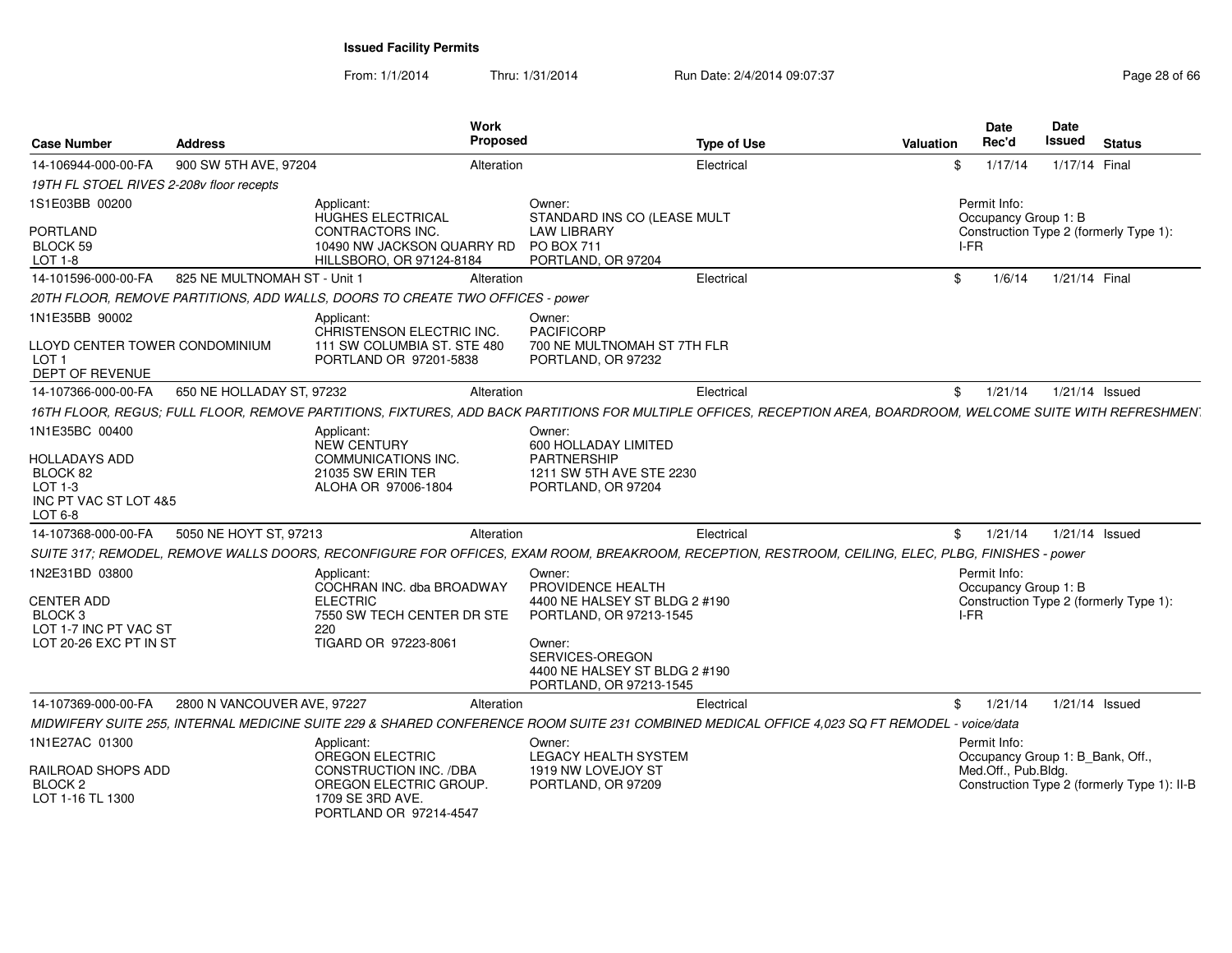From: 1/1/2014

Thru: 1/31/2014 Run Date: 2/4/2014 09:07:37 Page 28 of 66

| <b>Case Number</b>                                                                                                         | <b>Address</b>               | <b>Work</b><br>Proposed                                                                                                                                                                                                                                                                                                                                                                                                           |                                                                                                                                                                                  | <b>Type of Use</b> | Valuation      | <b>Date</b><br>Rec'd                                                    | <b>Date</b><br>Issued | <b>Status</b>                               |
|----------------------------------------------------------------------------------------------------------------------------|------------------------------|-----------------------------------------------------------------------------------------------------------------------------------------------------------------------------------------------------------------------------------------------------------------------------------------------------------------------------------------------------------------------------------------------------------------------------------|----------------------------------------------------------------------------------------------------------------------------------------------------------------------------------|--------------------|----------------|-------------------------------------------------------------------------|-----------------------|---------------------------------------------|
| 14-106944-000-00-FA                                                                                                        | 900 SW 5TH AVE, 97204        | Alteration                                                                                                                                                                                                                                                                                                                                                                                                                        |                                                                                                                                                                                  | Electrical         | \$.            | 1/17/14                                                                 | 1/17/14 Final         |                                             |
| 19TH FL STOEL RIVES 2-208v floor recepts                                                                                   |                              |                                                                                                                                                                                                                                                                                                                                                                                                                                   |                                                                                                                                                                                  |                    |                |                                                                         |                       |                                             |
| 1S1E03BB 00200<br>PORTLAND<br>BLOCK 59<br>LOT 1-8                                                                          |                              | Applicant:<br>HUGHES ELECTRICAL<br><b>CONTRACTORS INC.</b><br>10490 NW JACKSON QUARRY RD<br>HILLSBORO, OR 97124-8184                                                                                                                                                                                                                                                                                                              | Owner:<br>STANDARD INS CO (LEASE MULT<br><b>LAW LIBRARY</b><br>PO BOX 711<br>PORTLAND, OR 97204                                                                                  |                    |                | Permit Info:<br>Occupancy Group 1: B<br>I-FR                            |                       | Construction Type 2 (formerly Type 1):      |
| 14-101596-000-00-FA                                                                                                        | 825 NE MULTNOMAH ST - Unit 1 | Alteration                                                                                                                                                                                                                                                                                                                                                                                                                        |                                                                                                                                                                                  | Electrical         | \$             | 1/6/14                                                                  | 1/21/14 Final         |                                             |
|                                                                                                                            |                              | 20TH FLOOR, REMOVE PARTITIONS, ADD WALLS, DOORS TO CREATE TWO OFFICES - power                                                                                                                                                                                                                                                                                                                                                     |                                                                                                                                                                                  |                    |                |                                                                         |                       |                                             |
| 1N1E35BB 90002<br>LLOYD CENTER TOWER CONDOMINIUM<br>LOT <sub>1</sub><br><b>DEPT OF REVENUE</b>                             |                              | Applicant:<br>CHRISTENSON ELECTRIC INC.<br>111 SW COLUMBIA ST. STE 480<br>PORTLAND OR 97201-5838                                                                                                                                                                                                                                                                                                                                  | Owner:<br><b>PACIFICORP</b><br>700 NE MULTNOMAH ST 7TH FLR<br>PORTLAND, OR 97232                                                                                                 |                    |                |                                                                         |                       |                                             |
| 14-107366-000-00-FA                                                                                                        | 650 NE HOLLADAY ST, 97232    | Alteration                                                                                                                                                                                                                                                                                                                                                                                                                        |                                                                                                                                                                                  | Electrical         | \$             | 1/21/14                                                                 |                       | 1/21/14 Issued                              |
| 1N1E35BC 00400<br><b>HOLLADAYS ADD</b><br>BLOCK 82<br>$LOT 1-3$<br>INC PT VAC ST LOT 4&5<br>LOT 6-8<br>14-107368-000-00-FA | 5050 NE HOYT ST, 97213       | 16TH FLOOR, REGUS; FULL FLOOR, REMOVE PARTITIONS, FIXTURES, ADD BACK PARTITIONS FOR MULTIPLE OFFICES, RECEPTION AREA, BOARDROOM, WELCOME SUITE WITH REFRESHMEN<br>Applicant:<br>NEW CENTURY<br>COMMUNICATIONS INC.<br>21035 SW ERIN TER<br>ALOHA OR 97006-1804<br>Alteration<br>SUITE 317; REMODEL, REMOVE WALLS DOORS, RECONFIGURE FOR OFFICES, EXAM ROOM, BREAKROOM, RECEPTION, RESTROOM, CEILING, ELEC, PLBG, FINISHES - power | Owner:<br>600 HOLLADAY LIMITED<br><b>PARTNERSHIP</b><br>1211 SW 5TH AVE STE 2230<br>PORTLAND, OR 97204                                                                           | Electrical         | $\mathfrak{S}$ | 1/21/14                                                                 |                       | 1/21/14 Issued                              |
| 1N2E31BD 03800<br><b>CENTER ADD</b><br>BLOCK <sub>3</sub><br>LOT 1-7 INC PT VAC ST<br>LOT 20-26 EXC PT IN ST               |                              | Applicant:<br>COCHRAN INC. dba BROADWAY<br><b>ELECTRIC</b><br>7550 SW TECH CENTER DR STE<br>220<br>TIGARD OR 97223-8061                                                                                                                                                                                                                                                                                                           | Owner:<br>PROVIDENCE HEALTH<br>4400 NE HALSEY ST BLDG 2 #190<br>PORTLAND, OR 97213-1545<br>Owner:<br>SERVICES-OREGON<br>4400 NE HALSEY ST BLDG 2 #190<br>PORTLAND, OR 97213-1545 |                    |                | Permit Info:<br>Occupancy Group 1: B<br>I-FR                            |                       | Construction Type 2 (formerly Type 1):      |
| 14-107369-000-00-FA                                                                                                        | 2800 N VANCOUVER AVE, 97227  | Alteration                                                                                                                                                                                                                                                                                                                                                                                                                        |                                                                                                                                                                                  | Electrical         | \$             | 1/21/14                                                                 |                       | $1/21/14$ Issued                            |
|                                                                                                                            |                              | MIDWIFERY SUITE 255, INTERNAL MEDICINE SUITE 229 & SHARED CONFERENCE ROOM SUITE 231 COMBINED MEDICAL OFFICE 4.023 SQ FT REMODEL - voice/data                                                                                                                                                                                                                                                                                      |                                                                                                                                                                                  |                    |                |                                                                         |                       |                                             |
| 1N1E27AC 01300<br>RAILROAD SHOPS ADD<br>BLOCK <sub>2</sub><br>LOT 1-16 TL 1300                                             |                              | Applicant:<br>OREGON ELECTRIC<br>CONSTRUCTION INC. /DBA<br>OREGON ELECTRIC GROUP.<br>1709 SE 3RD AVE.<br>PORTLAND OR 97214-4547                                                                                                                                                                                                                                                                                                   | Owner:<br><b>LEGACY HEALTH SYSTEM</b><br>1919 NW LOVEJOY ST<br>PORTLAND, OR 97209                                                                                                |                    |                | Permit Info:<br>Occupancy Group 1: B Bank, Off.,<br>Med.Off., Pub.Bldg. |                       | Construction Type 2 (formerly Type 1): II-B |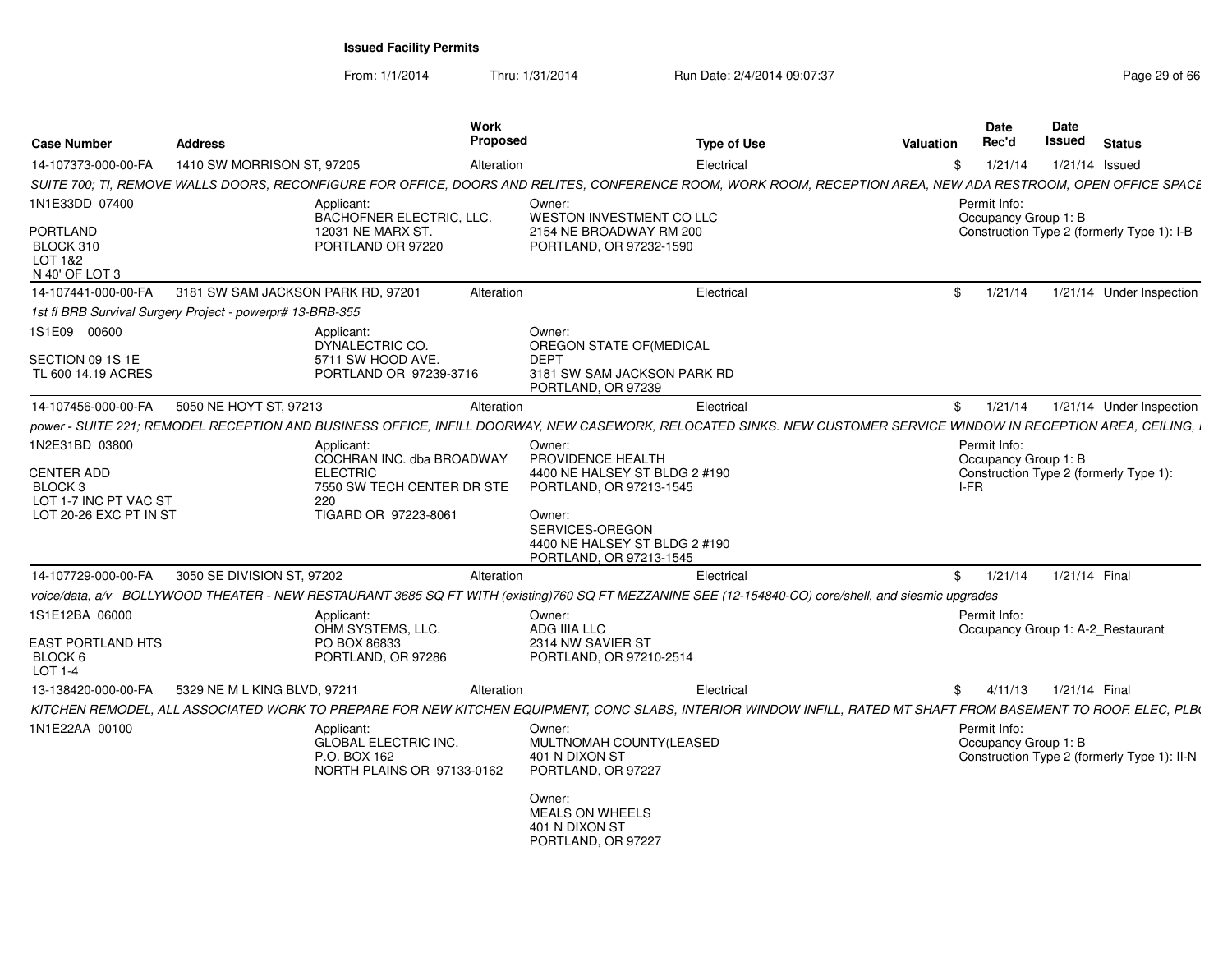From: 1/1/2014Thru: 1/31/2014 Run Date: 2/4/2014 09:07:37 Page 29 of 66

| <b>Case Number</b>                                                                                | <b>Address</b>                     |                                                                                                                         | Work<br>Proposed | <b>Type of Use</b>                                                                                                                                                               | <b>Valuation</b> | Date<br>Rec'd                        | Date<br>Issued   | <b>Status</b>                               |
|---------------------------------------------------------------------------------------------------|------------------------------------|-------------------------------------------------------------------------------------------------------------------------|------------------|----------------------------------------------------------------------------------------------------------------------------------------------------------------------------------|------------------|--------------------------------------|------------------|---------------------------------------------|
| 14-107373-000-00-FA                                                                               | 1410 SW MORRISON ST, 97205         |                                                                                                                         | Alteration       | Electrical                                                                                                                                                                       | \$               | 1/21/14                              | $1/21/14$ Issued |                                             |
|                                                                                                   |                                    |                                                                                                                         |                  | SUITE 700; TI, REMOVE WALLS DOORS, RECONFIGURE FOR OFFICE, DOORS AND RELITES, CONFERENCE ROOM, WORK ROOM, RECEPTION AREA, NEW ADA RESTROOM, OPEN OFFICE SPACE                    |                  |                                      |                  |                                             |
| 1N1E33DD 07400                                                                                    |                                    | Applicant:<br>BACHOFNER ELECTRIC, LLC.                                                                                  |                  | Owner:<br>WESTON INVESTMENT CO LLC                                                                                                                                               |                  | Permit Info:<br>Occupancy Group 1: B |                  |                                             |
| <b>PORTLAND</b><br>BLOCK 310<br>LOT 1&2<br>N 40' OF LOT 3                                         |                                    | 12031 NE MARX ST.<br>PORTLAND OR 97220                                                                                  |                  | 2154 NE BROADWAY RM 200<br>PORTLAND, OR 97232-1590                                                                                                                               |                  |                                      |                  | Construction Type 2 (formerly Type 1): I-B  |
| 14-107441-000-00-FA                                                                               | 3181 SW SAM JACKSON PARK RD, 97201 |                                                                                                                         | Alteration       | Electrical                                                                                                                                                                       | $\mathbb{S}$     | 1/21/14                              |                  | 1/21/14 Under Inspection                    |
| 1st fl BRB Survival Surgery Project - powerpr# 13-BRB-355                                         |                                    |                                                                                                                         |                  |                                                                                                                                                                                  |                  |                                      |                  |                                             |
| 1S1E09 00600                                                                                      |                                    | Applicant:<br>DYNALECTRIC CO.                                                                                           |                  | Owner:<br>OREGON STATE OF (MEDICAL                                                                                                                                               |                  |                                      |                  |                                             |
| SECTION 09 1S 1E<br>TL 600 14.19 ACRES                                                            |                                    | 5711 SW HOOD AVE.<br>PORTLAND OR 97239-3716                                                                             |                  | <b>DEPT</b><br>3181 SW SAM JACKSON PARK RD<br>PORTLAND, OR 97239                                                                                                                 |                  |                                      |                  |                                             |
| 14-107456-000-00-FA                                                                               | 5050 NE HOYT ST, 97213             |                                                                                                                         | Alteration       | Electrical                                                                                                                                                                       | \$               | 1/21/14                              |                  | 1/21/14 Under Inspection                    |
|                                                                                                   |                                    |                                                                                                                         |                  | power - SUITE 221; REMODEL RECEPTION AND BUSINESS OFFICE, INFILL DOORWAY, NEW CASEWORK, RELOCATED SINKS. NEW CUSTOMER SERVICE WINDOW IN RECEPTION AREA, CEILING, i               |                  |                                      |                  |                                             |
| 1N2E31BD 03800<br><b>CENTER ADD</b><br>BLOCK 3<br>LOT 1-7 INC PT VAC ST<br>LOT 20-26 EXC PT IN ST |                                    | Applicant:<br>COCHRAN INC. dba BROADWAY<br><b>ELECTRIC</b><br>7550 SW TECH CENTER DR STE<br>220<br>TIGARD OR 97223-8061 |                  | Owner:<br>PROVIDENCE HEALTH<br>4400 NE HALSEY ST BLDG 2 #190<br>PORTLAND, OR 97213-1545<br>Owner:<br>SERVICES-OREGON<br>4400 NE HALSEY ST BLDG 2 #190<br>PORTLAND, OR 97213-1545 | I-FR             | Permit Info:<br>Occupancy Group 1: B |                  | Construction Type 2 (formerly Type 1):      |
| 14-107729-000-00-FA                                                                               | 3050 SE DIVISION ST, 97202         |                                                                                                                         | Alteration       | Electrical                                                                                                                                                                       | $^{\circ}$       | 1/21/14                              | 1/21/14 Final    |                                             |
|                                                                                                   |                                    |                                                                                                                         |                  | voice/data, a/v BOLLYWOOD THEATER - NEW RESTAURANT 3685 SQ FT WITH (existing)760 SQ FT MEZZANINE SEE (12-154840-CO) core/shell, and siesmic upgrades                             |                  |                                      |                  |                                             |
| 1S1E12BA 06000<br><b>EAST PORTLAND HTS</b><br>BLOCK 6<br>LOT 1-4                                  |                                    | Applicant:<br>OHM SYSTEMS, LLC.<br>PO BOX 86833<br>PORTLAND, OR 97286                                                   |                  | Owner:<br>ADG IIIA LLC<br>2314 NW SAVIER ST<br>PORTLAND, OR 97210-2514                                                                                                           |                  | Permit Info:                         |                  | Occupancy Group 1: A-2 Restaurant           |
| 13-138420-000-00-FA                                                                               | 5329 NE M L KING BLVD, 97211       |                                                                                                                         | Alteration       | Electrical                                                                                                                                                                       | $^{\circ}$       | 4/11/13                              | 1/21/14 Final    |                                             |
|                                                                                                   |                                    |                                                                                                                         |                  | KITCHEN REMODEL, ALL ASSOCIATED WORK TO PREPARE FOR NEW KITCHEN EQUIPMENT, CONC SLABS, INTERIOR WINDOW INFILL, RATED MT SHAFT FROM BASEMENT TO ROOF. ELEC, PLB(                  |                  |                                      |                  |                                             |
| 1N1E22AA 00100                                                                                    |                                    | Applicant:<br><b>GLOBAL ELECTRIC INC.</b><br>P.O. BOX 162<br>NORTH PLAINS OR 97133-0162                                 |                  | Owner:<br>MULTNOMAH COUNTY(LEASED<br>401 N DIXON ST<br>PORTLAND, OR 97227<br>Owner:<br><b>MEALS ON WHEELS</b><br>401 N DIXON ST<br>PORTLAND, OR 97227                            |                  | Permit Info:<br>Occupancy Group 1: B |                  | Construction Type 2 (formerly Type 1): II-N |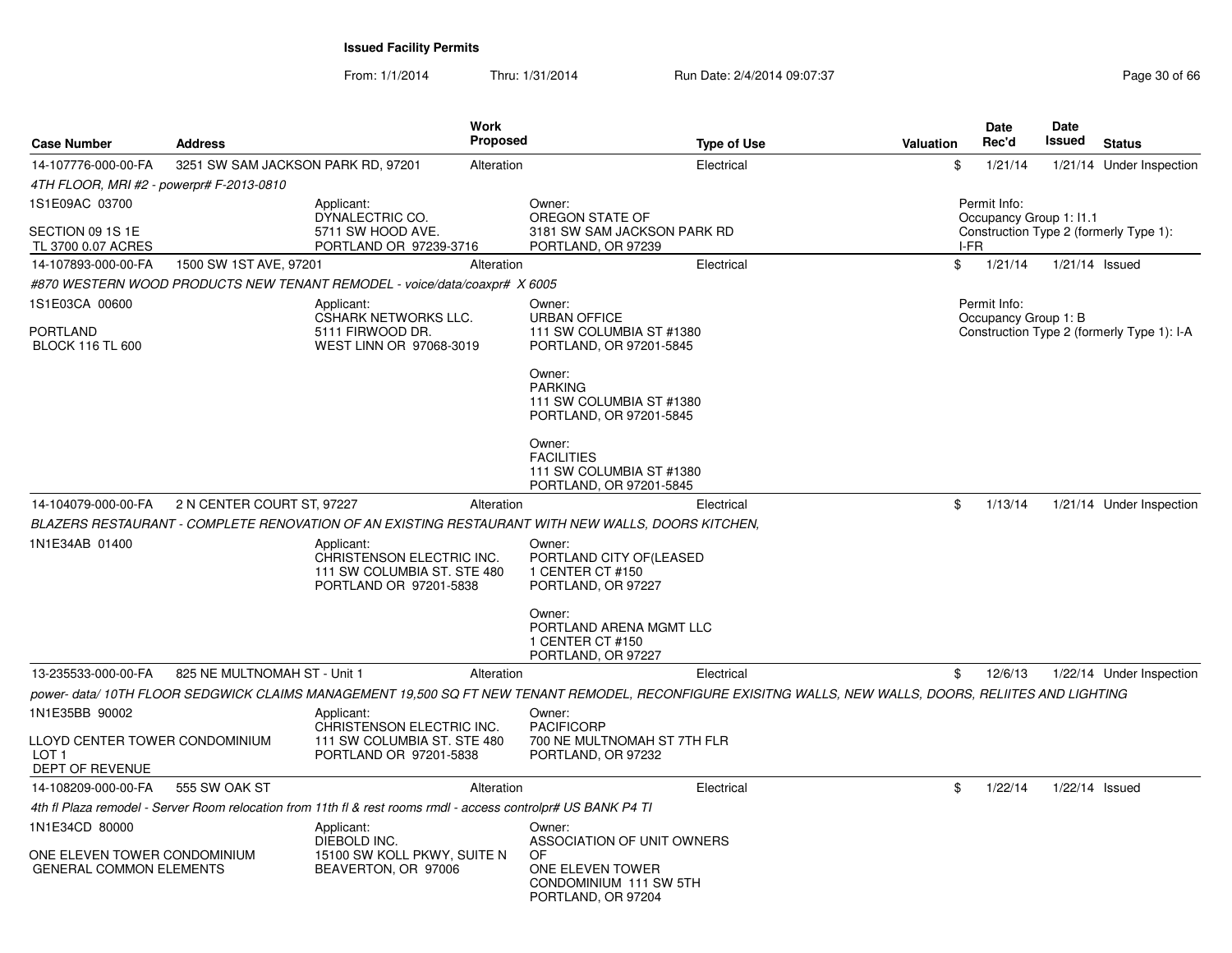From: 1/1/2014Thru: 1/31/2014 Run Date: 2/4/2014 09:07:37 Page 30 of 66

| <b>Case Number</b>                                                    | <b>Address</b>                     |                                                                                                                | <b>Work</b><br><b>Proposed</b> | <b>Type of Use</b>                                                                                                                                      | <b>Valuation</b> |      | <b>Date</b><br>Rec'd                    | Date<br>Issued | <b>Status</b>                              |
|-----------------------------------------------------------------------|------------------------------------|----------------------------------------------------------------------------------------------------------------|--------------------------------|---------------------------------------------------------------------------------------------------------------------------------------------------------|------------------|------|-----------------------------------------|----------------|--------------------------------------------|
| 14-107776-000-00-FA                                                   | 3251 SW SAM JACKSON PARK RD, 97201 |                                                                                                                | Alteration                     | Electrical                                                                                                                                              |                  | \$   | 1/21/14                                 |                | 1/21/14 Under Inspection                   |
| 4TH FLOOR, MRI #2 - powerpr# F-2013-0810                              |                                    |                                                                                                                |                                |                                                                                                                                                         |                  |      |                                         |                |                                            |
| 1S1E09AC 03700                                                        |                                    | Applicant:<br>DYNALECTRIC CO.                                                                                  |                                | Owner:<br>OREGON STATE OF                                                                                                                               |                  |      | Permit Info:<br>Occupancy Group 1: I1.1 |                |                                            |
| SECTION 09 1S 1E<br>TL 3700 0.07 ACRES                                |                                    | 5711 SW HOOD AVE.<br>PORTLAND OR 97239-3716                                                                    |                                | 3181 SW SAM JACKSON PARK RD<br>PORTLAND, OR 97239                                                                                                       |                  | I-FR |                                         |                | Construction Type 2 (formerly Type 1):     |
| 14-107893-000-00-FA                                                   | 1500 SW 1ST AVE, 97201             |                                                                                                                | Alteration                     | Electrical                                                                                                                                              |                  | \$   | 1/21/14                                 | 1/21/14 Issued |                                            |
|                                                                       |                                    | #870 WESTERN WOOD PRODUCTS NEW TENANT REMODEL - voice/data/coaxpr# X 6005                                      |                                |                                                                                                                                                         |                  |      |                                         |                |                                            |
| 1S1E03CA 00600<br>PORTLAND<br><b>BLOCK 116 TL 600</b>                 |                                    | Applicant:<br>CSHARK NETWORKS LLC.<br>5111 FIRWOOD DR.<br>WEST LINN OR 97068-3019                              |                                | Owner:<br><b>URBAN OFFICE</b><br>111 SW COLUMBIA ST #1380<br>PORTLAND, OR 97201-5845                                                                    |                  |      | Permit Info:<br>Occupancy Group 1: B    |                | Construction Type 2 (formerly Type 1): I-A |
|                                                                       |                                    |                                                                                                                |                                | Owner:<br><b>PARKING</b><br>111 SW COLUMBIA ST #1380<br>PORTLAND, OR 97201-5845                                                                         |                  |      |                                         |                |                                            |
|                                                                       |                                    |                                                                                                                |                                | Owner:<br><b>FACILITIES</b><br>111 SW COLUMBIA ST #1380<br>PORTLAND, OR 97201-5845                                                                      |                  |      |                                         |                |                                            |
| 14-104079-000-00-FA                                                   | 2 N CENTER COURT ST, 97227         |                                                                                                                | Alteration                     | Electrical                                                                                                                                              |                  | \$   | 1/13/14                                 |                | 1/21/14 Under Inspection                   |
|                                                                       |                                    |                                                                                                                |                                | BLAZERS RESTAURANT - COMPLETE RENOVATION OF AN EXISTING RESTAURANT WITH NEW WALLS, DOORS KITCHEN,                                                       |                  |      |                                         |                |                                            |
| 1N1E34AB 01400                                                        |                                    | Applicant:<br>CHRISTENSON ELECTRIC INC.<br>111 SW COLUMBIA ST. STE 480<br>PORTLAND OR 97201-5838               |                                | Owner:<br>PORTLAND CITY OF (LEASED<br>1 CENTER CT #150<br>PORTLAND, OR 97227                                                                            |                  |      |                                         |                |                                            |
|                                                                       |                                    |                                                                                                                |                                | Owner:<br>PORTLAND ARENA MGMT LLC<br>1 CENTER CT #150<br>PORTLAND, OR 97227                                                                             |                  |      |                                         |                |                                            |
| 13-235533-000-00-FA                                                   | 825 NE MULTNOMAH ST - Unit 1       |                                                                                                                | Alteration                     | Electrical                                                                                                                                              |                  | \$   | 12/6/13                                 |                | 1/22/14 Under Inspection                   |
|                                                                       |                                    |                                                                                                                |                                | power- data/ 10TH FLOOR SEDGWICK CLAIMS MANAGEMENT 19,500 SQ FT NEW TENANT REMODEL, RECONFIGURE EXISITNG WALLS, NEW WALLS, DOORS, RELIITES AND LIGHTING |                  |      |                                         |                |                                            |
| 1N1E35BB 90002                                                        |                                    | Applicant:<br>CHRISTENSON ELECTRIC INC.                                                                        |                                | Owner:<br><b>PACIFICORP</b>                                                                                                                             |                  |      |                                         |                |                                            |
| LLOYD CENTER TOWER CONDOMINIUM<br>LOT <sub>1</sub><br>DEPT OF REVENUE |                                    | 111 SW COLUMBIA ST. STE 480<br>PORTLAND OR 97201-5838                                                          |                                | 700 NE MULTNOMAH ST 7TH FLR<br>PORTLAND, OR 97232                                                                                                       |                  |      |                                         |                |                                            |
| 14-108209-000-00-FA                                                   | 555 SW OAK ST                      |                                                                                                                | Alteration                     | Electrical                                                                                                                                              |                  | \$   | 1/22/14                                 | 1/22/14 Issued |                                            |
|                                                                       |                                    | 4th fl Plaza remodel - Server Room relocation from 11th fl & rest rooms rmdl - access controlpr# US BANK P4 TI |                                |                                                                                                                                                         |                  |      |                                         |                |                                            |
| 1N1E34CD 80000<br>ONE ELEVEN TOWER CONDOMINIUM                        |                                    | Applicant:<br>DIEBOLD INC.<br>15100 SW KOLL PKWY, SUITE N                                                      |                                | Owner:<br>ASSOCIATION OF UNIT OWNERS<br>OF                                                                                                              |                  |      |                                         |                |                                            |
| <b>GENERAL COMMON ELEMENTS</b>                                        |                                    | BEAVERTON, OR 97006                                                                                            |                                | ONE ELEVEN TOWER<br>CONDOMINIUM 111 SW 5TH<br>PORTLAND, OR 97204                                                                                        |                  |      |                                         |                |                                            |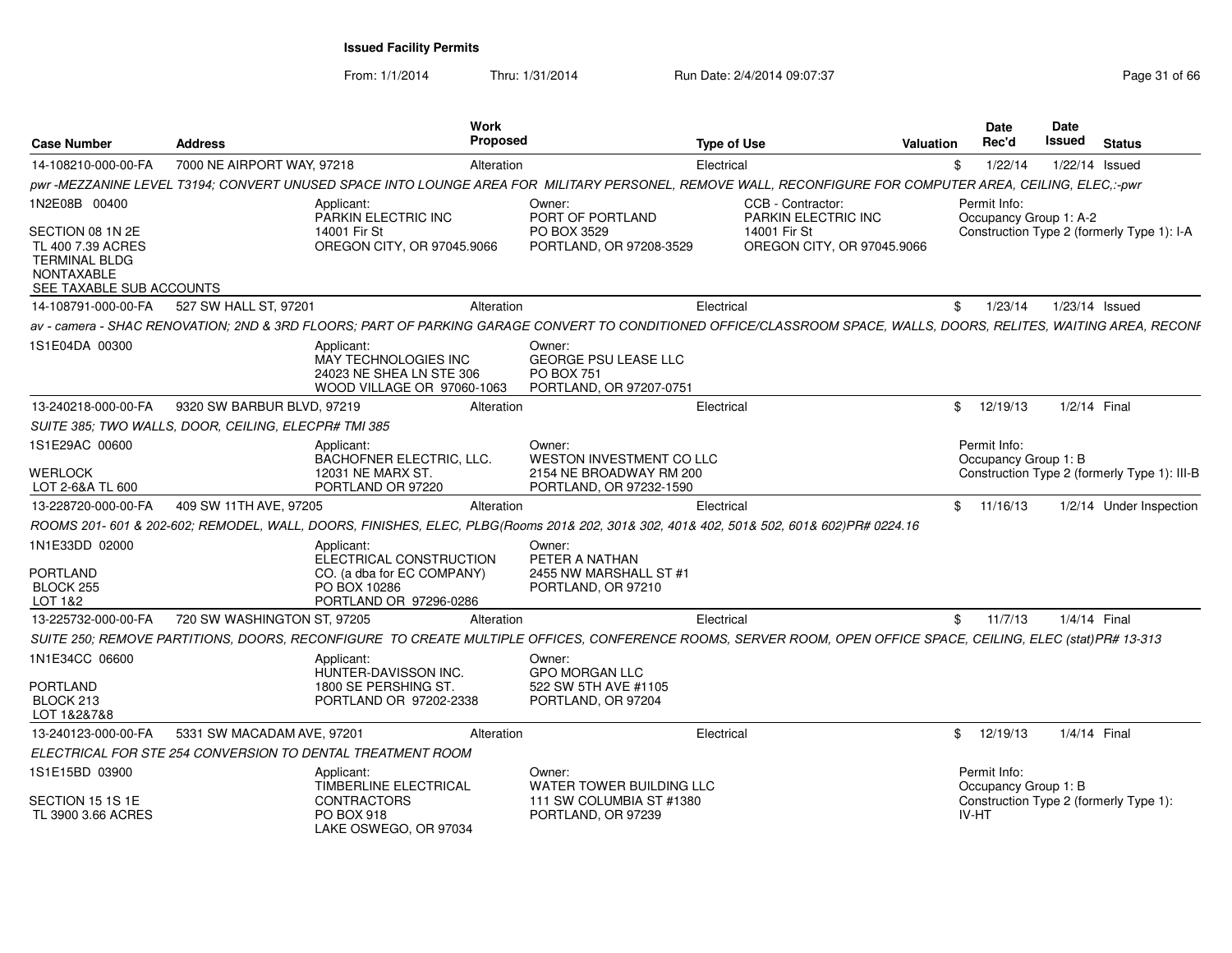From: 1/1/2014

Thru: 1/31/2014 Run Date: 2/4/2014 09:07:37 Page 31 of 66

| <b>Case Number</b>                                                                                  | <b>Address</b>                                             | Work<br><b>Proposed</b>                                                                         |                                                                                          | <b>Type of Use</b>                                                                                                                                                 | <b>Valuation</b> | <b>Date</b><br>Rec'd                   | Date<br>Issued | <b>Status</b>                                |
|-----------------------------------------------------------------------------------------------------|------------------------------------------------------------|-------------------------------------------------------------------------------------------------|------------------------------------------------------------------------------------------|--------------------------------------------------------------------------------------------------------------------------------------------------------------------|------------------|----------------------------------------|----------------|----------------------------------------------|
| 14-108210-000-00-FA                                                                                 | 7000 NE AIRPORT WAY, 97218                                 | Alteration                                                                                      |                                                                                          | Electrical                                                                                                                                                         | \$               | 1/22/14                                |                | 1/22/14 Issued                               |
|                                                                                                     |                                                            |                                                                                                 |                                                                                          | pwr-MEZZANINE LEVEL T3194; CONVERT UNUSED SPACE INTO LOUNGE AREA FOR MILITARY PERSONEL, REMOVE WALL, RECONFIGURE FOR COMPUTER AREA, CEILING, ELEC,:-pwr            |                  |                                        |                |                                              |
| 1N2E08B 00400<br>SECTION 08 1N 2E<br>TL 400 7.39 ACRES<br><b>TERMINAL BLDG</b><br><b>NONTAXABLE</b> | Applicant:<br>14001 Fir St                                 | PARKIN ELECTRIC INC<br>OREGON CITY, OR 97045,9066                                               | Owner:<br>PORT OF PORTLAND<br>PO BOX 3529<br>PORTLAND, OR 97208-3529                     | CCB - Contractor:<br>PARKIN ELECTRIC INC<br>14001 Fir St<br>OREGON CITY, OR 97045,9066                                                                             |                  | Permit Info:<br>Occupancy Group 1: A-2 |                | Construction Type 2 (formerly Type 1): I-A   |
| SEE TAXABLE SUB ACCOUNTS                                                                            |                                                            |                                                                                                 |                                                                                          |                                                                                                                                                                    |                  |                                        |                |                                              |
| 14-108791-000-00-FA                                                                                 | 527 SW HALL ST, 97201                                      | Alteration                                                                                      |                                                                                          | Electrical                                                                                                                                                         | \$               | 1/23/14                                |                | 1/23/14 Issued                               |
| 1S1E04DA 00300                                                                                      | Applicant:                                                 | MAY TECHNOLOGIES INC<br>24023 NE SHEA LN STE 306<br>WOOD VILLAGE OR 97060-1063                  | Owner:<br><b>GEORGE PSU LEASE LLC</b><br><b>PO BOX 751</b><br>PORTLAND, OR 97207-0751    | av - camera - SHAC RENOVATION; 2ND & 3RD FLOORS; PART OF PARKING GARAGE CONVERT TO CONDITIONED OFFICE/CLASSROOM SPACE, WALLS, DOORS, RELITES, WAITING AREA, RECONF |                  |                                        |                |                                              |
| 13-240218-000-00-FA                                                                                 | 9320 SW BARBUR BLVD, 97219                                 | Alteration                                                                                      |                                                                                          | Electrical                                                                                                                                                         |                  | 12/19/13<br>\$                         | $1/2/14$ Final |                                              |
|                                                                                                     | SUITE 385: TWO WALLS. DOOR. CEILING. ELECPR# TMI 385       |                                                                                                 |                                                                                          |                                                                                                                                                                    |                  |                                        |                |                                              |
| 1S1E29AC 00600<br><b>WERLOCK</b><br>LOT 2-6&A TL 600                                                | Applicant:                                                 | BACHOFNER ELECTRIC, LLC.<br>12031 NE MARX ST.<br>PORTLAND OR 97220                              | Owner:<br>WESTON INVESTMENT CO LLC<br>2154 NE BROADWAY RM 200<br>PORTLAND, OR 97232-1590 |                                                                                                                                                                    |                  | Permit Info:<br>Occupancy Group 1: B   |                | Construction Type 2 (formerly Type 1): III-B |
| 13-228720-000-00-FA                                                                                 | 409 SW 11TH AVE, 97205                                     | Alteration                                                                                      |                                                                                          | Electrical                                                                                                                                                         |                  | \$11/16/13                             |                | 1/2/14 Under Inspection                      |
|                                                                                                     |                                                            |                                                                                                 |                                                                                          | ROOMS 201- 601 & 202-602; REMODEL, WALL, DOORS, FINISHES, ELEC, PLBG(Rooms 201& 202, 301& 302, 401& 402, 501& 502, 601& 602)PR# 0224.16                            |                  |                                        |                |                                              |
| 1N1E33DD 02000<br><b>PORTLAND</b><br>BLOCK 255<br>LOT 1&2                                           | Applicant:                                                 | ELECTRICAL CONSTRUCTION<br>CO. (a dba for EC COMPANY)<br>PO BOX 10286<br>PORTLAND OR 97296-0286 | Owner:<br>PETER A NATHAN<br>2455 NW MARSHALL ST #1<br>PORTLAND, OR 97210                 |                                                                                                                                                                    |                  |                                        |                |                                              |
| 13-225732-000-00-FA                                                                                 | 720 SW WASHINGTON ST, 97205                                | Alteration                                                                                      |                                                                                          | Electrical                                                                                                                                                         | \$               | 11/7/13                                | 1/4/14 Final   |                                              |
|                                                                                                     |                                                            |                                                                                                 |                                                                                          | SUITE 250; REMOVE PARTITIONS, DOORS, RECONFIGURE TO CREATE MULTIPLE OFFICES, CONFERENCE ROOMS, SERVER ROOM, OPEN OFFICE SPACE, CEILING, ELEC (stat)PR# 13-313      |                  |                                        |                |                                              |
| 1N1E34CC 06600                                                                                      | Applicant:                                                 | HUNTER-DAVISSON INC.                                                                            | Owner:<br><b>GPO MORGAN LLC</b>                                                          |                                                                                                                                                                    |                  |                                        |                |                                              |
| <b>PORTLAND</b><br>BLOCK 213<br>LOT 1&2&7&8                                                         |                                                            | 1800 SE PERSHING ST.<br>PORTLAND OR 97202-2338                                                  | 522 SW 5TH AVE #1105<br>PORTLAND, OR 97204                                               |                                                                                                                                                                    |                  |                                        |                |                                              |
| 13-240123-000-00-FA                                                                                 | 5331 SW MACADAM AVE, 97201                                 | Alteration                                                                                      |                                                                                          | Electrical                                                                                                                                                         |                  | \$12/19/13                             | 1/4/14 Final   |                                              |
|                                                                                                     | ELECTRICAL FOR STE 254 CONVERSION TO DENTAL TREATMENT ROOM |                                                                                                 |                                                                                          |                                                                                                                                                                    |                  |                                        |                |                                              |
| 1S1E15BD 03900<br>SECTION 15 1S 1E                                                                  | Applicant:                                                 | TIMBERLINE ELECTRICAL<br>CONTRACTORS                                                            | Owner:<br>WATER TOWER BUILDING LLC<br>111 SW COLUMBIA ST #1380                           |                                                                                                                                                                    |                  | Permit Info:<br>Occupancy Group 1: B   |                | Construction Type 2 (formerly Type 1):       |
| TL 3900 3.66 ACRES                                                                                  |                                                            | <b>PO BOX 918</b><br>LAKE OSWEGO, OR 97034                                                      | PORTLAND, OR 97239                                                                       |                                                                                                                                                                    |                  | <b>IV-HT</b>                           |                |                                              |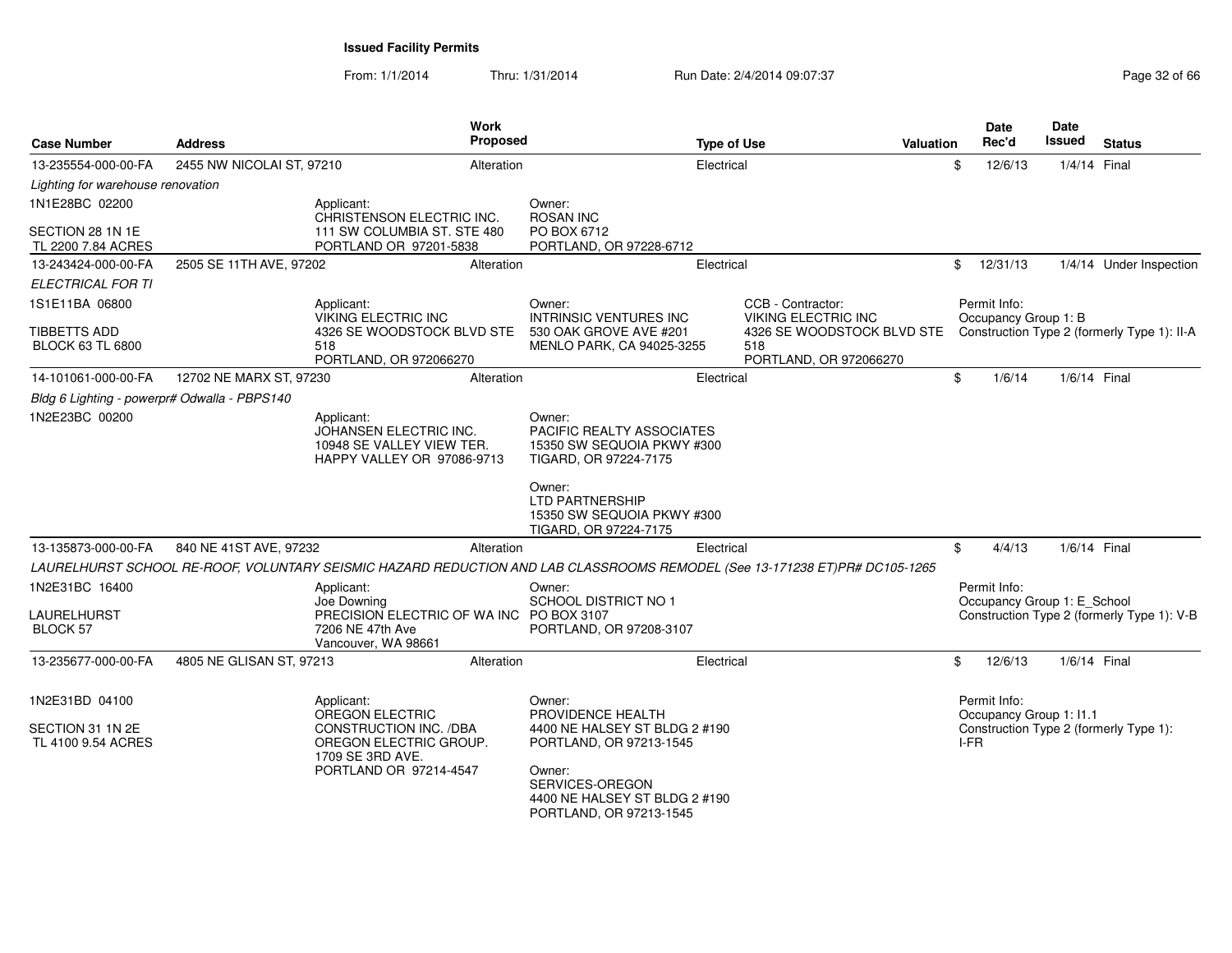From: 1/1/2014Thru: 1/31/2014 Run Date: 2/4/2014 09:07:37 Page 32 of 66

| <b>Case Number</b>                           | <b>Address</b>            | <b>Work</b>                                                                                                                | Proposed |                                                                                            | <b>Type of Use</b> |                                                             | <b>Valuation</b> |            | Date<br>Rec'd                               | Date<br>Issued | <b>Status</b>                               |
|----------------------------------------------|---------------------------|----------------------------------------------------------------------------------------------------------------------------|----------|--------------------------------------------------------------------------------------------|--------------------|-------------------------------------------------------------|------------------|------------|---------------------------------------------|----------------|---------------------------------------------|
| 13-235554-000-00-FA                          | 2455 NW NICOLAI ST, 97210 | Alteration                                                                                                                 |          |                                                                                            | Electrical         |                                                             |                  | \$         | 12/6/13                                     | 1/4/14 Final   |                                             |
| Lighting for warehouse renovation            |                           |                                                                                                                            |          |                                                                                            |                    |                                                             |                  |            |                                             |                |                                             |
| 1N1E28BC 02200                               |                           | Applicant:<br>CHRISTENSON ELECTRIC INC.                                                                                    |          | Owner:<br><b>ROSAN INC</b>                                                                 |                    |                                                             |                  |            |                                             |                |                                             |
| SECTION 28 1N 1E<br>TL 2200 7.84 ACRES       |                           | 111 SW COLUMBIA ST. STE 480<br>PORTLAND OR 97201-5838                                                                      |          | PO BOX 6712<br>PORTLAND, OR 97228-6712                                                     |                    |                                                             |                  |            |                                             |                |                                             |
| 13-243424-000-00-FA                          | 2505 SE 11TH AVE, 97202   | Alteration                                                                                                                 |          |                                                                                            | Electrical         |                                                             |                  | $^{\circ}$ | 12/31/13                                    |                | 1/4/14 Under Inspection                     |
| <b>ELECTRICAL FOR TI</b>                     |                           |                                                                                                                            |          |                                                                                            |                    |                                                             |                  |            |                                             |                |                                             |
| 1S1E11BA 06800                               |                           | Applicant:<br><b>VIKING ELECTRIC INC</b>                                                                                   |          | Owner:<br><b>INTRINSIC VENTURES INC</b>                                                    |                    | CCB - Contractor:<br>VIKING ELECTRIC INC                    |                  |            | Permit Info:<br>Occupancy Group 1: B        |                |                                             |
| TIBBETTS ADD<br><b>BLOCK 63 TL 6800</b>      |                           | 4326 SE WOODSTOCK BLVD STE<br>518<br>PORTLAND, OR 972066270                                                                |          | 530 OAK GROVE AVE #201<br>MENLO PARK, CA 94025-3255                                        |                    | 4326 SE WOODSTOCK BLVD STE<br>518<br>PORTLAND, OR 972066270 |                  |            |                                             |                | Construction Type 2 (formerly Type 1): II-A |
| 14-101061-000-00-FA                          | 12702 NE MARX ST, 97230   | Alteration                                                                                                                 |          |                                                                                            | Electrical         |                                                             |                  | \$         | 1/6/14                                      | 1/6/14 Final   |                                             |
| Bldg 6 Lighting - powerpr# Odwalla - PBPS140 |                           |                                                                                                                            |          |                                                                                            |                    |                                                             |                  |            |                                             |                |                                             |
| 1N2E23BC 00200                               |                           | Applicant:<br>JOHANSEN ELECTRIC INC.<br>10948 SE VALLEY VIEW TER.<br>HAPPY VALLEY OR 97086-9713                            |          | Owner:<br>PACIFIC REALTY ASSOCIATES<br>15350 SW SEQUOIA PKWY #300<br>TIGARD, OR 97224-7175 |                    |                                                             |                  |            |                                             |                |                                             |
|                                              |                           |                                                                                                                            |          | Owner:<br><b>LTD PARTNERSHIP</b><br>15350 SW SEQUOIA PKWY #300<br>TIGARD, OR 97224-7175    |                    |                                                             |                  |            |                                             |                |                                             |
| 13-135873-000-00-FA                          | 840 NE 41ST AVE, 97232    | Alteration                                                                                                                 |          |                                                                                            | Electrical         |                                                             |                  | \$         | 4/4/13                                      | 1/6/14 Final   |                                             |
|                                              |                           | LAURELHURST SCHOOL RE-ROOF, VOLUNTARY SEISMIC HAZARD REDUCTION AND LAB CLASSROOMS REMODEL (See 13-171238 ET)PR# DC105-1265 |          |                                                                                            |                    |                                                             |                  |            |                                             |                |                                             |
| 1N2E31BC 16400                               |                           | Applicant:<br>Joe Downing                                                                                                  |          | Owner:<br><b>SCHOOL DISTRICT NO 1</b>                                                      |                    |                                                             |                  |            | Permit Info:<br>Occupancy Group 1: E School |                |                                             |
| LAURELHURST<br>BLOCK 57                      |                           | PRECISION ELECTRIC OF WA INC PO BOX 3107<br>7206 NE 47th Ave<br>Vancouver, WA 98661                                        |          | PORTLAND, OR 97208-3107                                                                    |                    |                                                             |                  |            |                                             |                | Construction Type 2 (formerly Type 1): V-B  |
| 13-235677-000-00-FA                          | 4805 NE GLISAN ST, 97213  | Alteration                                                                                                                 |          |                                                                                            | Electrical         |                                                             |                  | \$         | 12/6/13                                     | 1/6/14 Final   |                                             |
| 1N2E31BD 04100                               |                           | Applicant:<br>OREGON ELECTRIC                                                                                              |          | Owner:<br>PROVIDENCE HEALTH                                                                |                    |                                                             |                  |            | Permit Info:<br>Occupancy Group 1: I1.1     |                |                                             |
| SECTION 31 1N 2E<br>TL 4100 9.54 ACRES       |                           | CONSTRUCTION INC. /DBA<br>OREGON ELECTRIC GROUP.<br>1709 SE 3RD AVE.                                                       |          | 4400 NE HALSEY ST BLDG 2 #190<br>PORTLAND, OR 97213-1545                                   |                    |                                                             |                  | I-FR       |                                             |                | Construction Type 2 (formerly Type 1):      |
|                                              |                           | PORTLAND OR 97214-4547                                                                                                     |          | Owner:<br>SERVICES-OREGON<br>4400 NE HALSEY ST BLDG 2 #190<br>PORTLAND, OR 97213-1545      |                    |                                                             |                  |            |                                             |                |                                             |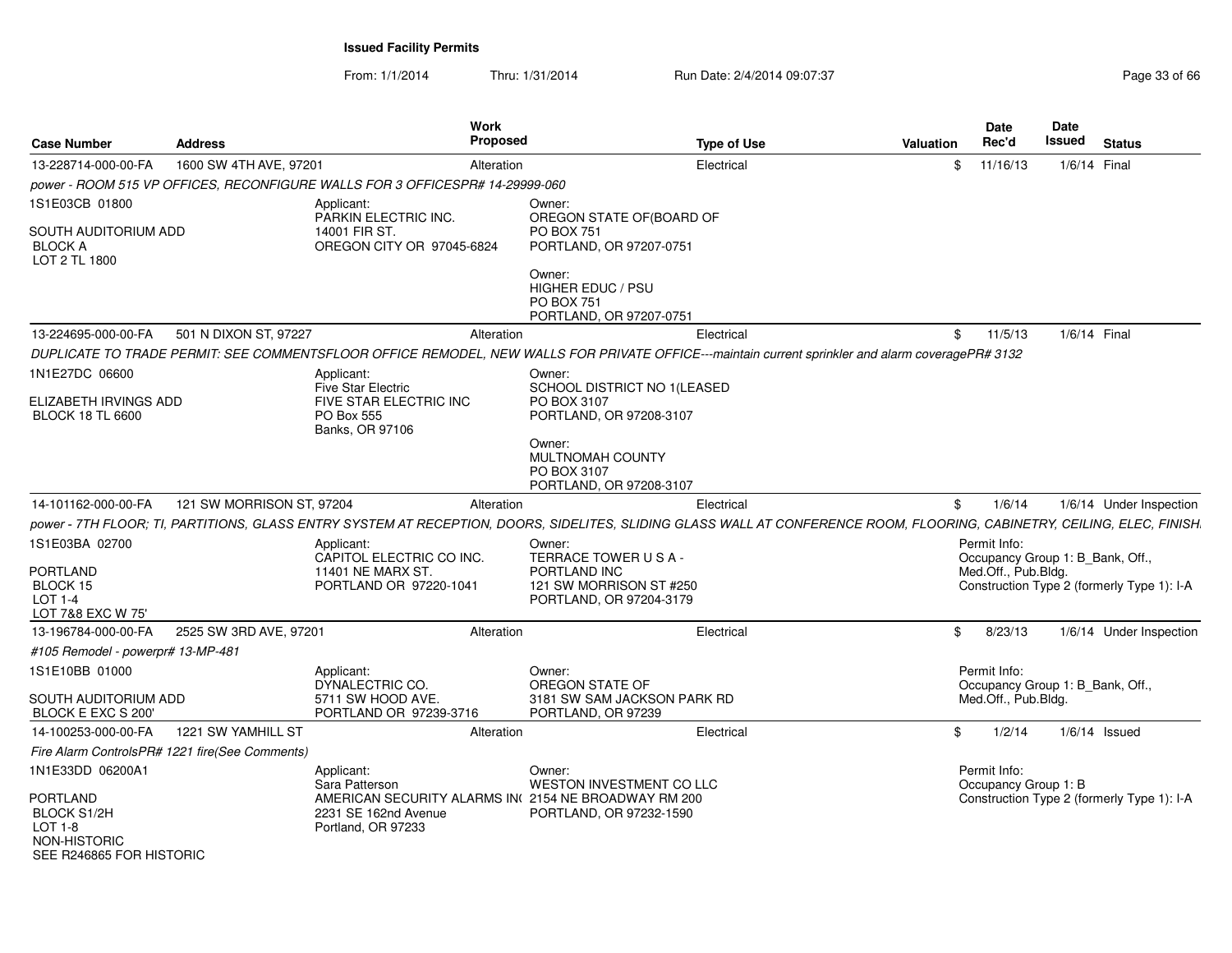From: 1/1/2014Thru: 1/31/2014 Run Date: 2/4/2014 09:07:37 Page 33 of 66

| <b>Case Number</b>                                                                    | <b>Address</b>                                 | <b>Work</b><br><b>Proposed</b>                                                                                                                                          |                                                                                                    | <b>Type of Use</b> | <b>Valuation</b> | Date<br>Rec'd                                                           | Date<br><b>Issued</b> | <b>Status</b>                              |
|---------------------------------------------------------------------------------------|------------------------------------------------|-------------------------------------------------------------------------------------------------------------------------------------------------------------------------|----------------------------------------------------------------------------------------------------|--------------------|------------------|-------------------------------------------------------------------------|-----------------------|--------------------------------------------|
| 13-228714-000-00-FA                                                                   | 1600 SW 4TH AVE, 97201                         | Alteration                                                                                                                                                              |                                                                                                    | Electrical         | \$               | 11/16/13                                                                | 1/6/14 Final          |                                            |
|                                                                                       |                                                | power - ROOM 515 VP OFFICES, RECONFIGURE WALLS FOR 3 OFFICESPR# 14-29999-060                                                                                            |                                                                                                    |                    |                  |                                                                         |                       |                                            |
| 1S1E03CB 01800                                                                        |                                                | Applicant:                                                                                                                                                              | Owner:                                                                                             |                    |                  |                                                                         |                       |                                            |
| SOUTH AUDITORIUM ADD<br><b>BLOCK A</b><br>LOT 2 TL 1800                               |                                                | PARKIN ELECTRIC INC.<br>14001 FIR ST.<br>OREGON CITY OR 97045-6824                                                                                                      | OREGON STATE OF(BOARD OF<br><b>PO BOX 751</b><br>PORTLAND, OR 97207-0751                           |                    |                  |                                                                         |                       |                                            |
|                                                                                       |                                                |                                                                                                                                                                         | Owner:<br>HIGHER EDUC / PSU<br><b>PO BOX 751</b><br>PORTLAND, OR 97207-0751                        |                    |                  |                                                                         |                       |                                            |
| 13-224695-000-00-FA                                                                   | 501 N DIXON ST, 97227                          | Alteration                                                                                                                                                              |                                                                                                    | Electrical         | \$               | 11/5/13                                                                 | 1/6/14 Final          |                                            |
|                                                                                       |                                                | DUPLICATE TO TRADE PERMIT: SEE COMMENTSFLOOR OFFICE REMODEL, NEW WALLS FOR PRIVATE OFFICE---maintain current sprinkler and alarm coveragePR# 3132                       |                                                                                                    |                    |                  |                                                                         |                       |                                            |
| 1N1E27DC 06600<br>ELIZABETH IRVINGS ADD<br><b>BLOCK 18 TL 6600</b>                    |                                                | Applicant:<br><b>Five Star Electric</b><br>FIVE STAR ELECTRIC INC<br>PO Box 555<br>Banks, OR 97106                                                                      | Owner:<br>SCHOOL DISTRICT NO 1(LEASED<br>PO BOX 3107<br>PORTLAND, OR 97208-3107                    |                    |                  |                                                                         |                       |                                            |
|                                                                                       |                                                |                                                                                                                                                                         | Owner:<br>MULTNOMAH COUNTY<br>PO BOX 3107<br>PORTLAND, OR 97208-3107                               |                    |                  |                                                                         |                       |                                            |
| 14-101162-000-00-FA                                                                   | 121 SW MORRISON ST, 97204                      | Alteration                                                                                                                                                              |                                                                                                    | Electrical         | \$               | 1/6/14                                                                  |                       | 1/6/14 Under Inspection                    |
|                                                                                       |                                                | power - 7TH FLOOR; TI, PARTITIONS, GLASS ENTRY SYSTEM AT RECEPTION, DOORS, SIDELITES, SLIDING GLASS WALL AT CONFERENCE ROOM, FLOORING, CABINETRY, CEILING, ELEC, FINISH |                                                                                                    |                    |                  |                                                                         |                       |                                            |
| 1S1E03BA 02700<br>PORTLAND<br>BLOCK 15<br><b>LOT 1-4</b><br>LOT 7&8 EXC W 75'         |                                                | Applicant:<br>CAPITOL ELECTRIC CO INC.<br>11401 NE MARX ST.<br>PORTLAND OR 97220-1041                                                                                   | Owner:<br>TERRACE TOWER USA-<br>PORTLAND INC<br>121 SW MORRISON ST #250<br>PORTLAND, OR 97204-3179 |                    |                  | Permit Info:<br>Occupancy Group 1: B_Bank, Off.,<br>Med.Off., Pub.Bldg. |                       | Construction Type 2 (formerly Type 1): I-A |
| 13-196784-000-00-FA                                                                   | 2525 SW 3RD AVE, 97201                         | Alteration                                                                                                                                                              |                                                                                                    | Electrical         | \$               | 8/23/13                                                                 |                       | 1/6/14 Under Inspection                    |
| #105 Remodel - powerpr# 13-MP-481                                                     |                                                |                                                                                                                                                                         |                                                                                                    |                    |                  |                                                                         |                       |                                            |
| 1S1E10BB 01000                                                                        |                                                | Applicant:<br>DYNALECTRIC CO.                                                                                                                                           | Owner:<br>OREGON STATE OF                                                                          |                    |                  | Permit Info:<br>Occupancy Group 1: B_Bank, Off.,                        |                       |                                            |
| SOUTH AUDITORIUM ADD<br>BLOCK E EXC S 200                                             |                                                | 5711 SW HOOD AVE.<br>PORTLAND OR 97239-3716                                                                                                                             | 3181 SW SAM JACKSON PARK RD<br>PORTLAND, OR 97239                                                  |                    |                  | Med.Off., Pub.Bldg.                                                     |                       |                                            |
| 14-100253-000-00-FA                                                                   | 1221 SW YAMHILL ST                             | Alteration                                                                                                                                                              |                                                                                                    | Electrical         | \$               | 1/2/14                                                                  |                       | $1/6/14$ Issued                            |
|                                                                                       | Fire Alarm ControlsPR# 1221 fire(See Comments) |                                                                                                                                                                         |                                                                                                    |                    |                  |                                                                         |                       |                                            |
| 1N1E33DD 06200A1                                                                      |                                                | Applicant:<br>Sara Patterson                                                                                                                                            | Owner:<br><b>WESTON INVESTMENT CO LLC</b>                                                          |                    |                  | Permit Info:<br>Occupancy Group 1: B                                    |                       |                                            |
| PORTLAND<br><b>BLOCK S1/2H</b><br>LOT 1-8<br>NON-HISTORIC<br>SEE R246865 FOR HISTORIC |                                                | AMERICAN SECURITY ALARMS IN(2154 NE BROADWAY RM 200<br>2231 SE 162nd Avenue<br>Portland, OR 97233                                                                       | PORTLAND, OR 97232-1590                                                                            |                    |                  |                                                                         |                       | Construction Type 2 (formerly Type 1): I-A |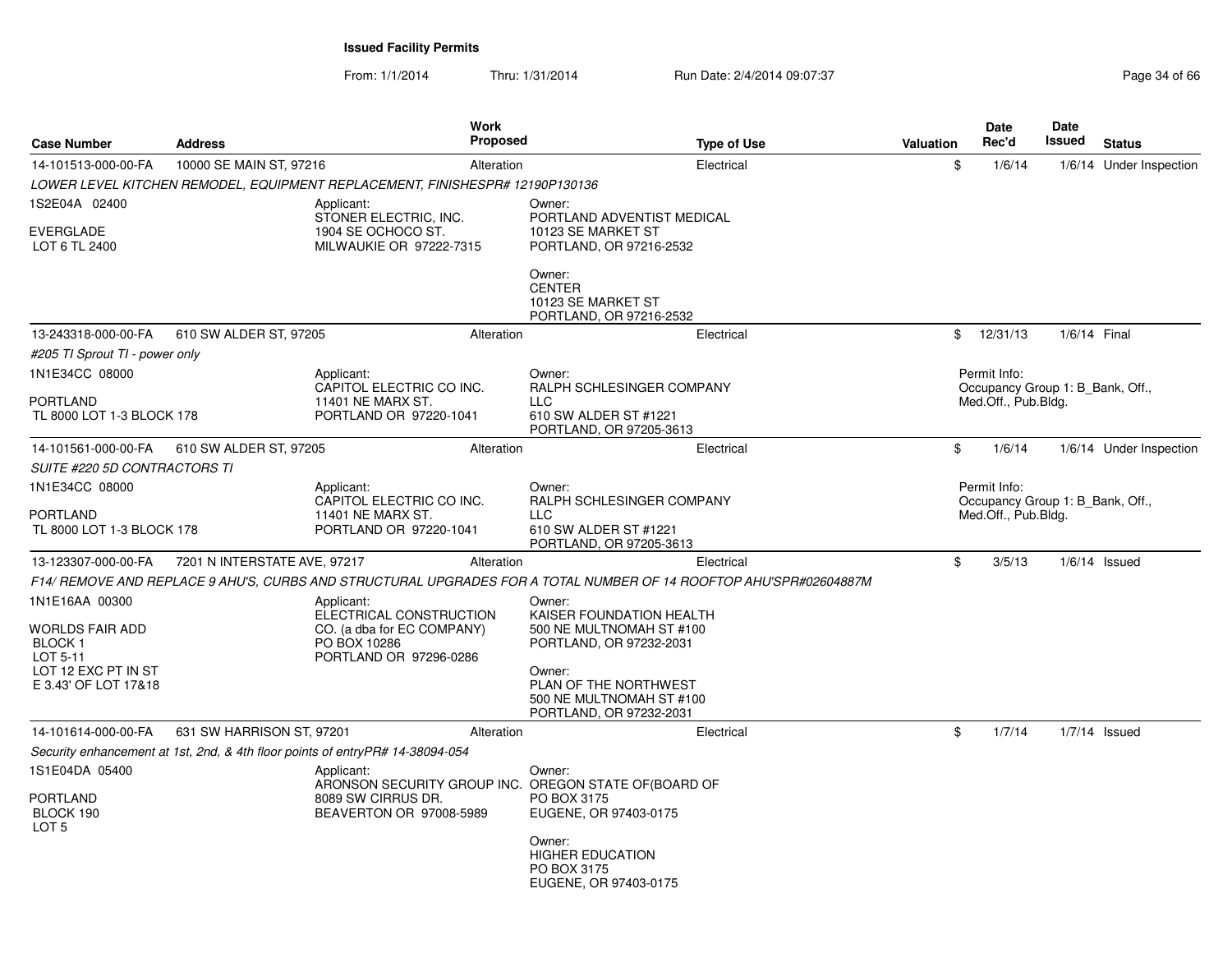From: 1/1/2014Thru: 1/31/2014 Run Date: 2/4/2014 09:07:37 Page 34 of 66

| <b>Case Number</b>                                                                         | <b>Address</b>               | <b>Work</b><br>Proposed                                                                                              |                                                                                                     | <b>Type of Use</b> | Valuation | Date<br>Rec'd                                           | Date<br>Issued | <b>Status</b>           |
|--------------------------------------------------------------------------------------------|------------------------------|----------------------------------------------------------------------------------------------------------------------|-----------------------------------------------------------------------------------------------------|--------------------|-----------|---------------------------------------------------------|----------------|-------------------------|
| 14-101513-000-00-FA                                                                        | 10000 SE MAIN ST, 97216      | Alteration                                                                                                           |                                                                                                     | Electrical         | \$        | 1/6/14                                                  |                | 1/6/14 Under Inspection |
|                                                                                            |                              | LOWER LEVEL KITCHEN REMODEL, EQUIPMENT REPLACEMENT, FINISHESPR# 12190P130136                                         |                                                                                                     |                    |           |                                                         |                |                         |
| 1S2E04A 02400<br><b>EVERGLADE</b><br>LOT 6 TL 2400                                         |                              | Applicant:<br>STONER ELECTRIC, INC.<br>1904 SE OCHOCO ST.<br>MILWAUKIE OR 97222-7315                                 | Owner:<br>PORTLAND ADVENTIST MEDICAL<br>10123 SE MARKET ST<br>PORTLAND, OR 97216-2532               |                    |           |                                                         |                |                         |
|                                                                                            |                              |                                                                                                                      | Owner:<br><b>CENTER</b><br>10123 SE MARKET ST<br>PORTLAND, OR 97216-2532                            |                    |           |                                                         |                |                         |
| 13-243318-000-00-FA                                                                        | 610 SW ALDER ST, 97205       | Alteration                                                                                                           |                                                                                                     | Electrical         | \$        | 12/31/13                                                | 1/6/14 Final   |                         |
| #205 TI Sprout TI - power only                                                             |                              |                                                                                                                      |                                                                                                     |                    |           |                                                         |                |                         |
| 1N1E34CC 08000<br>PORTLAND                                                                 |                              | Applicant:<br>CAPITOL ELECTRIC CO INC.<br>11401 NE MARX ST.                                                          | Owner:<br>RALPH SCHLESINGER COMPANY                                                                 |                    |           | Permit Info:<br>Occupancy Group 1: B_Bank, Off.,        |                |                         |
| TL 8000 LOT 1-3 BLOCK 178                                                                  |                              | PORTLAND OR 97220-1041                                                                                               | <b>LLC</b><br>610 SW ALDER ST #1221<br>PORTLAND, OR 97205-3613                                      |                    |           | Med.Off., Pub.Bldg.                                     |                |                         |
| 14-101561-000-00-FA                                                                        | 610 SW ALDER ST, 97205       | Alteration                                                                                                           |                                                                                                     | Electrical         | \$        | 1/6/14                                                  |                | 1/6/14 Under Inspection |
| SUITE #220 5D CONTRACTORS TI                                                               |                              |                                                                                                                      |                                                                                                     |                    |           |                                                         |                |                         |
| 1N1E34CC 08000                                                                             |                              | Applicant:                                                                                                           | Owner:                                                                                              |                    |           | Permit Info:                                            |                |                         |
| PORTLAND<br>TL 8000 LOT 1-3 BLOCK 178                                                      |                              | CAPITOL ELECTRIC CO INC.<br>11401 NE MARX ST.<br>PORTLAND OR 97220-1041                                              | RALPH SCHLESINGER COMPANY<br>LLC.<br>610 SW ALDER ST #1221<br>PORTLAND, OR 97205-3613               |                    |           | Occupancy Group 1: B Bank, Off.,<br>Med.Off., Pub.Bldg. |                |                         |
| 13-123307-000-00-FA                                                                        | 7201 N INTERSTATE AVE, 97217 | Alteration                                                                                                           |                                                                                                     | Electrical         | \$        | 3/5/13                                                  |                | $1/6/14$ Issued         |
|                                                                                            |                              | F14/ REMOVE AND REPLACE 9 AHU'S, CURBS AND STRUCTURAL UPGRADES FOR A TOTAL NUMBER OF 14 ROOFTOP AHU'SPR#02604887M    |                                                                                                     |                    |           |                                                         |                |                         |
| 1N1E16AA 00300<br>WORLDS FAIR ADD<br>BLOCK <sub>1</sub><br>LOT 5-11<br>LOT 12 EXC PT IN ST |                              | Applicant:<br>ELECTRICAL CONSTRUCTION<br>CO. (a dba for EC COMPANY)<br>PO BOX 10286<br>PORTLAND OR 97296-0286        | Owner:<br>KAISER FOUNDATION HEALTH<br>500 NE MULTNOMAH ST #100<br>PORTLAND, OR 97232-2031<br>Owner: |                    |           |                                                         |                |                         |
| E 3.43' OF LOT 17&18                                                                       |                              |                                                                                                                      | PLAN OF THE NORTHWEST<br>500 NE MULTNOMAH ST #100<br>PORTLAND, OR 97232-2031                        |                    |           |                                                         |                |                         |
| 14-101614-000-00-FA                                                                        | 631 SW HARRISON ST, 97201    | Alteration                                                                                                           |                                                                                                     | Electrical         | \$        | 1/7/14                                                  |                | $1/7/14$ Issued         |
|                                                                                            |                              | Security enhancement at 1st, 2nd, & 4th floor points of entryPR# 14-38094-054                                        |                                                                                                     |                    |           |                                                         |                |                         |
| 1S1E04DA 05400<br>PORTLAND<br>BLOCK 190<br>LOT 5                                           |                              | Applicant:<br>ARONSON SECURITY GROUP INC. OREGON STATE OF (BOARD OF<br>8089 SW CIRRUS DR.<br>BEAVERTON OR 97008-5989 | Owner:<br>PO BOX 3175<br>EUGENE, OR 97403-0175<br>Owner:                                            |                    |           |                                                         |                |                         |
|                                                                                            |                              |                                                                                                                      | <b>HIGHER EDUCATION</b><br>PO BOX 3175<br>EUGENE, OR 97403-0175                                     |                    |           |                                                         |                |                         |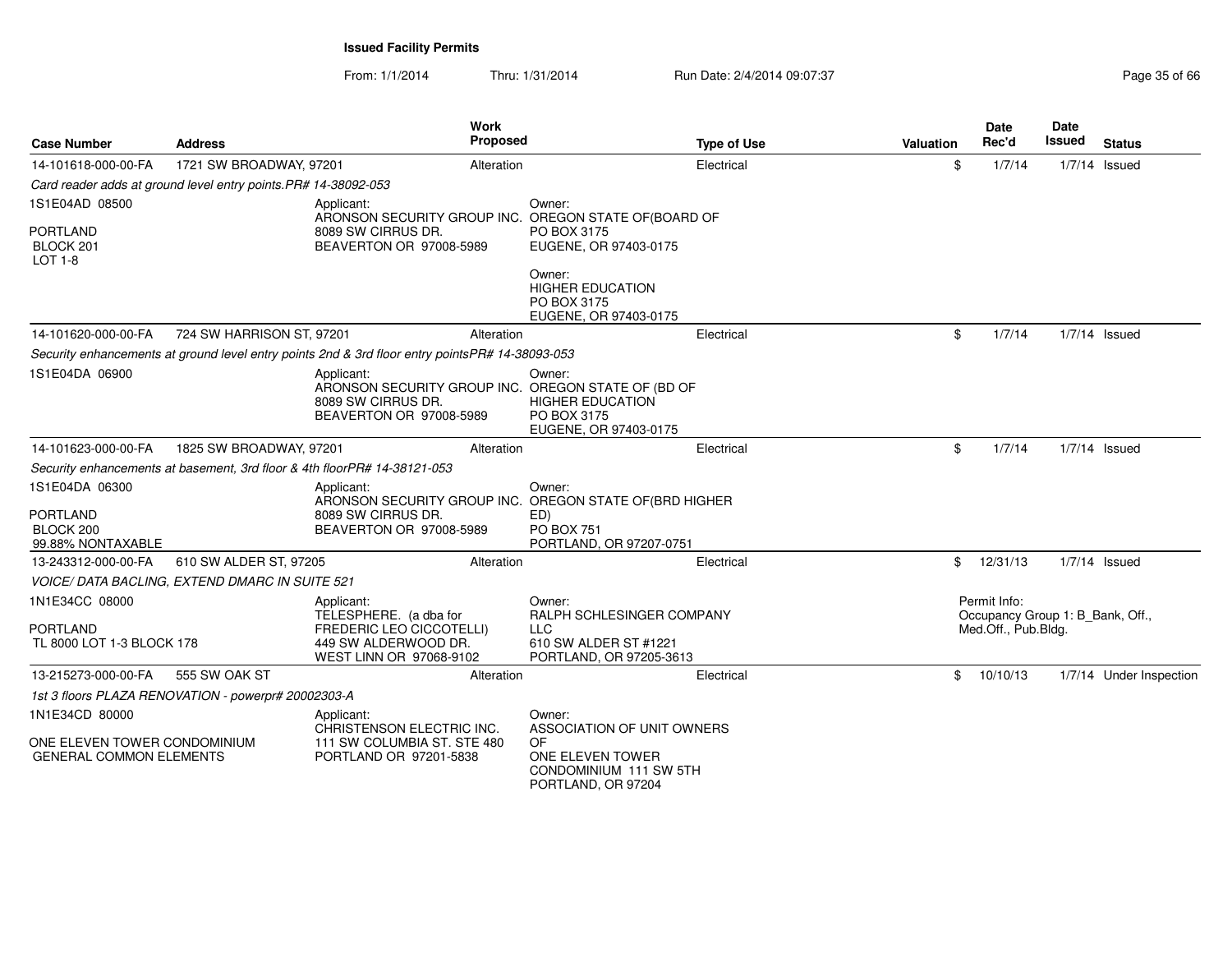From: 1/1/2014Thru: 1/31/2014 Run Date: 2/4/2014 09:07:37 Page 35 of 66

| <b>Case Number</b>                                                  | Address                                                         | <b>Work</b><br><b>Proposed</b>                                                                                         |                                                                                                       | <b>Type of Use</b> | Valuation | <b>Date</b><br>Rec'd                                                    | Date<br><b>Issued</b> | <b>Status</b>           |
|---------------------------------------------------------------------|-----------------------------------------------------------------|------------------------------------------------------------------------------------------------------------------------|-------------------------------------------------------------------------------------------------------|--------------------|-----------|-------------------------------------------------------------------------|-----------------------|-------------------------|
| 14-101618-000-00-FA                                                 | 1721 SW BROADWAY, 97201                                         | Alteration                                                                                                             | Electrical                                                                                            |                    | \$        | 1/7/14                                                                  | $1/7/14$ Issued       |                         |
|                                                                     | Card reader adds at ground level entry points. PR# 14-38092-053 |                                                                                                                        |                                                                                                       |                    |           |                                                                         |                       |                         |
| 1S1E04AD 08500<br><b>PORTLAND</b><br>BLOCK 201<br>$LOT 1-8$         |                                                                 | Applicant:<br>ARONSON SECURITY GROUP INC. OREGON STATE OF (BOARD OF<br>8089 SW CIRRUS DR.<br>BEAVERTON OR 97008-5989   | Owner:<br>PO BOX 3175<br>EUGENE, OR 97403-0175                                                        |                    |           |                                                                         |                       |                         |
|                                                                     |                                                                 |                                                                                                                        | Owner:<br><b>HIGHER EDUCATION</b><br>PO BOX 3175<br>EUGENE, OR 97403-0175                             |                    |           |                                                                         |                       |                         |
| 14-101620-000-00-FA                                                 | 724 SW HARRISON ST, 97201                                       | Alteration                                                                                                             | Electrical                                                                                            |                    | \$        | 1/7/14                                                                  | $1/7/14$ Issued       |                         |
|                                                                     |                                                                 | Security enhancements at ground level entry points 2nd & 3rd floor entry pointsPR# 14-38093-053                        |                                                                                                       |                    |           |                                                                         |                       |                         |
| 1S1E04DA 06900                                                      |                                                                 | Applicant:<br>ARONSON SECURITY GROUP INC. OREGON STATE OF (BD OF<br>8089 SW CIRRUS DR.<br>BEAVERTON OR 97008-5989      | Owner:<br><b>HIGHER EDUCATION</b><br>PO BOX 3175<br>EUGENE, OR 97403-0175                             |                    |           |                                                                         |                       |                         |
| 14-101623-000-00-FA                                                 | 1825 SW BROADWAY, 97201                                         | Alteration                                                                                                             | Electrical                                                                                            |                    | \$        | 1/7/14                                                                  | $1/7/14$ Issued       |                         |
|                                                                     |                                                                 | Security enhancements at basement, 3rd floor & 4th floorPR# 14-38121-053                                               |                                                                                                       |                    |           |                                                                         |                       |                         |
| 1S1E04DA 06300<br><b>PORTLAND</b><br>BLOCK 200<br>99.88% NONTAXABLE |                                                                 | Applicant:<br>ARONSON SECURITY GROUP INC. OREGON STATE OF (BRD HIGHER<br>8089 SW CIRRUS DR.<br>BEAVERTON OR 97008-5989 | Owner:<br>ED)<br><b>PO BOX 751</b><br>PORTLAND, OR 97207-0751                                         |                    |           |                                                                         |                       |                         |
| 13-243312-000-00-FA                                                 | 610 SW ALDER ST, 97205                                          | Alteration                                                                                                             | Electrical                                                                                            |                    | \$        | 12/31/13                                                                | $1/7/14$ Issued       |                         |
|                                                                     | VOICE/ DATA BACLING, EXTEND DMARC IN SUITE 521                  |                                                                                                                        |                                                                                                       |                    |           |                                                                         |                       |                         |
| 1N1E34CC 08000<br>PORTLAND<br>TL 8000 LOT 1-3 BLOCK 178             |                                                                 | Applicant:<br>TELESPHERE. (a dba for<br>FREDERIC LEO CICCOTELLI)<br>449 SW ALDERWOOD DR.<br>WEST LINN OR 97068-9102    | Owner:<br>RALPH SCHLESINGER COMPANY<br><b>LLC</b><br>610 SW ALDER ST #1221<br>PORTLAND, OR 97205-3613 |                    |           | Permit Info:<br>Occupancy Group 1: B Bank, Off.,<br>Med.Off., Pub.Bldg. |                       |                         |
| 13-215273-000-00-FA                                                 | 555 SW OAK ST                                                   | Alteration                                                                                                             | Electrical                                                                                            |                    | \$        | 10/10/13                                                                |                       | 1/7/14 Under Inspection |
|                                                                     | 1st 3 floors PLAZA RENOVATION - powerpr# 20002303-A             |                                                                                                                        |                                                                                                       |                    |           |                                                                         |                       |                         |
| 1N1E34CD 80000                                                      |                                                                 | Applicant:<br>CHRISTENSON ELECTRIC INC.                                                                                | Owner:<br>ASSOCIATION OF UNIT OWNERS                                                                  |                    |           |                                                                         |                       |                         |
| ONE ELEVEN TOWER CONDOMINIUM<br><b>GENERAL COMMON ELEMENTS</b>      |                                                                 | 111 SW COLUMBIA ST. STE 480<br>PORTLAND OR 97201-5838                                                                  | OF<br>ONE ELEVEN TOWER<br>CONDOMINIUM 111 SW 5TH<br>PORTLAND, OR 97204                                |                    |           |                                                                         |                       |                         |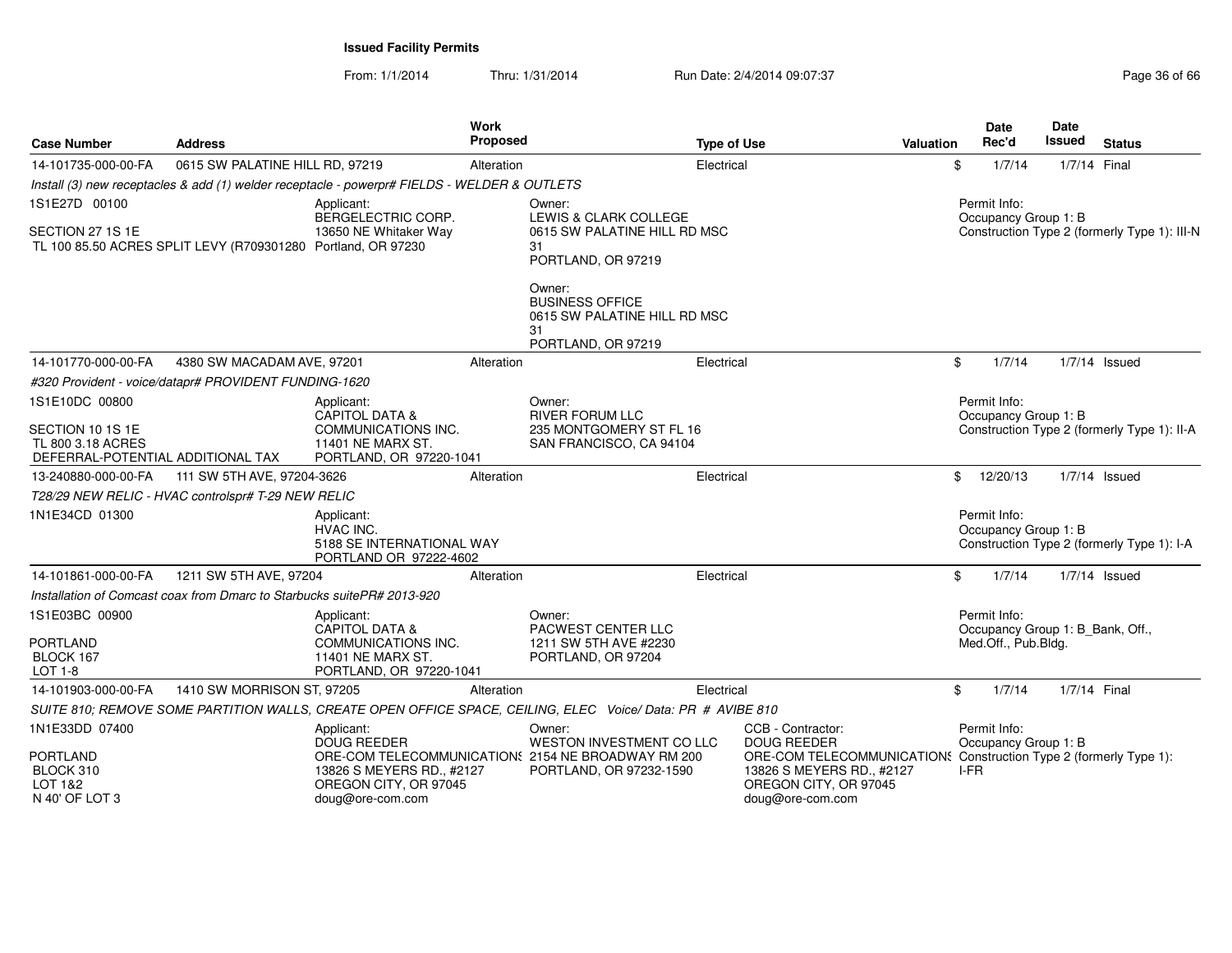From: 1/1/2014Thru: 1/31/2014 Run Date: 2/4/2014 09:07:37 Page 36 of 66

| <b>Case Number</b>                                                         | <b>Address</b>                                                             |                                                                                              | Work<br>Proposed   |                                                                                                            | <b>Type of Use</b>              | Valuation                                                                                            |              | <b>Date</b><br>Rec'd                             | Date<br>Issued | <b>Status</b>                                |
|----------------------------------------------------------------------------|----------------------------------------------------------------------------|----------------------------------------------------------------------------------------------|--------------------|------------------------------------------------------------------------------------------------------------|---------------------------------|------------------------------------------------------------------------------------------------------|--------------|--------------------------------------------------|----------------|----------------------------------------------|
| 14-101735-000-00-FA                                                        | 0615 SW PALATINE HILL RD, 97219                                            |                                                                                              | Alteration         |                                                                                                            | Electrical                      |                                                                                                      | \$           | 1/7/14                                           | 1/7/14 Final   |                                              |
|                                                                            |                                                                            | Install (3) new receptacles & add (1) welder receptacle - powerpr# FIELDS - WELDER & OUTLETS |                    |                                                                                                            |                                 |                                                                                                      |              |                                                  |                |                                              |
| 1S1E27D 00100                                                              | Applicant:                                                                 |                                                                                              | BERGELECTRIC CORP. |                                                                                                            | Owner:<br>LEWIS & CLARK COLLEGE |                                                                                                      |              | Permit Info:<br>Occupancy Group 1: B             |                |                                              |
| SECTION 27 1S 1E                                                           | TL 100 85.50 ACRES SPLIT LEVY (R709301280 Portland, OR 97230               | 13650 NE Whitaker Way                                                                        |                    | 0615 SW PALATINE HILL RD MSC<br>31<br>PORTLAND, OR 97219                                                   |                                 |                                                                                                      |              |                                                  |                | Construction Type 2 (formerly Type 1): III-N |
|                                                                            |                                                                            |                                                                                              |                    | Owner:<br><b>BUSINESS OFFICE</b><br>0615 SW PALATINE HILL RD MSC<br>31<br>PORTLAND, OR 97219               |                                 |                                                                                                      |              |                                                  |                |                                              |
| 14-101770-000-00-FA                                                        | 4380 SW MACADAM AVE, 97201                                                 |                                                                                              | Alteration         |                                                                                                            | Electrical                      |                                                                                                      | $\mathbb{S}$ | 1/7/14                                           |                | $1/7/14$ Issued                              |
|                                                                            | #320 Provident - voice/datapr# PROVIDENT FUNDING-1620                      |                                                                                              |                    |                                                                                                            |                                 |                                                                                                      |              |                                                  |                |                                              |
| 1S1E10DC 00800                                                             |                                                                            | Applicant:<br>CAPITOL DATA &                                                                 |                    | Owner:<br><b>RIVER FORUM LLC</b>                                                                           |                                 |                                                                                                      |              | Permit Info:<br>Occupancy Group 1: B             |                |                                              |
| SECTION 10 1S 1E<br>TL 800 3.18 ACRES<br>DEFERRAL-POTENTIAL ADDITIONAL TAX | COMMUNICATIONS INC.<br>11401 NE MARX ST.<br>PORTLAND, OR 97220-1041        |                                                                                              |                    | 235 MONTGOMERY ST FL 16<br>SAN FRANCISCO, CA 94104                                                         |                                 |                                                                                                      |              | Construction Type 2 (formerly Type 1): II-A      |                |                                              |
| 13-240880-000-00-FA                                                        | 111 SW 5TH AVE, 97204-3626                                                 |                                                                                              | Alteration         |                                                                                                            | Electrical                      |                                                                                                      | $\mathbb{S}$ | 12/20/13                                         |                | $1/7/14$ Issued                              |
|                                                                            | T28/29 NEW RELIC - HVAC controlspr# T-29 NEW RELIC                         |                                                                                              |                    |                                                                                                            |                                 |                                                                                                      |              |                                                  |                |                                              |
| 1N1E34CD 01300                                                             |                                                                            | Applicant:<br>HVAC INC.<br>5188 SE INTERNATIONAL WAY<br>PORTLAND OR 97222-4602               |                    |                                                                                                            |                                 |                                                                                                      |              | Permit Info:<br>Occupancy Group 1: B             |                | Construction Type 2 (formerly Type 1): I-A   |
| 14-101861-000-00-FA                                                        | 1211 SW 5TH AVE, 97204                                                     |                                                                                              | Alteration         |                                                                                                            | Electrical                      |                                                                                                      | \$           | 1/7/14                                           |                | $1/7/14$ Issued                              |
|                                                                            | Installation of Comcast coax from Dmarc to Starbucks suitePR# 2013-920     |                                                                                              |                    |                                                                                                            |                                 |                                                                                                      |              |                                                  |                |                                              |
| 1S1E03BC 00900                                                             |                                                                            | Applicant:<br><b>CAPITOL DATA &amp;</b>                                                      |                    | Owner:<br>PACWEST CENTER LLC                                                                               |                                 |                                                                                                      |              | Permit Info:<br>Occupancy Group 1: B_Bank, Off., |                |                                              |
| <b>PORTLAND</b><br>BLOCK 167<br><b>LOT 1-8</b>                             | <b>COMMUNICATIONS INC.</b><br>11401 NE MARX ST.<br>PORTLAND, OR 97220-1041 |                                                                                              |                    | 1211 SW 5TH AVE #2230<br>PORTLAND, OR 97204                                                                |                                 |                                                                                                      |              | Med.Off., Pub.Bldg.                              |                |                                              |
| 14-101903-000-00-FA                                                        | 1410 SW MORRISON ST, 97205                                                 |                                                                                              | Alteration         |                                                                                                            | Electrical                      |                                                                                                      | \$           | 1/7/14                                           | 1/7/14 Final   |                                              |
|                                                                            |                                                                            |                                                                                              |                    | SUITE 810; REMOVE SOME PARTITION WALLS, CREATE OPEN OFFICE SPACE, CEILING, ELEC Voice/Data: PR # AVIBE 810 |                                 |                                                                                                      |              |                                                  |                |                                              |
| 1N1E33DD 07400                                                             |                                                                            | Applicant:<br><b>DOUG REEDER</b>                                                             |                    | Owner:<br>WESTON INVESTMENT CO LLC                                                                         |                                 | CCB - Contractor:<br><b>DOUG REEDER</b>                                                              |              | Permit Info:<br>Occupancy Group 1: B             |                |                                              |
| <b>PORTLAND</b><br>BLOCK 310<br><b>LOT 1&amp;2</b><br>N 40' OF LOT 3       |                                                                            | 13826 S MEYERS RD., #2127<br>OREGON CITY, OR 97045<br>doug@ore-com.com                       |                    | ORE-COM TELECOMMUNICATION: 2154 NE BROADWAY RM 200<br>PORTLAND, OR 97232-1590                              |                                 | ORE-COM TELECOMMUNICATIONS<br>13826 S MEYERS RD., #2127<br>OREGON CITY, OR 97045<br>doug@ore-com.com | I-FR         |                                                  |                | Construction Type 2 (formerly Type 1):       |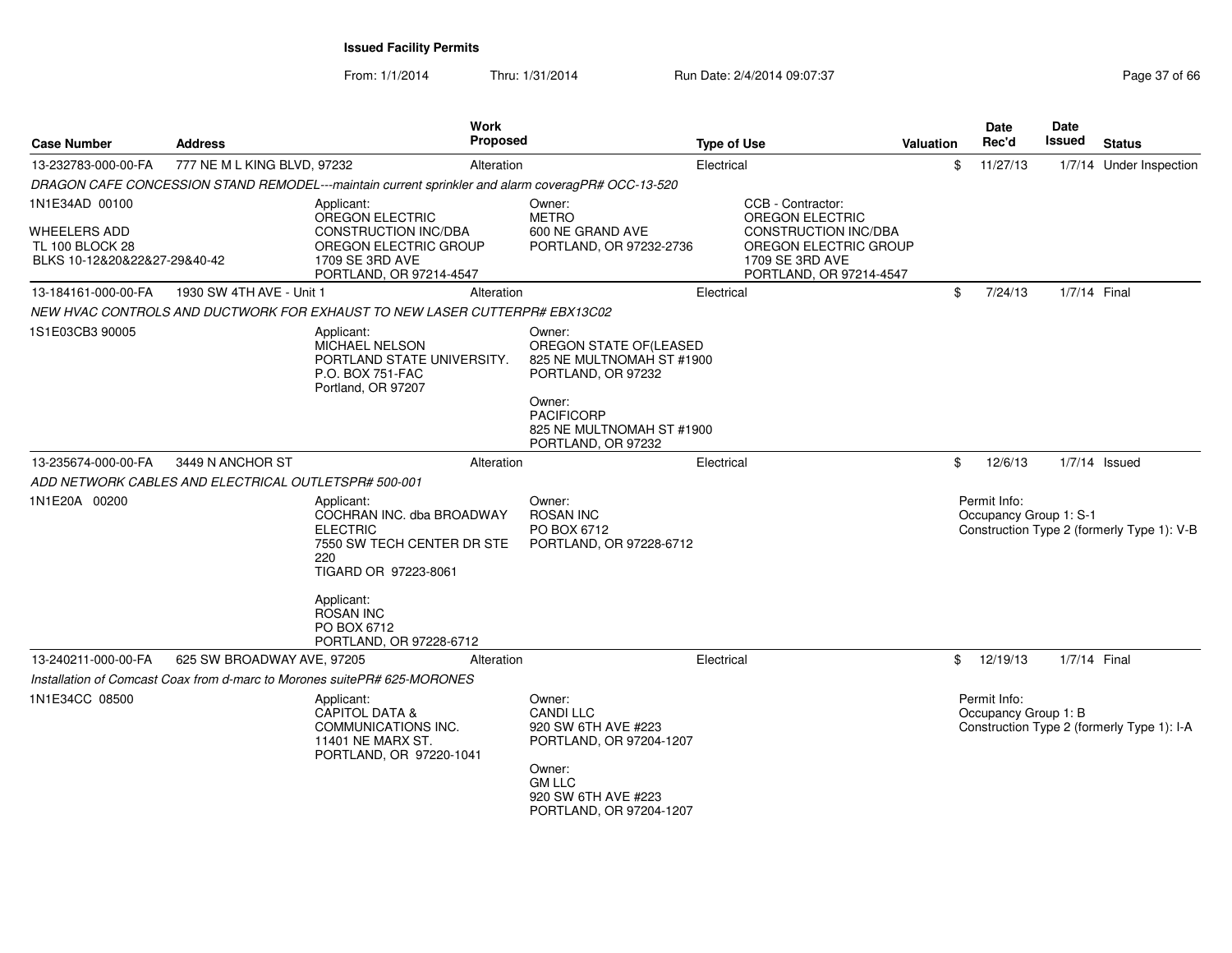From: 1/1/2014

Thru: 1/31/2014 Run Date: 2/4/2014 09:07:37 Page 37 of 66

| <b>Case Number</b>                                                                       | <b>Address</b>                                       |                                                                                                                                     | <b>Proposed</b>                                                                      | <b>Type of Use</b> |                                                                                                                                            | Valuation | Date<br><b>Date</b><br><b>Issued</b><br>Rec'd<br><b>Status</b> |                                        |                 |                                            |
|------------------------------------------------------------------------------------------|------------------------------------------------------|-------------------------------------------------------------------------------------------------------------------------------------|--------------------------------------------------------------------------------------|--------------------|--------------------------------------------------------------------------------------------------------------------------------------------|-----------|----------------------------------------------------------------|----------------------------------------|-----------------|--------------------------------------------|
| 13-232783-000-00-FA                                                                      | 777 NE M L KING BLVD, 97232                          | Alteration                                                                                                                          |                                                                                      | Electrical         |                                                                                                                                            | \$        |                                                                | 11/27/13                               |                 | 1/7/14 Under Inspection                    |
|                                                                                          |                                                      | DRAGON CAFE CONCESSION STAND REMODEL---maintain current sprinkler and alarm coveragPR# OCC-13-520                                   |                                                                                      |                    |                                                                                                                                            |           |                                                                |                                        |                 |                                            |
| 1N1E34AD 00100<br>WHEELERS ADD<br><b>TL 100 BLOCK 28</b><br>BLKS 10-12&20&22&27-29&40-42 |                                                      | Applicant:<br>OREGON ELECTRIC<br><b>CONSTRUCTION INC/DBA</b><br>OREGON ELECTRIC GROUP<br>1709 SE 3RD AVE<br>PORTLAND, OR 97214-4547 | Owner:<br><b>METRO</b><br>600 NE GRAND AVE<br>PORTLAND, OR 97232-2736                |                    | CCB - Contractor:<br><b>OREGON ELECTRIC</b><br>CONSTRUCTION INC/DBA<br>OREGON ELECTRIC GROUP<br>1709 SE 3RD AVE<br>PORTLAND, OR 97214-4547 |           |                                                                |                                        |                 |                                            |
| 13-184161-000-00-FA                                                                      | 1930 SW 4TH AVE - Unit 1                             | Alteration                                                                                                                          |                                                                                      | Electrical         |                                                                                                                                            | \$        |                                                                | 7/24/13                                | 1/7/14 Final    |                                            |
|                                                                                          |                                                      | NEW HVAC CONTROLS AND DUCTWORK FOR EXHAUST TO NEW LASER CUTTERPR# EBX13C02                                                          |                                                                                      |                    |                                                                                                                                            |           |                                                                |                                        |                 |                                            |
| 1S1E03CB3 90005                                                                          |                                                      | Applicant:<br><b>MICHAEL NELSON</b><br>PORTLAND STATE UNIVERSITY.<br>P.O. BOX 751-FAC<br>Portland, OR 97207                         | Owner:<br>OREGON STATE OF (LEASED<br>825 NE MULTNOMAH ST #1900<br>PORTLAND, OR 97232 |                    |                                                                                                                                            |           |                                                                |                                        |                 |                                            |
|                                                                                          |                                                      |                                                                                                                                     | Owner:<br><b>PACIFICORP</b><br>825 NE MULTNOMAH ST #1900<br>PORTLAND, OR 97232       |                    |                                                                                                                                            |           |                                                                |                                        |                 |                                            |
| 13-235674-000-00-FA                                                                      | 3449 N ANCHOR ST                                     | Alteration                                                                                                                          |                                                                                      | Electrical         |                                                                                                                                            | \$        |                                                                | 12/6/13                                | $1/7/14$ Issued |                                            |
|                                                                                          | ADD NETWORK CABLES AND ELECTRICAL OUTLETSPR# 500-001 |                                                                                                                                     |                                                                                      |                    |                                                                                                                                            |           |                                                                |                                        |                 |                                            |
| 1N1E20A 00200                                                                            |                                                      | Applicant:<br>COCHRAN INC. dba BROADWAY<br><b>ELECTRIC</b><br>7550 SW TECH CENTER DR STE<br>220<br>TIGARD OR 97223-8061             | Owner:<br><b>ROSAN INC</b><br>PO BOX 6712<br>PORTLAND, OR 97228-6712                 |                    |                                                                                                                                            |           |                                                                | Permit Info:<br>Occupancy Group 1: S-1 |                 | Construction Type 2 (formerly Type 1): V-B |
|                                                                                          |                                                      | Applicant:<br><b>ROSAN INC</b><br>PO BOX 6712<br>PORTLAND, OR 97228-6712                                                            |                                                                                      |                    |                                                                                                                                            |           |                                                                |                                        |                 |                                            |
| 13-240211-000-00-FA                                                                      | 625 SW BROADWAY AVE, 97205                           | Alteration                                                                                                                          |                                                                                      | Electrical         |                                                                                                                                            | \$        |                                                                | 12/19/13                               | 1/7/14 Final    |                                            |
|                                                                                          |                                                      | Installation of Comcast Coax from d-marc to Morones suitePR# 625-MORONES                                                            |                                                                                      |                    |                                                                                                                                            |           |                                                                |                                        |                 |                                            |
| 1N1E34CC 08500                                                                           |                                                      | Applicant:<br><b>CAPITOL DATA &amp;</b><br>COMMUNICATIONS INC.<br>11401 NE MARX ST.<br>PORTLAND, OR 97220-1041                      | Owner:<br><b>CANDI LLC</b><br>920 SW 6TH AVE #223<br>PORTLAND, OR 97204-1207         |                    |                                                                                                                                            |           |                                                                | Permit Info:<br>Occupancy Group 1: B   |                 | Construction Type 2 (formerly Type 1): I-A |
|                                                                                          |                                                      |                                                                                                                                     | Owner:<br><b>GM LLC</b><br>920 SW 6TH AVE #223<br>PORTLAND, OR 97204-1207            |                    |                                                                                                                                            |           |                                                                |                                        |                 |                                            |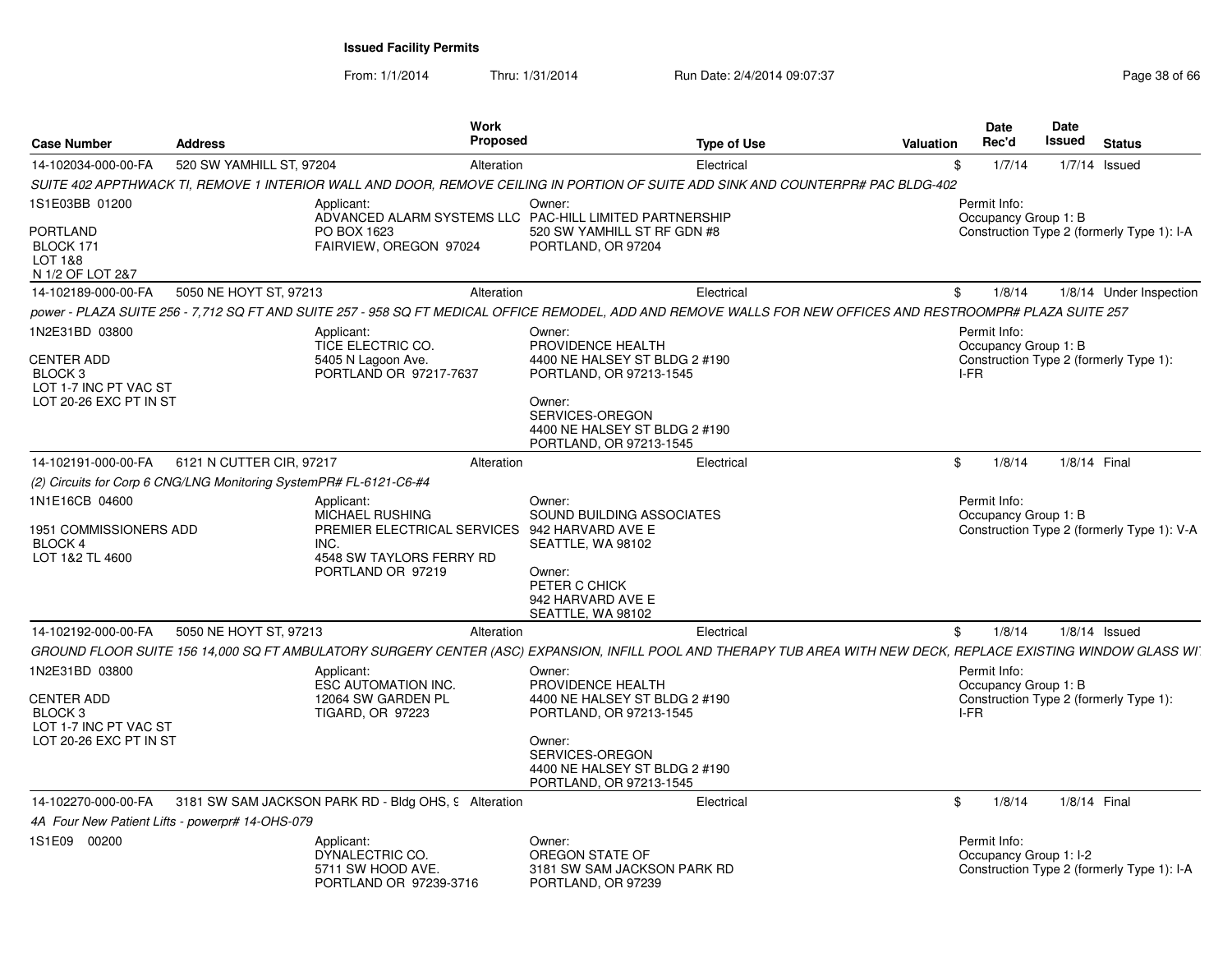From: 1/1/2014Thru: 1/31/2014 Run Date: 2/4/2014 09:07:37 Page 38 of 66

| <b>Case Number</b>                                   | <b>Address</b>                                                                                                                                                  | Work<br>Proposed                                                                                                                        | <b>Type of Use</b>            | Date<br>Rec'd<br>Valuation             | Date<br><b>Issued</b> | <b>Status</b>                              |
|------------------------------------------------------|-----------------------------------------------------------------------------------------------------------------------------------------------------------------|-----------------------------------------------------------------------------------------------------------------------------------------|-------------------------------|----------------------------------------|-----------------------|--------------------------------------------|
| 14-102034-000-00-FA                                  | 520 SW YAMHILL ST, 97204                                                                                                                                        | Alteration                                                                                                                              | Electrical                    | 1/7/14                                 |                       | $1/7/14$ Issued                            |
|                                                      | SUITE 402 APPTHWACK TI, REMOVE 1 INTERIOR WALL AND DOOR, REMOVE CEILING IN PORTION OF SUITE ADD SINK AND COUNTERPR# PAC BLDG-402                                |                                                                                                                                         |                               |                                        |                       |                                            |
| 1S1E03BB 01200                                       | Applicant:                                                                                                                                                      | Owner:<br>ADVANCED ALARM SYSTEMS LLC PAC-HILL LIMITED PARTNERSHIP                                                                       |                               | Permit Info:<br>Occupancy Group 1: B   |                       |                                            |
| PORTLAND<br>BLOCK 171<br>LOT 1&8<br>N 1/2 OF LOT 2&7 | PO BOX 1623<br>FAIRVIEW, OREGON 97024                                                                                                                           | PORTLAND, OR 97204                                                                                                                      | 520 SW YAMHILL ST RF GDN #8   |                                        |                       | Construction Type 2 (formerly Type 1): I-A |
| 14-102189-000-00-FA                                  | 5050 NE HOYT ST, 97213                                                                                                                                          | Alteration                                                                                                                              | Electrical                    | 1/8/14<br>\$.                          |                       | 1/8/14 Under Inspection                    |
|                                                      | power - PLAZA SUITE 256 - 7,712 SQ FT AND SUITE 257 - 958 SQ FT MEDICAL OFFICE REMODEL, ADD AND REMOVE WALLS FOR NEW OFFICES AND RESTROOMPR# PLAZA SUITE 257    |                                                                                                                                         |                               |                                        |                       |                                            |
| 1N2E31BD 03800                                       | Applicant:<br>TICE ELECTRIC CO.                                                                                                                                 | Owner:<br>PROVIDENCE HEALTH                                                                                                             |                               | Permit Info:<br>Occupancy Group 1: B   |                       |                                            |
| CENTER ADD<br>BLOCK 3<br>LOT 1-7 INC PT VAC ST       | 5405 N Lagoon Ave.<br>PORTLAND OR 97217-7637                                                                                                                    | PORTLAND, OR 97213-1545                                                                                                                 | 4400 NE HALSEY ST BLDG 2 #190 | I-FR                                   |                       | Construction Type 2 (formerly Type 1):     |
| LOT 20-26 EXC PT IN ST                               |                                                                                                                                                                 | Owner:<br>SERVICES-OREGON<br>PORTLAND, OR 97213-1545                                                                                    | 4400 NE HALSEY ST BLDG 2 #190 |                                        |                       |                                            |
| 14-102191-000-00-FA                                  | 6121 N CUTTER CIR, 97217                                                                                                                                        | Alteration                                                                                                                              | Electrical                    | 1/8/14<br>\$                           | 1/8/14 Final          |                                            |
|                                                      | (2) Circuits for Corp 6 CNG/LNG Monitoring SystemPR# FL-6121-C6-#4                                                                                              |                                                                                                                                         |                               |                                        |                       |                                            |
| 1N1E16CB 04600                                       | Applicant:                                                                                                                                                      | Owner:                                                                                                                                  |                               | Permit Info:                           |                       |                                            |
| 1951 COMMISSIONERS ADD<br>BLOCK 4<br>LOT 1&2 TL 4600 | <b>MICHAEL RUSHING</b><br>INC.<br>4548 SW TAYLORS FERRY RD<br>PORTLAND OR 97219                                                                                 | PREMIER ELECTRICAL SERVICES 942 HARVARD AVE E<br>SEATTLE, WA 98102<br>Owner:<br>PETER C CHICK<br>942 HARVARD AVE E<br>SEATTLE, WA 98102 | SOUND BUILDING ASSOCIATES     | Occupancy Group 1: B                   |                       | Construction Type 2 (formerly Type 1): V-A |
| 14-102192-000-00-FA                                  | 5050 NE HOYT ST, 97213                                                                                                                                          | Alteration                                                                                                                              | Electrical                    | 1/8/14<br>\$                           |                       | $1/8/14$ Issued                            |
|                                                      | GROUND FLOOR SUITE 156 14,000 SQ FT AMBULATORY SURGERY CENTER (ASC) EXPANSION, INFILL POOL AND THERAPY TUB AREA WITH NEW DECK, REPLACE EXISTING WINDOW GLASS WI |                                                                                                                                         |                               |                                        |                       |                                            |
| 1N2E31BD 03800<br><b>CENTER ADD</b>                  | Applicant:<br>ESC AUTOMATION INC.<br>12064 SW GARDEN PL                                                                                                         | Owner:<br>PROVIDENCE HEALTH                                                                                                             | 4400 NE HALSEY ST BLDG 2 #190 | Permit Info:<br>Occupancy Group 1: B   |                       | Construction Type 2 (formerly Type 1):     |
| BLOCK 3<br>LOT 1-7 INC PT VAC ST                     | TIGARD, OR 97223                                                                                                                                                | PORTLAND, OR 97213-1545                                                                                                                 |                               | I-FR                                   |                       |                                            |
| LOT 20-26 EXC PT IN ST                               |                                                                                                                                                                 | Owner:<br>SERVICES-OREGON<br>PORTLAND, OR 97213-1545                                                                                    | 4400 NE HALSEY ST BLDG 2 #190 |                                        |                       |                                            |
| 14-102270-000-00-FA                                  | 3181 SW SAM JACKSON PARK RD - Bldg OHS, 9 Alteration                                                                                                            |                                                                                                                                         | Electrical                    | 1/8/14<br>\$                           | 1/8/14 Final          |                                            |
|                                                      | 4A Four New Patient Lifts - powerpr# 14-OHS-079                                                                                                                 |                                                                                                                                         |                               |                                        |                       |                                            |
| 1S1E09 00200                                         | Applicant:<br>DYNALECTRIC CO.<br>5711 SW HOOD AVE.<br>PORTLAND OR 97239-3716                                                                                    | Owner:<br>OREGON STATE OF<br>PORTLAND, OR 97239                                                                                         | 3181 SW SAM JACKSON PARK RD   | Permit Info:<br>Occupancy Group 1: I-2 |                       | Construction Type 2 (formerly Type 1): I-A |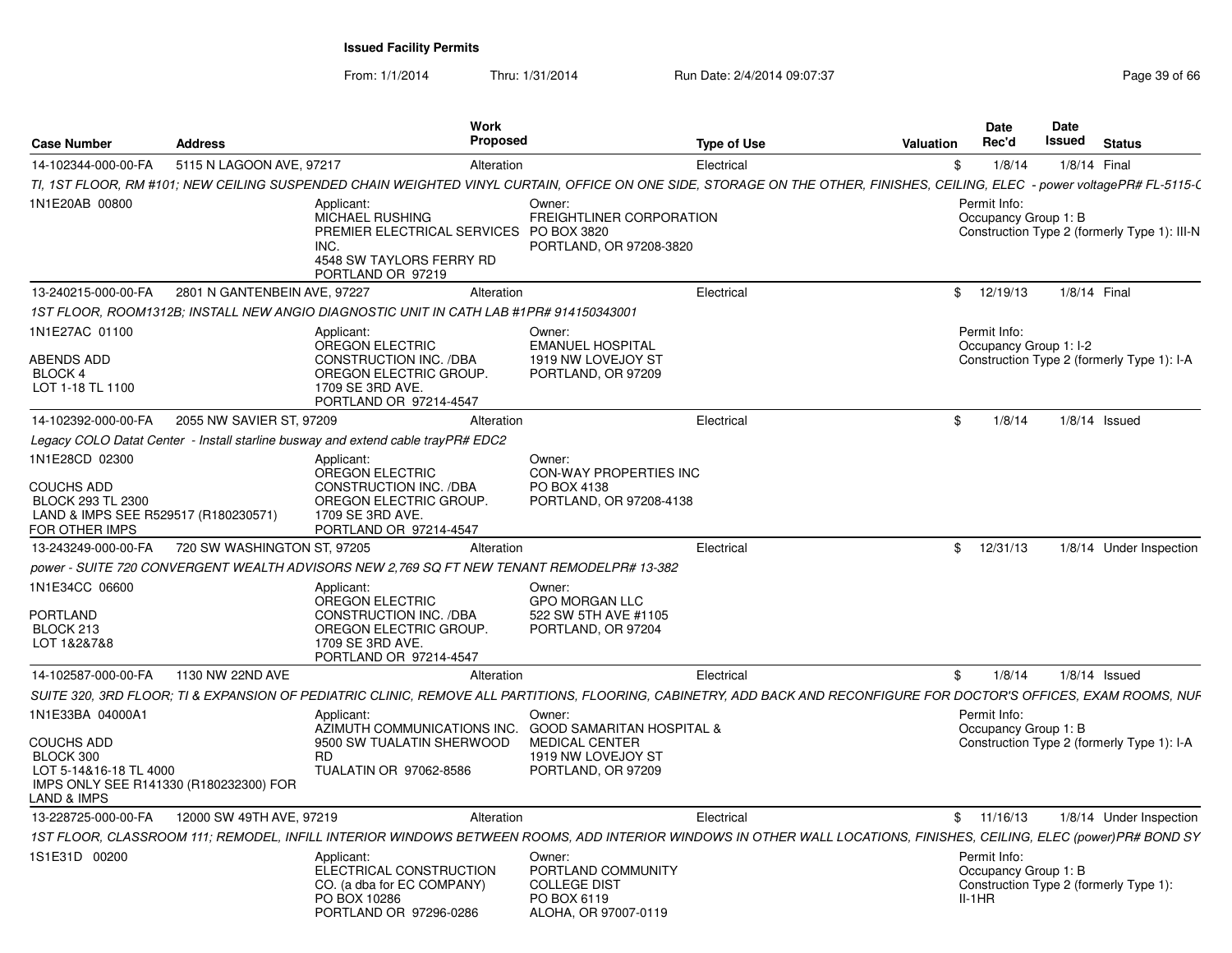From: 1/1/2014

Thru: 1/31/2014 Run Date: 2/4/2014 09:07:37 Page 39 of 66

|                                                                                                            |                              | <b>Work</b>                                                                                                                                                                |                                                                                            |                    |           | <b>Date</b>                                      | <b>Date</b> |                                              |
|------------------------------------------------------------------------------------------------------------|------------------------------|----------------------------------------------------------------------------------------------------------------------------------------------------------------------------|--------------------------------------------------------------------------------------------|--------------------|-----------|--------------------------------------------------|-------------|----------------------------------------------|
| <b>Case Number</b>                                                                                         | <b>Address</b>               | Proposed                                                                                                                                                                   |                                                                                            | <b>Type of Use</b> | Valuation | Rec'd                                            | Issued      | <b>Status</b>                                |
| 14-102344-000-00-FA                                                                                        | 5115 N LAGOON AVE, 97217     | Alteration                                                                                                                                                                 |                                                                                            | Electrical         | \$        | 1/8/14                                           |             | 1/8/14 Final                                 |
|                                                                                                            |                              | TI, 1ST FLOOR, RM #101; NEW CEILING SUSPENDED CHAIN WEIGHTED VINYL CURTAIN, OFFICE ON ONE SIDE, STORAGE ON THE OTHER, FINISHES, CEILING, ELEC - power voltagePR# FL-5115-( |                                                                                            |                    |           |                                                  |             |                                              |
| 1N1E20AB 00800                                                                                             |                              | Applicant:<br>MICHAEL RUSHING<br>PREMIER ELECTRICAL SERVICES<br>INC.<br>4548 SW TAYLORS FERRY RD<br>PORTLAND OR 97219                                                      | Owner:<br>FREIGHTLINER CORPORATION<br>PO BOX 3820<br>PORTLAND, OR 97208-3820               |                    |           | Permit Info:<br>Occupancy Group 1: B             |             | Construction Type 2 (formerly Type 1): III-N |
| 13-240215-000-00-FA                                                                                        | 2801 N GANTENBEIN AVE, 97227 | Alteration                                                                                                                                                                 |                                                                                            | Electrical         |           | \$12/19/13                                       |             | 1/8/14 Final                                 |
|                                                                                                            |                              | 1ST FLOOR, ROOM1312B; INSTALL NEW ANGIO DIAGNOSTIC UNIT IN CATH LAB #1PR# 914150343001                                                                                     |                                                                                            |                    |           |                                                  |             |                                              |
| 1N1E27AC 01100<br><b>ABENDS ADD</b><br>BLOCK 4<br>LOT 1-18 TL 1100                                         |                              | Applicant:<br><b>OREGON ELECTRIC</b><br><b>CONSTRUCTION INC. /DBA</b><br>OREGON ELECTRIC GROUP.<br>1709 SE 3RD AVE.<br>PORTLAND OR 97214-4547                              | Owner:<br><b>EMANUEL HOSPITAL</b><br>1919 NW LOVEJOY ST<br>PORTLAND, OR 97209              |                    |           | Permit Info:<br>Occupancy Group 1: I-2           |             | Construction Type 2 (formerly Type 1): I-A   |
| 14-102392-000-00-FA                                                                                        | 2055 NW SAVIER ST, 97209     | Alteration                                                                                                                                                                 |                                                                                            | Electrical         | \$        | 1/8/14                                           |             | $1/8/14$ Issued                              |
|                                                                                                            |                              | Legacy COLO Datat Center - Install starline busway and extend cable trayPR# EDC2                                                                                           |                                                                                            |                    |           |                                                  |             |                                              |
| 1N1E28CD 02300                                                                                             |                              | Applicant:                                                                                                                                                                 | Owner:                                                                                     |                    |           |                                                  |             |                                              |
| <b>COUCHS ADD</b><br>BLOCK 293 TL 2300<br>LAND & IMPS SEE R529517 (R180230571)<br>FOR OTHER IMPS           |                              | OREGON ELECTRIC<br>CONSTRUCTION INC. /DBA<br>OREGON ELECTRIC GROUP.<br>1709 SE 3RD AVE.<br>PORTLAND OR 97214-4547                                                          | CON-WAY PROPERTIES INC<br>PO BOX 4138<br>PORTLAND, OR 97208-4138                           |                    |           |                                                  |             |                                              |
| 13-243249-000-00-FA                                                                                        | 720 SW WASHINGTON ST, 97205  | Alteration                                                                                                                                                                 |                                                                                            | Electrical         | \$        | 12/31/13                                         |             | 1/8/14 Under Inspection                      |
|                                                                                                            |                              | power - SUITE 720 CONVERGENT WEALTH ADVISORS NEW 2,769 SQ FT NEW TENANT REMODELPR# 13-382                                                                                  |                                                                                            |                    |           |                                                  |             |                                              |
| 1N1E34CC 06600<br>PORTLAND<br>BLOCK 213<br>LOT 1&2&7&8                                                     |                              | Applicant:<br><b>OREGON ELECTRIC</b><br><b>CONSTRUCTION INC. /DBA</b><br>OREGON ELECTRIC GROUP.<br>1709 SE 3RD AVE.<br>PORTLAND OR 97214-4547                              | Owner:<br><b>GPO MORGAN LLC</b><br>522 SW 5TH AVE #1105<br>PORTLAND, OR 97204              |                    |           |                                                  |             |                                              |
| 14-102587-000-00-FA                                                                                        | 1130 NW 22ND AVE             | Alteration                                                                                                                                                                 |                                                                                            | Electrical         | \$        | 1/8/14                                           |             | $1/8/14$ Issued                              |
|                                                                                                            |                              | SUITE 320, 3RD FLOOR; TI & EXPANSION OF PEDIATRIC CLINIC, REMOVE ALL PARTITIONS, FLOORING, CABINETRY, ADD BACK AND RECONFIGURE FOR DOCTOR'S OFFICES, EXAM ROOMS, NUF       |                                                                                            |                    |           |                                                  |             |                                              |
| 1N1E33BA 04000A1                                                                                           |                              | Applicant:<br>AZIMUTH COMMUNICATIONS INC.                                                                                                                                  | Owner:<br><b>GOOD SAMARITAN HOSPITAL &amp;</b>                                             |                    |           | Permit Info:<br>Occupancy Group 1: B             |             |                                              |
| COUCHS ADD<br>BLOCK 300<br>LOT 5-14&16-18 TL 4000<br>IMPS ONLY SEE R141330 (R180232300) FOR<br>LAND & IMPS |                              | 9500 SW TUALATIN SHERWOOD<br><b>RD</b><br><b>TUALATIN OR 97062-8586</b>                                                                                                    | <b>MEDICAL CENTER</b><br>1919 NW LOVEJOY ST<br>PORTLAND, OR 97209                          |                    |           |                                                  |             | Construction Type 2 (formerly Type 1): I-A   |
| 13-228725-000-00-FA                                                                                        | 12000 SW 49TH AVE, 97219     | Alteration                                                                                                                                                                 |                                                                                            | Electrical         |           | \$11/16/13                                       |             | 1/8/14 Under Inspection                      |
|                                                                                                            |                              | 1ST FLOOR, CLASSROOM 111; REMODEL, INFILL INTERIOR WINDOWS BETWEEN ROOMS, ADD INTERIOR WINDOWS IN OTHER WALL LOCATIONS, FINISHES, CEILING, ELEC (power)PR# BOND SY         |                                                                                            |                    |           |                                                  |             |                                              |
| 1S1E31D 00200                                                                                              |                              | Applicant:<br>ELECTRICAL CONSTRUCTION<br>CO. (a dba for EC COMPANY)<br>PO BOX 10286<br>PORTLAND OR 97296-0286                                                              | Owner:<br>PORTLAND COMMUNITY<br><b>COLLEGE DIST</b><br>PO BOX 6119<br>ALOHA, OR 97007-0119 |                    |           | Permit Info:<br>Occupancy Group 1: B<br>$II-1HR$ |             | Construction Type 2 (formerly Type 1):       |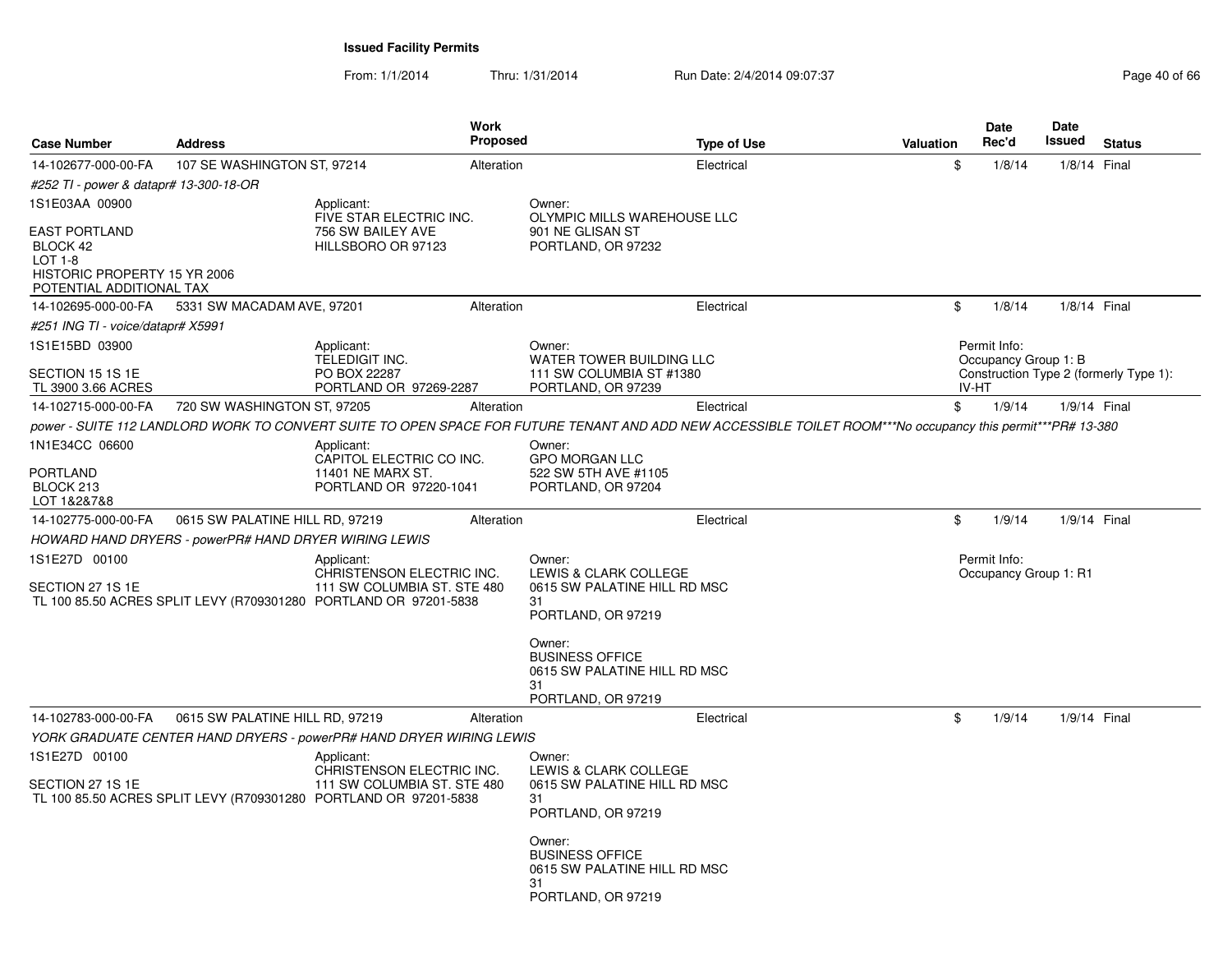From: 1/1/2014Thru: 1/31/2014 Run Date: 2/4/2014 09:07:37 Page 40 of 66

| <b>Case Number</b>                                                                                             | <b>Address</b>                                        |                                                                                                                                               | <b>Work</b><br>Proposed |                                                                                                                                                                       | <b>Type of Use</b> | Valuation |       | Date<br>Rec'd                         | <b>Date</b><br>Issued | <b>Status</b>                          |
|----------------------------------------------------------------------------------------------------------------|-------------------------------------------------------|-----------------------------------------------------------------------------------------------------------------------------------------------|-------------------------|-----------------------------------------------------------------------------------------------------------------------------------------------------------------------|--------------------|-----------|-------|---------------------------------------|-----------------------|----------------------------------------|
| 14-102677-000-00-FA                                                                                            | 107 SE WASHINGTON ST, 97214                           |                                                                                                                                               | Alteration              |                                                                                                                                                                       | Electrical         |           | \$    | 1/8/14                                | 1/8/14 Final          |                                        |
| #252 TI - power & datapr# 13-300-18-OR                                                                         |                                                       |                                                                                                                                               |                         |                                                                                                                                                                       |                    |           |       |                                       |                       |                                        |
| 1S1E03AA 00900                                                                                                 |                                                       | Applicant:                                                                                                                                    |                         | Owner:                                                                                                                                                                |                    |           |       |                                       |                       |                                        |
| <b>EAST PORTLAND</b><br>BLOCK 42<br><b>LOT 1-8</b><br>HISTORIC PROPERTY 15 YR 2006<br>POTENTIAL ADDITIONAL TAX |                                                       | FIVE STAR ELECTRIC INC.<br>756 SW BAILEY AVE<br>HILLSBORO OR 97123                                                                            |                         | OLYMPIC MILLS WAREHOUSE LLC<br>901 NE GLISAN ST<br>PORTLAND, OR 97232                                                                                                 |                    |           |       |                                       |                       |                                        |
| 14-102695-000-00-FA                                                                                            | 5331 SW MACADAM AVE, 97201                            |                                                                                                                                               | Alteration              |                                                                                                                                                                       | Electrical         |           | \$    | 1/8/14                                | 1/8/14 Final          |                                        |
| #251 ING TI - voice/datapr# X5991                                                                              |                                                       |                                                                                                                                               |                         |                                                                                                                                                                       |                    |           |       |                                       |                       |                                        |
| 1S1E15BD 03900<br>SECTION 15 1S 1E                                                                             |                                                       | Applicant:<br>TELEDIGIT INC.<br>PO BOX 22287                                                                                                  |                         | Owner:<br>WATER TOWER BUILDING LLC<br>111 SW COLUMBIA ST #1380                                                                                                        |                    |           |       | Permit Info:<br>Occupancy Group 1: B  |                       | Construction Type 2 (formerly Type 1): |
| TL 3900 3.66 ACRES                                                                                             |                                                       | PORTLAND OR 97269-2287                                                                                                                        |                         | PORTLAND, OR 97239                                                                                                                                                    |                    |           | IV-HT |                                       |                       |                                        |
| 14-102715-000-00-FA                                                                                            | 720 SW WASHINGTON ST, 97205                           |                                                                                                                                               | Alteration              |                                                                                                                                                                       | Electrical         |           | \$    | 1/9/14                                | 1/9/14 Final          |                                        |
|                                                                                                                |                                                       |                                                                                                                                               |                         | power - SUITE 112 LANDLORD WORK TO CONVERT SUITE TO OPEN SPACE FOR FUTURE TENANT AND ADD NEW ACCESSIBLE TOILET ROOM***No occupancy this permit***PR# 13-380           |                    |           |       |                                       |                       |                                        |
| 1N1E34CC 06600<br><b>PORTLAND</b><br>BLOCK 213<br>LOT 1&2&7&8                                                  |                                                       | Applicant:<br>CAPITOL ELECTRIC CO INC.<br>11401 NE MARX ST.<br>PORTLAND OR 97220-1041                                                         |                         | Owner:<br><b>GPO MORGAN LLC</b><br>522 SW 5TH AVE #1105<br>PORTLAND, OR 97204                                                                                         |                    |           |       |                                       |                       |                                        |
| 14-102775-000-00-FA                                                                                            | 0615 SW PALATINE HILL RD, 97219                       |                                                                                                                                               | Alteration              |                                                                                                                                                                       | Electrical         |           | \$    | 1/9/14                                | 1/9/14 Final          |                                        |
|                                                                                                                | HOWARD HAND DRYERS - powerPR# HAND DRYER WIRING LEWIS |                                                                                                                                               |                         |                                                                                                                                                                       |                    |           |       |                                       |                       |                                        |
| 1S1E27D 00100<br>SECTION 27 1S 1E                                                                              |                                                       | Applicant:<br>CHRISTENSON ELECTRIC INC.<br>111 SW COLUMBIA ST. STE 480<br>TL 100 85.50 ACRES SPLIT LEVY (R709301280 PORTLAND OR 97201-5838    |                         | Owner:<br>LEWIS & CLARK COLLEGE<br>0615 SW PALATINE HILL RD MSC<br>31<br>PORTLAND, OR 97219<br>Owner:<br><b>BUSINESS OFFICE</b><br>0615 SW PALATINE HILL RD MSC<br>31 |                    |           |       | Permit Info:<br>Occupancy Group 1: R1 |                       |                                        |
|                                                                                                                |                                                       |                                                                                                                                               |                         | PORTLAND, OR 97219                                                                                                                                                    |                    |           |       |                                       |                       |                                        |
| 14-102783-000-00-FA<br>1S1E27D 00100<br>SECTION 27 1S 1E                                                       | 0615 SW PALATINE HILL RD, 97219                       | YORK GRADUATE CENTER HAND DRYERS - powerPR# HAND DRYER WIRING LEWIS<br>Applicant:<br>CHRISTENSON ELECTRIC INC.<br>111 SW COLUMBIA ST. STE 480 | Alteration              | Owner:<br><b>LEWIS &amp; CLARK COLLEGE</b><br>0615 SW PALATINE HILL RD MSC                                                                                            | Electrical         |           | \$    | 1/9/14                                | 1/9/14 Final          |                                        |
|                                                                                                                |                                                       | TL 100 85.50 ACRES SPLIT LEVY (R709301280 PORTLAND OR 97201-5838                                                                              |                         | 31<br>PORTLAND, OR 97219<br>Owner:<br><b>BUSINESS OFFICE</b><br>0615 SW PALATINE HILL RD MSC<br>31<br>PORTLAND, OR 97219                                              |                    |           |       |                                       |                       |                                        |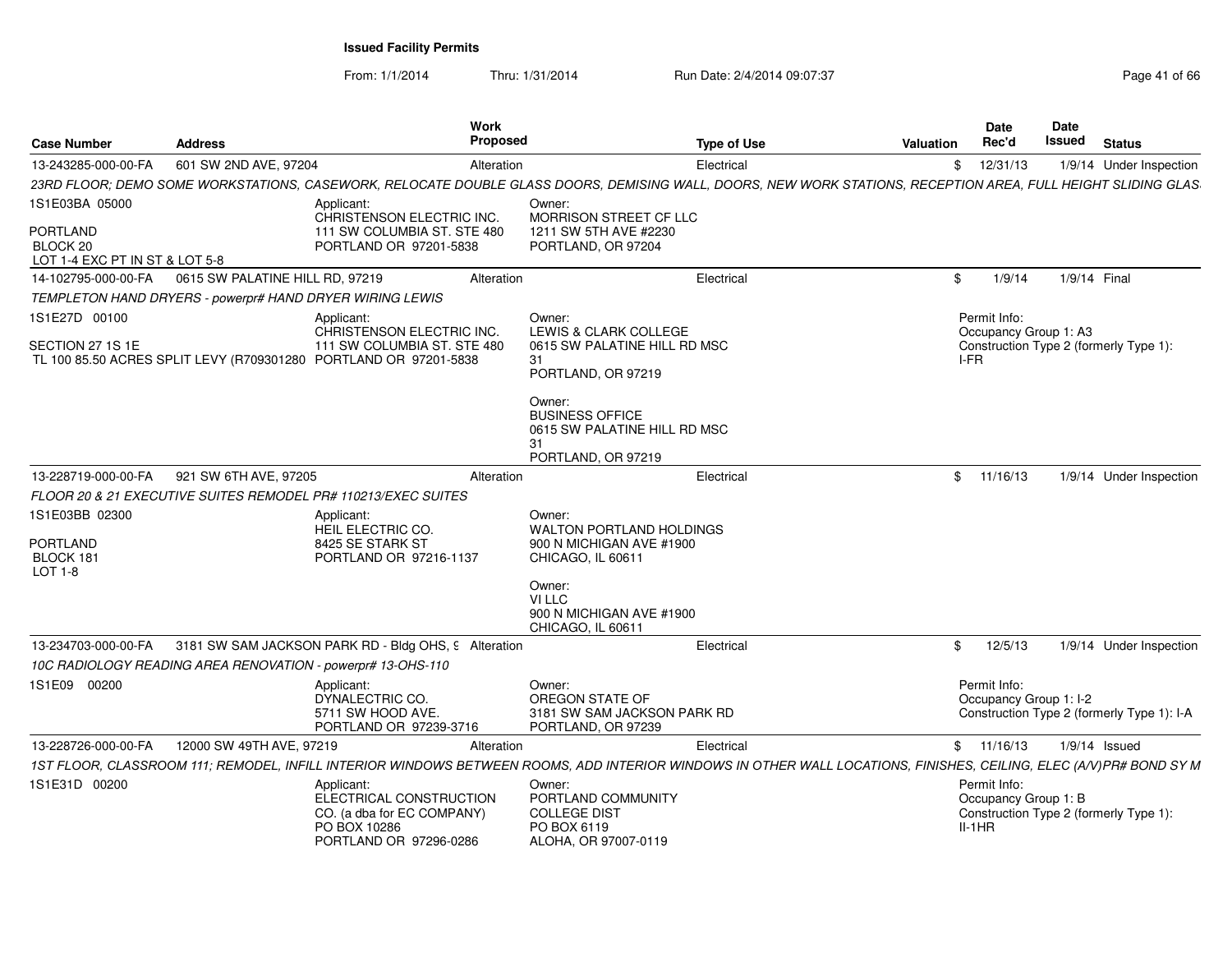From: 1/1/2014Thru: 1/31/2014 Run Date: 2/4/2014 09:07:37 Page 41 of 66

| <b>Case Number</b>                                            | <b>Address</b>                                                   | Work<br><b>Proposed</b>                                                                                       | <b>Type of Use</b>                                                                                                                                                 | <b>Valuation</b> | <b>Date</b><br>Rec'd                             | Date<br>Issued | <b>Status</b>                              |
|---------------------------------------------------------------|------------------------------------------------------------------|---------------------------------------------------------------------------------------------------------------|--------------------------------------------------------------------------------------------------------------------------------------------------------------------|------------------|--------------------------------------------------|----------------|--------------------------------------------|
| 13-243285-000-00-FA                                           | 601 SW 2ND AVE, 97204                                            | Alteration                                                                                                    | Electrical                                                                                                                                                         |                  | \$12/31/13                                       |                | 1/9/14 Under Inspection                    |
|                                                               |                                                                  |                                                                                                               | 23RD FLOOR; DEMO SOME WORKSTATIONS, CASEWORK, RELOCATE DOUBLE GLASS DOORS, DEMISING WALL, DOORS, NEW WORK STATIONS, RECEPTION AREA, FULL HEIGHT SLIDING GLAS       |                  |                                                  |                |                                            |
| 1S1E03BA 05000                                                |                                                                  | Applicant:<br>CHRISTENSON ELECTRIC INC.                                                                       | Owner:<br>MORRISON STREET CF LLC                                                                                                                                   |                  |                                                  |                |                                            |
| <b>PORTLAND</b><br>BLOCK 20<br>LOT 1-4 EXC PT IN ST & LOT 5-8 |                                                                  | 111 SW COLUMBIA ST. STE 480<br>PORTLAND OR 97201-5838                                                         | 1211 SW 5TH AVE #2230<br>PORTLAND, OR 97204                                                                                                                        |                  |                                                  |                |                                            |
| 14-102795-000-00-FA                                           | 0615 SW PALATINE HILL RD, 97219                                  | Alteration                                                                                                    | Electrical                                                                                                                                                         | \$               | 1/9/14                                           |                | 1/9/14 Final                               |
|                                                               | TEMPLETON HAND DRYERS - powerpr# HAND DRYER WIRING LEWIS         |                                                                                                               |                                                                                                                                                                    |                  |                                                  |                |                                            |
| 1S1E27D 00100                                                 |                                                                  | Applicant:                                                                                                    | Owner:                                                                                                                                                             |                  | Permit Info:                                     |                |                                            |
| SECTION 27 1S 1E                                              | TL 100 85.50 ACRES SPLIT LEVY (R709301280 PORTLAND OR 97201-5838 | CHRISTENSON ELECTRIC INC.<br>111 SW COLUMBIA ST. STE 480                                                      | LEWIS & CLARK COLLEGE<br>0615 SW PALATINE HILL RD MSC<br>31<br>PORTLAND, OR 97219                                                                                  | I-FR             | Occupancy Group 1: A3                            |                | Construction Type 2 (formerly Type 1):     |
|                                                               |                                                                  |                                                                                                               | Owner:<br><b>BUSINESS OFFICE</b><br>0615 SW PALATINE HILL RD MSC<br>31<br>PORTLAND, OR 97219                                                                       |                  |                                                  |                |                                            |
| 13-228719-000-00-FA                                           | 921 SW 6TH AVE, 97205                                            | Alteration                                                                                                    | Electrical                                                                                                                                                         |                  | \$11/16/13                                       |                | 1/9/14 Under Inspection                    |
|                                                               | FLOOR 20 & 21 EXECUTIVE SUITES REMODEL PR# 110213/EXEC SUITES    |                                                                                                               |                                                                                                                                                                    |                  |                                                  |                |                                            |
| 1S1E03BB 02300                                                |                                                                  | Applicant:<br><b>HEIL ELECTRIC CO.</b>                                                                        | Owner:<br><b>WALTON PORTLAND HOLDINGS</b>                                                                                                                          |                  |                                                  |                |                                            |
| <b>PORTLAND</b><br>BLOCK 181<br>LOT 1-8                       |                                                                  | 8425 SE STARK ST<br>PORTLAND OR 97216-1137                                                                    | 900 N MICHIGAN AVE #1900<br>CHICAGO, IL 60611                                                                                                                      |                  |                                                  |                |                                            |
|                                                               |                                                                  |                                                                                                               | Owner:<br>VI LLC<br>900 N MICHIGAN AVE #1900<br>CHICAGO, IL 60611                                                                                                  |                  |                                                  |                |                                            |
| 13-234703-000-00-FA                                           |                                                                  | 3181 SW SAM JACKSON PARK RD - Bldg OHS, 9 Alteration                                                          | Electrical                                                                                                                                                         | \$               | 12/5/13                                          |                | 1/9/14 Under Inspection                    |
|                                                               | 10C RADIOLOGY READING AREA RENOVATION - powerpr# 13-OHS-110      |                                                                                                               |                                                                                                                                                                    |                  |                                                  |                |                                            |
| 1S1E09 00200                                                  |                                                                  | Applicant:<br>DYNALECTRIC CO.<br>5711 SW HOOD AVE.<br>PORTLAND OR 97239-3716                                  | Owner:<br>OREGON STATE OF<br>3181 SW SAM JACKSON PARK RD<br>PORTLAND, OR 97239                                                                                     |                  | Permit Info:<br>Occupancy Group 1: I-2           |                | Construction Type 2 (formerly Type 1): I-A |
| 13-228726-000-00-FA                                           | 12000 SW 49TH AVE, 97219                                         | Alteration                                                                                                    | Electrical                                                                                                                                                         |                  | \$11/16/13                                       |                | $1/9/14$ Issued                            |
|                                                               |                                                                  |                                                                                                               | 1ST FLOOR, CLASSROOM 111; REMODEL, INFILL INTERIOR WINDOWS BETWEEN ROOMS, ADD INTERIOR WINDOWS IN OTHER WALL LOCATIONS, FINISHES, CEILING, ELEC (A/V)PR# BOND SY M |                  |                                                  |                |                                            |
| 1S1E31D 00200                                                 |                                                                  | Applicant:<br>ELECTRICAL CONSTRUCTION<br>CO. (a dba for EC COMPANY)<br>PO BOX 10286<br>PORTLAND OR 97296-0286 | Owner:<br>PORTLAND COMMUNITY<br><b>COLLEGE DIST</b><br>PO BOX 6119<br>ALOHA, OR 97007-0119                                                                         |                  | Permit Info:<br>Occupancy Group 1: B<br>$II-1HR$ |                | Construction Type 2 (formerly Type 1):     |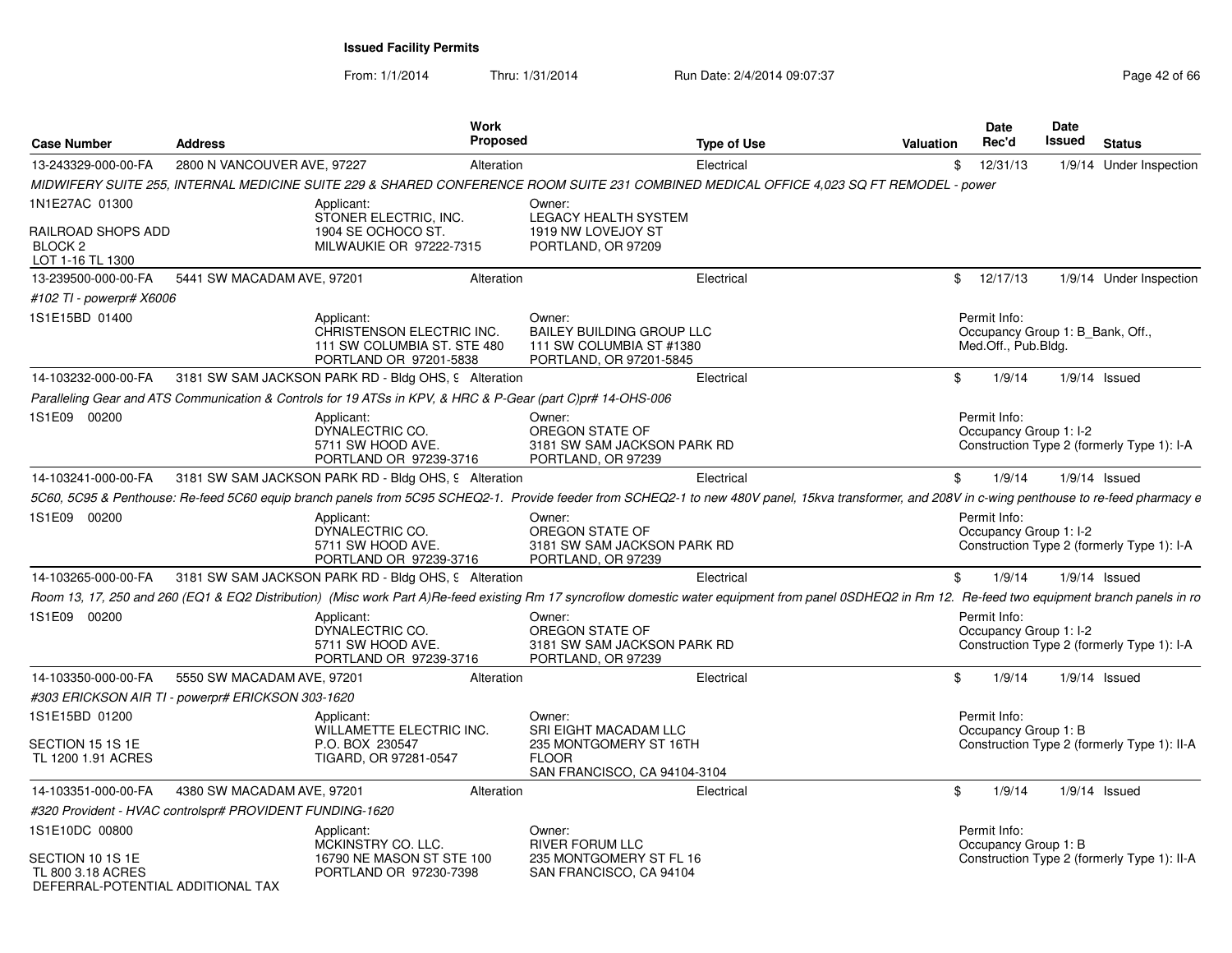From: 1/1/2014Thru: 1/31/2014 Run Date: 2/4/2014 09:07:37 Page 42 of 66

| <b>Case Number</b>                                                                | <b>Address</b>                                                                                              | Work<br>Proposed                                                   | <b>Type of Use</b>                                                                                                                                                                                    | <b>Valuation</b> | Date<br>Rec'd                                                           | Date<br>Issued | <b>Status</b>                               |
|-----------------------------------------------------------------------------------|-------------------------------------------------------------------------------------------------------------|--------------------------------------------------------------------|-------------------------------------------------------------------------------------------------------------------------------------------------------------------------------------------------------|------------------|-------------------------------------------------------------------------|----------------|---------------------------------------------|
| 13-243329-000-00-FA                                                               | 2800 N VANCOUVER AVE, 97227                                                                                 | Alteration                                                         | Electrical                                                                                                                                                                                            | \$               | 12/31/13                                                                |                | 1/9/14 Under Inspection                     |
|                                                                                   |                                                                                                             |                                                                    | MIDWIFERY SUITE 255, INTERNAL MEDICINE SUITE 229 & SHARED CONFERENCE ROOM SUITE 231 COMBINED MEDICAL OFFICE 4,023 SQ FT REMODEL - power                                                               |                  |                                                                         |                |                                             |
| 1N1E27AC 01300                                                                    | Applicant:<br>STONER ELECTRIC, INC.                                                                         | Owner:                                                             | LEGACY HEALTH SYSTEM                                                                                                                                                                                  |                  |                                                                         |                |                                             |
| RAILROAD SHOPS ADD<br>BLOCK <sub>2</sub><br>LOT 1-16 TL 1300                      | 1904 SE OCHOCO ST.                                                                                          | MILWAUKIE OR 97222-7315                                            | 1919 NW LOVEJOY ST<br>PORTLAND, OR 97209                                                                                                                                                              |                  |                                                                         |                |                                             |
| 13-239500-000-00-FA                                                               | 5441 SW MACADAM AVE, 97201                                                                                  | Alteration                                                         | Electrical                                                                                                                                                                                            |                  | \$12/17/13                                                              |                | 1/9/14 Under Inspection                     |
| #102 TI - powerpr# X6006                                                          |                                                                                                             |                                                                    |                                                                                                                                                                                                       |                  |                                                                         |                |                                             |
| 1S1E15BD 01400                                                                    | Applicant:<br>PORTLAND OR 97201-5838                                                                        | Owner:<br>CHRISTENSON ELECTRIC INC.<br>111 SW COLUMBIA ST. STE 480 | <b>BAILEY BUILDING GROUP LLC</b><br>111 SW COLUMBIA ST #1380<br>PORTLAND, OR 97201-5845                                                                                                               |                  | Permit Info:<br>Occupancy Group 1: B_Bank, Off.,<br>Med.Off., Pub.Bldg. |                |                                             |
| 14-103232-000-00-FA                                                               | 3181 SW SAM JACKSON PARK RD - Bldg OHS, 9 Alteration                                                        |                                                                    | Electrical                                                                                                                                                                                            | \$               | 1/9/14                                                                  |                | $1/9/14$ Issued                             |
|                                                                                   | Paralleling Gear and ATS Communication & Controls for 19 ATSs in KPV, & HRC & P-Gear (part C)pr# 14-OHS-006 |                                                                    |                                                                                                                                                                                                       |                  |                                                                         |                |                                             |
| 1S1E09 00200                                                                      | Applicant:<br>DYNALECTRIC CO.<br>5711 SW HOOD AVE.                                                          | Owner:<br>PORTLAND OR 97239-3716                                   | OREGON STATE OF<br>3181 SW SAM JACKSON PARK RD<br>PORTLAND, OR 97239                                                                                                                                  |                  | Permit Info:<br>Occupancy Group 1: I-2                                  |                | Construction Type 2 (formerly Type 1): I-A  |
| 14-103241-000-00-FA                                                               | 3181 SW SAM JACKSON PARK RD - Bldg OHS, 9 Alteration                                                        |                                                                    | Electrical                                                                                                                                                                                            | \$               | 1/9/14                                                                  |                | $1/9/14$ Issued                             |
|                                                                                   |                                                                                                             |                                                                    | 5C60, 5C95 & Penthouse: Re-feed 5C60 equip branch panels from 5C95 SCHEQ2-1. Provide feeder from SCHEQ2-1 to new 480V panel, 15kva transformer, and 208V in c-wing penthouse to re-feed pharmacy e    |                  |                                                                         |                |                                             |
| 1S1E09 00200                                                                      | Applicant:<br>DYNALECTRIC CO.<br>5711 SW HOOD AVE.                                                          | Owner:<br>PORTLAND OR 97239-3716                                   | OREGON STATE OF<br>3181 SW SAM JACKSON PARK RD<br>PORTLAND, OR 97239                                                                                                                                  |                  | Permit Info:<br>Occupancy Group 1: I-2                                  |                | Construction Type 2 (formerly Type 1): I-A  |
| 14-103265-000-00-FA                                                               | 3181 SW SAM JACKSON PARK RD - Bldg OHS, 9 Alteration                                                        |                                                                    | Electrical                                                                                                                                                                                            | \$               | 1/9/14                                                                  |                | $1/9/14$ Issued                             |
|                                                                                   |                                                                                                             |                                                                    | Room 13, 17, 250 and 260 (EQ1 & EQ2 Distribution) (Misc work Part A)Re-feed existing Rm 17 syncroflow domestic water equipment from panel 0SDHEQ2 in Rm 12. Re-feed two equipment branch panels in ro |                  |                                                                         |                |                                             |
| 1S1E09 00200                                                                      | Applicant:<br>DYNALECTRIC CO.<br>5711 SW HOOD AVE.                                                          | Owner:<br>PORTLAND OR 97239-3716                                   | OREGON STATE OF<br>3181 SW SAM JACKSON PARK RD<br>PORTLAND, OR 97239                                                                                                                                  |                  | Permit Info:<br>Occupancy Group 1: I-2                                  |                | Construction Type 2 (formerly Type 1): I-A  |
| 14-103350-000-00-FA                                                               | 5550 SW MACADAM AVE, 97201                                                                                  | Alteration                                                         | Electrical                                                                                                                                                                                            | \$               | 1/9/14                                                                  |                | $1/9/14$ Issued                             |
|                                                                                   | #303 ERICKSON AIR TI - powerpr# ERICKSON 303-1620                                                           |                                                                    |                                                                                                                                                                                                       |                  |                                                                         |                |                                             |
| 1S1E15BD 01200                                                                    | Applicant:                                                                                                  | Owner:<br>WILLAMETTE ELECTRIC INC.                                 | SRI EIGHT MACADAM LLC                                                                                                                                                                                 |                  | Permit Info:<br>Occupancy Group 1: B                                    |                |                                             |
| SECTION 15 1S 1E<br>TL 1200 1.91 ACRES                                            | P.O. BOX 230547<br>TIGARD, OR 97281-0547                                                                    | <b>FLOOR</b>                                                       | 235 MONTGOMERY ST 16TH<br>SAN FRANCISCO, CA 94104-3104                                                                                                                                                |                  |                                                                         |                | Construction Type 2 (formerly Type 1): II-A |
| 14-103351-000-00-FA                                                               | 4380 SW MACADAM AVE, 97201                                                                                  | Alteration                                                         | Electrical                                                                                                                                                                                            | \$               | 1/9/14                                                                  |                | $1/9/14$ Issued                             |
|                                                                                   | #320 Provident - HVAC controlspr# PROVIDENT FUNDING-1620                                                    |                                                                    |                                                                                                                                                                                                       |                  |                                                                         |                |                                             |
| 1S1E10DC 00800                                                                    | Applicant:<br>MCKINSTRY CO. LLC.                                                                            | Owner:                                                             | RIVER FORUM LLC                                                                                                                                                                                       |                  | Permit Info:<br>Occupancy Group 1: B                                    |                |                                             |
| SECTION 10 1S 1E<br><b>TL 800 3.18 ACRES</b><br>DEFERRAI-POTENTIAI ADDITIONAI TAX |                                                                                                             | 16790 NE MASON ST STE 100<br>PORTLAND OR 97230-7398                | 235 MONTGOMERY ST FL 16<br>SAN FRANCISCO, CA 94104                                                                                                                                                    |                  |                                                                         |                | Construction Type 2 (formerly Type 1): II-A |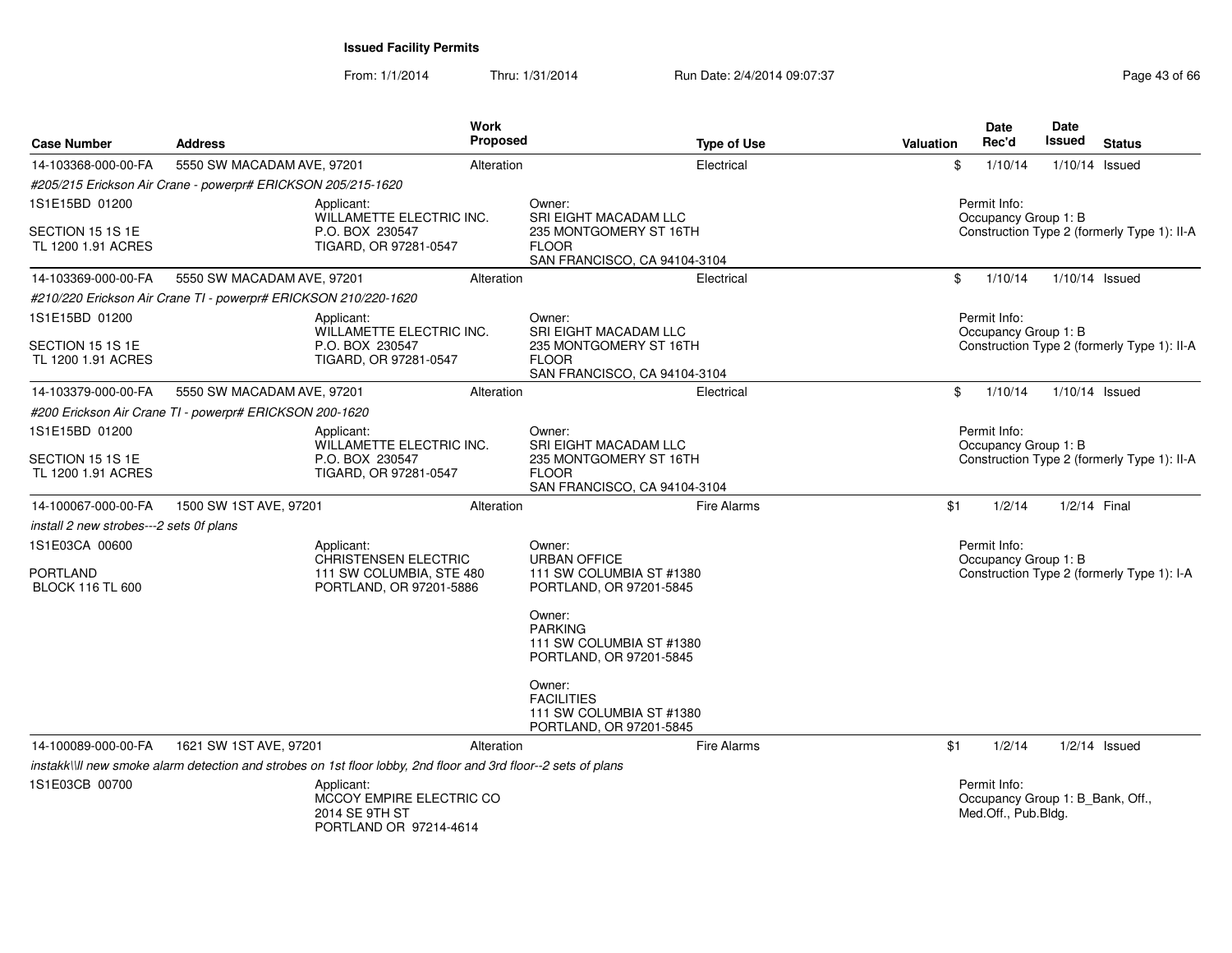From: 1/1/2014Thru: 1/31/2014 Run Date: 2/4/2014 09:07:37 Page 43 of 66

| <b>Case Number</b>                         | <b>Address</b>                                                                                                 | Work<br><b>Proposed</b> | <b>Type of Use</b>                                                                 | <b>Valuation</b> | <b>Date</b><br>Rec'd                                                    | <b>Date</b><br><b>Issued</b> | <b>Status</b>                               |
|--------------------------------------------|----------------------------------------------------------------------------------------------------------------|-------------------------|------------------------------------------------------------------------------------|------------------|-------------------------------------------------------------------------|------------------------------|---------------------------------------------|
| 14-103368-000-00-FA                        | 5550 SW MACADAM AVE, 97201                                                                                     | Alteration              | Electrical                                                                         | \$               | 1/10/14                                                                 |                              | 1/10/14 Issued                              |
|                                            | #205/215 Erickson Air Crane - powerpr# ERICKSON 205/215-1620                                                   |                         |                                                                                    |                  |                                                                         |                              |                                             |
| 1S1E15BD 01200                             | Applicant:<br>WILLAMETTE ELECTRIC INC.                                                                         |                         | Owner:<br><b>SRI EIGHT MACADAM LLC</b>                                             |                  | Permit Info:<br>Occupancy Group 1: B                                    |                              |                                             |
| SECTION 15 1S 1E<br>TL 1200 1.91 ACRES     | P.O. BOX 230547<br>TIGARD, OR 97281-0547                                                                       |                         | 235 MONTGOMERY ST 16TH<br><b>FLOOR</b><br>SAN FRANCISCO, CA 94104-3104             |                  |                                                                         |                              | Construction Type 2 (formerly Type 1): II-A |
| 14-103369-000-00-FA                        | 5550 SW MACADAM AVE, 97201                                                                                     | Alteration              | Electrical                                                                         | \$               | 1/10/14                                                                 |                              | 1/10/14 Issued                              |
|                                            | #210/220 Erickson Air Crane TI - powerpr# ERICKSON 210/220-1620                                                |                         |                                                                                    |                  |                                                                         |                              |                                             |
| 1S1E15BD 01200                             | Applicant:<br>WILLAMETTE ELECTRIC INC.                                                                         |                         | Owner:<br><b>SRI EIGHT MACADAM LLC</b>                                             |                  | Permit Info:<br>Occupancy Group 1: B                                    |                              |                                             |
| SECTION 15 1S 1E<br>TL 1200 1.91 ACRES     | P.O. BOX 230547<br>TIGARD, OR 97281-0547                                                                       |                         | 235 MONTGOMERY ST 16TH<br><b>FLOOR</b><br>SAN FRANCISCO, CA 94104-3104             |                  |                                                                         |                              | Construction Type 2 (formerly Type 1): II-A |
| 14-103379-000-00-FA                        | 5550 SW MACADAM AVE, 97201                                                                                     | Alteration              | Electrical                                                                         | $\mathbb{S}$     | 1/10/14                                                                 |                              | 1/10/14 Issued                              |
|                                            | #200 Erickson Air Crane TI - powerpr# ERICKSON 200-1620                                                        |                         |                                                                                    |                  |                                                                         |                              |                                             |
| 1S1E15BD 01200                             | Applicant:<br>WILLAMETTE ELECTRIC INC.                                                                         |                         | Owner:<br><b>SRI EIGHT MACADAM LLC</b>                                             |                  | Permit Info:<br>Occupancy Group 1: B                                    |                              |                                             |
| SECTION 15 1S 1E<br>TL 1200 1.91 ACRES     | P.O. BOX 230547<br>TIGARD, OR 97281-0547                                                                       |                         | 235 MONTGOMERY ST 16TH<br><b>FLOOR</b><br>SAN FRANCISCO, CA 94104-3104             |                  |                                                                         |                              | Construction Type 2 (formerly Type 1): II-A |
| 14-100067-000-00-FA                        | 1500 SW 1ST AVE, 97201                                                                                         | Alteration              | <b>Fire Alarms</b>                                                                 | \$1              | 1/2/14                                                                  |                              | 1/2/14 Final                                |
| install 2 new strobes---2 sets 0f plans    |                                                                                                                |                         |                                                                                    |                  |                                                                         |                              |                                             |
| 1S1E03CA 00600                             | Applicant:<br><b>CHRISTENSEN ELECTRIC</b>                                                                      |                         | Owner:<br><b>URBAN OFFICE</b>                                                      |                  | Permit Info:<br>Occupancy Group 1: B                                    |                              |                                             |
| <b>PORTLAND</b><br><b>BLOCK 116 TL 600</b> | 111 SW COLUMBIA, STE 480<br>PORTLAND, OR 97201-5886                                                            |                         | 111 SW COLUMBIA ST #1380<br>PORTLAND, OR 97201-5845                                |                  |                                                                         |                              | Construction Type 2 (formerly Type 1): I-A  |
|                                            |                                                                                                                |                         | Owner:<br><b>PARKING</b><br>111 SW COLUMBIA ST #1380<br>PORTLAND, OR 97201-5845    |                  |                                                                         |                              |                                             |
|                                            |                                                                                                                |                         | Owner:<br><b>FACILITIES</b><br>111 SW COLUMBIA ST #1380<br>PORTLAND, OR 97201-5845 |                  |                                                                         |                              |                                             |
| 14-100089-000-00-FA                        | 1621 SW 1ST AVE, 97201                                                                                         | Alteration              | Fire Alarms                                                                        | \$1              | 1/2/14                                                                  |                              | $1/2/14$ Issued                             |
|                                            | instakk\\ll new smoke alarm detection and strobes on 1st floor lobby, 2nd floor and 3rd floor--2 sets of plans |                         |                                                                                    |                  |                                                                         |                              |                                             |
| 1S1E03CB 00700                             | Applicant:<br>MCCOY EMPIRE ELECTRIC CO<br>2014 SE 9TH ST<br>PORTLAND OR 97214-4614                             |                         |                                                                                    |                  | Permit Info:<br>Occupancy Group 1: B_Bank, Off.,<br>Med.Off., Pub.Bldg. |                              |                                             |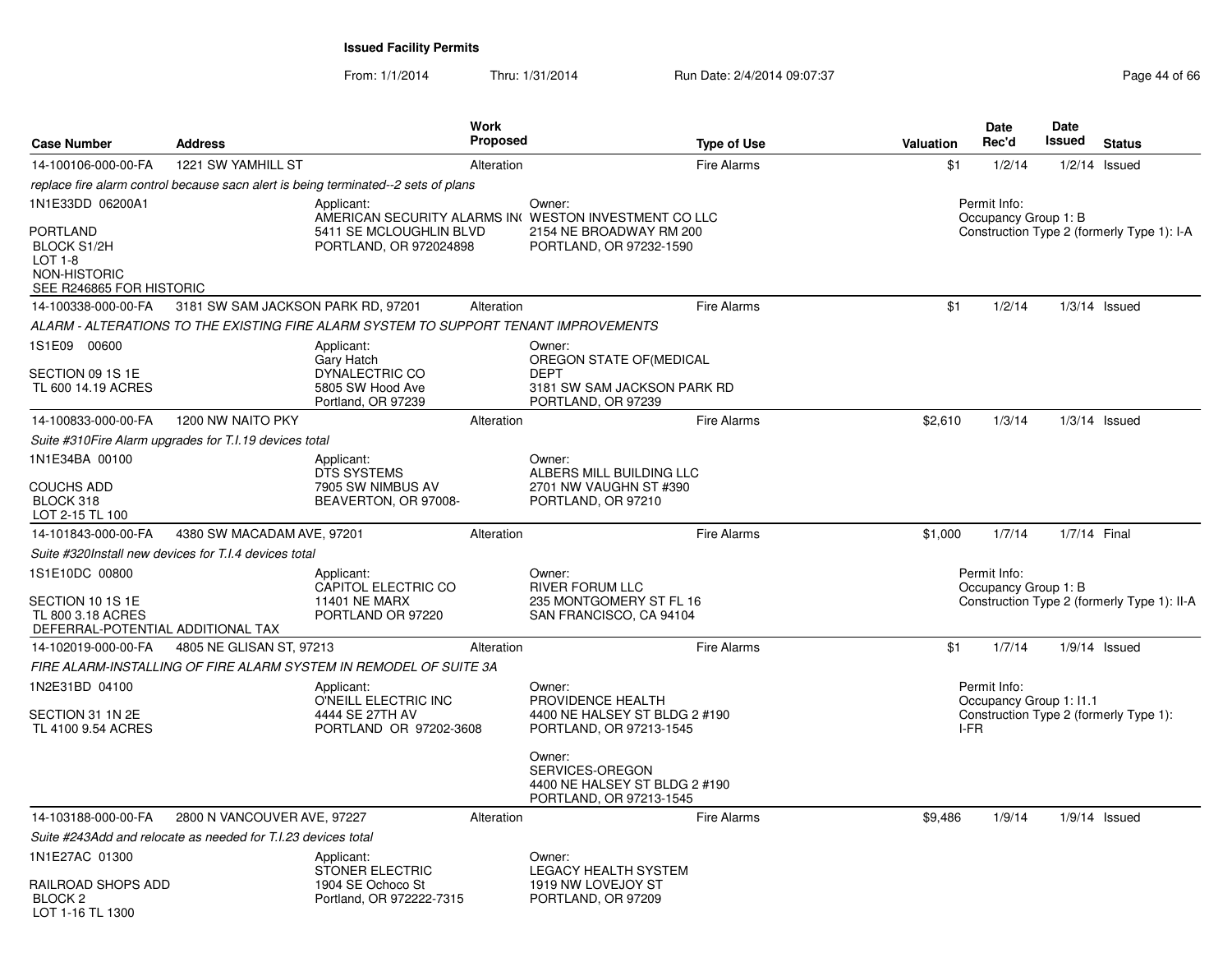From: 1/1/2014Thru: 1/31/2014 Run Date: 2/4/2014 09:07:37 Page 44 of 66

| <b>Case Number</b>                                                               | <b>Address</b>                                                |                                                                                      | Work<br><b>Proposed</b> | <b>Type of Use</b>                                                                         | <b>Valuation</b> | Date<br>Rec'd                           | Date<br>Issued | <b>Status</b>                               |
|----------------------------------------------------------------------------------|---------------------------------------------------------------|--------------------------------------------------------------------------------------|-------------------------|--------------------------------------------------------------------------------------------|------------------|-----------------------------------------|----------------|---------------------------------------------|
| 14-100106-000-00-FA                                                              | 1221 SW YAMHILL ST                                            |                                                                                      | Alteration              | Fire Alarms                                                                                | \$1              | 1/2/14                                  |                | $1/2/14$ Issued                             |
|                                                                                  |                                                               | replace fire alarm control because sacn alert is being terminated--2 sets of plans   |                         |                                                                                            |                  |                                         |                |                                             |
| 1N1E33DD 06200A1<br>PORTLAND                                                     |                                                               | Applicant:<br>5411 SE MCLOUGHLIN BLVD                                                |                         | Owner:<br>AMERICAN SECURITY ALARMS IN( WESTON INVESTMENT CO LLC<br>2154 NE BROADWAY RM 200 |                  | Permit Info:<br>Occupancy Group 1: B    |                | Construction Type 2 (formerly Type 1): I-A  |
| <b>BLOCK S1/2H</b><br><b>LOT 1-8</b><br>NON-HISTORIC<br>SEE R246865 FOR HISTORIC |                                                               | PORTLAND, OR 972024898                                                               |                         | PORTLAND, OR 97232-1590                                                                    |                  |                                         |                |                                             |
| 14-100338-000-00-FA                                                              | 3181 SW SAM JACKSON PARK RD, 97201                            |                                                                                      | Alteration              | Fire Alarms                                                                                | \$1              | 1/2/14                                  |                | $1/3/14$ Issued                             |
|                                                                                  |                                                               | ALARM - ALTERATIONS TO THE EXISTING FIRE ALARM SYSTEM TO SUPPORT TENANT IMPROVEMENTS |                         |                                                                                            |                  |                                         |                |                                             |
| 1S1E09 00600                                                                     |                                                               | Applicant:<br>Gary Hatch                                                             |                         | Owner:<br>OREGON STATE OF (MEDICAL                                                         |                  |                                         |                |                                             |
| SECTION 09 1S 1E<br>TL 600 14.19 ACRES                                           |                                                               | <b>DYNALECTRIC CO</b><br>5805 SW Hood Ave<br>Portland, OR 97239                      |                         | <b>DEPT</b><br>3181 SW SAM JACKSON PARK RD<br>PORTLAND, OR 97239                           |                  |                                         |                |                                             |
| 14-100833-000-00-FA                                                              | 1200 NW NAITO PKY                                             |                                                                                      | Alteration              | Fire Alarms                                                                                | \$2,610          | 1/3/14                                  |                | $1/3/14$ Issued                             |
|                                                                                  | Suite #310Fire Alarm upgrades for T.I.19 devices total        |                                                                                      |                         |                                                                                            |                  |                                         |                |                                             |
| 1N1E34BA 00100                                                                   |                                                               | Applicant:<br>DTS SYSTEMS                                                            |                         | Owner:<br>ALBERS MILL BUILDING LLC                                                         |                  |                                         |                |                                             |
| COUCHS ADD<br>BLOCK 318<br>LOT 2-15 TL 100                                       |                                                               | 7905 SW NIMBUS AV<br>BEAVERTON, OR 97008-                                            |                         | 2701 NW VAUGHN ST #390<br>PORTLAND, OR 97210                                               |                  |                                         |                |                                             |
| 14-101843-000-00-FA                                                              | 4380 SW MACADAM AVE, 97201                                    |                                                                                      | Alteration              | <b>Fire Alarms</b>                                                                         | \$1,000          | 1/7/14                                  | 1/7/14 Final   |                                             |
|                                                                                  | Suite #320Install new devices for T.I.4 devices total         |                                                                                      |                         |                                                                                            |                  |                                         |                |                                             |
| 1S1E10DC 00800                                                                   |                                                               | Applicant:<br>CAPITOL ELECTRIC CO                                                    |                         | Owner:<br><b>RIVER FORUM LLC</b>                                                           |                  | Permit Info:<br>Occupancy Group 1: B    |                |                                             |
| SECTION 10 1S 1E<br>TL 800 3.18 ACRES<br>DEFERRAL-POTENTIAL ADDITIONAL TAX       |                                                               | <b>11401 NE MARX</b><br>PORTLAND OR 97220                                            |                         | 235 MONTGOMERY ST FL 16<br>SAN FRANCISCO, CA 94104                                         |                  |                                         |                | Construction Type 2 (formerly Type 1): II-A |
| 14-102019-000-00-FA                                                              | 4805 NE GLISAN ST, 97213                                      |                                                                                      | Alteration              | Fire Alarms                                                                                | \$1              | 1/7/14                                  |                | $1/9/14$ Issued                             |
|                                                                                  |                                                               | FIRE ALARM-INSTALLING OF FIRE ALARM SYSTEM IN REMODEL OF SUITE 3A                    |                         |                                                                                            |                  |                                         |                |                                             |
| 1N2E31BD 04100                                                                   |                                                               | Applicant:<br>O'NEILL ELECTRIC INC                                                   |                         | Owner:<br>PROVIDENCE HEALTH                                                                |                  | Permit Info:<br>Occupancy Group 1: I1.1 |                |                                             |
| SECTION 31 1N 2E<br>TL 4100 9.54 ACRES                                           |                                                               | 4444 SE 27TH AV<br>PORTLAND OR 97202-3608                                            |                         | 4400 NE HALSEY ST BLDG 2 #190<br>PORTLAND, OR 97213-1545                                   | I-FR             |                                         |                | Construction Type 2 (formerly Type 1):      |
|                                                                                  |                                                               |                                                                                      |                         | Owner:<br>SERVICES-OREGON<br>4400 NE HALSEY ST BLDG 2 #190<br>PORTLAND, OR 97213-1545      |                  |                                         |                |                                             |
| 14-103188-000-00-FA                                                              | 2800 N VANCOUVER AVE, 97227                                   |                                                                                      | Alteration              | Fire Alarms                                                                                | \$9,486          | 1/9/14                                  |                | $1/9/14$ Issued                             |
|                                                                                  | Suite #243Add and relocate as needed for T.I.23 devices total |                                                                                      |                         |                                                                                            |                  |                                         |                |                                             |
| 1N1E27AC 01300                                                                   |                                                               | Applicant:<br><b>STONER ELECTRIC</b>                                                 |                         | Owner:<br><b>LEGACY HEALTH SYSTEM</b>                                                      |                  |                                         |                |                                             |
| RAILROAD SHOPS ADD<br>BLOCK 2<br>LOT 1-16 TL 1300                                |                                                               | 1904 SE Ochoco St<br>Portland, OR 972222-7315                                        |                         | 1919 NW LOVEJOY ST<br>PORTLAND, OR 97209                                                   |                  |                                         |                |                                             |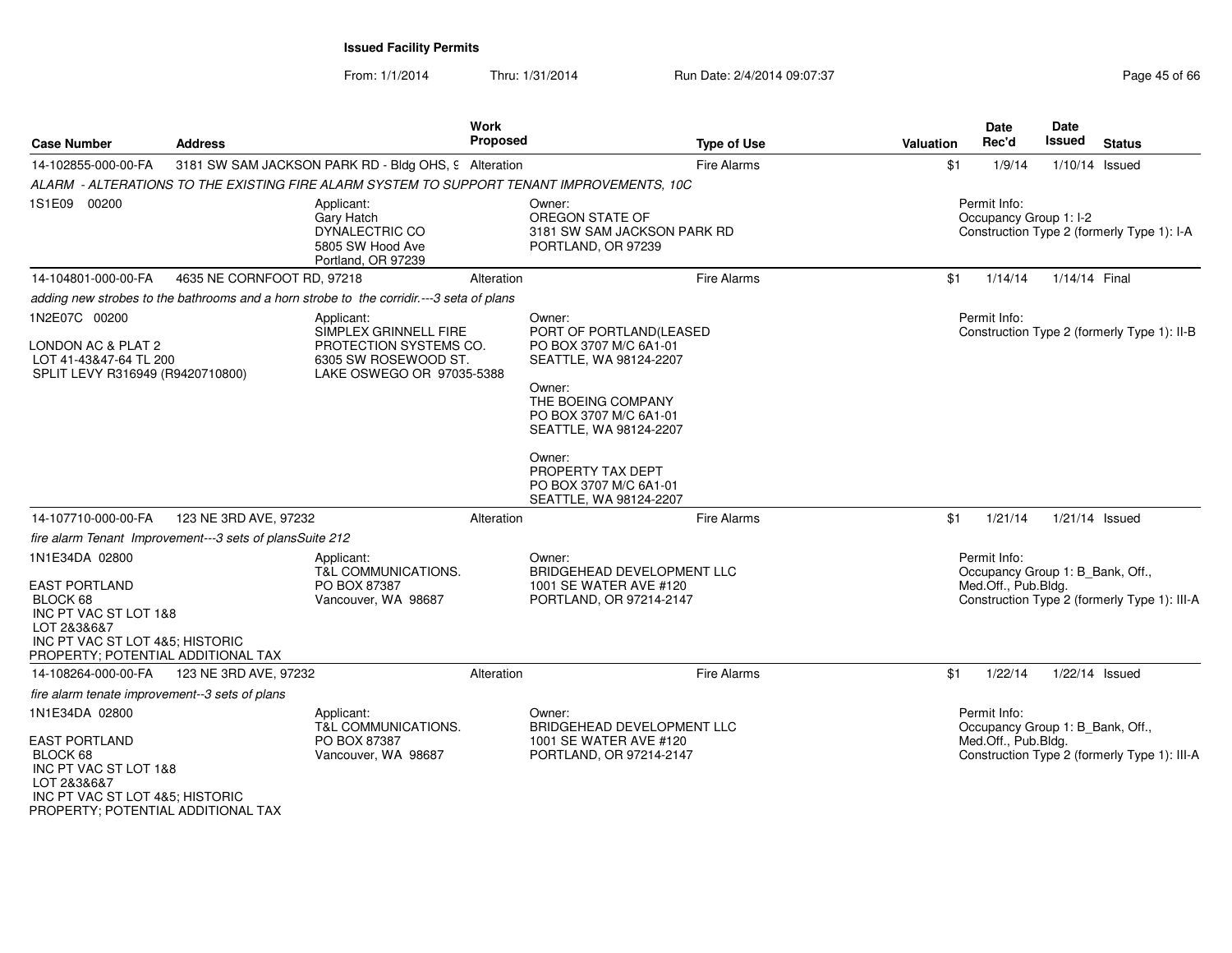From: 1/1/2014Thru: 1/31/2014 Run Date: 2/4/2014 09:07:37 Page 45 of 66

| <b>Case Number</b>                                                                                                                                                  | <b>Address</b>                                           | Work                                                                                                               | Proposed                                        | <b>Type of Use</b>                                                                                                                                                                                        | <b>Valuation</b>                       | <b>Date</b><br>Rec'd                                                    | <b>Date</b><br><b>Issued</b>               | <b>Status</b>                                |
|---------------------------------------------------------------------------------------------------------------------------------------------------------------------|----------------------------------------------------------|--------------------------------------------------------------------------------------------------------------------|-------------------------------------------------|-----------------------------------------------------------------------------------------------------------------------------------------------------------------------------------------------------------|----------------------------------------|-------------------------------------------------------------------------|--------------------------------------------|----------------------------------------------|
| 14-102855-000-00-FA                                                                                                                                                 |                                                          | 3181 SW SAM JACKSON PARK RD - Bldg OHS, 9 Alteration                                                               |                                                 | Fire Alarms                                                                                                                                                                                               | \$1                                    | 1/9/14                                                                  | 1/10/14 Issued                             |                                              |
|                                                                                                                                                                     |                                                          | ALARM - ALTERATIONS TO THE EXISTING FIRE ALARM SYSTEM TO SUPPORT TENANT IMPROVEMENTS, 10C                          |                                                 |                                                                                                                                                                                                           |                                        |                                                                         |                                            |                                              |
| 1S1E09 00200                                                                                                                                                        |                                                          | Applicant:<br>Gary Hatch<br>DYNALECTRIC CO<br>5805 SW Hood Ave<br>Portland, OR 97239                               | Owner:<br>OREGON STATE OF<br>PORTLAND, OR 97239 | 3181 SW SAM JACKSON PARK RD                                                                                                                                                                               | Permit Info:<br>Occupancy Group 1: I-2 |                                                                         | Construction Type 2 (formerly Type 1): I-A |                                              |
| 14-104801-000-00-FA                                                                                                                                                 | 4635 NE CORNFOOT RD, 97218                               | Alteration                                                                                                         |                                                 | <b>Fire Alarms</b>                                                                                                                                                                                        | \$1                                    | 1/14/14                                                                 | 1/14/14 Final                              |                                              |
|                                                                                                                                                                     |                                                          | adding new strobes to the bathrooms and a horn strobe to the corridir .--- 3 seta of plans                         |                                                 |                                                                                                                                                                                                           |                                        |                                                                         |                                            |                                              |
| 1N2E07C 00200<br>LONDON AC & PLAT 2<br>LOT 41-43&47-64 TL 200<br>SPLIT LEVY R316949 (R9420710800)                                                                   |                                                          | Applicant:<br>SIMPLEX GRINNELL FIRE<br>PROTECTION SYSTEMS CO.<br>6305 SW ROSEWOOD ST.<br>LAKE OSWEGO OR 97035-5388 | Owner:<br>Owner:<br>Owner:<br>PROPERTY TAX DEPT | PORT OF PORTLAND(LEASED<br>PO BOX 3707 M/C 6A1-01<br>SEATTLE, WA 98124-2207<br>THE BOEING COMPANY<br>PO BOX 3707 M/C 6A1-01<br>SEATTLE, WA 98124-2207<br>PO BOX 3707 M/C 6A1-01<br>SEATTLE, WA 98124-2207 |                                        | Permit Info:                                                            |                                            | Construction Type 2 (formerly Type 1): II-B  |
| 14-107710-000-00-FA                                                                                                                                                 | 123 NE 3RD AVE, 97232                                    | Alteration                                                                                                         |                                                 | <b>Fire Alarms</b>                                                                                                                                                                                        | \$1                                    | 1/21/14                                                                 | $1/21/14$ Issued                           |                                              |
|                                                                                                                                                                     | fire alarm Tenant Improvement---3 sets of plansSuite 212 |                                                                                                                    |                                                 |                                                                                                                                                                                                           |                                        |                                                                         |                                            |                                              |
| 1N1E34DA 02800<br><b>EAST PORTLAND</b><br>BLOCK 68<br>INC PT VAC ST LOT 1&8<br>LOT 2&3&6&7<br>INC PT VAC ST LOT 4&5; HISTORIC<br>PROPERTY; POTENTIAL ADDITIONAL TAX |                                                          | Applicant:<br><b>T&amp;L COMMUNICATIONS.</b><br>PO BOX 87387<br>Vancouver, WA 98687                                | Owner:                                          | BRIDGEHEAD DEVELOPMENT LLC<br>1001 SE WATER AVE #120<br>PORTLAND, OR 97214-2147                                                                                                                           |                                        | Permit Info:<br>Occupancy Group 1: B_Bank, Off.,<br>Med.Off., Pub.Bldg. |                                            | Construction Type 2 (formerly Type 1): III-A |
| 14-108264-000-00-FA                                                                                                                                                 | 123 NE 3RD AVE, 97232                                    | Alteration                                                                                                         |                                                 | Fire Alarms                                                                                                                                                                                               | \$1                                    | 1/22/14                                                                 | 1/22/14 Issued                             |                                              |
| fire alarm tenate improvement--3 sets of plans                                                                                                                      |                                                          |                                                                                                                    |                                                 |                                                                                                                                                                                                           |                                        |                                                                         |                                            |                                              |
| 1N1E34DA 02800<br><b>EAST PORTLAND</b><br>BLOCK 68<br>INC PT VAC ST LOT 1&8<br>LOT 2&3&6&7<br>INC PT VAC ST LOT 4&5; HISTORIC<br>PROPERTY; POTENTIAL ADDITIONAL TAX |                                                          | Applicant:<br>T&L COMMUNICATIONS.<br>PO BOX 87387<br>Vancouver, WA 98687                                           | Owner:                                          | BRIDGEHEAD DEVELOPMENT LLC<br>1001 SE WATER AVE #120<br>PORTLAND, OR 97214-2147                                                                                                                           |                                        | Permit Info:<br>Occupancy Group 1: B_Bank, Off.,<br>Med.Off., Pub.Bldg. |                                            | Construction Type 2 (formerly Type 1): III-A |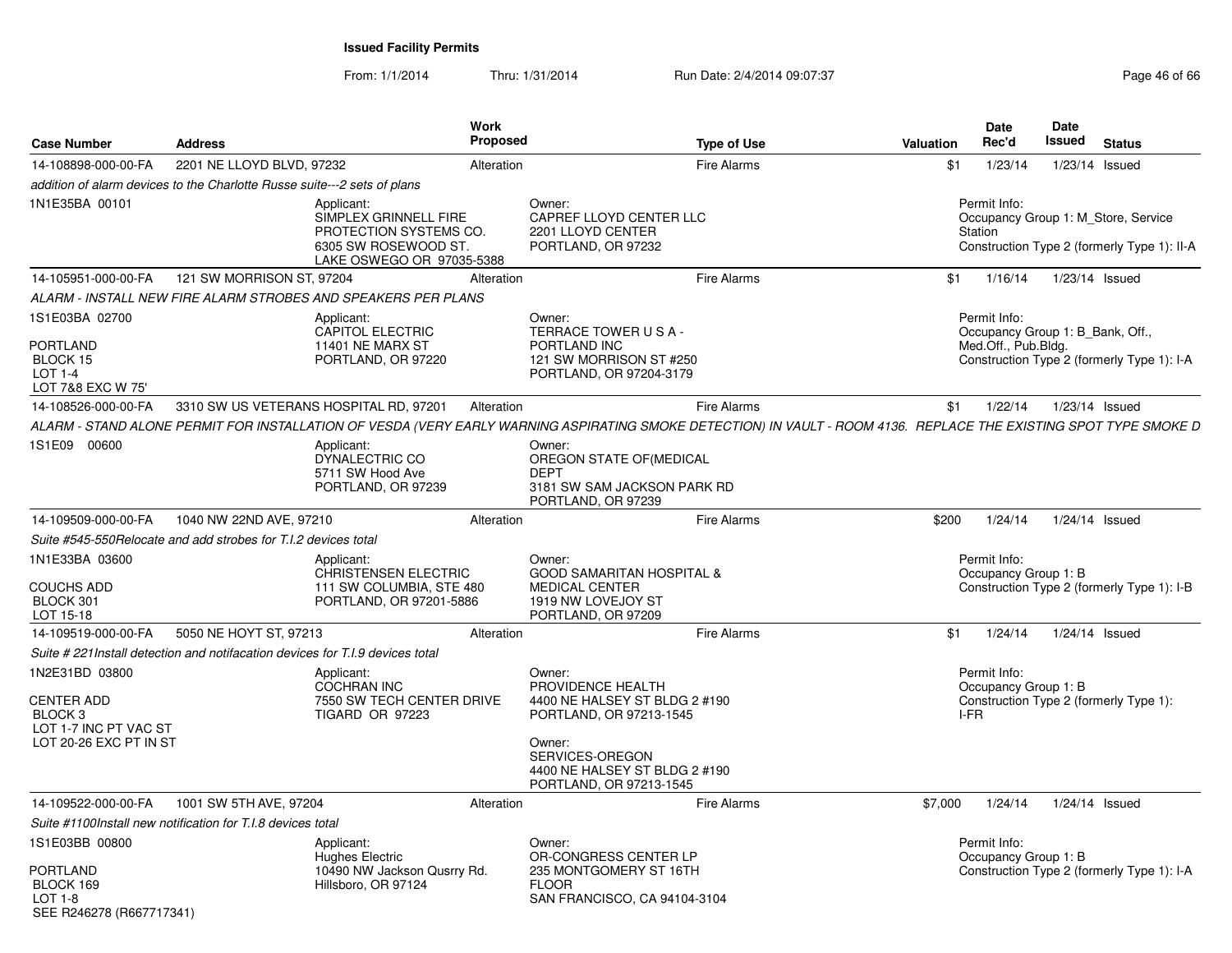From: 1/1/2014Thru: 1/31/2014 Run Date: 2/4/2014 09:07:37 Page 46 of 66

| <b>Case Number</b>                                                                                | <b>Address</b>                                                                 |                                                                                                                                                                   | <b>Work</b><br><b>Proposed</b> |                                                                                                                                                                                  | <b>Type of Use</b> | Valuation | Date<br>Rec'd                                                           | Date<br><b>Issued</b> | <b>Status</b>                                                                      |
|---------------------------------------------------------------------------------------------------|--------------------------------------------------------------------------------|-------------------------------------------------------------------------------------------------------------------------------------------------------------------|--------------------------------|----------------------------------------------------------------------------------------------------------------------------------------------------------------------------------|--------------------|-----------|-------------------------------------------------------------------------|-----------------------|------------------------------------------------------------------------------------|
| 14-108898-000-00-FA                                                                               | 2201 NE LLOYD BLVD, 97232                                                      |                                                                                                                                                                   | Alteration                     |                                                                                                                                                                                  | <b>Fire Alarms</b> | \$1       | 1/23/14                                                                 |                       | 1/23/14 Issued                                                                     |
|                                                                                                   | addition of alarm devices to the Charlotte Russe suite---2 sets of plans       |                                                                                                                                                                   |                                |                                                                                                                                                                                  |                    |           |                                                                         |                       |                                                                                    |
| 1N1E35BA 00101                                                                                    |                                                                                | Applicant:<br>SIMPLEX GRINNELL FIRE<br>PROTECTION SYSTEMS CO.<br>6305 SW ROSEWOOD ST.<br>LAKE OSWEGO OR 97035-5388                                                |                                | Owner:<br>CAPREF LLOYD CENTER LLC<br>2201 LLOYD CENTER<br>PORTLAND, OR 97232                                                                                                     |                    |           | Permit Info:<br>Station                                                 |                       | Occupancy Group 1: M Store, Service<br>Construction Type 2 (formerly Type 1): II-A |
| 14-105951-000-00-FA                                                                               | 121 SW MORRISON ST, 97204                                                      |                                                                                                                                                                   | Alteration                     |                                                                                                                                                                                  | <b>Fire Alarms</b> | \$1       | 1/16/14                                                                 |                       | 1/23/14 Issued                                                                     |
|                                                                                                   |                                                                                | ALARM - INSTALL NEW FIRE ALARM STROBES AND SPEAKERS PER PLANS                                                                                                     |                                |                                                                                                                                                                                  |                    |           |                                                                         |                       |                                                                                    |
| 1S1E03BA 02700<br><b>PORTLAND</b><br>BLOCK 15<br><b>LOT 1-4</b><br>LOT 7&8 EXC W 75'              |                                                                                | Applicant:<br><b>CAPITOL ELECTRIC</b><br><b>11401 NE MARX ST</b><br>PORTLAND, OR 97220                                                                            |                                | Owner:<br>TERRACE TOWER USA-<br>PORTLAND INC<br>121 SW MORRISON ST #250<br>PORTLAND, OR 97204-3179                                                                               |                    |           | Permit Info:<br>Occupancy Group 1: B_Bank, Off.,<br>Med.Off., Pub.Bldg. |                       | Construction Type 2 (formerly Type 1): I-A                                         |
| 14-108526-000-00-FA                                                                               |                                                                                | 3310 SW US VETERANS HOSPITAL RD, 97201                                                                                                                            | Alteration                     |                                                                                                                                                                                  | <b>Fire Alarms</b> | \$1       | 1/22/14                                                                 |                       | 1/23/14 Issued                                                                     |
|                                                                                                   |                                                                                | ALARM - STAND ALONE PERMIT FOR INSTALLATION OF VESDA (VERY EARLY WARNING ASPIRATING SMOKE DETECTION) IN VAULT - ROOM 4136. REPLACE THE EXISTING SPOT TYPE SMOKE D |                                |                                                                                                                                                                                  |                    |           |                                                                         |                       |                                                                                    |
| 1S1E09 00600                                                                                      |                                                                                | Applicant:<br>DYNALECTRIC CO<br>5711 SW Hood Ave<br>PORTLAND, OR 97239                                                                                            |                                | Owner:<br>OREGON STATE OF(MEDICAL<br><b>DEPT</b><br>3181 SW SAM JACKSON PARK RD<br>PORTLAND, OR 97239                                                                            |                    |           |                                                                         |                       |                                                                                    |
| 14-109509-000-00-FA                                                                               | 1040 NW 22ND AVE, 97210                                                        |                                                                                                                                                                   | Alteration                     |                                                                                                                                                                                  | Fire Alarms        | \$200     | 1/24/14                                                                 |                       | 1/24/14 Issued                                                                     |
|                                                                                                   | Suite #545-550 Relocate and add strobes for T.I.2 devices total                |                                                                                                                                                                   |                                |                                                                                                                                                                                  |                    |           |                                                                         |                       |                                                                                    |
| 1N1E33BA 03600<br><b>COUCHS ADD</b><br>BLOCK 301<br>LOT 15-18                                     |                                                                                | Applicant:<br>CHRISTENSEN ELECTRIC<br>111 SW COLUMBIA, STE 480<br>PORTLAND, OR 97201-5886                                                                         |                                | Owner:<br><b>GOOD SAMARITAN HOSPITAL &amp;</b><br><b>MEDICAL CENTER</b><br>1919 NW LOVEJOY ST<br>PORTLAND, OR 97209                                                              |                    |           | Permit Info:<br>Occupancy Group 1: B                                    |                       | Construction Type 2 (formerly Type 1): I-B                                         |
| 14-109519-000-00-FA                                                                               | 5050 NE HOYT ST, 97213                                                         |                                                                                                                                                                   | Alteration                     |                                                                                                                                                                                  | <b>Fire Alarms</b> | \$1       | 1/24/14                                                                 |                       | 1/24/14 Issued                                                                     |
|                                                                                                   | Suite # 221 Install detection and notifacation devices for T.I.9 devices total |                                                                                                                                                                   |                                |                                                                                                                                                                                  |                    |           |                                                                         |                       |                                                                                    |
| 1N2E31BD 03800<br><b>CENTER ADD</b><br>BLOCK 3<br>LOT 1-7 INC PT VAC ST<br>LOT 20-26 EXC PT IN ST |                                                                                | Applicant:<br>COCHRAN INC<br>7550 SW TECH CENTER DRIVE<br><b>TIGARD OR 97223</b>                                                                                  |                                | Owner:<br>PROVIDENCE HEALTH<br>4400 NE HALSEY ST BLDG 2 #190<br>PORTLAND, OR 97213-1545<br>Owner:<br>SERVICES-OREGON<br>4400 NE HALSEY ST BLDG 2 #190<br>PORTLAND, OR 97213-1545 |                    |           | Permit Info:<br>Occupancy Group 1: B<br>I-FR                            |                       | Construction Type 2 (formerly Type 1):                                             |
| 14-109522-000-00-FA                                                                               | 1001 SW 5TH AVE, 97204                                                         |                                                                                                                                                                   | Alteration                     |                                                                                                                                                                                  | Fire Alarms        | \$7,000   | 1/24/14                                                                 |                       | 1/24/14 Issued                                                                     |
|                                                                                                   | Suite #1100Install new notification for T.I.8 devices total                    |                                                                                                                                                                   |                                |                                                                                                                                                                                  |                    |           |                                                                         |                       |                                                                                    |
| 1S1E03BB 00800<br><b>PORTLAND</b><br>BLOCK 169<br>$LOT 1-8$<br>SEE R246278 (R667717341)           |                                                                                | Applicant:<br><b>Hughes Electric</b><br>10490 NW Jackson Qusrry Rd.<br>Hillsboro, OR 97124                                                                        |                                | Owner:<br>OR-CONGRESS CENTER LP<br>235 MONTGOMERY ST 16TH<br><b>FLOOR</b><br>SAN FRANCISCO, CA 94104-3104                                                                        |                    |           | Permit Info:<br>Occupancy Group 1: B                                    |                       | Construction Type 2 (formerly Type 1): I-A                                         |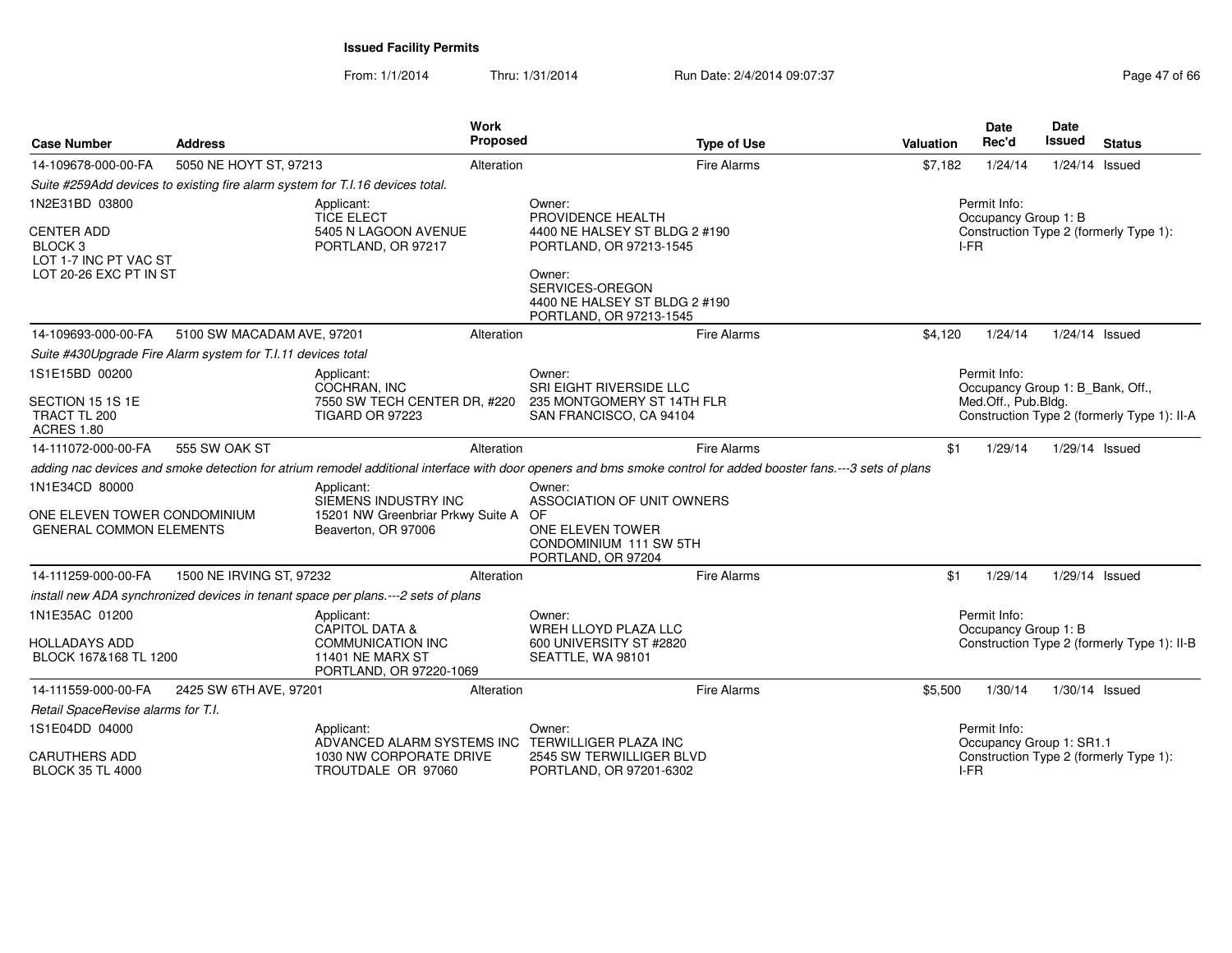From: 1/1/2014Thru: 1/31/2014 Run Date: 2/4/2014 09:07:37 Page 47 of 66

| Case Number                                                                                             | <b>Address</b>                                                                                                                                                                                                            |                                                                                                                    | <b>Work</b><br>Proposed                                                                                                                                      | <b>Type of Use</b>                                                                                                                                               | <b>Valuation</b>                                                                | <b>Date</b><br>Rec'd                             | Date<br>Issued | <b>Status</b>                               |
|---------------------------------------------------------------------------------------------------------|---------------------------------------------------------------------------------------------------------------------------------------------------------------------------------------------------------------------------|--------------------------------------------------------------------------------------------------------------------|--------------------------------------------------------------------------------------------------------------------------------------------------------------|------------------------------------------------------------------------------------------------------------------------------------------------------------------|---------------------------------------------------------------------------------|--------------------------------------------------|----------------|---------------------------------------------|
| 14-109678-000-00-FA                                                                                     | 5050 NE HOYT ST, 97213                                                                                                                                                                                                    |                                                                                                                    | Alteration                                                                                                                                                   | <b>Fire Alarms</b>                                                                                                                                               | \$7,182                                                                         | 1/24/14                                          | 1/24/14 Issued |                                             |
|                                                                                                         | Suite #259Add devices to existing fire alarm system for T.I.16 devices total.                                                                                                                                             |                                                                                                                    |                                                                                                                                                              |                                                                                                                                                                  |                                                                                 |                                                  |                |                                             |
| 1N2E31BD 03800<br><b>CENTER ADD</b><br><b>BLOCK3</b><br>LOT 1-7 INC PT VAC ST<br>LOT 20-26 EXC PT IN ST | Applicant:<br>Owner:<br><b>TICE ELECT</b><br>5405 N LAGOON AVENUE<br>PORTLAND, OR 97217<br>Owner:<br>5100 SW MACADAM AVE, 97201<br>Alteration                                                                             |                                                                                                                    | PROVIDENCE HEALTH<br>4400 NE HALSEY ST BLDG 2 #190<br>PORTLAND, OR 97213-1545<br>SERVICES-OREGON<br>4400 NE HALSEY ST BLDG 2 #190<br>PORTLAND, OR 97213-1545 | Permit Info:<br>Occupancy Group 1: B<br>Construction Type 2 (formerly Type 1):<br>$I-FR$                                                                         |                                                                                 |                                                  |                |                                             |
| 14-109693-000-00-FA                                                                                     |                                                                                                                                                                                                                           |                                                                                                                    |                                                                                                                                                              | <b>Fire Alarms</b>                                                                                                                                               | \$4,120                                                                         | 1/24/14                                          | 1/24/14 Issued |                                             |
|                                                                                                         | Suite #430Upgrade Fire Alarm system for T.I.11 devices total                                                                                                                                                              |                                                                                                                    |                                                                                                                                                              |                                                                                                                                                                  |                                                                                 |                                                  |                |                                             |
| 1S1E15BD 00200<br>SECTION 15 1S 1E<br>TRACT TL 200<br><b>ACRES 1.80</b>                                 | Permit Info:<br>Applicant:<br>Owner:<br>SRI EIGHT RIVERSIDE LLC<br>COCHRAN, INC<br>7550 SW TECH CENTER DR, #220<br>235 MONTGOMERY ST 14TH FLR<br>Med.Off., Pub.Bldg.<br><b>TIGARD OR 97223</b><br>SAN FRANCISCO, CA 94104 |                                                                                                                    |                                                                                                                                                              |                                                                                                                                                                  | Occupancy Group 1: B_Bank, Off.,<br>Construction Type 2 (formerly Type 1): II-A |                                                  |                |                                             |
| 14-111072-000-00-FA                                                                                     | 555 SW OAK ST                                                                                                                                                                                                             |                                                                                                                    | Alteration                                                                                                                                                   | <b>Fire Alarms</b>                                                                                                                                               | \$1                                                                             | 1/29/14                                          | 1/29/14 Issued |                                             |
|                                                                                                         |                                                                                                                                                                                                                           |                                                                                                                    |                                                                                                                                                              | adding nac devices and smoke detection for atrium remodel additional interface with door openers and bms smoke control for added booster fans.---3 sets of plans |                                                                                 |                                                  |                |                                             |
| 1N1E34CD 80000<br>ONE ELEVEN TOWER CONDOMINIUM<br><b>GENERAL COMMON ELEMENTS</b>                        |                                                                                                                                                                                                                           | Applicant:<br>SIEMENS INDUSTRY INC<br>15201 NW Greenbriar Prkwy Suite A OF<br>Beaverton, OR 97006                  |                                                                                                                                                              | Owner:<br>ASSOCIATION OF UNIT OWNERS<br>ONE ELEVEN TOWER<br>CONDOMINIUM 111 SW 5TH<br>PORTLAND, OR 97204                                                         |                                                                                 |                                                  |                |                                             |
| 14-111259-000-00-FA                                                                                     | 1500 NE IRVING ST, 97232                                                                                                                                                                                                  |                                                                                                                    | Alteration                                                                                                                                                   | <b>Fire Alarms</b>                                                                                                                                               | \$1                                                                             | 1/29/14                                          | 1/29/14 Issued |                                             |
|                                                                                                         |                                                                                                                                                                                                                           | install new ADA synchronized devices in tenant space per plans.---2 sets of plans                                  |                                                                                                                                                              |                                                                                                                                                                  |                                                                                 |                                                  |                |                                             |
| 1N1E35AC 01200<br><b>HOLLADAYS ADD</b><br>BLOCK 167&168 TL 1200                                         |                                                                                                                                                                                                                           | Applicant:<br><b>CAPITOL DATA &amp;</b><br><b>COMMUNICATION INC</b><br>11401 NE MARX ST<br>PORTLAND, OR 97220-1069 |                                                                                                                                                              | Owner:<br>WREH LLOYD PLAZA LLC<br>600 UNIVERSITY ST #2820<br>SEATTLE, WA 98101                                                                                   |                                                                                 | Permit Info:<br>Occupancy Group 1: B             |                | Construction Type 2 (formerly Type 1): II-B |
| 14-111559-000-00-FA                                                                                     | 2425 SW 6TH AVE, 97201                                                                                                                                                                                                    |                                                                                                                    | Alteration                                                                                                                                                   | <b>Fire Alarms</b>                                                                                                                                               | \$5,500                                                                         | 1/30/14                                          | 1/30/14 Issued |                                             |
| Retail SpaceRevise alarms for T.I.                                                                      |                                                                                                                                                                                                                           |                                                                                                                    |                                                                                                                                                              |                                                                                                                                                                  |                                                                                 |                                                  |                |                                             |
| 1S1E04DD 04000<br><b>CARUTHERS ADD</b><br><b>BLOCK 35 TL 4000</b>                                       |                                                                                                                                                                                                                           | Applicant:<br>ADVANCED ALARM SYSTEMS INC<br>1030 NW CORPORATE DRIVE<br>TROUTDALE OR 97060                          |                                                                                                                                                              | Owner:<br>TERWILLIGER PLAZA INC<br>2545 SW TERWILLIGER BLVD<br>PORTLAND, OR 97201-6302                                                                           |                                                                                 | Permit Info:<br>Occupancy Group 1: SR1.1<br>I-FR |                | Construction Type 2 (formerly Type 1):      |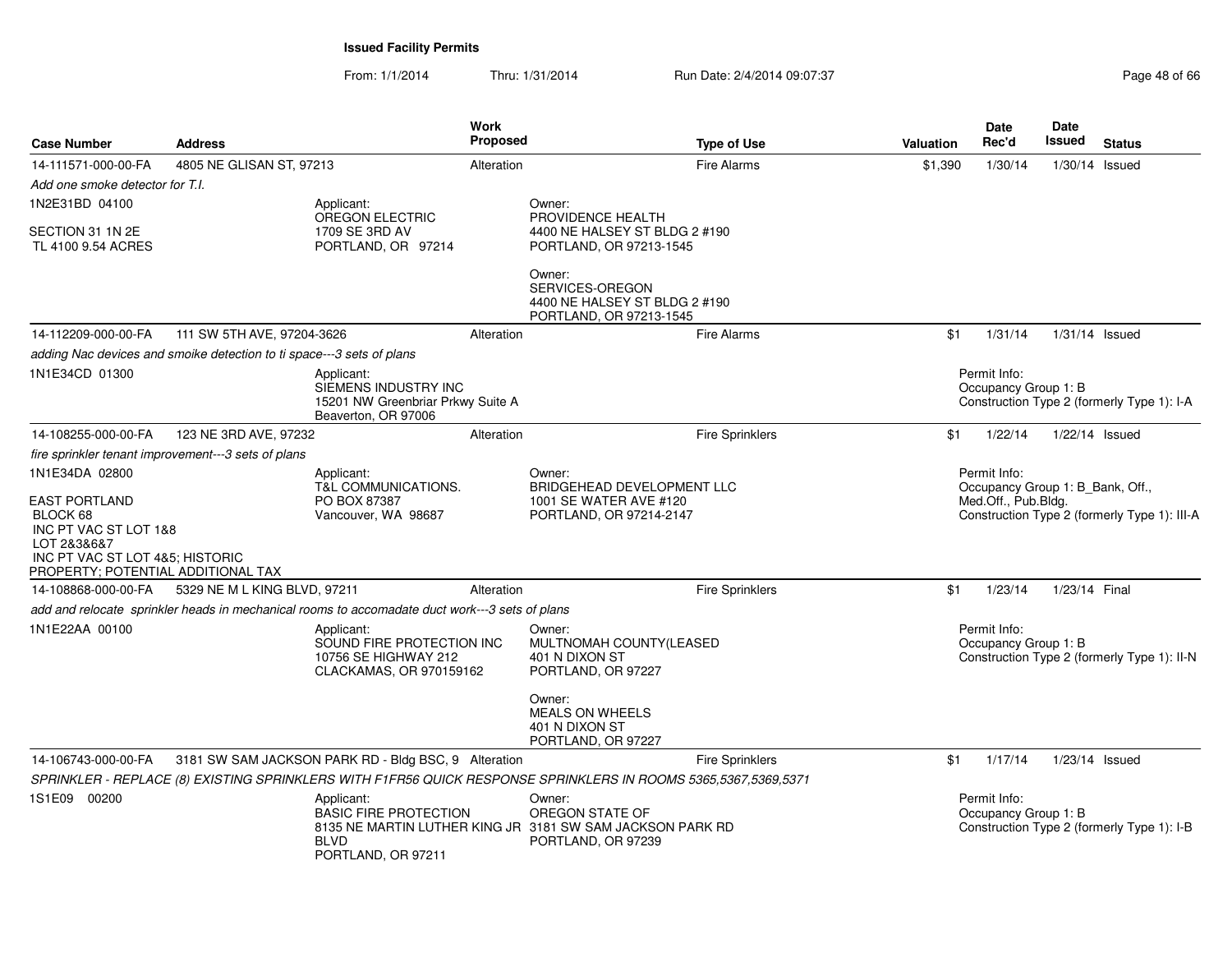From: 1/1/2014Thru: 1/31/2014 Run Date: 2/4/2014 09:07:37 Page 48 of 66

| <b>Case Number</b>                                                                                                               | <b>Address</b>                                                                                              |                                                                                                | <b>Work</b><br><b>Proposed</b> |                                                                                                                | <b>Type of Use</b>     | <b>Valuation</b>                                                                                                        | <b>Date</b><br>Rec'd                 | <b>Date</b><br>Issued | <b>Status</b>                               |
|----------------------------------------------------------------------------------------------------------------------------------|-------------------------------------------------------------------------------------------------------------|------------------------------------------------------------------------------------------------|--------------------------------|----------------------------------------------------------------------------------------------------------------|------------------------|-------------------------------------------------------------------------------------------------------------------------|--------------------------------------|-----------------------|---------------------------------------------|
| 14-111571-000-00-FA                                                                                                              | 4805 NE GLISAN ST, 97213                                                                                    |                                                                                                | Alteration                     |                                                                                                                | <b>Fire Alarms</b>     | \$1,390                                                                                                                 | 1/30/14                              | $1/30/14$ Issued      |                                             |
| Add one smoke detector for T.I.                                                                                                  |                                                                                                             |                                                                                                |                                |                                                                                                                |                        |                                                                                                                         |                                      |                       |                                             |
| 1N2E31BD 04100                                                                                                                   |                                                                                                             | Applicant:                                                                                     |                                | Owner:                                                                                                         |                        |                                                                                                                         |                                      |                       |                                             |
| SECTION 31 1N 2E<br>TL 4100 9.54 ACRES                                                                                           |                                                                                                             | OREGON ELECTRIC<br>1709 SE 3RD AV<br>PORTLAND, OR 97214                                        |                                | PROVIDENCE HEALTH<br>4400 NE HALSEY ST BLDG 2 #190<br>PORTLAND, OR 97213-1545                                  |                        |                                                                                                                         |                                      |                       |                                             |
|                                                                                                                                  |                                                                                                             |                                                                                                |                                | Owner:<br>SERVICES-OREGON<br>4400 NE HALSEY ST BLDG 2 #190<br>PORTLAND, OR 97213-1545                          |                        |                                                                                                                         |                                      |                       |                                             |
| 14-112209-000-00-FA                                                                                                              | 111 SW 5TH AVE, 97204-3626                                                                                  |                                                                                                | Alteration                     |                                                                                                                | <b>Fire Alarms</b>     | \$1                                                                                                                     | 1/31/14                              | $1/31/14$ Issued      |                                             |
|                                                                                                                                  | adding Nac devices and smoike detection to ti space---3 sets of plans                                       |                                                                                                |                                |                                                                                                                |                        |                                                                                                                         |                                      |                       |                                             |
| 1N1E34CD 01300                                                                                                                   |                                                                                                             | Applicant:<br>SIEMENS INDUSTRY INC<br>15201 NW Greenbriar Prkwy Suite A<br>Beaverton, OR 97006 |                                |                                                                                                                |                        |                                                                                                                         | Permit Info:<br>Occupancy Group 1: B |                       | Construction Type 2 (formerly Type 1): I-A  |
| 14-108255-000-00-FA                                                                                                              | 123 NE 3RD AVE, 97232                                                                                       |                                                                                                | Alteration                     |                                                                                                                | Fire Sprinklers        | \$1                                                                                                                     | 1/22/14                              | $1/22/14$ Issued      |                                             |
|                                                                                                                                  | fire sprinkler tenant improvement---3 sets of plans                                                         |                                                                                                |                                |                                                                                                                |                        |                                                                                                                         |                                      |                       |                                             |
| 1N1E34DA 02800<br><b>EAST PORTLAND</b><br>BLOCK 68<br>INC PT VAC ST LOT 1&8<br>LOT 2&3&6&7<br>PROPERTY; POTENTIAL ADDITIONAL TAX | Applicant:<br>T&L COMMUNICATIONS.<br>PO BOX 87387<br>Vancouver, WA 98687<br>INC PT VAC ST LOT 4&5; HISTORIC |                                                                                                |                                | Owner:<br>BRIDGEHEAD DEVELOPMENT LLC<br>1001 SE WATER AVE #120<br>PORTLAND, OR 97214-2147                      |                        | Permit Info:<br>Occupancy Group 1: B_Bank, Off.,<br>Med.Off., Pub.Bldg.<br>Construction Type 2 (formerly Type 1): III-A |                                      |                       |                                             |
| 14-108868-000-00-FA                                                                                                              | 5329 NE M L KING BLVD, 97211                                                                                |                                                                                                | Alteration                     |                                                                                                                | <b>Fire Sprinklers</b> | \$1                                                                                                                     | 1/23/14                              | 1/23/14 Final         |                                             |
|                                                                                                                                  |                                                                                                             | add and relocate sprinkler heads in mechanical rooms to accomadate duct work---3 sets of plans |                                |                                                                                                                |                        |                                                                                                                         |                                      |                       |                                             |
| 1N1E22AA 00100                                                                                                                   |                                                                                                             | Applicant:<br>SOUND FIRE PROTECTION INC<br>10756 SE HIGHWAY 212<br>CLACKAMAS, OR 970159162     |                                | Owner:<br>MULTNOMAH COUNTY(LEASED<br>401 N DIXON ST<br>PORTLAND, OR 97227                                      |                        |                                                                                                                         | Permit Info:<br>Occupancy Group 1: B |                       | Construction Type 2 (formerly Type 1): II-N |
|                                                                                                                                  |                                                                                                             |                                                                                                |                                | Owner:<br><b>MEALS ON WHEELS</b><br>401 N DIXON ST<br>PORTLAND, OR 97227                                       |                        |                                                                                                                         |                                      |                       |                                             |
| 14-106743-000-00-FA                                                                                                              |                                                                                                             | 3181 SW SAM JACKSON PARK RD - Bldg BSC, 9 Alteration                                           |                                |                                                                                                                | <b>Fire Sprinklers</b> | \$1                                                                                                                     | 1/17/14                              | $1/23/14$ Issued      |                                             |
|                                                                                                                                  |                                                                                                             |                                                                                                |                                | SPRINKLER - REPLACE (8) EXISTING SPRINKLERS WITH F1FR56 QUICK RESPONSE SPRINKLERS IN ROOMS 5365,5367,5369,5371 |                        |                                                                                                                         |                                      |                       |                                             |
| 1S1E09 00200                                                                                                                     |                                                                                                             | Applicant:<br><b>BASIC FIRE PROTECTION</b><br><b>BLVD</b><br>PORTLAND, OR 97211                |                                | Owner:<br>OREGON STATE OF<br>8135 NE MARTIN LUTHER KING JR 3181 SW SAM JACKSON PARK RD<br>PORTLAND, OR 97239   |                        |                                                                                                                         | Permit Info:<br>Occupancy Group 1: B |                       | Construction Type 2 (formerly Type 1): I-B  |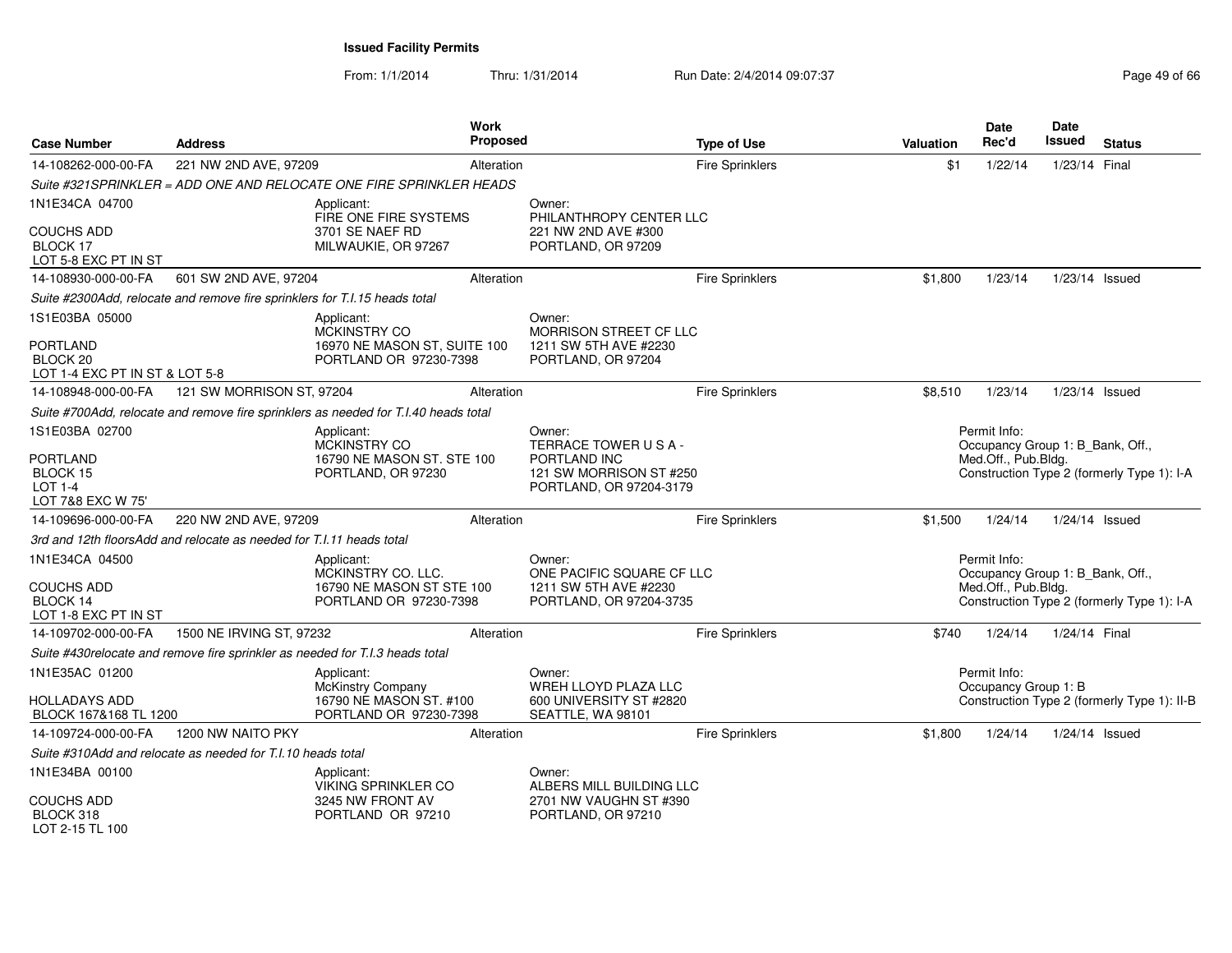From: 1/1/2014Thru: 1/31/2014 Run Date: 2/4/2014 09:07:37 Page 49 of 66

| <b>Case Number</b>                                                 | <b>Address</b>                                                             |                                                                                     | Work<br>Proposed |                                                                    | <b>Type of Use</b>     | Valuation | <b>Date</b><br>Rec'd                             | Date<br><b>Issued</b> | <b>Status</b>                               |
|--------------------------------------------------------------------|----------------------------------------------------------------------------|-------------------------------------------------------------------------------------|------------------|--------------------------------------------------------------------|------------------------|-----------|--------------------------------------------------|-----------------------|---------------------------------------------|
| 14-108262-000-00-FA                                                | 221 NW 2ND AVE, 97209                                                      |                                                                                     | Alteration       |                                                                    | <b>Fire Sprinklers</b> | \$1       | 1/22/14                                          | 1/23/14 Final         |                                             |
|                                                                    |                                                                            | Suite #321SPRINKLER = ADD ONE AND RELOCATE ONE FIRE SPRINKLER HEADS                 |                  |                                                                    |                        |           |                                                  |                       |                                             |
| 1N1E34CA 04700                                                     |                                                                            | Applicant:<br>FIRE ONE FIRE SYSTEMS                                                 |                  | Owner:<br>PHILANTHROPY CENTER LLC                                  |                        |           |                                                  |                       |                                             |
| <b>COUCHS ADD</b><br>BLOCK 17<br>LOT 5-8 EXC PT IN ST              |                                                                            | 3701 SE NAEF RD<br>MILWAUKIE, OR 97267                                              |                  | 221 NW 2ND AVE #300<br>PORTLAND, OR 97209                          |                        |           |                                                  |                       |                                             |
| 14-108930-000-00-FA                                                | 601 SW 2ND AVE, 97204                                                      |                                                                                     | Alteration       |                                                                    | <b>Fire Sprinklers</b> | \$1,800   | 1/23/14                                          | 1/23/14 Issued        |                                             |
|                                                                    | Suite #2300Add, relocate and remove fire sprinklers for T.I.15 heads total |                                                                                     |                  |                                                                    |                        |           |                                                  |                       |                                             |
| 1S1E03BA 05000                                                     |                                                                            | Applicant:<br>MCKINSTRY CO                                                          |                  | Owner:<br>MORRISON STREET CF LLC                                   |                        |           |                                                  |                       |                                             |
| <b>PORTLAND</b><br>BLOCK 20<br>LOT 1-4 EXC PT IN ST & LOT 5-8      |                                                                            | 16970 NE MASON ST, SUITE 100<br>PORTLAND OR 97230-7398                              |                  | 1211 SW 5TH AVE #2230<br>PORTLAND, OR 97204                        |                        |           |                                                  |                       |                                             |
| 14-108948-000-00-FA                                                | 121 SW MORRISON ST, 97204                                                  |                                                                                     | Alteration       |                                                                    | <b>Fire Sprinklers</b> | \$8,510   | 1/23/14                                          | 1/23/14 Issued        |                                             |
|                                                                    |                                                                            | Suite #700Add, relocate and remove fire sprinklers as needed for T.I.40 heads total |                  |                                                                    |                        |           |                                                  |                       |                                             |
| 1S1E03BA 02700                                                     |                                                                            | Applicant:<br>MCKINSTRY CO                                                          |                  | Owner:<br>TERRACE TOWER USA-                                       |                        |           | Permit Info:<br>Occupancy Group 1: B Bank, Off., |                       |                                             |
| <b>PORTLAND</b><br>BLOCK 15<br><b>LOT 1-4</b><br>LOT 7&8 EXC W 75' |                                                                            | 16790 NE MASON ST. STE 100<br>PORTLAND, OR 97230                                    |                  | PORTLAND INC<br>121 SW MORRISON ST #250<br>PORTLAND, OR 97204-3179 |                        |           | Med.Off., Pub.Bldg.                              |                       | Construction Type 2 (formerly Type 1): I-A  |
| 14-109696-000-00-FA                                                | 220 NW 2ND AVE, 97209                                                      |                                                                                     | Alteration       |                                                                    | Fire Sprinklers        | \$1,500   | 1/24/14                                          | 1/24/14 Issued        |                                             |
|                                                                    | 3rd and 12th floorsAdd and relocate as needed for T.I.11 heads total       |                                                                                     |                  |                                                                    |                        |           |                                                  |                       |                                             |
| 1N1E34CA 04500                                                     |                                                                            | Applicant:<br>MCKINSTRY CO. LLC.                                                    |                  | Owner:<br>ONE PACIFIC SQUARE CF LLC                                |                        |           | Permit Info:<br>Occupancy Group 1: B_Bank, Off., |                       |                                             |
| <b>COUCHS ADD</b><br>BLOCK 14<br>LOT 1-8 EXC PT IN ST              |                                                                            | 16790 NE MASON ST STE 100<br>PORTLAND OR 97230-7398                                 |                  | 1211 SW 5TH AVE #2230<br>PORTLAND, OR 97204-3735                   |                        |           | Med.Off., Pub.Bldg.                              |                       | Construction Type 2 (formerly Type 1): I-A  |
| 14-109702-000-00-FA                                                | 1500 NE IRVING ST, 97232                                                   |                                                                                     | Alteration       |                                                                    | <b>Fire Sprinklers</b> | \$740     | 1/24/14                                          | 1/24/14 Final         |                                             |
|                                                                    |                                                                            | Suite #430relocate and remove fire sprinkler as needed for T.I.3 heads total        |                  |                                                                    |                        |           |                                                  |                       |                                             |
| 1N1E35AC 01200                                                     |                                                                            | Applicant:                                                                          |                  | Owner:<br><b>WREH LLOYD PLAZA LLC</b>                              |                        |           | Permit Info:<br>Occupancy Group 1: B             |                       |                                             |
| <b>HOLLADAYS ADD</b><br>BLOCK 167&168 TL 1200                      |                                                                            | McKinstry Company<br>16790 NE MASON ST. #100<br>PORTLAND OR 97230-7398              |                  | 600 UNIVERSITY ST #2820<br>SEATTLE, WA 98101                       |                        |           |                                                  |                       | Construction Type 2 (formerly Type 1): II-B |
| 14-109724-000-00-FA                                                | 1200 NW NAITO PKY                                                          |                                                                                     | Alteration       |                                                                    | <b>Fire Sprinklers</b> | \$1,800   | 1/24/14                                          | $1/24/14$ Issued      |                                             |
|                                                                    | Suite #310Add and relocate as needed for T.I.10 heads total                |                                                                                     |                  |                                                                    |                        |           |                                                  |                       |                                             |
| 1N1E34BA 00100                                                     |                                                                            | Applicant:<br><b>VIKING SPRINKLER CO</b>                                            |                  | Owner:<br>ALBERS MILL BUILDING LLC                                 |                        |           |                                                  |                       |                                             |
| <b>COUCHS ADD</b><br>BLOCK 318<br>LOT 2-15 TL 100                  |                                                                            | 3245 NW FRONT AV<br>PORTLAND OR 97210                                               |                  | 2701 NW VAUGHN ST #390<br>PORTLAND, OR 97210                       |                        |           |                                                  |                       |                                             |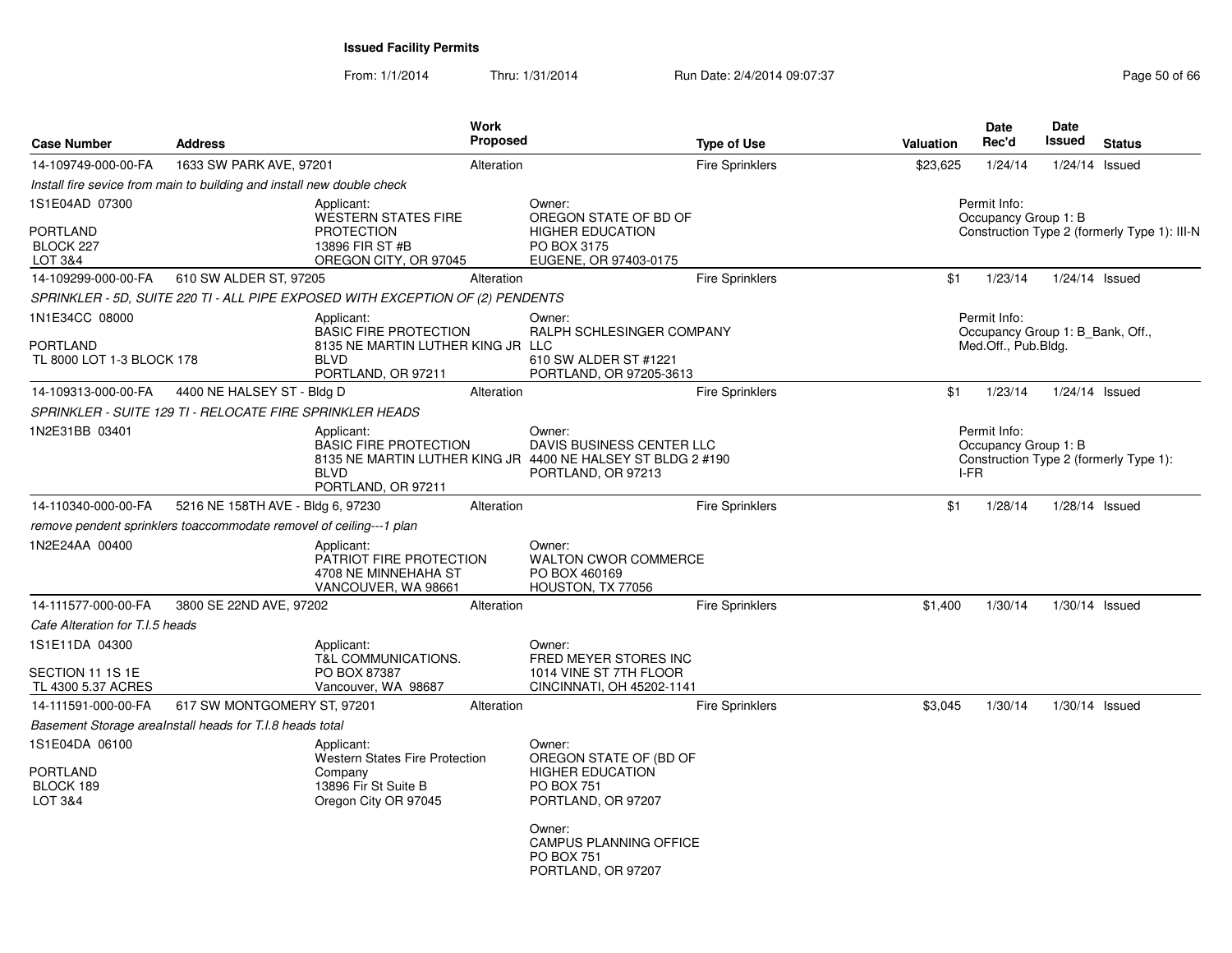From: 1/1/2014Thru: 1/31/2014 Run Date: 2/4/2014 09:07:37 Page 50 of 66

| <b>Case Number</b>                                        | <b>Address</b>                                                         |                                                                                                                      | Work<br><b>Proposed</b> |                                                                                                                                                                                       | <b>Type of Use</b>     | Valuation | <b>Date</b><br>Rec'd                                                    | <b>Date</b><br>Issued | <b>Status</b>                                |
|-----------------------------------------------------------|------------------------------------------------------------------------|----------------------------------------------------------------------------------------------------------------------|-------------------------|---------------------------------------------------------------------------------------------------------------------------------------------------------------------------------------|------------------------|-----------|-------------------------------------------------------------------------|-----------------------|----------------------------------------------|
| 14-109749-000-00-FA                                       | 1633 SW PARK AVE, 97201                                                |                                                                                                                      | Alteration              |                                                                                                                                                                                       | <b>Fire Sprinklers</b> | \$23,625  | 1/24/14                                                                 |                       | $1/24/14$ Issued                             |
|                                                           | Install fire sevice from main to building and install new double check |                                                                                                                      |                         |                                                                                                                                                                                       |                        |           |                                                                         |                       |                                              |
| 1S1E04AD 07300<br><b>PORTLAND</b><br>BLOCK 227<br>LOT 3&4 |                                                                        | Applicant:<br><b>WESTERN STATES FIRE</b><br><b>PROTECTION</b><br>13896 FIR ST #B<br>OREGON CITY, OR 97045            |                         | Owner:<br>OREGON STATE OF BD OF<br><b>HIGHER EDUCATION</b><br>PO BOX 3175<br>EUGENE, OR 97403-0175                                                                                    |                        |           | Permit Info:<br>Occupancy Group 1: B                                    |                       | Construction Type 2 (formerly Type 1): III-N |
| 14-109299-000-00-FA                                       | 610 SW ALDER ST, 97205                                                 |                                                                                                                      | Alteration              |                                                                                                                                                                                       | Fire Sprinklers        | \$1       | 1/23/14                                                                 |                       | 1/24/14 Issued                               |
|                                                           |                                                                        | SPRINKLER - 5D, SUITE 220 TI - ALL PIPE EXPOSED WITH EXCEPTION OF (2) PENDENTS                                       |                         |                                                                                                                                                                                       |                        |           |                                                                         |                       |                                              |
| 1N1E34CC 08000<br>PORTLAND<br>TL 8000 LOT 1-3 BLOCK 178   |                                                                        | Applicant:<br><b>BASIC FIRE PROTECTION</b><br>8135 NE MARTIN LUTHER KING JR LLC<br><b>BLVD</b><br>PORTLAND, OR 97211 |                         | Owner:<br>RALPH SCHLESINGER COMPANY<br>610 SW ALDER ST #1221<br>PORTLAND, OR 97205-3613                                                                                               |                        |           | Permit Info:<br>Occupancy Group 1: B_Bank, Off.,<br>Med.Off., Pub.Bldg. |                       |                                              |
| 14-109313-000-00-FA                                       | 4400 NE HALSEY ST - Bldg D                                             |                                                                                                                      | Alteration              |                                                                                                                                                                                       | <b>Fire Sprinklers</b> | \$1       | 1/23/14                                                                 |                       | $1/24/14$ Issued                             |
|                                                           | SPRINKLER - SUITE 129 TI - RELOCATE FIRE SPRINKLER HEADS               |                                                                                                                      |                         |                                                                                                                                                                                       |                        |           |                                                                         |                       |                                              |
| 1N2E31BB 03401                                            |                                                                        | Applicant:<br><b>BASIC FIRE PROTECTION</b><br><b>BLVD</b><br>PORTLAND, OR 97211                                      |                         | Owner:<br>DAVIS BUSINESS CENTER LLC<br>8135 NE MARTIN LUTHER KING JR 4400 NE HALSEY ST BLDG 2 #190<br>PORTLAND, OR 97213                                                              |                        |           | Permit Info:<br>Occupancy Group 1: B<br>I-FR                            |                       | Construction Type 2 (formerly Type 1):       |
| 14-110340-000-00-FA                                       | 5216 NE 158TH AVE - Bldg 6, 97230                                      |                                                                                                                      | Alteration              |                                                                                                                                                                                       | Fire Sprinklers        | \$1       | 1/28/14                                                                 |                       | $1/28/14$ Issued                             |
|                                                           | remove pendent sprinklers toaccommodate removel of ceiling---1 plan    |                                                                                                                      |                         |                                                                                                                                                                                       |                        |           |                                                                         |                       |                                              |
| 1N2E24AA 00400                                            |                                                                        | Applicant:<br>PATRIOT FIRE PROTECTION<br>4708 NE MINNEHAHA ST<br>VANCOUVER, WA 98661                                 |                         | Owner:<br><b>WALTON CWOR COMMERCE</b><br>PO BOX 460169<br>HOUSTON, TX 77056                                                                                                           |                        |           |                                                                         |                       |                                              |
| 14-111577-000-00-FA                                       | 3800 SE 22ND AVE, 97202                                                |                                                                                                                      | Alteration              |                                                                                                                                                                                       | <b>Fire Sprinklers</b> | \$1,400   | 1/30/14                                                                 |                       | $1/30/14$ Issued                             |
| Cafe Alteration for T.I.5 heads                           |                                                                        |                                                                                                                      |                         |                                                                                                                                                                                       |                        |           |                                                                         |                       |                                              |
| 1S1E11DA 04300<br>SECTION 11 1S 1E<br>TL 4300 5.37 ACRES  |                                                                        | Applicant:<br>T&L COMMUNICATIONS.<br>PO BOX 87387<br>Vancouver, WA 98687                                             |                         | Owner:<br>FRED MEYER STORES INC<br>1014 VINE ST 7TH FLOOR<br>CINCINNATI, OH 45202-1141                                                                                                |                        |           |                                                                         |                       |                                              |
| 14-111591-000-00-FA                                       | 617 SW MONTGOMERY ST, 97201                                            |                                                                                                                      | Alteration              |                                                                                                                                                                                       | <b>Fire Sprinklers</b> | \$3,045   | 1/30/14                                                                 |                       | $1/30/14$ Issued                             |
| Basement Storage arealnstall heads for T.I.8 heads total  |                                                                        |                                                                                                                      |                         |                                                                                                                                                                                       |                        |           |                                                                         |                       |                                              |
| 1S1E04DA 06100<br>PORTLAND<br>BLOCK 189<br>LOT 3&4        |                                                                        | Applicant:<br><b>Western States Fire Protection</b><br>Company<br>13896 Fir St Suite B<br>Oregon City OR 97045       |                         | Owner:<br>OREGON STATE OF (BD OF<br><b>HIGHER EDUCATION</b><br><b>PO BOX 751</b><br>PORTLAND, OR 97207<br>Owner:<br>CAMPUS PLANNING OFFICE<br><b>PO BOX 751</b><br>PORTLAND, OR 97207 |                        |           |                                                                         |                       |                                              |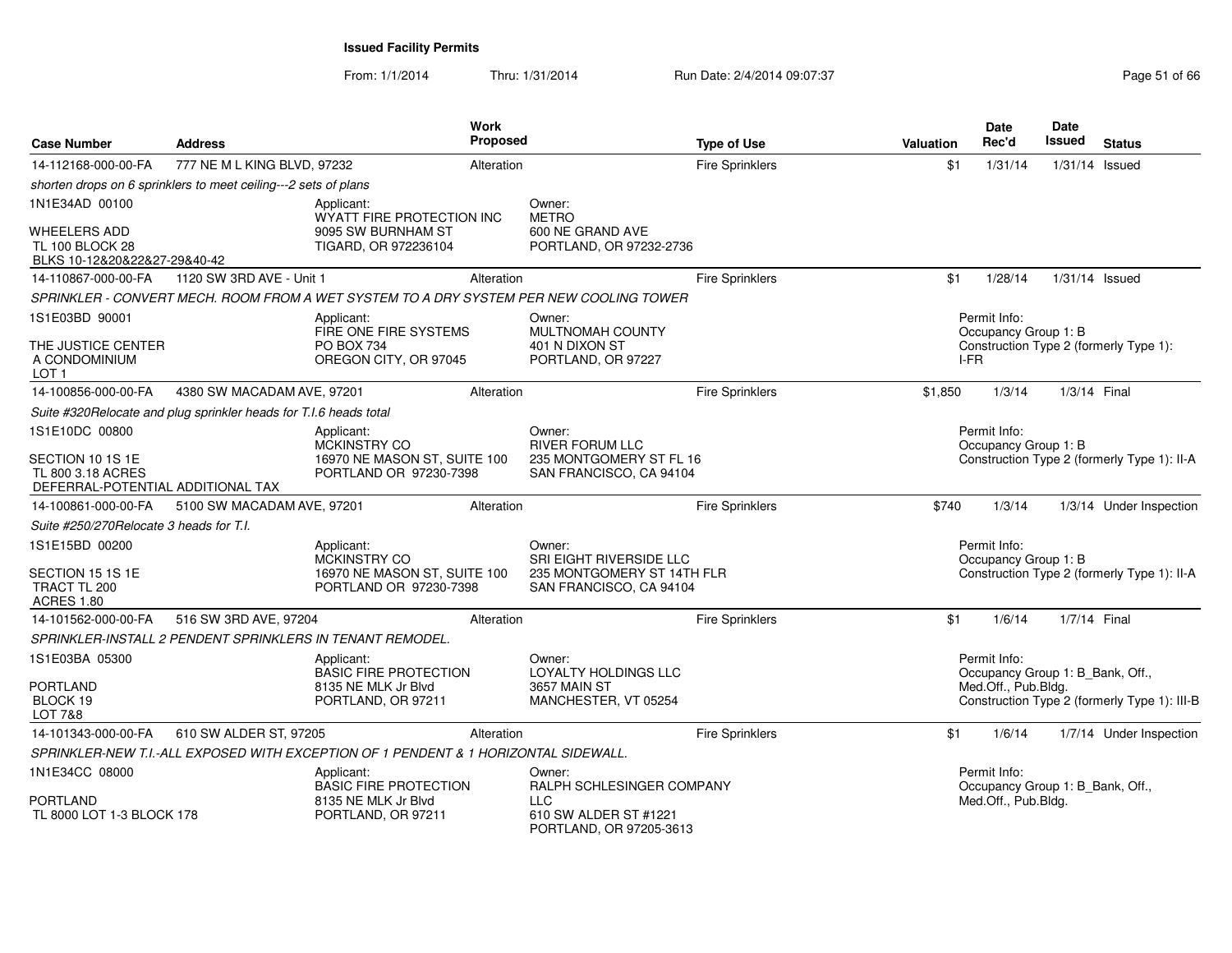From: 1/1/2014

Thru: 1/31/2014 Run Date: 2/4/2014 09:07:37 Page 51 of 66

| <b>Case Number</b>                                                            | <b>Address</b>                                                    |                                                                                     | Work<br><b>Proposed</b> |                                                                                        | <b>Type of Use</b>     | <b>Valuation</b> | <b>Date</b><br>Rec'd                             | Date<br>Issued   | <b>Status</b>                                |
|-------------------------------------------------------------------------------|-------------------------------------------------------------------|-------------------------------------------------------------------------------------|-------------------------|----------------------------------------------------------------------------------------|------------------------|------------------|--------------------------------------------------|------------------|----------------------------------------------|
| 14-112168-000-00-FA                                                           | 777 NE M L KING BLVD, 97232                                       |                                                                                     | Alteration              |                                                                                        | <b>Fire Sprinklers</b> | \$1              | 1/31/14                                          | $1/31/14$ Issued |                                              |
|                                                                               | shorten drops on 6 sprinklers to meet ceiling---2 sets of plans   |                                                                                     |                         |                                                                                        |                        |                  |                                                  |                  |                                              |
| 1N1E34AD 00100                                                                |                                                                   | Applicant:<br>WYATT FIRE PROTECTION INC                                             |                         | Owner:<br><b>METRO</b>                                                                 |                        |                  |                                                  |                  |                                              |
| <b>WHEELERS ADD</b><br><b>TL 100 BLOCK 28</b><br>BLKS 10-12&20&22&27-29&40-42 |                                                                   | 9095 SW BURNHAM ST<br>TIGARD, OR 972236104                                          |                         | 600 NE GRAND AVE<br>PORTLAND, OR 97232-2736                                            |                        |                  |                                                  |                  |                                              |
| 14-110867-000-00-FA                                                           | 1120 SW 3RD AVE - Unit 1                                          |                                                                                     | Alteration              |                                                                                        | Fire Sprinklers        | \$1              | 1/28/14                                          | 1/31/14 Issued   |                                              |
|                                                                               |                                                                   |                                                                                     |                         | SPRINKLER - CONVERT MECH. ROOM FROM A WET SYSTEM TO A DRY SYSTEM PER NEW COOLING TOWER |                        |                  |                                                  |                  |                                              |
| 1S1E03BD 90001                                                                |                                                                   | Applicant:<br>FIRE ONE FIRE SYSTEMS                                                 |                         | Owner:                                                                                 |                        |                  | Permit Info:                                     |                  |                                              |
| THE JUSTICE CENTER<br>A CONDOMINIUM<br>LOT 1                                  |                                                                   | <b>PO BOX 734</b><br>OREGON CITY, OR 97045                                          |                         | <b>MULTNOMAH COUNTY</b><br>401 N DIXON ST<br>PORTLAND, OR 97227                        |                        | I-FR             | Occupancy Group 1: B                             |                  | Construction Type 2 (formerly Type 1):       |
| 14-100856-000-00-FA                                                           | 4380 SW MACADAM AVE, 97201                                        |                                                                                     | Alteration              |                                                                                        | <b>Fire Sprinklers</b> | \$1,850          | 1/3/14                                           | 1/3/14 Final     |                                              |
|                                                                               | Suite #320Relocate and plug sprinkler heads for T.I.6 heads total |                                                                                     |                         |                                                                                        |                        |                  |                                                  |                  |                                              |
| 1S1E10DC 00800                                                                |                                                                   | Applicant:                                                                          |                         | Owner:                                                                                 |                        |                  | Permit Info:                                     |                  |                                              |
| SECTION 10 1S 1E<br>TL 800 3.18 ACRES<br>DEFERRAL-POTENTIAL ADDITIONAL TAX    |                                                                   | MCKINSTRY CO<br>16970 NE MASON ST, SUITE 100<br>PORTLAND OR 97230-7398              |                         | <b>RIVER FORUM LLC</b><br>235 MONTGOMERY ST FL 16<br>SAN FRANCISCO, CA 94104           |                        |                  | Occupancy Group 1: B                             |                  | Construction Type 2 (formerly Type 1): II-A  |
| 14-100861-000-00-FA                                                           | 5100 SW MACADAM AVE, 97201                                        |                                                                                     | Alteration              |                                                                                        | <b>Fire Sprinklers</b> | \$740            | 1/3/14                                           |                  | 1/3/14 Under Inspection                      |
| Suite #250/270Relocate 3 heads for T.I.                                       |                                                                   |                                                                                     |                         |                                                                                        |                        |                  |                                                  |                  |                                              |
| 1S1E15BD 00200                                                                |                                                                   | Applicant:                                                                          |                         | Owner:                                                                                 |                        |                  | Permit Info:                                     |                  |                                              |
| SECTION 15 1S 1E<br>TRACT TL 200<br><b>ACRES 1.80</b>                         |                                                                   | MCKINSTRY CO<br>16970 NE MASON ST, SUITE 100<br>PORTLAND OR 97230-7398              |                         | SRI EIGHT RIVERSIDE LLC<br>235 MONTGOMERY ST 14TH FLR<br>SAN FRANCISCO, CA 94104       |                        |                  | Occupancy Group 1: B                             |                  | Construction Type 2 (formerly Type 1): II-A  |
| 14-101562-000-00-FA                                                           | 516 SW 3RD AVE, 97204                                             |                                                                                     | Alteration              |                                                                                        | <b>Fire Sprinklers</b> | \$1              | 1/6/14                                           | 1/7/14 Final     |                                              |
|                                                                               |                                                                   | SPRINKLER-INSTALL 2 PENDENT SPRINKLERS IN TENANT REMODEL.                           |                         |                                                                                        |                        |                  |                                                  |                  |                                              |
| 1S1E03BA 05300                                                                |                                                                   | Applicant:<br><b>BASIC FIRE PROTECTION</b>                                          |                         | Owner:<br>LOYALTY HOLDINGS LLC                                                         |                        |                  | Permit Info:<br>Occupancy Group 1: B_Bank, Off., |                  |                                              |
| <b>PORTLAND</b><br>BLOCK 19<br><b>LOT 7&amp;8</b>                             |                                                                   | 8135 NE MLK Jr Blvd<br>PORTLAND, OR 97211                                           |                         | 3657 MAIN ST<br>MANCHESTER, VT 05254                                                   |                        |                  | Med.Off., Pub.Bldg.                              |                  | Construction Type 2 (formerly Type 1): III-B |
| 14-101343-000-00-FA                                                           | 610 SW ALDER ST, 97205                                            |                                                                                     | Alteration              |                                                                                        | Fire Sprinklers        | \$1              | 1/6/14                                           |                  | 1/7/14 Under Inspection                      |
|                                                                               |                                                                   | SPRINKLER-NEW T.I.-ALL EXPOSED WITH EXCEPTION OF 1 PENDENT & 1 HORIZONTAL SIDEWALL. |                         |                                                                                        |                        |                  |                                                  |                  |                                              |
| 1N1E34CC 08000                                                                |                                                                   | Applicant:<br><b>BASIC FIRE PROTECTION</b>                                          |                         | Owner:<br>RALPH SCHLESINGER COMPANY                                                    |                        |                  | Permit Info:<br>Occupancy Group 1: B_Bank, Off., |                  |                                              |
| PORTLAND<br>TL 8000 LOT 1-3 BLOCK 178                                         |                                                                   | 8135 NE MLK Jr Blyd<br>PORTLAND, OR 97211                                           |                         | LLC<br>610 SW ALDER ST #1221<br>PORTLAND, OR 97205-3613                                |                        |                  | Med.Off., Pub.Bldg.                              |                  |                                              |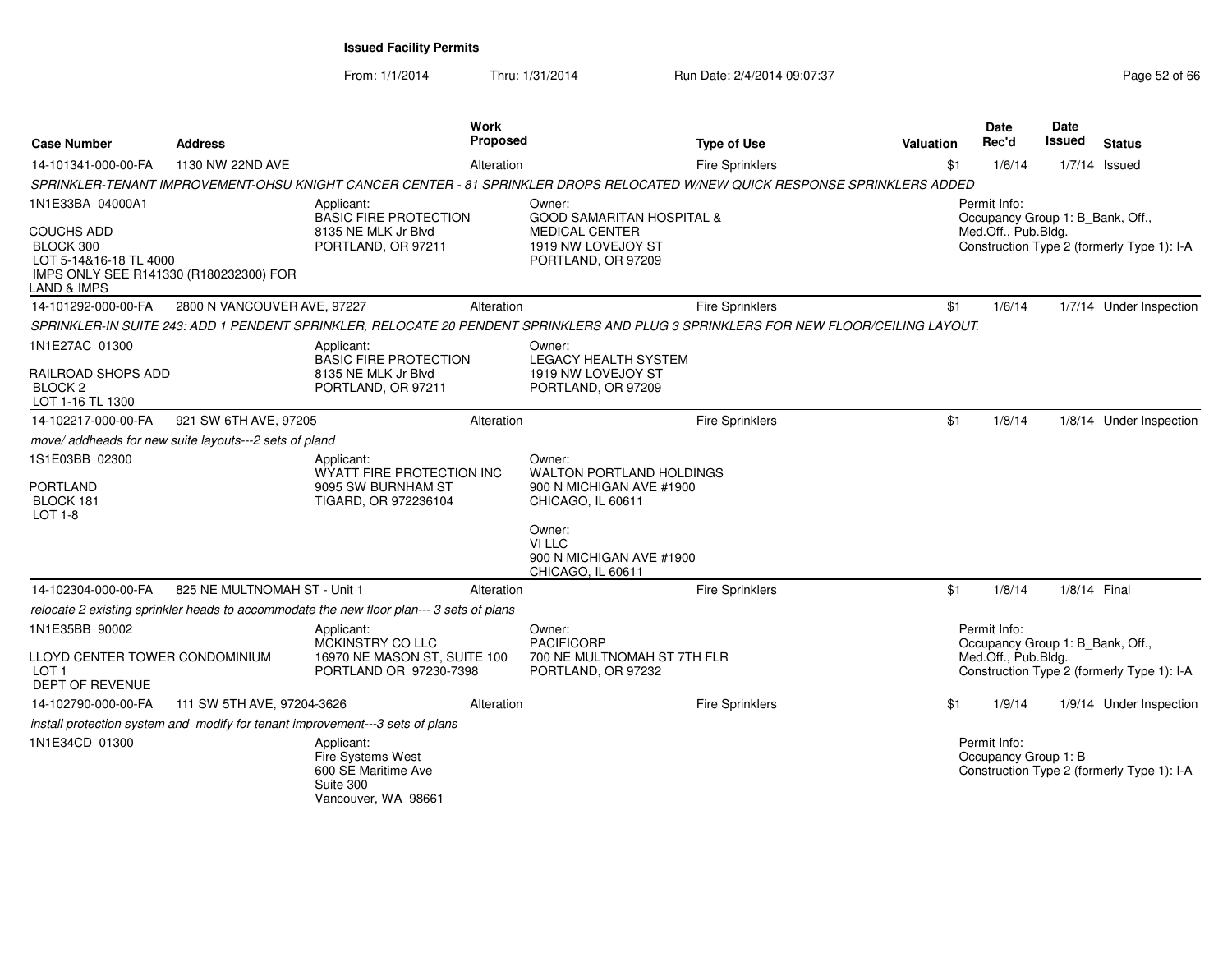From: 1/1/2014

Thru: 1/31/2014 Run Date: 2/4/2014 09:07:37 Page 52 of 66

| <b>Case Number</b>                                                                                                                               | <b>Address</b>                                         |                                                                                            | Work<br>Proposed |                                                                                                                                            | <b>Type of Use</b>     | Valuation |     | <b>Date</b><br>Rec'd                 | <b>Date</b><br>Issued            | <b>Status</b>                              |
|--------------------------------------------------------------------------------------------------------------------------------------------------|--------------------------------------------------------|--------------------------------------------------------------------------------------------|------------------|--------------------------------------------------------------------------------------------------------------------------------------------|------------------------|-----------|-----|--------------------------------------|----------------------------------|--------------------------------------------|
| 14-101341-000-00-FA                                                                                                                              | 1130 NW 22ND AVE                                       |                                                                                            | Alteration       |                                                                                                                                            | <b>Fire Sprinklers</b> |           | \$1 | 1/6/14                               |                                  | $1/7/14$ Issued                            |
|                                                                                                                                                  |                                                        |                                                                                            |                  | SPRINKLER-TENANT IMPROVEMENT-OHSU KNIGHT CANCER CENTER - 81 SPRINKLER DROPS RELOCATED W/NEW QUICK RESPONSE SPRINKLERS ADDED                |                        |           |     |                                      |                                  |                                            |
| 1N1E33BA 04000A1<br><b>COUCHS ADD</b><br>BLOCK 300<br>LOT 5-14&16-18 TL 4000<br>IMPS ONLY SEE R141330 (R180232300) FOR<br><b>LAND &amp; IMPS</b> |                                                        | Applicant:<br><b>BASIC FIRE PROTECTION</b><br>8135 NE MLK Jr Blvd<br>PORTLAND, OR 97211    |                  | Owner:<br><b>GOOD SAMARITAN HOSPITAL &amp;</b><br><b>MEDICAL CENTER</b><br>1919 NW LOVEJOY ST<br>PORTLAND, OR 97209                        |                        |           |     | Permit Info:<br>Med.Off., Pub.Bldg.  | Occupancy Group 1: B_Bank, Off., | Construction Type 2 (formerly Type 1): I-A |
| 14-101292-000-00-FA                                                                                                                              | 2800 N VANCOUVER AVE, 97227                            |                                                                                            | Alteration       |                                                                                                                                            | <b>Fire Sprinklers</b> |           | \$1 | 1/6/14                               |                                  | 1/7/14 Under Inspection                    |
|                                                                                                                                                  |                                                        |                                                                                            |                  | SPRINKLER-IN SUITE 243: ADD 1 PENDENT SPRINKLER, RELOCATE 20 PENDENT SPRINKLERS AND PLUG 3 SPRINKLERS FOR NEW FLOOR/CEILING LAYOUT.        |                        |           |     |                                      |                                  |                                            |
| 1N1E27AC 01300<br>RAILROAD SHOPS ADD<br>BLOCK <sub>2</sub><br>LOT 1-16 TL 1300                                                                   |                                                        | Applicant:<br><b>BASIC FIRE PROTECTION</b><br>8135 NE MLK Jr Blvd<br>PORTLAND, OR 97211    |                  | Owner:<br>LEGACY HEALTH SYSTEM<br>1919 NW LOVEJOY ST<br>PORTLAND, OR 97209                                                                 |                        |           |     |                                      |                                  |                                            |
| 14-102217-000-00-FA                                                                                                                              | 921 SW 6TH AVE, 97205                                  |                                                                                            | Alteration       |                                                                                                                                            | <b>Fire Sprinklers</b> |           | \$1 | 1/8/14                               |                                  | 1/8/14 Under Inspection                    |
|                                                                                                                                                  | move/ addheads for new suite layouts---2 sets of pland |                                                                                            |                  |                                                                                                                                            |                        |           |     |                                      |                                  |                                            |
| 1S1E03BB 02300<br><b>PORTLAND</b><br>BLOCK 181<br>LOT 1-8                                                                                        |                                                        | Applicant:<br>WYATT FIRE PROTECTION INC<br>9095 SW BURNHAM ST<br>TIGARD, OR 972236104      |                  | Owner:<br><b>WALTON PORTLAND HOLDINGS</b><br>900 N MICHIGAN AVE #1900<br>CHICAGO, IL 60611<br>Owner:<br>VI LLC<br>900 N MICHIGAN AVE #1900 |                        |           |     |                                      |                                  |                                            |
| 14-102304-000-00-FA                                                                                                                              | 825 NE MULTNOMAH ST - Unit 1                           |                                                                                            | Alteration       | CHICAGO, IL 60611                                                                                                                          | <b>Fire Sprinklers</b> |           | \$1 | 1/8/14                               | 1/8/14 Final                     |                                            |
|                                                                                                                                                  |                                                        | relocate 2 existing sprinkler heads to accommodate the new floor plan--- 3 sets of plans   |                  |                                                                                                                                            |                        |           |     |                                      |                                  |                                            |
| 1N1E35BB 90002<br>LLOYD CENTER TOWER CONDOMINIUM<br>LOT <sub>1</sub><br>DEPT OF REVENUE                                                          |                                                        | Applicant:<br>MCKINSTRY CO LLC<br>16970 NE MASON ST, SUITE 100<br>PORTLAND OR 97230-7398   |                  | Owner:<br><b>PACIFICORP</b><br>700 NE MULTNOMAH ST 7TH FLR<br>PORTLAND, OR 97232                                                           |                        |           |     | Permit Info:<br>Med.Off., Pub.Bldg.  | Occupancy Group 1: B_Bank, Off., | Construction Type 2 (formerly Type 1): I-A |
| 14-102790-000-00-FA                                                                                                                              | 111 SW 5TH AVE, 97204-3626                             |                                                                                            | Alteration       |                                                                                                                                            | Fire Sprinklers        |           | \$1 | 1/9/14                               |                                  | 1/9/14 Under Inspection                    |
|                                                                                                                                                  |                                                        | install protection system and modify for tenant improvement---3 sets of plans              |                  |                                                                                                                                            |                        |           |     |                                      |                                  |                                            |
| 1N1E34CD 01300                                                                                                                                   |                                                        | Applicant:<br>Fire Systems West<br>600 SE Maritime Ave<br>Suite 300<br>Vancouver, WA 98661 |                  |                                                                                                                                            |                        |           |     | Permit Info:<br>Occupancy Group 1: B |                                  | Construction Type 2 (formerly Type 1): I-A |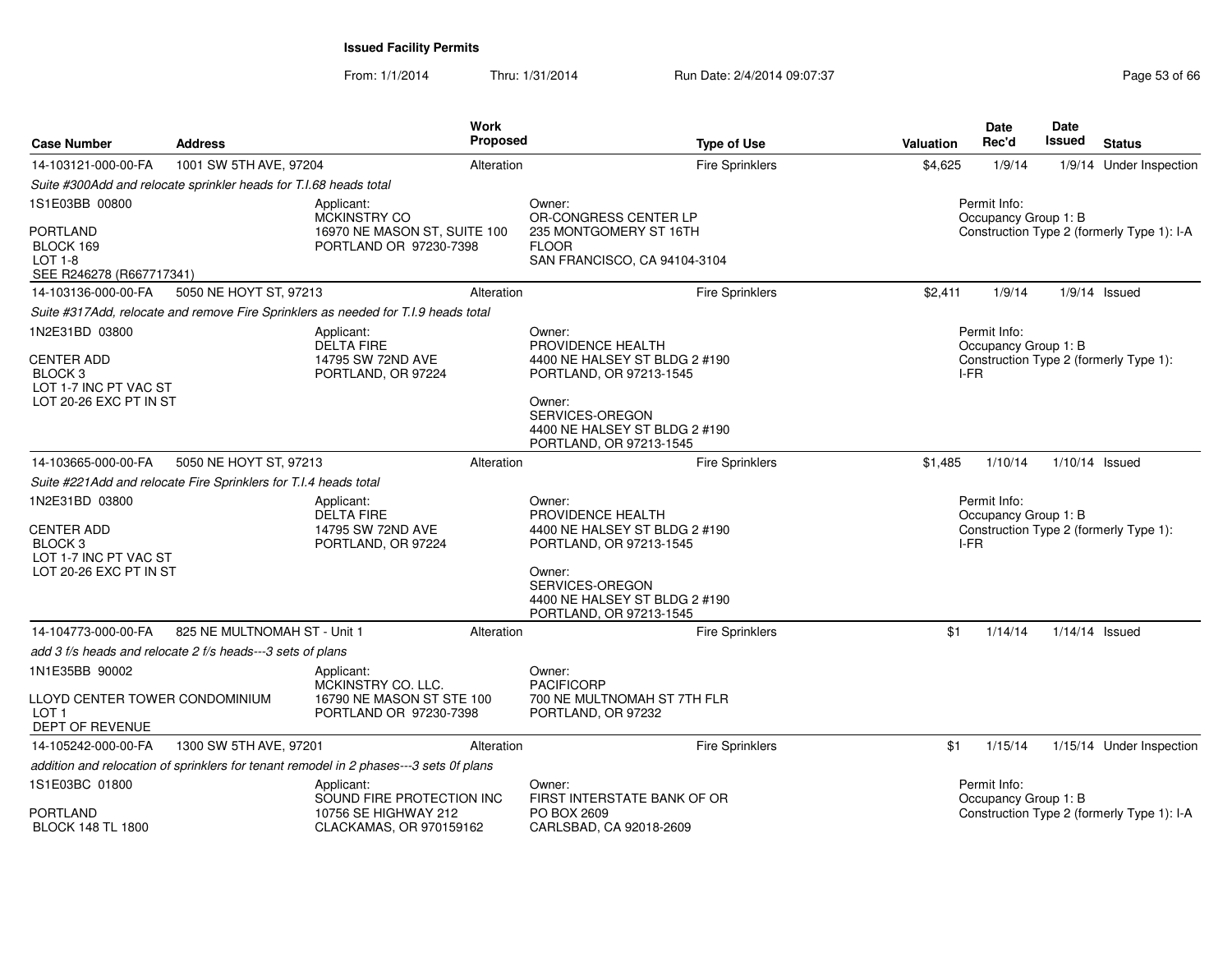From: 1/1/2014Thru: 1/31/2014 Run Date: 2/4/2014 09:07:37 Research 2010 12:07:37

| <b>Case Number</b>                                                           | <b>Address</b>                                                    | Work<br>Proposed                                                                       |                             | <b>Type of Use</b>                                       | <b>Valuation</b> | <b>Date</b><br>Rec'd                 | <b>Date</b><br><b>Issued</b> | <b>Status</b>                              |
|------------------------------------------------------------------------------|-------------------------------------------------------------------|----------------------------------------------------------------------------------------|-----------------------------|----------------------------------------------------------|------------------|--------------------------------------|------------------------------|--------------------------------------------|
| 14-103121-000-00-FA                                                          | 1001 SW 5TH AVE, 97204                                            | Alteration                                                                             |                             | Fire Sprinklers                                          | \$4,625          | 1/9/14                               |                              | 1/9/14 Under Inspection                    |
|                                                                              | Suite #300Add and relocate sprinkler heads for T.I.68 heads total |                                                                                        |                             |                                                          |                  |                                      |                              |                                            |
| 1S1E03BB 00800                                                               |                                                                   | Applicant:<br>MCKINSTRY CO                                                             | Owner:                      | OR-CONGRESS CENTER LP                                    |                  | Permit Info:<br>Occupancy Group 1: B |                              |                                            |
| PORTLAND<br>BLOCK 169<br><b>LOT 1-8</b><br>SEE R246278 (R667717341)          |                                                                   | 16970 NE MASON ST, SUITE 100<br>PORTLAND OR 97230-7398                                 | <b>FLOOR</b>                | 235 MONTGOMERY ST 16TH<br>SAN FRANCISCO, CA 94104-3104   |                  |                                      |                              | Construction Type 2 (formerly Type 1): I-A |
| 14-103136-000-00-FA                                                          | 5050 NE HOYT ST, 97213                                            | Alteration                                                                             |                             | Fire Sprinklers                                          | \$2,411          | 1/9/14                               |                              | $1/9/14$ Issued                            |
|                                                                              |                                                                   | Suite #317Add, relocate and remove Fire Sprinklers as needed for T.I.9 heads total     |                             |                                                          |                  |                                      |                              |                                            |
| 1N2E31BD 03800                                                               |                                                                   | Applicant:<br><b>DELTA FIRE</b>                                                        | Owner:<br>PROVIDENCE HEALTH |                                                          |                  | Permit Info:<br>Occupancy Group 1: B |                              |                                            |
| <b>CENTER ADD</b><br>BLOCK 3<br>LOT 1-7 INC PT VAC ST                        |                                                                   | 14795 SW 72ND AVE<br>PORTLAND, OR 97224                                                |                             | 4400 NE HALSEY ST BLDG 2 #190<br>PORTLAND, OR 97213-1545 |                  | I-FR                                 |                              | Construction Type 2 (formerly Type 1):     |
| LOT 20-26 EXC PT IN ST                                                       |                                                                   |                                                                                        | Owner:<br>SERVICES-OREGON   | 4400 NE HALSEY ST BLDG 2 #190<br>PORTLAND, OR 97213-1545 |                  |                                      |                              |                                            |
| 14-103665-000-00-FA                                                          | 5050 NE HOYT ST, 97213                                            | Alteration                                                                             |                             | <b>Fire Sprinklers</b>                                   | \$1,485          | 1/10/14                              | $1/10/14$ Issued             |                                            |
|                                                                              | Suite #221Add and relocate Fire Sprinklers for T.I.4 heads total  |                                                                                        |                             |                                                          |                  |                                      |                              |                                            |
| 1N2E31BD 03800                                                               |                                                                   | Applicant:<br><b>DELTA FIRE</b>                                                        | Owner:<br>PROVIDENCE HEALTH |                                                          |                  | Permit Info:<br>Occupancy Group 1: B |                              |                                            |
| <b>CENTER ADD</b><br>BLOCK <sub>3</sub><br>LOT 1-7 INC PT VAC ST             |                                                                   | 14795 SW 72ND AVE<br>PORTLAND, OR 97224                                                |                             | 4400 NE HALSEY ST BLDG 2 #190<br>PORTLAND, OR 97213-1545 | I-FR             |                                      |                              | Construction Type 2 (formerly Type 1):     |
| LOT 20-26 EXC PT IN ST                                                       |                                                                   |                                                                                        | Owner:<br>SERVICES-OREGON   | 4400 NE HALSEY ST BLDG 2 #190<br>PORTLAND, OR 97213-1545 |                  |                                      |                              |                                            |
| 14-104773-000-00-FA                                                          | 825 NE MULTNOMAH ST - Unit 1                                      | Alteration                                                                             |                             | <b>Fire Sprinklers</b>                                   | \$1              | 1/14/14                              | $1/14/14$ Issued             |                                            |
|                                                                              | add 3 f/s heads and relocate 2 f/s heads---3 sets of plans        |                                                                                        |                             |                                                          |                  |                                      |                              |                                            |
| 1N1E35BB 90002                                                               |                                                                   | Applicant:<br>MCKINSTRY CO. LLC.                                                       | Owner:<br><b>PACIFICORP</b> |                                                          |                  |                                      |                              |                                            |
| LLOYD CENTER TOWER CONDOMINIUM<br>LOT <sub>1</sub><br><b>DEPT OF REVENUE</b> |                                                                   | 16790 NE MASON ST STE 100<br>PORTLAND OR 97230-7398                                    | PORTLAND, OR 97232          | 700 NE MULTNOMAH ST 7TH FLR                              |                  |                                      |                              |                                            |
| 14-105242-000-00-FA                                                          | 1300 SW 5TH AVE, 97201                                            | Alteration                                                                             |                             | <b>Fire Sprinklers</b>                                   | \$1              | 1/15/14                              |                              | 1/15/14 Under Inspection                   |
|                                                                              |                                                                   | addition and relocation of sprinklers for tenant remodel in 2 phases---3 sets 0f plans |                             |                                                          |                  |                                      |                              |                                            |
| 1S1E03BC 01800                                                               |                                                                   | Applicant:<br>SOUND FIRE PROTECTION INC                                                | Owner:                      | FIRST INTERSTATE BANK OF OR                              |                  | Permit Info:<br>Occupancy Group 1: B |                              |                                            |
| PORTLAND<br><b>BLOCK 148 TL 1800</b>                                         |                                                                   | 10756 SE HIGHWAY 212<br>CLACKAMAS, OR 970159162                                        | PO BOX 2609                 | CARLSBAD, CA 92018-2609                                  |                  |                                      |                              | Construction Type 2 (formerly Type 1): I-A |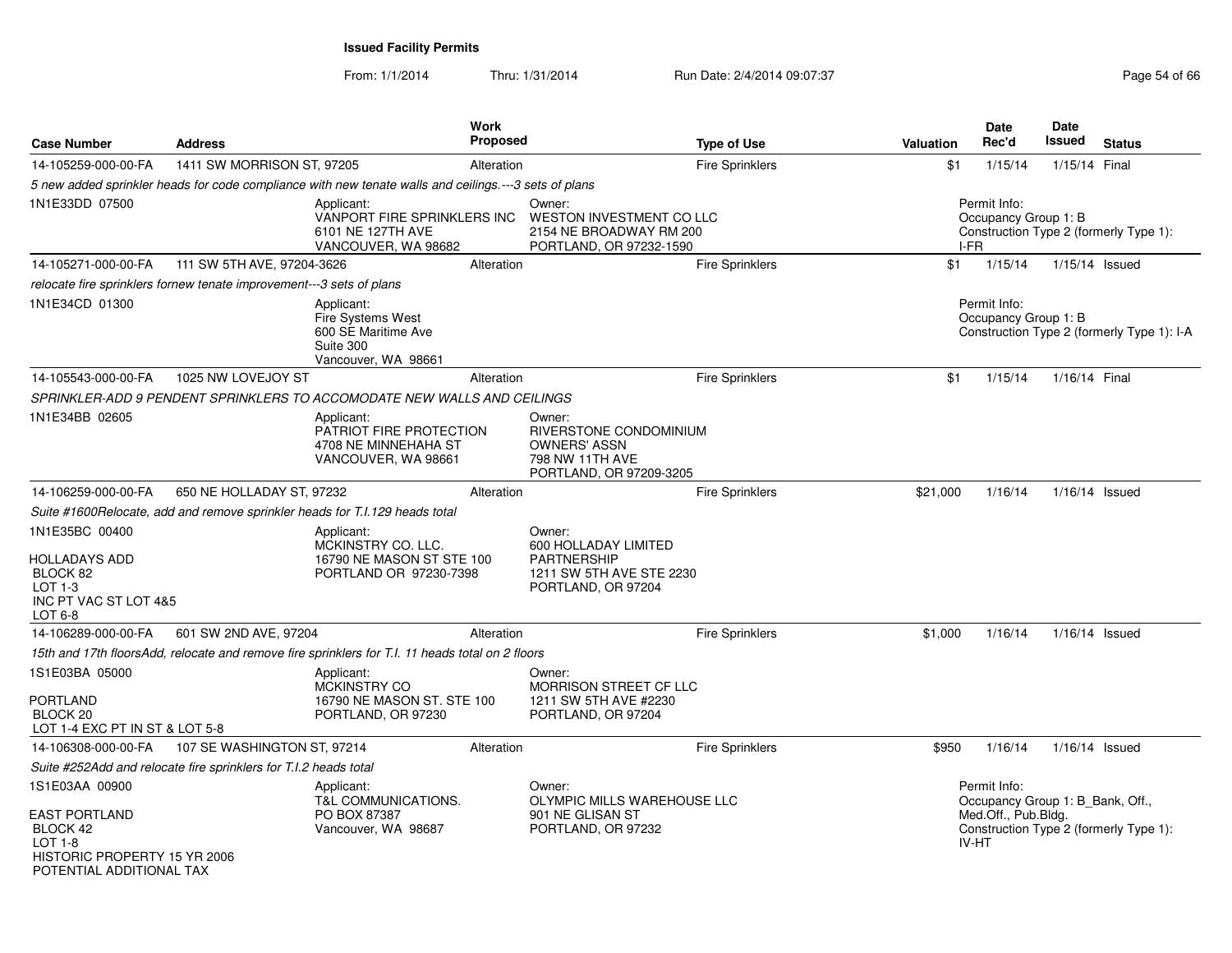From: 1/1/2014

Thru: 1/31/2014 Run Date: 2/4/2014 09:07:37 Page 54 of 66

| <b>Case Number</b>                                                                                        | <b>Address</b>                                                       |                                                                                                       | <b>Work</b><br><b>Proposed</b> |                                                                                                        | <b>Type of Use</b>     | Valuation | <b>Date</b><br>Rec'd                             | <b>Date</b><br>Issued | <b>Status</b>                              |
|-----------------------------------------------------------------------------------------------------------|----------------------------------------------------------------------|-------------------------------------------------------------------------------------------------------|--------------------------------|--------------------------------------------------------------------------------------------------------|------------------------|-----------|--------------------------------------------------|-----------------------|--------------------------------------------|
| 14-105259-000-00-FA                                                                                       | 1411 SW MORRISON ST, 97205                                           |                                                                                                       | Alteration                     |                                                                                                        | <b>Fire Sprinklers</b> | \$1       | 1/15/14                                          | 1/15/14 Final         |                                            |
|                                                                                                           |                                                                      | 5 new added sprinkler heads for code compliance with new tenate walls and ceilings.---3 sets of plans |                                |                                                                                                        |                        |           |                                                  |                       |                                            |
| 1N1E33DD 07500                                                                                            |                                                                      | Applicant:<br>VANPORT FIRE SPRINKLERS INC<br>6101 NE 127TH AVE<br>VANCOUVER, WA 98682                 |                                | Owner:<br><b>WESTON INVESTMENT CO LLC</b><br>2154 NE BROADWAY RM 200<br>PORTLAND, OR 97232-1590        |                        |           | Permit Info:<br>Occupancy Group 1: B<br>I-FR     |                       | Construction Type 2 (formerly Type 1):     |
| 14-105271-000-00-FA                                                                                       | 111 SW 5TH AVE, 97204-3626                                           |                                                                                                       | Alteration                     |                                                                                                        | <b>Fire Sprinklers</b> | \$1       | 1/15/14                                          |                       | 1/15/14 Issued                             |
|                                                                                                           | relocate fire sprinklers fornew tenate improvement---3 sets of plans |                                                                                                       |                                |                                                                                                        |                        |           |                                                  |                       |                                            |
| 1N1E34CD 01300                                                                                            |                                                                      | Applicant:<br>Fire Systems West<br>600 SE Maritime Ave<br>Suite 300<br>Vancouver, WA 98661            |                                |                                                                                                        |                        |           | Permit Info:<br>Occupancy Group 1: B             |                       | Construction Type 2 (formerly Type 1): I-A |
| 14-105543-000-00-FA                                                                                       | 1025 NW LOVEJOY ST                                                   |                                                                                                       | Alteration                     |                                                                                                        | Fire Sprinklers        | \$1       | 1/15/14                                          | 1/16/14 Final         |                                            |
|                                                                                                           |                                                                      | SPRINKLER-ADD 9 PENDENT SPRINKLERS TO ACCOMODATE NEW WALLS AND CEILINGS                               |                                |                                                                                                        |                        |           |                                                  |                       |                                            |
| 1N1E34BB 02605                                                                                            |                                                                      | Applicant:<br>PATRIOT FIRE PROTECTION<br>4708 NE MINNEHAHA ST<br>VANCOUVER, WA 98661                  |                                | Owner:<br>RIVERSTONE CONDOMINIUM<br><b>OWNERS' ASSN</b><br>798 NW 11TH AVE<br>PORTLAND, OR 97209-3205  |                        |           |                                                  |                       |                                            |
| 14-106259-000-00-FA                                                                                       | 650 NE HOLLADAY ST, 97232                                            |                                                                                                       | Alteration                     |                                                                                                        | Fire Sprinklers        | \$21,000  | 1/16/14                                          |                       | 1/16/14 Issued                             |
|                                                                                                           |                                                                      | Suite #1600Relocate, add and remove sprinkler heads for T.I.129 heads total                           |                                |                                                                                                        |                        |           |                                                  |                       |                                            |
| 1N1E35BC 00400<br><b>HOLLADAYS ADD</b><br>BLOCK 82<br>$LOT 1-3$<br>INC PT VAC ST LOT 4&5<br>LOT 6-8       |                                                                      | Applicant:<br>MCKINSTRY CO. LLC.<br>16790 NE MASON ST STE 100<br>PORTLAND OR 97230-7398               |                                | Owner:<br>600 HOLLADAY LIMITED<br><b>PARTNERSHIP</b><br>1211 SW 5TH AVE STE 2230<br>PORTLAND, OR 97204 |                        |           |                                                  |                       |                                            |
| 14-106289-000-00-FA                                                                                       | 601 SW 2ND AVE, 97204                                                |                                                                                                       | Alteration                     |                                                                                                        | Fire Sprinklers        | \$1,000   | 1/16/14                                          |                       | $1/16/14$ Issued                           |
|                                                                                                           |                                                                      | 15th and 17th floorsAdd, relocate and remove fire sprinklers for T.I. 11 heads total on 2 floors      |                                |                                                                                                        |                        |           |                                                  |                       |                                            |
| 1S1E03BA 05000<br><b>PORTLAND</b><br>BLOCK <sub>20</sub><br>LOT 1-4 EXC PT IN ST & LOT 5-8                |                                                                      | Applicant:<br><b>MCKINSTRY CO</b><br>16790 NE MASON ST. STE 100<br>PORTLAND, OR 97230                 |                                | Owner:<br><b>MORRISON STREET CF LLC</b><br>1211 SW 5TH AVE #2230<br>PORTLAND, OR 97204                 |                        |           |                                                  |                       |                                            |
| 14-106308-000-00-FA                                                                                       | 107 SE WASHINGTON ST, 97214                                          |                                                                                                       | Alteration                     |                                                                                                        | Fire Sprinklers        | \$950     | 1/16/14                                          |                       | $1/16/14$ Issued                           |
|                                                                                                           | Suite #252Add and relocate fire sprinklers for T.I.2 heads total     |                                                                                                       |                                |                                                                                                        |                        |           |                                                  |                       |                                            |
| 1S1E03AA 00900                                                                                            |                                                                      | Applicant:<br><b>T&amp;L COMMUNICATIONS.</b>                                                          |                                | Owner:<br>OLYMPIC MILLS WAREHOUSE LLC                                                                  |                        |           | Permit Info:<br>Occupancy Group 1: B_Bank, Off., |                       |                                            |
| <b>EAST PORTLAND</b><br>BLOCK 42<br>$LOT 1-8$<br>HISTORIC PROPERTY 15 YR 2006<br>POTENTIAL ADDITIONAL TAX |                                                                      | PO BOX 87387<br>Vancouver, WA 98687                                                                   |                                | 901 NE GLISAN ST<br>PORTLAND, OR 97232                                                                 |                        |           | Med.Off., Pub.Bldg.<br>IV-HT                     |                       | Construction Type 2 (formerly Type 1):     |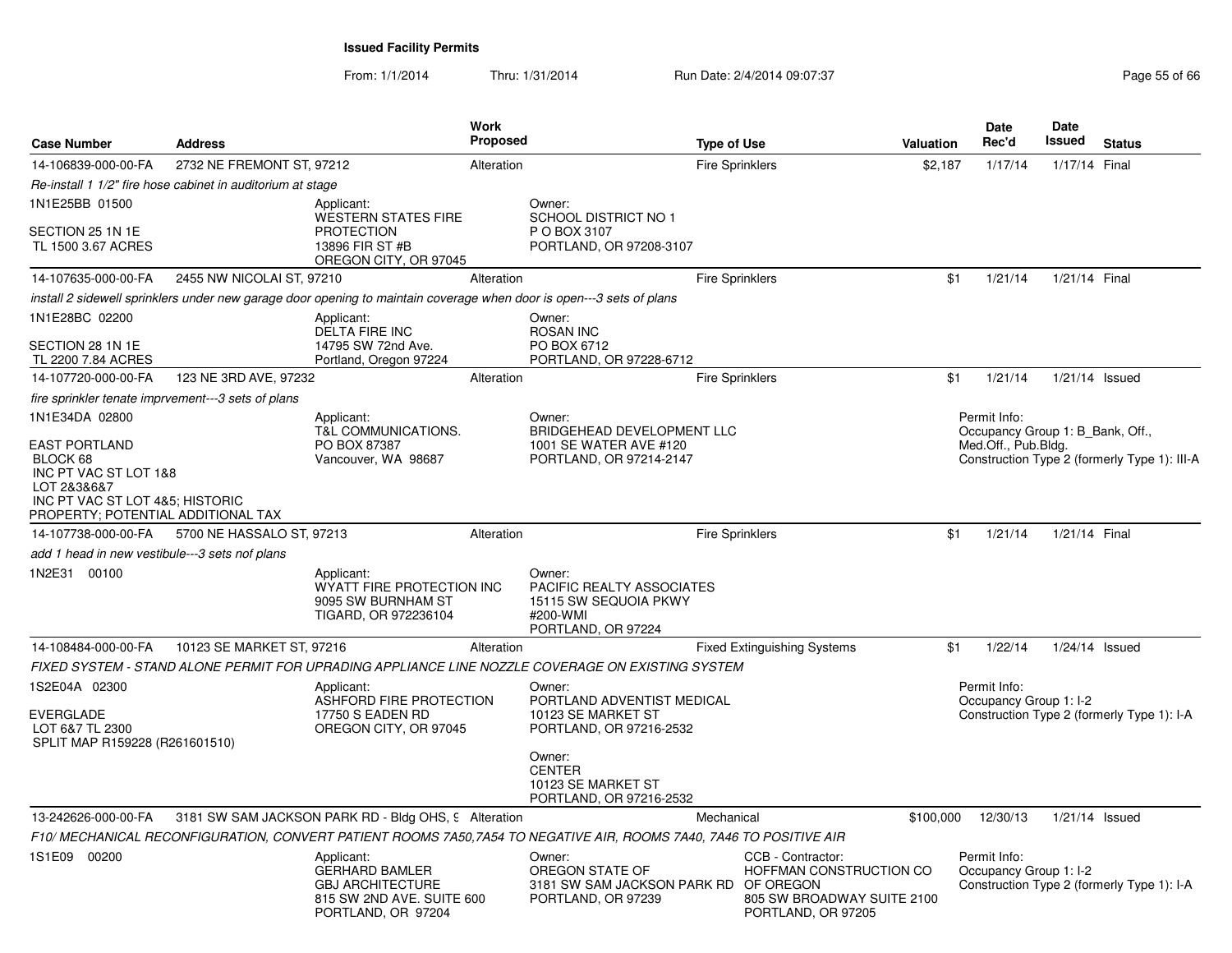From: 1/1/2014Thru: 1/31/2014 Run Date: 2/4/2014 09:07:37 Page 55 of 66

| <b>Case Number</b>                                                                                                                                                  | <b>Address</b>                                             |                                                                                                                      | Work<br><b>Proposed</b> |                                                                                                                                        | <b>Type of Use</b>     |                                                                                                  | Valuation          | Date<br>Rec'd                                                           | <b>Date</b><br>Issued | <b>Status</b>                                |
|---------------------------------------------------------------------------------------------------------------------------------------------------------------------|------------------------------------------------------------|----------------------------------------------------------------------------------------------------------------------|-------------------------|----------------------------------------------------------------------------------------------------------------------------------------|------------------------|--------------------------------------------------------------------------------------------------|--------------------|-------------------------------------------------------------------------|-----------------------|----------------------------------------------|
| 14-106839-000-00-FA                                                                                                                                                 | 2732 NE FREMONT ST, 97212                                  |                                                                                                                      | Alteration              |                                                                                                                                        | Fire Sprinklers        |                                                                                                  | \$2,187            | 1/17/14                                                                 | 1/17/14 Final         |                                              |
|                                                                                                                                                                     | Re-install 1 1/2" fire hose cabinet in auditorium at stage |                                                                                                                      |                         |                                                                                                                                        |                        |                                                                                                  |                    |                                                                         |                       |                                              |
| 1N1E25BB 01500<br>SECTION 25 1N 1E<br>TL 1500 3.67 ACRES                                                                                                            |                                                            | Applicant:<br><b>WESTERN STATES FIRE</b><br><b>PROTECTION</b><br>13896 FIR ST #B                                     |                         | Owner:<br>SCHOOL DISTRICT NO 1<br>P O BOX 3107<br>PORTLAND, OR 97208-3107                                                              |                        |                                                                                                  |                    |                                                                         |                       |                                              |
|                                                                                                                                                                     |                                                            | OREGON CITY, OR 97045                                                                                                |                         |                                                                                                                                        |                        |                                                                                                  |                    |                                                                         |                       |                                              |
| 14-107635-000-00-FA                                                                                                                                                 | 2455 NW NICOLAI ST, 97210                                  |                                                                                                                      | Alteration              |                                                                                                                                        | <b>Fire Sprinklers</b> |                                                                                                  | \$1                | 1/21/14                                                                 | 1/21/14 Final         |                                              |
|                                                                                                                                                                     |                                                            | install 2 sidewell sprinklers under new garage door opening to maintain coverage when door is open---3 sets of plans |                         |                                                                                                                                        |                        |                                                                                                  |                    |                                                                         |                       |                                              |
| 1N1E28BC 02200<br>SECTION 28 1N 1E                                                                                                                                  |                                                            | Applicant:<br><b>DELTA FIRE INC</b><br>14795 SW 72nd Ave.                                                            |                         | Owner:<br><b>ROSAN INC</b><br>PO BOX 6712                                                                                              |                        |                                                                                                  |                    |                                                                         |                       |                                              |
| TL 2200 7.84 ACRES                                                                                                                                                  |                                                            | Portland, Oregon 97224                                                                                               |                         | PORTLAND, OR 97228-6712                                                                                                                |                        |                                                                                                  |                    |                                                                         |                       |                                              |
| 14-107720-000-00-FA                                                                                                                                                 | 123 NE 3RD AVE, 97232                                      |                                                                                                                      | Alteration              |                                                                                                                                        | <b>Fire Sprinklers</b> |                                                                                                  | \$1                | 1/21/14                                                                 | $1/21/14$ Issued      |                                              |
| fire sprinkler tenate imprvement---3 sets of plans                                                                                                                  |                                                            |                                                                                                                      |                         |                                                                                                                                        |                        |                                                                                                  |                    |                                                                         |                       |                                              |
| 1N1E34DA 02800<br><b>EAST PORTLAND</b><br>BLOCK 68<br>INC PT VAC ST LOT 1&8<br>LOT 2&3&6&7<br>INC PT VAC ST LOT 4&5; HISTORIC<br>PROPERTY; POTENTIAL ADDITIONAL TAX |                                                            | Applicant:<br>T&L COMMUNICATIONS.<br>PO BOX 87387<br>Vancouver, WA 98687                                             |                         | Owner:<br><b>BRIDGEHEAD DEVELOPMENT LLC</b><br>1001 SE WATER AVE #120<br>PORTLAND, OR 97214-2147                                       |                        |                                                                                                  |                    | Permit Info:<br>Occupancy Group 1: B_Bank, Off.,<br>Med.Off., Pub.Bldg. |                       | Construction Type 2 (formerly Type 1): III-A |
| 14-107738-000-00-FA                                                                                                                                                 | 5700 NE HASSALO ST, 97213                                  |                                                                                                                      | Alteration              |                                                                                                                                        | <b>Fire Sprinklers</b> |                                                                                                  | \$1                | 1/21/14                                                                 | 1/21/14 Final         |                                              |
| add 1 head in new vestibule---3 sets nof plans                                                                                                                      |                                                            |                                                                                                                      |                         |                                                                                                                                        |                        |                                                                                                  |                    |                                                                         |                       |                                              |
| 1N2E31 00100                                                                                                                                                        |                                                            | Applicant:<br>WYATT FIRE PROTECTION INC<br>9095 SW BURNHAM ST<br>TIGARD, OR 972236104                                |                         | Owner:<br>PACIFIC REALTY ASSOCIATES<br>15115 SW SEQUOIA PKWY<br>#200-WMI<br>PORTLAND, OR 97224                                         |                        |                                                                                                  |                    |                                                                         |                       |                                              |
| 14-108484-000-00-FA                                                                                                                                                 | 10123 SE MARKET ST, 97216                                  |                                                                                                                      | Alteration              |                                                                                                                                        |                        | <b>Fixed Extinguishing Systems</b>                                                               | \$1                | 1/22/14                                                                 | 1/24/14 Issued        |                                              |
|                                                                                                                                                                     |                                                            |                                                                                                                      |                         | FIXED SYSTEM - STAND ALONE PERMIT FOR UPRADING APPLIANCE LINE NOZZLE COVERAGE ON EXISTING SYSTEM                                       |                        |                                                                                                  |                    |                                                                         |                       |                                              |
| 1S2E04A 02300<br>EVERGLADE<br>LOT 6&7 TL 2300<br>SPLIT MAP R159228 (R261601510)                                                                                     |                                                            | Applicant:<br>ASHFORD FIRE PROTECTION<br>17750 S EADEN RD<br>OREGON CITY, OR 97045                                   |                         | Owner:<br>PORTLAND ADVENTIST MEDICAL<br>10123 SE MARKET ST<br>PORTLAND, OR 97216-2532<br>Owner:<br><b>CENTER</b><br>10123 SE MARKET ST |                        |                                                                                                  |                    | Permit Info:<br>Occupancy Group 1: I-2                                  |                       | Construction Type 2 (formerly Type 1): I-A   |
|                                                                                                                                                                     |                                                            |                                                                                                                      |                         | PORTLAND, OR 97216-2532                                                                                                                |                        |                                                                                                  |                    |                                                                         |                       |                                              |
| 13-242626-000-00-FA                                                                                                                                                 |                                                            | 3181 SW SAM JACKSON PARK RD - Bldg OHS, 9 Alteration                                                                 |                         |                                                                                                                                        | Mechanical             |                                                                                                  | \$100,000 12/30/13 |                                                                         | 1/21/14 Issued        |                                              |
|                                                                                                                                                                     |                                                            |                                                                                                                      |                         | F10/ MECHANICAL RECONFIGURATION, CONVERT PATIENT ROOMS 7A50,7A54 TO NEGATIVE AIR, ROOMS 7A40, 7A46 TO POSITIVE AIR                     |                        |                                                                                                  |                    |                                                                         |                       |                                              |
| 1S1E09 00200                                                                                                                                                        |                                                            | Applicant:<br><b>GERHARD BAMLER</b><br><b>GBJ ARCHITECTURE</b><br>815 SW 2ND AVE. SUITE 600<br>PORTLAND, OR 97204    |                         | Owner:<br>OREGON STATE OF<br>3181 SW SAM JACKSON PARK RD OF OREGON<br>PORTLAND, OR 97239                                               |                        | CCB - Contractor:<br>HOFFMAN CONSTRUCTION CO<br>805 SW BROADWAY SUITE 2100<br>PORTLAND, OR 97205 |                    | Permit Info:<br>Occupancy Group 1: I-2                                  |                       | Construction Type 2 (formerly Type 1): I-A   |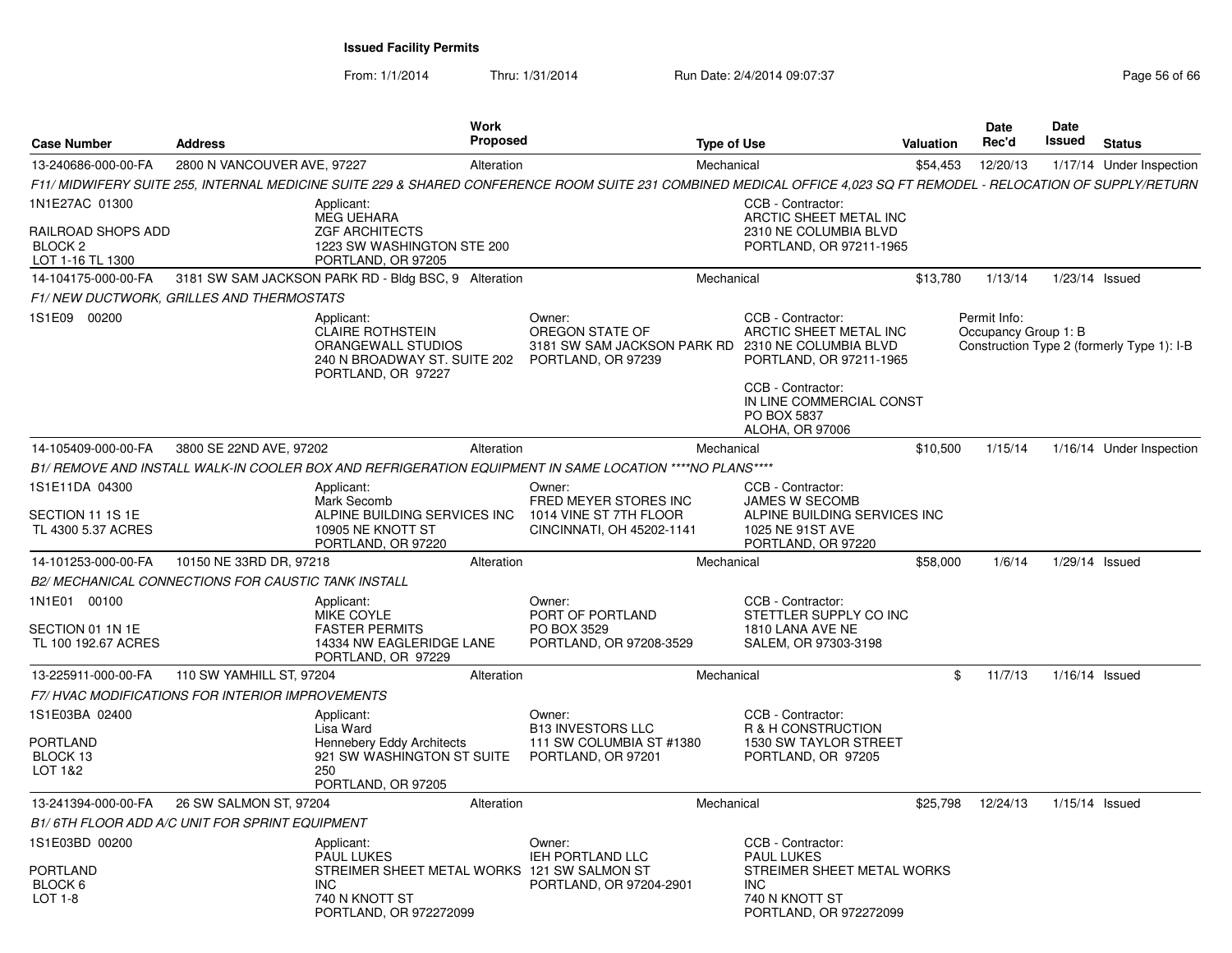From: 1/1/2014

Thru: 1/31/2014 Run Date: 2/4/2014 09:07:37 Page 56 of 66

| <b>Case Number</b>                                           | <b>Address</b>              | Work<br><b>Proposed</b>                                                                                                                                            |                                                                                | <b>Type of Use</b>                                                                                                                                                                        | <b>Valuation</b> | Date<br>Rec'd                        | Date<br>Issued   | <b>Status</b>                              |
|--------------------------------------------------------------|-----------------------------|--------------------------------------------------------------------------------------------------------------------------------------------------------------------|--------------------------------------------------------------------------------|-------------------------------------------------------------------------------------------------------------------------------------------------------------------------------------------|------------------|--------------------------------------|------------------|--------------------------------------------|
| 13-240686-000-00-FA                                          | 2800 N VANCOUVER AVE, 97227 | Alteration                                                                                                                                                         |                                                                                | Mechanical                                                                                                                                                                                | \$54,453         | 12/20/13                             |                  | 1/17/14 Under Inspection                   |
|                                                              |                             | F11/ MIDWIFERY SUITE 255, INTERNAL MEDICINE SUITE 229 & SHARED CONFERENCE ROOM SUITE 231 COMBINED MEDICAL OFFICE 4,023 SQ FT REMODEL - RELOCATION OF SUPPLY/RETURN |                                                                                |                                                                                                                                                                                           |                  |                                      |                  |                                            |
| 1N1E27AC 01300                                               |                             | Applicant:                                                                                                                                                         |                                                                                | CCB - Contractor:                                                                                                                                                                         |                  |                                      |                  |                                            |
| RAILROAD SHOPS ADD<br>BLOCK <sub>2</sub><br>LOT 1-16 TL 1300 |                             | <b>MEG UEHARA</b><br><b>ZGF ARCHITECTS</b><br>1223 SW WASHINGTON STE 200<br>PORTLAND, OR 97205                                                                     |                                                                                | ARCTIC SHEET METAL INC<br>2310 NE COLUMBIA BLVD<br>PORTLAND, OR 97211-1965                                                                                                                |                  |                                      |                  |                                            |
| 14-104175-000-00-FA                                          |                             | 3181 SW SAM JACKSON PARK RD - Bldg BSC, 9 Alteration                                                                                                               |                                                                                | Mechanical                                                                                                                                                                                | \$13,780         | 1/13/14                              | 1/23/14 Issued   |                                            |
| F1/NEW DUCTWORK, GRILLES AND THERMOSTATS                     |                             |                                                                                                                                                                    |                                                                                |                                                                                                                                                                                           |                  |                                      |                  |                                            |
| 1S1E09 00200                                                 |                             | Applicant:<br><b>CLAIRE ROTHSTEIN</b><br>ORANGEWALL STUDIOS<br>240 N BROADWAY ST. SUITE 202<br>PORTLAND, OR 97227                                                  | Owner:<br>OREGON STATE OF<br>3181 SW SAM JACKSON PARK RD<br>PORTLAND, OR 97239 | CCB - Contractor:<br>ARCTIC SHEET METAL INC<br>2310 NE COLUMBIA BLVD<br>PORTLAND, OR 97211-1965<br>CCB - Contractor:<br>IN LINE COMMERCIAL CONST<br>PO BOX 5837<br><b>ALOHA, OR 97006</b> |                  | Permit Info:<br>Occupancy Group 1: B |                  | Construction Type 2 (formerly Type 1): I-B |
| 14-105409-000-00-FA                                          | 3800 SE 22ND AVE, 97202     | Alteration                                                                                                                                                         |                                                                                | Mechanical                                                                                                                                                                                | \$10,500         | 1/15/14                              |                  | 1/16/14 Under Inspection                   |
|                                                              |                             | B1/ REMOVE AND INSTALL WALK-IN COOLER BOX AND REFRIGERATION EQUIPMENT IN SAME LOCATION ****NO PLANS****                                                            |                                                                                |                                                                                                                                                                                           |                  |                                      |                  |                                            |
| 1S1E11DA 04300                                               |                             | Applicant:<br>Mark Secomb                                                                                                                                          | Owner:<br>FRED MEYER STORES INC                                                | CCB - Contractor:<br><b>JAMES W SECOMB</b>                                                                                                                                                |                  |                                      |                  |                                            |
| SECTION 11 1S 1E<br>TL 4300 5.37 ACRES                       |                             | ALPINE BUILDING SERVICES INC<br>10905 NE KNOTT ST<br>PORTLAND, OR 97220                                                                                            | 1014 VINE ST 7TH FLOOR<br>CINCINNATI, OH 45202-1141                            | ALPINE BUILDING SERVICES INC<br>1025 NE 91ST AVE<br>PORTLAND, OR 97220                                                                                                                    |                  |                                      |                  |                                            |
| 14-101253-000-00-FA                                          | 10150 NE 33RD DR. 97218     | Alteration                                                                                                                                                         |                                                                                | Mechanical                                                                                                                                                                                | \$58,000         | 1/6/14                               | 1/29/14 Issued   |                                            |
| B2/ MECHANICAL CONNECTIONS FOR CAUSTIC TANK INSTALL          |                             |                                                                                                                                                                    |                                                                                |                                                                                                                                                                                           |                  |                                      |                  |                                            |
| 1N1E01 00100                                                 |                             | Applicant:<br>MIKE COYLE                                                                                                                                           | Owner:<br>PORT OF PORTLAND                                                     | CCB - Contractor:<br>STETTLER SUPPLY CO INC                                                                                                                                               |                  |                                      |                  |                                            |
| SECTION 01 1N 1E<br>TL 100 192.67 ACRES                      |                             | <b>FASTER PERMITS</b><br>14334 NW EAGLERIDGE LANE<br>PORTLAND, OR 97229                                                                                            | PO BOX 3529<br>PORTLAND, OR 97208-3529                                         | 1810 LANA AVE NE<br>SALEM, OR 97303-3198                                                                                                                                                  |                  |                                      |                  |                                            |
| 13-225911-000-00-FA                                          | 110 SW YAMHILL ST, 97204    | Alteration                                                                                                                                                         |                                                                                | Mechanical                                                                                                                                                                                | \$               | 11/7/13                              | 1/16/14 Issued   |                                            |
| F7/HVAC MODIFICATIONS FOR INTERIOR IMPROVEMENTS              |                             |                                                                                                                                                                    |                                                                                |                                                                                                                                                                                           |                  |                                      |                  |                                            |
| 1S1E03BA 02400                                               |                             | Applicant:<br>Lisa Ward                                                                                                                                            | Owner:<br><b>B13 INVESTORS LLC</b>                                             | CCB - Contractor:<br>R & H CONSTRUCTION                                                                                                                                                   |                  |                                      |                  |                                            |
| <b>PORTLAND</b><br>BLOCK 13<br>LOT 1&2                       |                             | <b>Hennebery Eddy Architects</b><br>921 SW WASHINGTON ST SUITE<br>250<br>PORTLAND, OR 97205                                                                        | 111 SW COLUMBIA ST #1380<br>PORTLAND, OR 97201                                 | 1530 SW TAYLOR STREET<br>PORTLAND, OR 97205                                                                                                                                               |                  |                                      |                  |                                            |
| 13-241394-000-00-FA                                          | 26 SW SALMON ST, 97204      | Alteration                                                                                                                                                         |                                                                                | Mechanical                                                                                                                                                                                | \$25,798         | 12/24/13                             | $1/15/14$ Issued |                                            |
| B1/6TH FLOOR ADD A/C UNIT FOR SPRINT EQUIPMENT               |                             |                                                                                                                                                                    |                                                                                |                                                                                                                                                                                           |                  |                                      |                  |                                            |
| 1S1E03BD 00200                                               |                             | Applicant:<br><b>PAUL LUKES</b>                                                                                                                                    | Owner:<br>IEH PORTLAND LLC                                                     | CCB - Contractor:<br><b>PAUL LUKES</b>                                                                                                                                                    |                  |                                      |                  |                                            |
| <b>PORTLAND</b><br>BLOCK 6<br>LOT 1-8                        |                             | STREIMER SHEET METAL WORKS 121 SW SALMON ST<br>INC<br>740 N KNOTT ST<br>PORTLAND, OR 972272099                                                                     | PORTLAND, OR 97204-2901                                                        | STREIMER SHEET METAL WORKS<br>INC<br>740 N KNOTT ST<br>PORTLAND, OR 972272099                                                                                                             |                  |                                      |                  |                                            |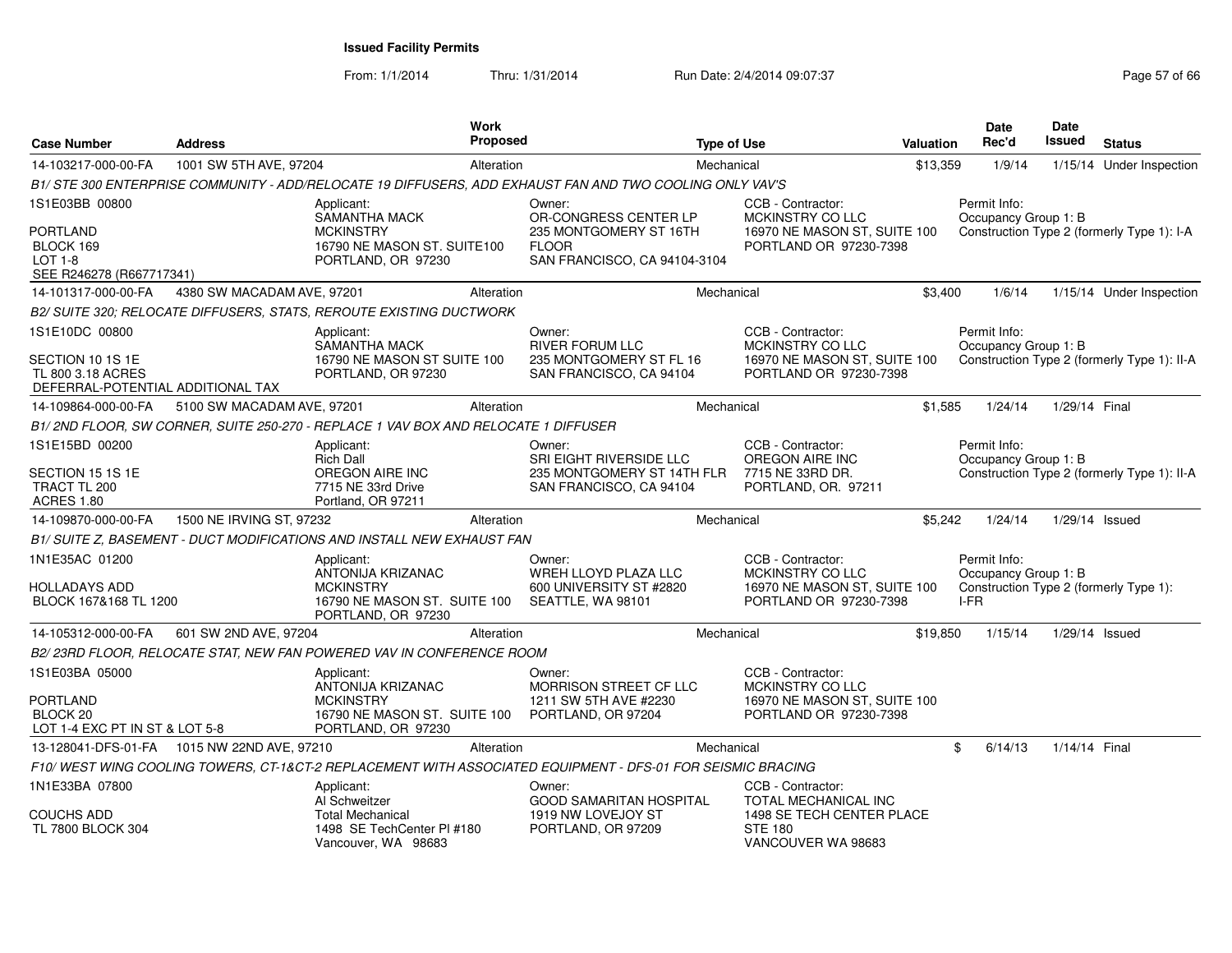From: 1/1/2014Thru: 1/31/2014 Run Date: 2/4/2014 09:07:37 Page 57 of 66

| <b>Case Number</b>                                                         | <b>Address</b>                              |                                                                                    | <b>Work</b><br><b>Proposed</b> |                                                                                                            | <b>Type of Use</b> |                                                                   | <b>Valuation</b> |      | Date<br>Rec'd                        | <b>Date</b><br><b>Issued</b> | <b>Status</b>                               |
|----------------------------------------------------------------------------|---------------------------------------------|------------------------------------------------------------------------------------|--------------------------------|------------------------------------------------------------------------------------------------------------|--------------------|-------------------------------------------------------------------|------------------|------|--------------------------------------|------------------------------|---------------------------------------------|
| 14-103217-000-00-FA                                                        | 1001 SW 5TH AVE, 97204                      |                                                                                    | Alteration                     |                                                                                                            | Mechanical         |                                                                   | \$13,359         |      | 1/9/14                               |                              | 1/15/14 Under Inspection                    |
|                                                                            |                                             |                                                                                    |                                | B1/ STE 300 ENTERPRISE COMMUNITY - ADD/RELOCATE 19 DIFFUSERS, ADD EXHAUST FAN AND TWO COOLING ONLY VAV'S   |                    |                                                                   |                  |      |                                      |                              |                                             |
| 1S1E03BB 00800                                                             |                                             | Applicant:<br><b>SAMANTHA MACK</b>                                                 |                                | Owner:<br>OR-CONGRESS CENTER LP                                                                            |                    | CCB - Contractor:<br>MCKINSTRY CO LLC                             |                  |      | Permit Info:<br>Occupancy Group 1: B |                              |                                             |
| PORTLAND<br>BLOCK 169<br><b>LOT 1-8</b><br>SEE R246278 (R667717341)        |                                             | <b>MCKINSTRY</b><br>16790 NE MASON ST. SUITE100<br>PORTLAND, OR 97230              |                                | 235 MONTGOMERY ST 16TH<br><b>FLOOR</b><br>SAN FRANCISCO, CA 94104-3104                                     |                    | 16970 NE MASON ST, SUITE 100<br>PORTLAND OR 97230-7398            |                  |      |                                      |                              | Construction Type 2 (formerly Type 1): I-A  |
| 14-101317-000-00-FA                                                        | 4380 SW MACADAM AVE, 97201                  |                                                                                    | Alteration                     |                                                                                                            | Mechanical         |                                                                   | \$3.400          |      | 1/6/14                               |                              | 1/15/14 Under Inspection                    |
|                                                                            |                                             | B2/ SUITE 320; RELOCATE DIFFUSERS, STATS, REROUTE EXISTING DUCTWORK                |                                |                                                                                                            |                    |                                                                   |                  |      |                                      |                              |                                             |
| 1S1E10DC 00800                                                             |                                             | Applicant:<br>SAMANTHA MACK                                                        |                                | Owner:<br><b>RIVER FORUM LLC</b>                                                                           |                    | CCB - Contractor:<br>MCKINSTRY CO LLC                             |                  |      | Permit Info:<br>Occupancy Group 1: B |                              |                                             |
| SECTION 10 1S 1E<br>TL 800 3.18 ACRES<br>DEFERRAL-POTENTIAL ADDITIONAL TAX |                                             | 16790 NE MASON ST SUITE 100<br>PORTLAND, OR 97230                                  |                                | 235 MONTGOMERY ST FL 16<br>SAN FRANCISCO, CA 94104                                                         |                    | 16970 NE MASON ST, SUITE 100<br>PORTLAND OR 97230-7398            |                  |      |                                      |                              | Construction Type 2 (formerly Type 1): II-A |
| 14-109864-000-00-FA                                                        | 5100 SW MACADAM AVE, 97201                  |                                                                                    | Alteration                     |                                                                                                            | Mechanical         |                                                                   | \$1,585          |      | 1/24/14                              | 1/29/14 Final                |                                             |
|                                                                            |                                             | B1/2ND FLOOR, SW CORNER, SUITE 250-270 - REPLACE 1 VAV BOX AND RELOCATE 1 DIFFUSER |                                |                                                                                                            |                    |                                                                   |                  |      |                                      |                              |                                             |
| 1S1E15BD 00200                                                             |                                             | Applicant:                                                                         |                                | Owner:                                                                                                     |                    | CCB - Contractor:                                                 |                  |      | Permit Info:                         |                              |                                             |
| SECTION 15 1S 1E<br>TRACT TL 200<br><b>ACRES 1.80</b>                      |                                             | <b>Rich Dall</b><br>OREGON AIRE INC<br>7715 NE 33rd Drive<br>Portland, OR 97211    |                                | SRI EIGHT RIVERSIDE LLC<br>235 MONTGOMERY ST 14TH FLR<br>SAN FRANCISCO, CA 94104                           |                    | OREGON AIRE INC<br>7715 NE 33RD DR.<br>PORTLAND, OR. 97211        |                  |      | Occupancy Group 1: B                 |                              | Construction Type 2 (formerly Type 1): II-A |
| 14-109870-000-00-FA                                                        | 1500 NE IRVING ST, 97232                    |                                                                                    | Alteration                     |                                                                                                            | Mechanical         |                                                                   | \$5,242          |      | 1/24/14                              | $1/29/14$ Issued             |                                             |
|                                                                            |                                             | B1/ SUITE Z, BASEMENT - DUCT MODIFICATIONS AND INSTALL NEW EXHAUST FAN             |                                |                                                                                                            |                    |                                                                   |                  |      |                                      |                              |                                             |
| 1N1E35AC 01200                                                             |                                             | Applicant:<br>ANTONIJA KRIZANAC                                                    |                                | Owner:<br>WREH LLOYD PLAZA LLC                                                                             |                    | CCB - Contractor:<br>MCKINSTRY CO LLC                             |                  |      | Permit Info:<br>Occupancy Group 1: B |                              |                                             |
| HOLLADAYS ADD<br>BLOCK 167&168 TL 1200                                     |                                             | <b>MCKINSTRY</b><br>16790 NE MASON ST. SUITE 100<br>PORTLAND, OR 97230             |                                | 600 UNIVERSITY ST #2820<br>SEATTLE, WA 98101                                                               |                    | 16970 NE MASON ST, SUITE 100<br>PORTLAND OR 97230-7398            |                  | I-FR |                                      |                              | Construction Type 2 (formerly Type 1):      |
| 14-105312-000-00-FA                                                        | 601 SW 2ND AVE, 97204                       |                                                                                    | Alteration                     |                                                                                                            | Mechanical         |                                                                   | \$19,850         |      | 1/15/14                              | 1/29/14 Issued               |                                             |
|                                                                            |                                             | B2/23RD FLOOR, RELOCATE STAT, NEW FAN POWERED VAV IN CONFERENCE ROOM               |                                |                                                                                                            |                    |                                                                   |                  |      |                                      |                              |                                             |
| 1S1E03BA 05000                                                             |                                             | Applicant:<br>ANTONIJA KRIZANAC                                                    |                                | Owner:<br>MORRISON STREET CF LLC                                                                           |                    | CCB - Contractor:<br>MCKINSTRY CO LLC                             |                  |      |                                      |                              |                                             |
| PORTLAND<br>BLOCK <sub>20</sub><br>LOT 1-4 EXC PT IN ST & LOT 5-8          |                                             | <b>MCKINSTRY</b><br>16790 NE MASON ST. SUITE 100<br>PORTLAND, OR 97230             |                                | 1211 SW 5TH AVE #2230<br>PORTLAND, OR 97204                                                                |                    | 16970 NE MASON ST, SUITE 100<br>PORTLAND OR 97230-7398            |                  |      |                                      |                              |                                             |
|                                                                            | 13-128041-DFS-01-FA 1015 NW 22ND AVE, 97210 |                                                                                    | Alteration                     |                                                                                                            | Mechanical         |                                                                   |                  | \$   | 6/14/13                              | 1/14/14 Final                |                                             |
|                                                                            |                                             |                                                                                    |                                | F10/WEST WING COOLING TOWERS, CT-1&CT-2 REPLACEMENT WITH ASSOCIATED EQUIPMENT - DFS-01 FOR SEISMIC BRACING |                    |                                                                   |                  |      |                                      |                              |                                             |
| 1N1E33BA 07800                                                             |                                             | Applicant:<br>Al Schweitzer                                                        |                                | Owner:<br><b>GOOD SAMARITAN HOSPITAL</b>                                                                   |                    | CCB - Contractor:<br>TOTAL MECHANICAL INC                         |                  |      |                                      |                              |                                             |
| COUCHS ADD<br>TL 7800 BLOCK 304                                            |                                             | <b>Total Mechanical</b><br>1498 SE TechCenter PI #180<br>Vancouver, WA 98683       |                                | 1919 NW LOVEJOY ST<br>PORTLAND, OR 97209                                                                   |                    | 1498 SE TECH CENTER PLACE<br><b>STE 180</b><br>VANCOUVER WA 98683 |                  |      |                                      |                              |                                             |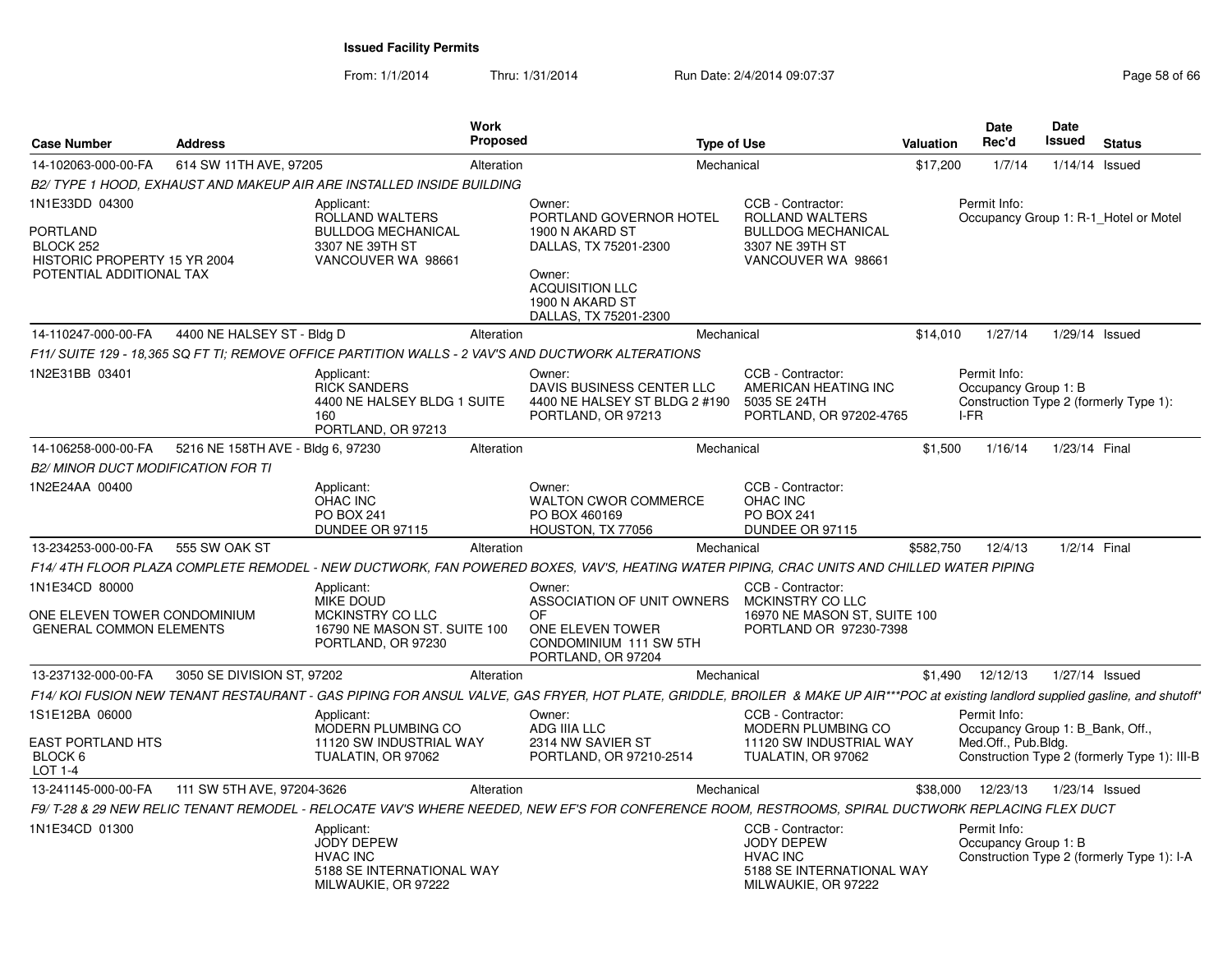From: 1/1/2014Thru: 1/31/2014 Run Date: 2/4/2014 09:07:37 Page 58 of 66

| <b>Case Number</b>                                                                                  | <b>Address</b>                    | Work<br><b>Proposed</b>                                                                                                                                                            |                                                                                                                                                               | <b>Type of Use</b>                                                                                         | <b>Valuation</b> | Date<br>Rec'd                                    | Date<br><b>Issued</b> | <b>Status</b>                                |
|-----------------------------------------------------------------------------------------------------|-----------------------------------|------------------------------------------------------------------------------------------------------------------------------------------------------------------------------------|---------------------------------------------------------------------------------------------------------------------------------------------------------------|------------------------------------------------------------------------------------------------------------|------------------|--------------------------------------------------|-----------------------|----------------------------------------------|
| 14-102063-000-00-FA                                                                                 | 614 SW 11TH AVE, 97205            | Alteration                                                                                                                                                                         |                                                                                                                                                               | Mechanical                                                                                                 | \$17,200         | 1/7/14                                           |                       | $1/14/14$ Issued                             |
|                                                                                                     |                                   | B2/ TYPE 1 HOOD, EXHAUST AND MAKEUP AIR ARE INSTALLED INSIDE BUILDING                                                                                                              |                                                                                                                                                               |                                                                                                            |                  |                                                  |                       |                                              |
| 1N1E33DD 04300<br>PORTLAND<br>BLOCK 252<br>HISTORIC PROPERTY 15 YR 2004<br>POTENTIAL ADDITIONAL TAX |                                   | Applicant:<br>ROLLAND WALTERS<br><b>BULLDOG MECHANICAL</b><br>3307 NE 39TH ST<br>VANCOUVER WA 98661                                                                                | Owner:<br>PORTLAND GOVERNOR HOTEL<br>1900 N AKARD ST<br>DALLAS, TX 75201-2300<br>Owner:<br><b>ACQUISITION LLC</b><br>1900 N AKARD ST<br>DALLAS, TX 75201-2300 | CCB - Contractor:<br>ROLLAND WALTERS<br><b>BULLDOG MECHANICAL</b><br>3307 NE 39TH ST<br>VANCOUVER WA 98661 |                  | Permit Info:                                     |                       | Occupancy Group 1: R-1 Hotel or Motel        |
| 14-110247-000-00-FA                                                                                 | 4400 NE HALSEY ST - Bldg D        | Alteration                                                                                                                                                                         |                                                                                                                                                               | Mechanical                                                                                                 | \$14,010         | 1/27/14                                          |                       | 1/29/14 Issued                               |
|                                                                                                     |                                   | F11/ SUITE 129 - 18.365 SQ FT TI: REMOVE OFFICE PARTITION WALLS - 2 VAV'S AND DUCTWORK ALTERATIONS                                                                                 |                                                                                                                                                               |                                                                                                            |                  |                                                  |                       |                                              |
| 1N2E31BB 03401                                                                                      |                                   | Applicant:<br><b>RICK SANDERS</b><br>4400 NE HALSEY BLDG 1 SUITE<br>160<br>PORTLAND, OR 97213                                                                                      | Owner:<br>DAVIS BUSINESS CENTER LLC<br>4400 NE HALSEY ST BLDG 2 #190<br>PORTLAND, OR 97213                                                                    | CCB - Contractor:<br>AMERICAN HEATING INC<br>5035 SE 24TH<br>PORTLAND, OR 97202-4765                       |                  | Permit Info:<br>Occupancy Group 1: B<br>I-FR     |                       | Construction Type 2 (formerly Type 1):       |
| 14-106258-000-00-FA                                                                                 | 5216 NE 158TH AVE - Bldg 6, 97230 | Alteration                                                                                                                                                                         |                                                                                                                                                               | Mechanical                                                                                                 | \$1,500          | 1/16/14                                          | 1/23/14 Final         |                                              |
| <b>B2/ MINOR DUCT MODIFICATION FOR TI</b>                                                           |                                   |                                                                                                                                                                                    |                                                                                                                                                               |                                                                                                            |                  |                                                  |                       |                                              |
| 1N2E24AA 00400                                                                                      |                                   | Applicant:<br>OHAC INC<br><b>PO BOX 241</b><br>DUNDEE OR 97115                                                                                                                     | Owner:<br><b>WALTON CWOR COMMERCE</b><br>PO BOX 460169<br>HOUSTON, TX 77056                                                                                   | CCB - Contractor:<br><b>OHAC INC</b><br>PO BOX 241<br>DUNDEE OR 97115                                      |                  |                                                  |                       |                                              |
| 13-234253-000-00-FA                                                                                 | 555 SW OAK ST                     | Alteration                                                                                                                                                                         |                                                                                                                                                               | Mechanical                                                                                                 | \$582,750        | 12/4/13                                          | 1/2/14 Final          |                                              |
|                                                                                                     |                                   | F14/4TH FLOOR PLAZA COMPLETE REMODEL - NEW DUCTWORK, FAN POWERED BOXES, VAV'S, HEATING WATER PIPING, CRAC UNITS AND CHILLED WATER PIPING                                           |                                                                                                                                                               |                                                                                                            |                  |                                                  |                       |                                              |
| 1N1E34CD 80000<br>ONE ELEVEN TOWER CONDOMINIUM<br><b>GENERAL COMMON ELEMENTS</b>                    |                                   | Applicant:<br><b>MIKE DOUD</b><br>MCKINSTRY CO LLC<br>16790 NE MASON ST, SUITE 100<br>PORTLAND, OR 97230                                                                           | Owner:<br>ASSOCIATION OF UNIT OWNERS<br>OF<br>ONE ELEVEN TOWER<br>CONDOMINIUM 111 SW 5TH<br>PORTLAND, OR 97204                                                | CCB - Contractor:<br>MCKINSTRY CO LLC<br>16970 NE MASON ST. SUITE 100<br>PORTLAND OR 97230-7398            |                  |                                                  |                       |                                              |
| 13-237132-000-00-FA                                                                                 | 3050 SE DIVISION ST, 97202        | Alteration                                                                                                                                                                         |                                                                                                                                                               | Mechanical                                                                                                 | \$1,490          | 12/12/13                                         | 1/27/14 Issued        |                                              |
|                                                                                                     |                                   | F14/ KOI FUSION NEW TENANT RESTAURANT - GAS PIPING FOR ANSUL VALVE, GAS FRYER, HOT PLATE, GRIDDLE, BROILER & MAKE UP AIR***POC at existing landlord supplied gasline, and shutoff' |                                                                                                                                                               |                                                                                                            |                  |                                                  |                       |                                              |
| 1S1E12BA 06000                                                                                      |                                   | Applicant:<br>MODERN PLUMBING CO                                                                                                                                                   | Owner:<br>ADG IIIA LLC                                                                                                                                        | CCB - Contractor:<br>MODERN PLUMBING CO                                                                    |                  | Permit Info:<br>Occupancy Group 1: B_Bank, Off., |                       |                                              |
| <b>EAST PORTLAND HTS</b><br>BLOCK 6<br>LOT 1-4                                                      |                                   | 11120 SW INDUSTRIAL WAY<br>TUALATIN, OR 97062                                                                                                                                      | 2314 NW SAVIER ST<br>PORTLAND, OR 97210-2514                                                                                                                  | 11120 SW INDUSTRIAL WAY<br>TUALATIN, OR 97062                                                              |                  | Med.Off., Pub.Bldg.                              |                       | Construction Type 2 (formerly Type 1): III-B |
| 13-241145-000-00-FA                                                                                 | 111 SW 5TH AVE, 97204-3626        | Alteration                                                                                                                                                                         |                                                                                                                                                               | Mechanical                                                                                                 | \$38,000         | 12/23/13                                         |                       | $1/23/14$ Issued                             |
|                                                                                                     |                                   | F9/ T-28 & 29 NEW RELIC TENANT REMODEL - RELOCATE VAV'S WHERE NEEDED, NEW EF'S FOR CONFERENCE ROOM, RESTROOMS, SPIRAL DUCTWORK REPLACING FLEX DUCT                                 |                                                                                                                                                               |                                                                                                            |                  |                                                  |                       |                                              |
| 1N1E34CD 01300                                                                                      |                                   | Applicant:<br><b>JODY DEPEW</b><br><b>HVAC INC</b><br>5188 SE INTERNATIONAL WAY<br>MILWAUKIE, OR 97222                                                                             |                                                                                                                                                               | CCB - Contractor:<br>JODY DEPEW<br><b>HVAC INC</b><br>5188 SE INTERNATIONAL WAY<br>MILWAUKIE, OR 97222     |                  | Permit Info:<br>Occupancy Group 1: B             |                       | Construction Type 2 (formerly Type 1): I-A   |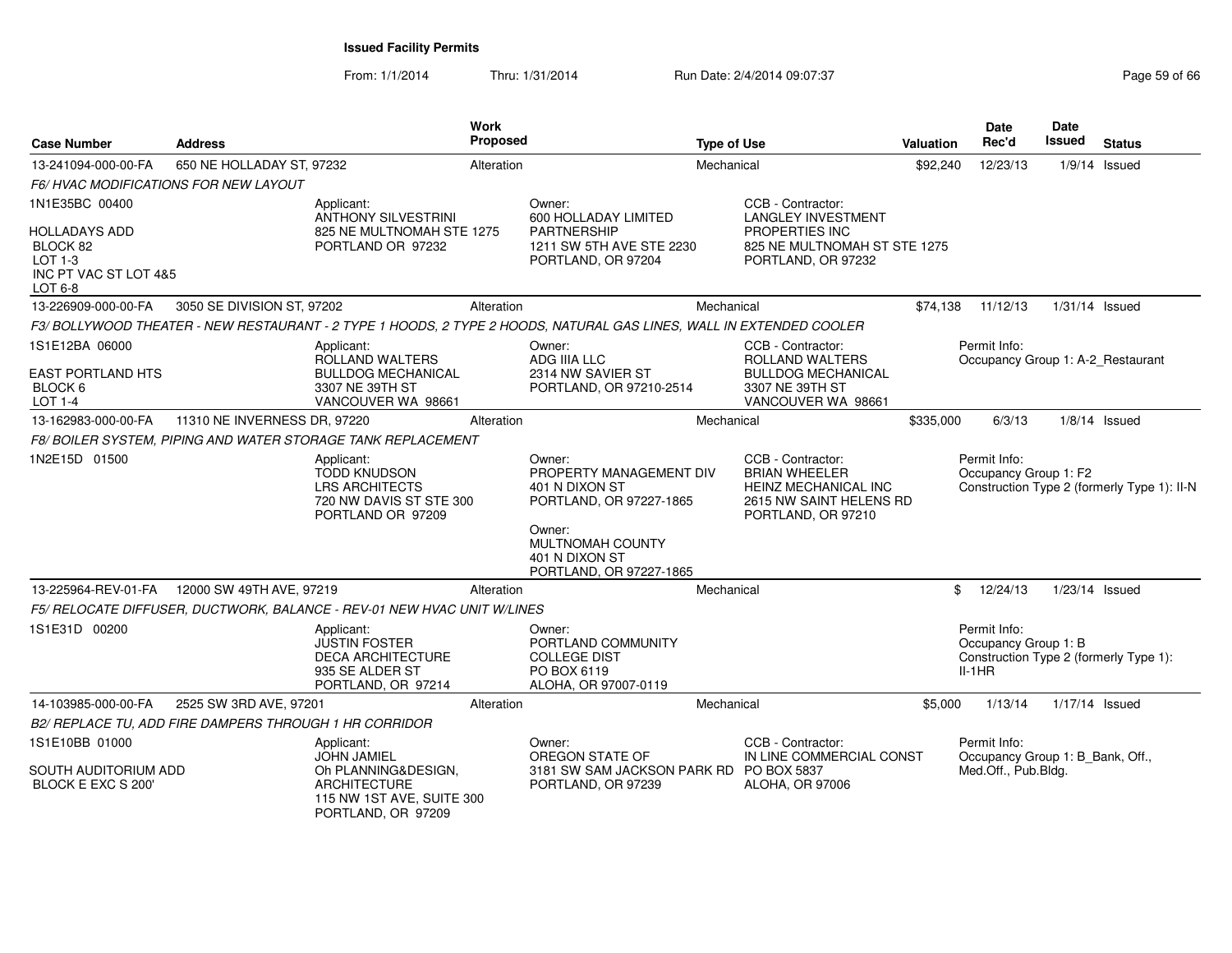From: 1/1/2014

Thru: 1/31/2014 Run Date: 2/4/2014 09:07:37 Page 59 of 66

| <b>Case Number</b>                                                       | <b>Address</b>                                         |                                                                                                                     | Work<br>Proposed |                                                                                                                     | <b>Type of Use</b> |                                                                                                                           | <b>Valuation</b> | Date<br>Rec'd                                           | Date<br>Issued   | <b>Status</b>                               |
|--------------------------------------------------------------------------|--------------------------------------------------------|---------------------------------------------------------------------------------------------------------------------|------------------|---------------------------------------------------------------------------------------------------------------------|--------------------|---------------------------------------------------------------------------------------------------------------------------|------------------|---------------------------------------------------------|------------------|---------------------------------------------|
| 13-241094-000-00-FA                                                      | 650 NE HOLLADAY ST, 97232                              |                                                                                                                     | Alteration       |                                                                                                                     | Mechanical         |                                                                                                                           | \$92,240         | 12/23/13                                                |                  | $1/9/14$ Issued                             |
|                                                                          | <i>F6/ HVAC MODIFICATIONS FOR NEW LAYOUT</i>           |                                                                                                                     |                  |                                                                                                                     |                    |                                                                                                                           |                  |                                                         |                  |                                             |
| 1N1E35BC 00400                                                           |                                                        | Applicant:<br><b>ANTHONY SILVESTRINI</b>                                                                            |                  | Owner:<br>600 HOLLADAY LIMITED                                                                                      |                    | CCB - Contractor:<br><b>LANGLEY INVESTMENT</b>                                                                            |                  |                                                         |                  |                                             |
| HOLLADAYS ADD<br>BLOCK 82<br>LOT 1-3<br>INC PT VAC ST LOT 4&5<br>LOT 6-8 |                                                        | 825 NE MULTNOMAH STE 1275<br>PORTLAND OR 97232                                                                      |                  | <b>PARTNERSHIP</b><br>1211 SW 5TH AVE STE 2230<br>PORTLAND, OR 97204                                                |                    | PROPERTIES INC<br>825 NE MULTNOMAH ST STE 1275<br>PORTLAND, OR 97232                                                      |                  |                                                         |                  |                                             |
| 13-226909-000-00-FA                                                      | 3050 SE DIVISION ST, 97202                             |                                                                                                                     | Alteration       |                                                                                                                     | Mechanical         |                                                                                                                           | \$74,138         | 11/12/13                                                | $1/31/14$ Issued |                                             |
|                                                                          |                                                        |                                                                                                                     |                  | F3/ BOLLYWOOD THEATER - NEW RESTAURANT - 2 TYPE 1 HOODS, 2 TYPE 2 HOODS, NATURAL GAS LINES, WALL IN EXTENDED COOLER |                    |                                                                                                                           |                  |                                                         |                  |                                             |
| 1S1E12BA 06000<br><b>EAST PORTLAND HTS</b><br>BLOCK 6                    |                                                        | Applicant:<br>ROLLAND WALTERS<br><b>BULLDOG MECHANICAL</b><br>3307 NE 39TH ST                                       |                  | Owner:<br>ADG IIIA LLC<br>2314 NW SAVIER ST<br>PORTLAND, OR 97210-2514                                              |                    | CCB - Contractor:<br><b>ROLLAND WALTERS</b><br><b>BULLDOG MECHANICAL</b><br>3307 NE 39TH ST                               |                  | Permit Info:<br>Occupancy Group 1: A-2 Restaurant       |                  |                                             |
| <b>LOT 1-4</b>                                                           |                                                        | VANCOUVER WA 98661                                                                                                  |                  |                                                                                                                     |                    | VANCOUVER WA 98661                                                                                                        |                  |                                                         |                  |                                             |
| 13-162983-000-00-FA                                                      | 11310 NE INVERNESS DR, 97220                           |                                                                                                                     | Alteration       |                                                                                                                     | Mechanical         |                                                                                                                           | \$335,000        | 6/3/13                                                  |                  | $1/8/14$ Issued                             |
|                                                                          |                                                        | F8/ BOILER SYSTEM, PIPING AND WATER STORAGE TANK REPLACEMENT                                                        |                  |                                                                                                                     |                    |                                                                                                                           |                  |                                                         |                  |                                             |
| 1N2E15D 01500                                                            |                                                        | Applicant:<br><b>TODD KNUDSON</b><br><b>LRS ARCHITECTS</b><br>720 NW DAVIS ST STE 300<br>PORTLAND OR 97209          |                  | Owner:<br>PROPERTY MANAGEMENT DIV<br>401 N DIXON ST<br>PORTLAND, OR 97227-1865<br>Owner:<br>MULTNOMAH COUNTY        |                    | CCB - Contractor:<br><b>BRIAN WHEELER</b><br><b>HEINZ MECHANICAL INC</b><br>2615 NW SAINT HELENS RD<br>PORTLAND, OR 97210 |                  | Permit Info:<br>Occupancy Group 1: F2                   |                  | Construction Type 2 (formerly Type 1): II-N |
|                                                                          |                                                        |                                                                                                                     |                  | 401 N DIXON ST<br>PORTLAND, OR 97227-1865                                                                           |                    |                                                                                                                           |                  |                                                         |                  |                                             |
|                                                                          | 13-225964-REV-01-FA  12000 SW 49TH AVE, 97219          |                                                                                                                     | Alteration       |                                                                                                                     | Mechanical         |                                                                                                                           |                  | \$<br>12/24/13                                          | $1/23/14$ Issued |                                             |
|                                                                          |                                                        | F5/ RELOCATE DIFFUSER, DUCTWORK, BALANCE - REV-01 NEW HVAC UNIT W/LINES                                             |                  |                                                                                                                     |                    |                                                                                                                           |                  |                                                         |                  |                                             |
| 1S1E31D 00200                                                            |                                                        | Applicant:<br><b>JUSTIN FOSTER</b><br><b>DECA ARCHITECTURE</b><br>935 SE ALDER ST<br>PORTLAND, OR 97214             |                  | Owner:<br>PORTLAND COMMUNITY<br><b>COLLEGE DIST</b><br>PO BOX 6119<br>ALOHA, OR 97007-0119                          |                    |                                                                                                                           |                  | Permit Info:<br>Occupancy Group 1: B<br>$II-1HR$        |                  | Construction Type 2 (formerly Type 1):      |
| 14-103985-000-00-FA                                                      | 2525 SW 3RD AVE, 97201                                 |                                                                                                                     | Alteration       |                                                                                                                     | Mechanical         |                                                                                                                           | \$5,000          | 1/13/14                                                 | 1/17/14 Issued   |                                             |
|                                                                          | B2/ REPLACE TU, ADD FIRE DAMPERS THROUGH 1 HR CORRIDOR |                                                                                                                     |                  |                                                                                                                     |                    |                                                                                                                           |                  |                                                         |                  |                                             |
| 1S1E10BB 01000                                                           |                                                        | Applicant:                                                                                                          |                  | Owner:                                                                                                              |                    | CCB - Contractor:                                                                                                         |                  | Permit Info:                                            |                  |                                             |
| SOUTH AUDITORIUM ADD<br>BLOCK E EXC S 200'                               |                                                        | <b>JOHN JAMIEL</b><br>Oh PLANNING&DESIGN,<br><b>ARCHITECTURE</b><br>115 NW 1ST AVE, SUITE 300<br>PORTLAND, OR 97209 |                  | OREGON STATE OF<br>3181 SW SAM JACKSON PARK RD PO BOX 5837<br>PORTLAND, OR 97239                                    |                    | IN LINE COMMERCIAL CONST<br>ALOHA, OR 97006                                                                               |                  | Occupancy Group 1: B_Bank, Off.,<br>Med.Off., Pub.Bldg. |                  |                                             |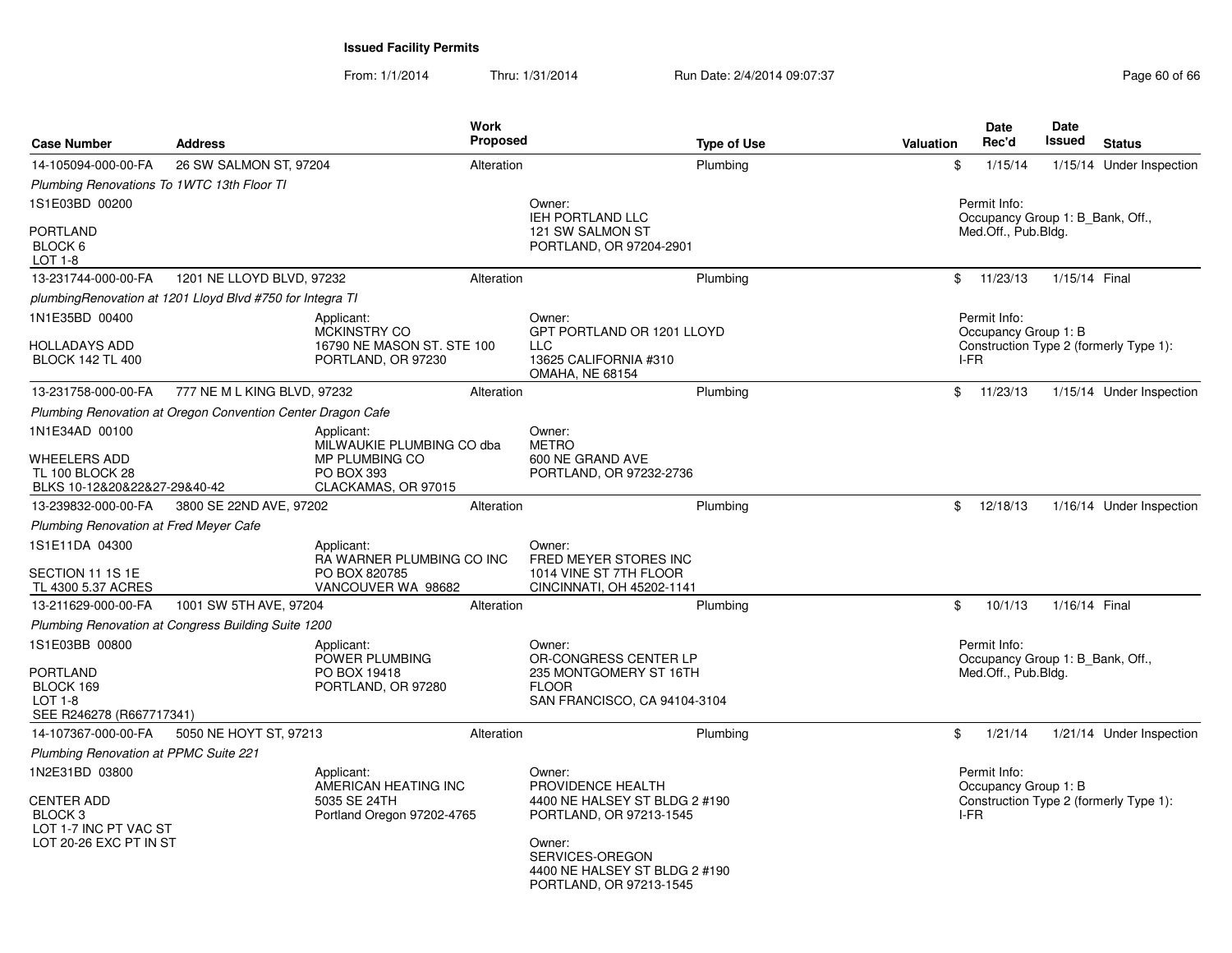From: 1/1/2014

Thru: 1/31/2014 Run Date: 2/4/2014 09:07:37 Page 60 of 66

| <b>Case Number</b>                                                                                           | <b>Address</b>                                              |                                                                                         | <b>Work</b><br><b>Proposed</b> |                                                                                                                                                                                  | <b>Type of Use</b> | Valuation | <b>Date</b><br>Rec'd                                                    | <b>Date</b><br>Issued | <b>Status</b>                          |
|--------------------------------------------------------------------------------------------------------------|-------------------------------------------------------------|-----------------------------------------------------------------------------------------|--------------------------------|----------------------------------------------------------------------------------------------------------------------------------------------------------------------------------|--------------------|-----------|-------------------------------------------------------------------------|-----------------------|----------------------------------------|
| 14-105094-000-00-FA                                                                                          | 26 SW SALMON ST, 97204                                      |                                                                                         | Alteration                     |                                                                                                                                                                                  | Plumbing           |           | \$<br>1/15/14                                                           |                       | 1/15/14 Under Inspection               |
| Plumbing Renovations To 1WTC 13th Floor TI                                                                   |                                                             |                                                                                         |                                |                                                                                                                                                                                  |                    |           |                                                                         |                       |                                        |
| 1S1E03BD 00200                                                                                               |                                                             |                                                                                         |                                | Owner:                                                                                                                                                                           |                    |           | Permit Info:                                                            |                       |                                        |
| <b>PORTLAND</b><br>BLOCK 6                                                                                   |                                                             |                                                                                         |                                | <b>IEH PORTLAND LLC</b><br>121 SW SALMON ST<br>PORTLAND, OR 97204-2901                                                                                                           |                    |           | Occupancy Group 1: B_Bank, Off.,<br>Med.Off., Pub.Bldg.                 |                       |                                        |
| LOT 1-8<br>13-231744-000-00-FA                                                                               | 1201 NE LLOYD BLVD, 97232                                   |                                                                                         | Alteration                     |                                                                                                                                                                                  | Plumbing           |           | \$<br>11/23/13                                                          | 1/15/14 Final         |                                        |
|                                                                                                              | plumbingRenovation at 1201 Lloyd Blvd #750 for Integra TI   |                                                                                         |                                |                                                                                                                                                                                  |                    |           |                                                                         |                       |                                        |
| 1N1E35BD 00400                                                                                               |                                                             | Applicant:                                                                              |                                | Owner:                                                                                                                                                                           |                    |           | Permit Info:                                                            |                       |                                        |
| HOLLADAYS ADD<br><b>BLOCK 142 TL 400</b>                                                                     |                                                             | <b>MCKINSTRY CO</b><br>16790 NE MASON ST. STE 100<br>PORTLAND, OR 97230                 |                                | GPT PORTLAND OR 1201 LLOYD<br><b>LLC</b><br>13625 CALIFORNIA #310<br><b>OMAHA, NE 68154</b>                                                                                      |                    |           | Occupancy Group 1: B<br>I-FR                                            |                       | Construction Type 2 (formerly Type 1): |
| 13-231758-000-00-FA                                                                                          | 777 NE M L KING BLVD, 97232                                 |                                                                                         | Alteration                     |                                                                                                                                                                                  | Plumbing           |           | \$<br>11/23/13                                                          |                       | 1/15/14 Under Inspection               |
|                                                                                                              | Plumbing Renovation at Oregon Convention Center Dragon Cafe |                                                                                         |                                |                                                                                                                                                                                  |                    |           |                                                                         |                       |                                        |
| 1N1E34AD 00100                                                                                               |                                                             | Applicant:                                                                              |                                | Owner:                                                                                                                                                                           |                    |           |                                                                         |                       |                                        |
| WHEELERS ADD<br><b>TL 100 BLOCK 28</b><br>BLKS 10-12&20&22&27-29&40-42                                       |                                                             | MILWAUKIE PLUMBING CO dba<br>MP PLUMBING CO<br><b>PO BOX 393</b><br>CLACKAMAS, OR 97015 |                                | <b>METRO</b><br>600 NE GRAND AVE<br>PORTLAND, OR 97232-2736                                                                                                                      |                    |           |                                                                         |                       |                                        |
| 13-239832-000-00-FA                                                                                          | 3800 SE 22ND AVE, 97202                                     |                                                                                         | Alteration                     |                                                                                                                                                                                  | Plumbing           |           | 12/18/13<br>\$                                                          |                       | 1/16/14 Under Inspection               |
| Plumbing Renovation at Fred Meyer Cafe                                                                       |                                                             |                                                                                         |                                |                                                                                                                                                                                  |                    |           |                                                                         |                       |                                        |
| 1S1E11DA 04300<br>SECTION 11 1S 1E<br>TL 4300 5.37 ACRES                                                     |                                                             | Applicant:<br>RA WARNER PLUMBING CO INC<br>PO BOX 820785<br>VANCOUVER WA 98682          |                                | Owner:<br>FRED MEYER STORES INC<br>1014 VINE ST 7TH FLOOR<br>CINCINNATI, OH 45202-1141                                                                                           |                    |           |                                                                         |                       |                                        |
| 13-211629-000-00-FA                                                                                          | 1001 SW 5TH AVE, 97204                                      |                                                                                         | Alteration                     |                                                                                                                                                                                  | Plumbing           |           | \$<br>10/1/13                                                           | 1/16/14 Final         |                                        |
|                                                                                                              | Plumbing Renovation at Congress Building Suite 1200         |                                                                                         |                                |                                                                                                                                                                                  |                    |           |                                                                         |                       |                                        |
| 1S1E03BB 00800<br><b>PORTLAND</b><br>BLOCK 169<br>LOT 1-8<br>SEE R246278 (R667717341)                        |                                                             | Applicant:<br>POWER PLUMBING<br>PO BOX 19418<br>PORTLAND, OR 97280                      |                                | Owner:<br>OR-CONGRESS CENTER LP<br>235 MONTGOMERY ST 16TH<br><b>FLOOR</b><br>SAN FRANCISCO, CA 94104-3104                                                                        |                    |           | Permit Info:<br>Occupancy Group 1: B_Bank, Off.,<br>Med.Off., Pub.Bldg. |                       |                                        |
| 14-107367-000-00-FA                                                                                          | 5050 NE HOYT ST, 97213                                      |                                                                                         | Alteration                     |                                                                                                                                                                                  | Plumbing           |           | \$<br>1/21/14                                                           |                       | 1/21/14 Under Inspection               |
| Plumbing Renovation at PPMC Suite 221                                                                        |                                                             |                                                                                         |                                |                                                                                                                                                                                  |                    |           |                                                                         |                       |                                        |
| 1N2E31BD 03800<br><b>CENTER ADD</b><br>BLOCK <sub>3</sub><br>LOT 1-7 INC PT VAC ST<br>LOT 20-26 EXC PT IN ST |                                                             | Applicant:<br>AMERICAN HEATING INC<br>5035 SE 24TH<br>Portland Oregon 97202-4765        |                                | Owner:<br>PROVIDENCE HEALTH<br>4400 NE HALSEY ST BLDG 2 #190<br>PORTLAND, OR 97213-1545<br>Owner:<br>SERVICES-OREGON<br>4400 NE HALSEY ST BLDG 2 #190<br>PORTLAND, OR 97213-1545 |                    |           | Permit Info:<br>Occupancy Group 1: B<br>I-FR                            |                       | Construction Type 2 (formerly Type 1): |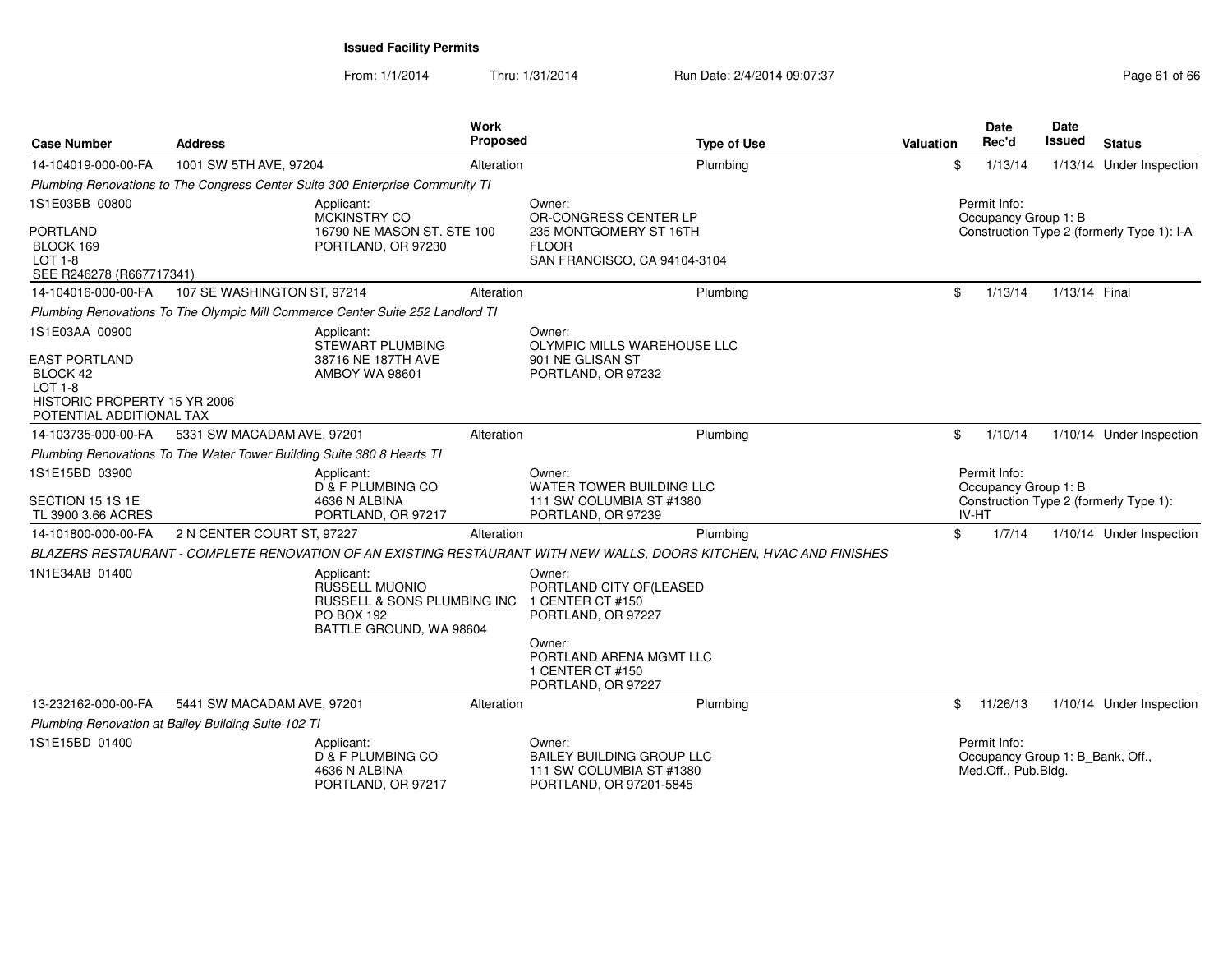From: 1/1/2014Thru: 1/31/2014 Run Date: 2/4/2014 09:07:37 Page 61 of 66

| <b>Case Number</b>                                                                                             | <b>Address</b>                                                                 | <b>Work</b>                                                                                                 | <b>Proposed</b> | <b>Type of Use</b>                                                                                                  | Valuation                            |       | <b>Date</b><br>Rec'd                 | Date<br><b>Issued</b>            | <b>Status</b>                              |
|----------------------------------------------------------------------------------------------------------------|--------------------------------------------------------------------------------|-------------------------------------------------------------------------------------------------------------|-----------------|---------------------------------------------------------------------------------------------------------------------|--------------------------------------|-------|--------------------------------------|----------------------------------|--------------------------------------------|
| 14-104019-000-00-FA                                                                                            | 1001 SW 5TH AVE, 97204                                                         |                                                                                                             | Alteration      | Plumbing                                                                                                            |                                      | \$    | 1/13/14                              |                                  | 1/13/14 Under Inspection                   |
|                                                                                                                | Plumbing Renovations to The Congress Center Suite 300 Enterprise Community TI  |                                                                                                             |                 |                                                                                                                     |                                      |       |                                      |                                  |                                            |
| 1S1E03BB 00800                                                                                                 |                                                                                | Applicant:<br><b>MCKINSTRY CO</b>                                                                           |                 | Owner:<br>OR-CONGRESS CENTER LP                                                                                     | Permit Info:<br>Occupancy Group 1: B |       |                                      |                                  |                                            |
| <b>PORTLAND</b><br>BLOCK 169<br><b>LOT 1-8</b><br>SEE R246278 (R667717341)                                     |                                                                                | 16790 NE MASON ST. STE 100<br>PORTLAND, OR 97230                                                            |                 | 235 MONTGOMERY ST 16TH<br><b>FLOOR</b><br>SAN FRANCISCO, CA 94104-3104                                              |                                      |       |                                      |                                  | Construction Type 2 (formerly Type 1): I-A |
| 14-104016-000-00-FA                                                                                            | 107 SE WASHINGTON ST, 97214                                                    |                                                                                                             | Alteration      | Plumbing                                                                                                            |                                      | \$    | 1/13/14                              | 1/13/14 Final                    |                                            |
|                                                                                                                | Plumbing Renovations To The Olympic Mill Commerce Center Suite 252 Landlord TI |                                                                                                             |                 |                                                                                                                     |                                      |       |                                      |                                  |                                            |
| 1S1E03AA 00900                                                                                                 |                                                                                | Applicant:<br>STEWART PLUMBING                                                                              |                 | Owner:<br>OLYMPIC MILLS WAREHOUSE LLC                                                                               |                                      |       |                                      |                                  |                                            |
| <b>EAST PORTLAND</b><br>BLOCK 42<br><b>LOT 1-8</b><br>HISTORIC PROPERTY 15 YR 2006<br>POTENTIAL ADDITIONAL TAX |                                                                                | 38716 NE 187TH AVE<br><b>AMBOY WA 98601</b>                                                                 |                 | 901 NE GLISAN ST<br>PORTLAND, OR 97232                                                                              |                                      |       |                                      |                                  |                                            |
| 14-103735-000-00-FA                                                                                            | 5331 SW MACADAM AVE, 97201                                                     |                                                                                                             | Alteration      | Plumbing                                                                                                            |                                      | \$    | 1/10/14                              |                                  | 1/10/14 Under Inspection                   |
|                                                                                                                | Plumbing Renovations To The Water Tower Building Suite 380 8 Hearts TI         |                                                                                                             |                 |                                                                                                                     |                                      |       |                                      |                                  |                                            |
| 1S1E15BD 03900<br>SECTION 15 1S 1E<br>TL 3900 3.66 ACRES                                                       |                                                                                | Applicant:<br><b>D &amp; F PLUMBING CO</b><br>4636 N ALBINA<br>PORTLAND, OR 97217                           |                 | Owner:<br>WATER TOWER BUILDING LLC<br>111 SW COLUMBIA ST #1380<br>PORTLAND, OR 97239                                |                                      | IV-HT | Permit Info:<br>Occupancy Group 1: B |                                  | Construction Type 2 (formerly Type 1):     |
| 14-101800-000-00-FA                                                                                            | 2 N CENTER COURT ST, 97227                                                     |                                                                                                             | Alteration      | Plumbing                                                                                                            |                                      | \$    | 1/7/14                               |                                  | 1/10/14 Under Inspection                   |
|                                                                                                                |                                                                                |                                                                                                             |                 | BLAZERS RESTAURANT - COMPLETE RENOVATION OF AN EXISTING RESTAURANT WITH NEW WALLS, DOORS KITCHEN, HVAC AND FINISHES |                                      |       |                                      |                                  |                                            |
| 1N1E34AB 01400                                                                                                 |                                                                                | Applicant:<br><b>RUSSELL MUONIO</b><br>RUSSELL & SONS PLUMBING INC<br>PO BOX 192<br>BATTLE GROUND, WA 98604 |                 | Owner:<br>PORTLAND CITY OF (LEASED<br>1 CENTER CT #150<br>PORTLAND, OR 97227<br>Owner:                              |                                      |       |                                      |                                  |                                            |
|                                                                                                                |                                                                                |                                                                                                             |                 | PORTLAND ARENA MGMT LLC<br>1 CENTER CT #150<br>PORTLAND, OR 97227                                                   |                                      |       |                                      |                                  |                                            |
| 13-232162-000-00-FA                                                                                            | 5441 SW MACADAM AVE, 97201                                                     |                                                                                                             | Alteration      | Plumbing                                                                                                            |                                      | \$    | 11/26/13                             |                                  | 1/10/14 Under Inspection                   |
|                                                                                                                | Plumbing Renovation at Bailey Building Suite 102 TI                            |                                                                                                             |                 |                                                                                                                     |                                      |       |                                      |                                  |                                            |
| 1S1E15BD 01400                                                                                                 |                                                                                | Applicant:<br>D & F PLUMBING CO<br>4636 N ALBINA<br>PORTLAND, OR 97217                                      |                 | Owner:<br>BAILEY BUILDING GROUP LLC<br>111 SW COLUMBIA ST #1380<br>PORTLAND, OR 97201-5845                          |                                      |       | Permit Info:<br>Med.Off., Pub.Bldg.  | Occupancy Group 1: B Bank, Off., |                                            |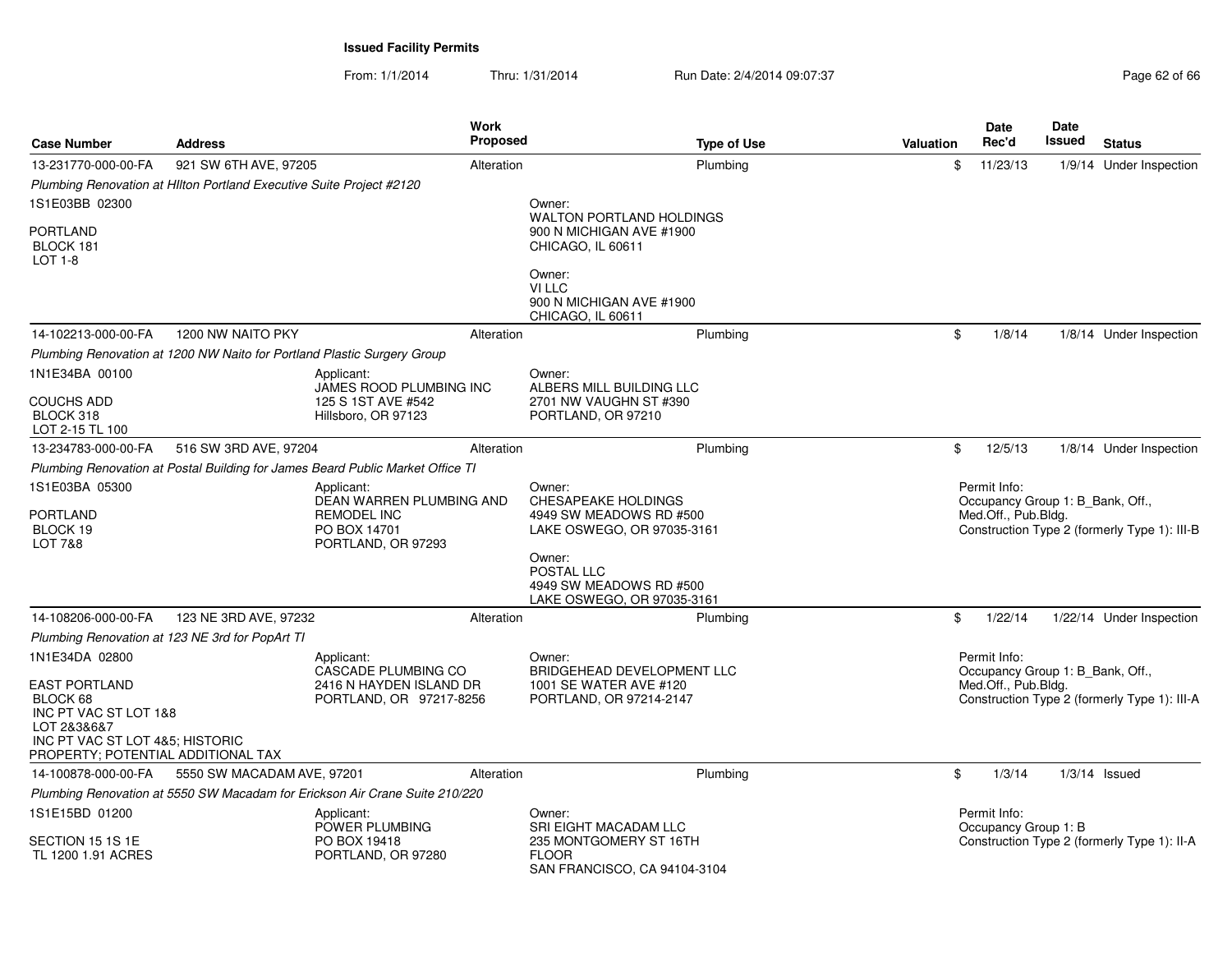From: 1/1/2014Thru: 1/31/2014 Run Date: 2/4/2014 09:07:37 Page 62 of 66

| <b>Case Number</b>                                                                                                                                | <b>Address</b>                                                                 | <b>Work</b><br><b>Proposed</b>                                                                     |                                                                                        | <b>Type of Use</b> | <b>Valuation</b> | <b>Date</b><br>Rec'd                                                    | Date<br>Issued | <b>Status</b>                                |
|---------------------------------------------------------------------------------------------------------------------------------------------------|--------------------------------------------------------------------------------|----------------------------------------------------------------------------------------------------|----------------------------------------------------------------------------------------|--------------------|------------------|-------------------------------------------------------------------------|----------------|----------------------------------------------|
| 13-231770-000-00-FA                                                                                                                               | 921 SW 6TH AVE, 97205                                                          | Alteration                                                                                         |                                                                                        | Plumbing           | \$               | 11/23/13                                                                |                | 1/9/14 Under Inspection                      |
|                                                                                                                                                   | Plumbing Renovation at HIlton Portland Executive Suite Project #2120           |                                                                                                    |                                                                                        |                    |                  |                                                                         |                |                                              |
| 1S1E03BB 02300                                                                                                                                    |                                                                                |                                                                                                    | Owner:                                                                                 |                    |                  |                                                                         |                |                                              |
| PORTLAND<br>BLOCK 181<br>LOT 1-8                                                                                                                  |                                                                                |                                                                                                    | WALTON PORTLAND HOLDINGS<br>900 N MICHIGAN AVE #1900<br>CHICAGO, IL 60611              |                    |                  |                                                                         |                |                                              |
|                                                                                                                                                   |                                                                                |                                                                                                    | Owner:<br>VI LLC<br>900 N MICHIGAN AVE #1900<br>CHICAGO, IL 60611                      |                    |                  |                                                                         |                |                                              |
| 14-102213-000-00-FA                                                                                                                               | 1200 NW NAITO PKY                                                              | Alteration                                                                                         |                                                                                        | Plumbing           | \$               | 1/8/14                                                                  |                | 1/8/14 Under Inspection                      |
|                                                                                                                                                   | Plumbing Renovation at 1200 NW Naito for Portland Plastic Surgery Group        |                                                                                                    |                                                                                        |                    |                  |                                                                         |                |                                              |
| 1N1E34BA 00100                                                                                                                                    |                                                                                | Applicant:                                                                                         | Owner:                                                                                 |                    |                  |                                                                         |                |                                              |
| COUCHS ADD<br>BLOCK 318<br>LOT 2-15 TL 100                                                                                                        |                                                                                | JAMES ROOD PLUMBING INC<br>125 S 1ST AVE #542<br>Hillsboro, OR 97123                               | ALBERS MILL BUILDING LLC<br>2701 NW VAUGHN ST #390<br>PORTLAND, OR 97210               |                    |                  |                                                                         |                |                                              |
| 13-234783-000-00-FA                                                                                                                               | 516 SW 3RD AVE, 97204                                                          | Alteration                                                                                         |                                                                                        | Plumbing           | \$               | 12/5/13                                                                 |                | 1/8/14 Under Inspection                      |
|                                                                                                                                                   | Plumbing Renovation at Postal Building for James Beard Public Market Office TI |                                                                                                    |                                                                                        |                    |                  |                                                                         |                |                                              |
| 1S1E03BA 05300<br><b>PORTLAND</b><br>BLOCK 19<br>LOT 7&8                                                                                          |                                                                                | Applicant:<br>DEAN WARREN PLUMBING AND<br><b>REMODEL INC</b><br>PO BOX 14701<br>PORTLAND, OR 97293 | Owner:<br>CHESAPEAKE HOLDINGS<br>4949 SW MEADOWS RD #500<br>LAKE OSWEGO, OR 97035-3161 |                    |                  | Permit Info:<br>Occupancy Group 1: B_Bank, Off.,<br>Med.Off., Pub.Bldg. |                | Construction Type 2 (formerly Type 1): III-B |
|                                                                                                                                                   |                                                                                |                                                                                                    | Owner:<br>POSTAL LLC<br>4949 SW MEADOWS RD #500<br>LAKE OSWEGO, OR 97035-3161          |                    |                  |                                                                         |                |                                              |
| 14-108206-000-00-FA                                                                                                                               | 123 NE 3RD AVE, 97232                                                          | Alteration                                                                                         |                                                                                        | Plumbing           | \$               | 1/22/14                                                                 |                | 1/22/14 Under Inspection                     |
|                                                                                                                                                   | Plumbing Renovation at 123 NE 3rd for PopArt TI                                |                                                                                                    |                                                                                        |                    |                  |                                                                         |                |                                              |
| 1N1E34DA 02800                                                                                                                                    |                                                                                | Applicant:<br>CASCADE PLUMBING CO                                                                  | Owner:<br>BRIDGEHEAD DEVELOPMENT LLC                                                   |                    |                  | Permit Info:<br>Occupancy Group 1: B_Bank, Off.,                        |                |                                              |
| <b>EAST PORTLAND</b><br>BLOCK 68<br>INC PT VAC ST LOT 1&8<br>LOT 2&3&6&7<br>INC PT VAC ST LOT 4&5; HISTORIC<br>PROPERTY; POTENTIAL ADDITIONAL TAX |                                                                                | 2416 N HAYDEN ISLAND DR<br>PORTLAND, OR 97217-8256                                                 | 1001 SE WATER AVE #120<br>PORTLAND, OR 97214-2147                                      |                    |                  | Med.Off., Pub.Bldg.                                                     |                | Construction Type 2 (formerly Type 1): III-A |
| 14-100878-000-00-FA                                                                                                                               | 5550 SW MACADAM AVE, 97201                                                     | Alteration                                                                                         |                                                                                        | Plumbing           | \$               | 1/3/14                                                                  |                | $1/3/14$ Issued                              |
|                                                                                                                                                   | Plumbing Renovation at 5550 SW Macadam for Erickson Air Crane Suite 210/220    |                                                                                                    |                                                                                        |                    |                  |                                                                         |                |                                              |
| 1S1E15BD 01200                                                                                                                                    |                                                                                | Applicant:<br>POWER PLUMBING                                                                       | Owner:<br>SRI EIGHT MACADAM LLC                                                        |                    |                  | Permit Info:<br>Occupancy Group 1: B                                    |                |                                              |
| SECTION 15 1S 1E<br>TL 1200 1.91 ACRES                                                                                                            |                                                                                | PO BOX 19418<br>PORTLAND, OR 97280                                                                 | 235 MONTGOMERY ST 16TH<br><b>FLOOR</b><br>SAN FRANCISCO, CA 94104-3104                 |                    |                  |                                                                         |                | Construction Type 2 (formerly Type 1): II-A  |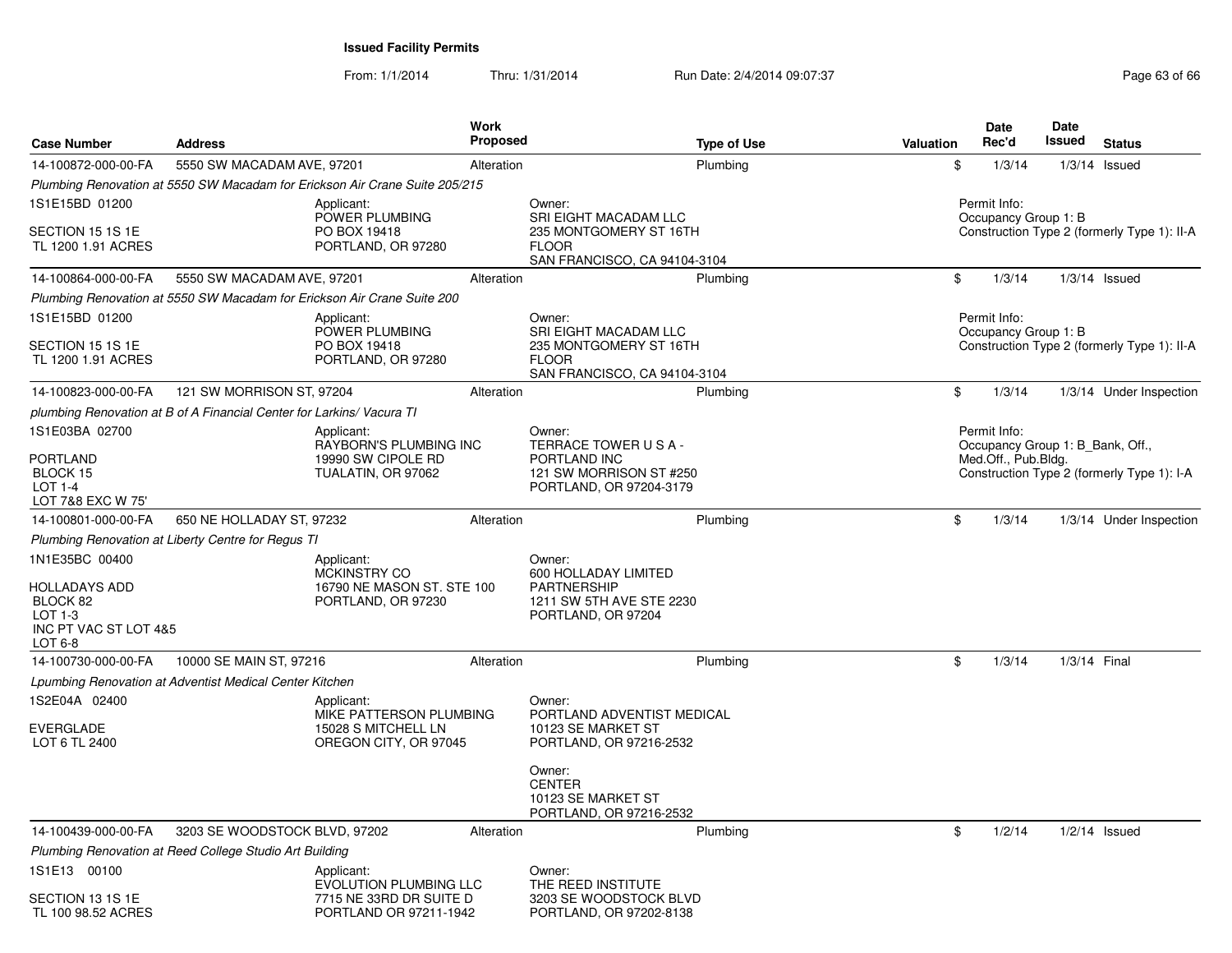From: 1/1/2014Thru: 1/31/2014 Run Date: 2/4/2014 09:07:37 Page 63 of 66

| <b>Case Number</b>                                                                                  | <b>Address</b>                                                          | <b>Work</b>                                                                                                                                                                                                                                                                                                                                                                                                                                                                                                                                                                                                                                                                                                                                                                                                                                                                                                                                                                                                                                                                                                                                                                                                                                                                                                                                                                                                                                                                                                                                                                                                                      |                                                                         |  |                                                                                     | Date   | Date | <b>Status</b>           |
|-----------------------------------------------------------------------------------------------------|-------------------------------------------------------------------------|----------------------------------------------------------------------------------------------------------------------------------------------------------------------------------------------------------------------------------------------------------------------------------------------------------------------------------------------------------------------------------------------------------------------------------------------------------------------------------------------------------------------------------------------------------------------------------------------------------------------------------------------------------------------------------------------------------------------------------------------------------------------------------------------------------------------------------------------------------------------------------------------------------------------------------------------------------------------------------------------------------------------------------------------------------------------------------------------------------------------------------------------------------------------------------------------------------------------------------------------------------------------------------------------------------------------------------------------------------------------------------------------------------------------------------------------------------------------------------------------------------------------------------------------------------------------------------------------------------------------------------|-------------------------------------------------------------------------|--|-------------------------------------------------------------------------------------|--------|------|-------------------------|
| 14-100872-000-00-FA                                                                                 | 5550 SW MACADAM AVE, 97201                                              |                                                                                                                                                                                                                                                                                                                                                                                                                                                                                                                                                                                                                                                                                                                                                                                                                                                                                                                                                                                                                                                                                                                                                                                                                                                                                                                                                                                                                                                                                                                                                                                                                                  |                                                                         |  |                                                                                     |        |      |                         |
|                                                                                                     |                                                                         |                                                                                                                                                                                                                                                                                                                                                                                                                                                                                                                                                                                                                                                                                                                                                                                                                                                                                                                                                                                                                                                                                                                                                                                                                                                                                                                                                                                                                                                                                                                                                                                                                                  |                                                                         |  |                                                                                     |        |      |                         |
| 1S1E15BD 01200<br>SECTION 15 1S 1E<br>TL 1200 1.91 ACRES                                            | Applicant:                                                              |                                                                                                                                                                                                                                                                                                                                                                                                                                                                                                                                                                                                                                                                                                                                                                                                                                                                                                                                                                                                                                                                                                                                                                                                                                                                                                                                                                                                                                                                                                                                                                                                                                  | Owner:<br>SRI EIGHT MACADAM LLC<br><b>FLOOR</b>                         |  | Permit Info:<br>Occupancy Group 1: B<br>Construction Type 2 (formerly Type 1): II-A |        |      |                         |
| 14-100864-000-00-FA                                                                                 | 5550 SW MACADAM AVE, 97201                                              |                                                                                                                                                                                                                                                                                                                                                                                                                                                                                                                                                                                                                                                                                                                                                                                                                                                                                                                                                                                                                                                                                                                                                                                                                                                                                                                                                                                                                                                                                                                                                                                                                                  |                                                                         |  | \$                                                                                  | 1/3/14 |      |                         |
|                                                                                                     | Plumbing Renovation at 5550 SW Macadam for Erickson Air Crane Suite 200 |                                                                                                                                                                                                                                                                                                                                                                                                                                                                                                                                                                                                                                                                                                                                                                                                                                                                                                                                                                                                                                                                                                                                                                                                                                                                                                                                                                                                                                                                                                                                                                                                                                  |                                                                         |  |                                                                                     |        |      |                         |
| 1S1E15BD 01200                                                                                      | Applicant:                                                              |                                                                                                                                                                                                                                                                                                                                                                                                                                                                                                                                                                                                                                                                                                                                                                                                                                                                                                                                                                                                                                                                                                                                                                                                                                                                                                                                                                                                                                                                                                                                                                                                                                  | Owner:<br>SRI EIGHT MACADAM LLC                                         |  |                                                                                     |        |      |                         |
| SECTION 15 1S 1E<br>TL 1200 1.91 ACRES                                                              |                                                                         | <b>Proposed</b><br><b>Issued</b><br>Rec'd<br><b>Type of Use</b><br><b>Valuation</b><br>Plumbing<br>\$<br>1/3/14<br>$1/3/14$ Issued<br>Alteration<br>Plumbing Renovation at 5550 SW Macadam for Erickson Air Crane Suite 205/215<br>POWER PLUMBING<br>235 MONTGOMERY ST 16TH<br>PO BOX 19418<br>PORTLAND, OR 97280<br>SAN FRANCISCO, CA 94104-3104<br>Alteration<br>Plumbing<br>$1/3/14$ Issued<br>Permit Info:<br>POWER PLUMBING<br>Occupancy Group 1: B<br>PO BOX 19418<br>Construction Type 2 (formerly Type 1): II-A<br>235 MONTGOMERY ST 16TH<br>PORTLAND, OR 97280<br><b>FLOOR</b><br>SAN FRANCISCO, CA 94104-3104<br>\$<br>1/3/14<br>Alteration<br>Plumbing<br>Permit Info:<br>Applicant:<br>Owner:<br>TERRACE TOWER USA-<br>RAYBORN'S PLUMBING INC<br>Occupancy Group 1: B Bank, Off.,<br>19990 SW CIPOLE RD<br>PORTLAND INC<br>Med.Off., Pub.Bldg.<br>121 SW MORRISON ST #250<br>Construction Type 2 (formerly Type 1): I-A<br>TUALATIN, OR 97062<br>PORTLAND, OR 97204-3179<br>\$<br>Plumbing<br>1/3/14<br>Alteration<br>Applicant:<br>Owner:<br>MCKINSTRY CO<br>600 HOLLADAY LIMITED<br>16790 NE MASON ST. STE 100<br>PARTNERSHIP<br>PORTLAND, OR 97230<br>1211 SW 5TH AVE STE 2230<br>PORTLAND, OR 97204<br>\$<br>1/3/14<br>1/3/14 Final<br>Alteration<br>Plumbing<br>Applicant:<br>Owner:<br>MIKE PATTERSON PLUMBING<br>PORTLAND ADVENTIST MEDICAL<br>15028 S MITCHELL LN<br>10123 SE MARKET ST<br>OREGON CITY, OR 97045<br>PORTLAND, OR 97216-2532<br>Owner:<br><b>CENTER</b><br>10123 SE MARKET ST<br>PORTLAND, OR 97216-2532<br>\$<br>1/2/14<br>$1/2/14$ Issued<br>Alteration<br>Plumbing<br>Applicant:<br>Owner: |                                                                         |  |                                                                                     |        |      |                         |
| 14-100823-000-00-FA                                                                                 | 121 SW MORRISON ST, 97204                                               |                                                                                                                                                                                                                                                                                                                                                                                                                                                                                                                                                                                                                                                                                                                                                                                                                                                                                                                                                                                                                                                                                                                                                                                                                                                                                                                                                                                                                                                                                                                                                                                                                                  |                                                                         |  |                                                                                     |        |      | 1/3/14 Under Inspection |
|                                                                                                     | plumbing Renovation at B of A Financial Center for Larkins/Vacura TI    |                                                                                                                                                                                                                                                                                                                                                                                                                                                                                                                                                                                                                                                                                                                                                                                                                                                                                                                                                                                                                                                                                                                                                                                                                                                                                                                                                                                                                                                                                                                                                                                                                                  |                                                                         |  |                                                                                     |        |      |                         |
| 1S1E03BA 02700<br><b>PORTLAND</b>                                                                   |                                                                         |                                                                                                                                                                                                                                                                                                                                                                                                                                                                                                                                                                                                                                                                                                                                                                                                                                                                                                                                                                                                                                                                                                                                                                                                                                                                                                                                                                                                                                                                                                                                                                                                                                  |                                                                         |  |                                                                                     |        |      |                         |
| BLOCK 15<br><b>LOT 1-4</b><br>LOT 7&8 EXC W 75'                                                     |                                                                         |                                                                                                                                                                                                                                                                                                                                                                                                                                                                                                                                                                                                                                                                                                                                                                                                                                                                                                                                                                                                                                                                                                                                                                                                                                                                                                                                                                                                                                                                                                                                                                                                                                  |                                                                         |  |                                                                                     |        |      |                         |
| 14-100801-000-00-FA                                                                                 | 650 NE HOLLADAY ST, 97232                                               |                                                                                                                                                                                                                                                                                                                                                                                                                                                                                                                                                                                                                                                                                                                                                                                                                                                                                                                                                                                                                                                                                                                                                                                                                                                                                                                                                                                                                                                                                                                                                                                                                                  |                                                                         |  |                                                                                     |        |      | 1/3/14 Under Inspection |
|                                                                                                     | Plumbing Renovation at Liberty Centre for Regus TI                      |                                                                                                                                                                                                                                                                                                                                                                                                                                                                                                                                                                                                                                                                                                                                                                                                                                                                                                                                                                                                                                                                                                                                                                                                                                                                                                                                                                                                                                                                                                                                                                                                                                  |                                                                         |  |                                                                                     |        |      |                         |
| 1N1E35BC 00400<br><b>HOLLADAYS ADD</b><br>BLOCK 82<br>LOT $1-3$<br>INC PT VAC ST LOT 4&5<br>LOT 6-8 |                                                                         |                                                                                                                                                                                                                                                                                                                                                                                                                                                                                                                                                                                                                                                                                                                                                                                                                                                                                                                                                                                                                                                                                                                                                                                                                                                                                                                                                                                                                                                                                                                                                                                                                                  |                                                                         |  |                                                                                     |        |      |                         |
| 14-100730-000-00-FA                                                                                 | 10000 SE MAIN ST, 97216                                                 |                                                                                                                                                                                                                                                                                                                                                                                                                                                                                                                                                                                                                                                                                                                                                                                                                                                                                                                                                                                                                                                                                                                                                                                                                                                                                                                                                                                                                                                                                                                                                                                                                                  |                                                                         |  |                                                                                     |        |      |                         |
|                                                                                                     | Lpumbing Renovation at Adventist Medical Center Kitchen                 |                                                                                                                                                                                                                                                                                                                                                                                                                                                                                                                                                                                                                                                                                                                                                                                                                                                                                                                                                                                                                                                                                                                                                                                                                                                                                                                                                                                                                                                                                                                                                                                                                                  |                                                                         |  |                                                                                     |        |      |                         |
| 1S2E04A 02400<br><b>EVERGLADE</b><br>LOT 6 TL 2400                                                  |                                                                         |                                                                                                                                                                                                                                                                                                                                                                                                                                                                                                                                                                                                                                                                                                                                                                                                                                                                                                                                                                                                                                                                                                                                                                                                                                                                                                                                                                                                                                                                                                                                                                                                                                  |                                                                         |  |                                                                                     |        |      |                         |
|                                                                                                     |                                                                         |                                                                                                                                                                                                                                                                                                                                                                                                                                                                                                                                                                                                                                                                                                                                                                                                                                                                                                                                                                                                                                                                                                                                                                                                                                                                                                                                                                                                                                                                                                                                                                                                                                  |                                                                         |  |                                                                                     |        |      |                         |
| 14-100439-000-00-FA                                                                                 | 3203 SE WOODSTOCK BLVD, 97202                                           |                                                                                                                                                                                                                                                                                                                                                                                                                                                                                                                                                                                                                                                                                                                                                                                                                                                                                                                                                                                                                                                                                                                                                                                                                                                                                                                                                                                                                                                                                                                                                                                                                                  |                                                                         |  |                                                                                     |        |      |                         |
|                                                                                                     | Plumbing Renovation at Reed College Studio Art Building                 |                                                                                                                                                                                                                                                                                                                                                                                                                                                                                                                                                                                                                                                                                                                                                                                                                                                                                                                                                                                                                                                                                                                                                                                                                                                                                                                                                                                                                                                                                                                                                                                                                                  |                                                                         |  |                                                                                     |        |      |                         |
| 1S1E13 00100<br>SECTION 13 1S 1E<br>TL 100 98.52 ACRES                                              |                                                                         | <b>EVOLUTION PLUMBING LLC</b><br>7715 NE 33RD DR SUITE D<br>PORTLAND OR 97211-1942                                                                                                                                                                                                                                                                                                                                                                                                                                                                                                                                                                                                                                                                                                                                                                                                                                                                                                                                                                                                                                                                                                                                                                                                                                                                                                                                                                                                                                                                                                                                               | THE REED INSTITUTE<br>3203 SE WOODSTOCK BLVD<br>PORTLAND, OR 97202-8138 |  |                                                                                     |        |      |                         |
|                                                                                                     |                                                                         |                                                                                                                                                                                                                                                                                                                                                                                                                                                                                                                                                                                                                                                                                                                                                                                                                                                                                                                                                                                                                                                                                                                                                                                                                                                                                                                                                                                                                                                                                                                                                                                                                                  |                                                                         |  |                                                                                     |        |      |                         |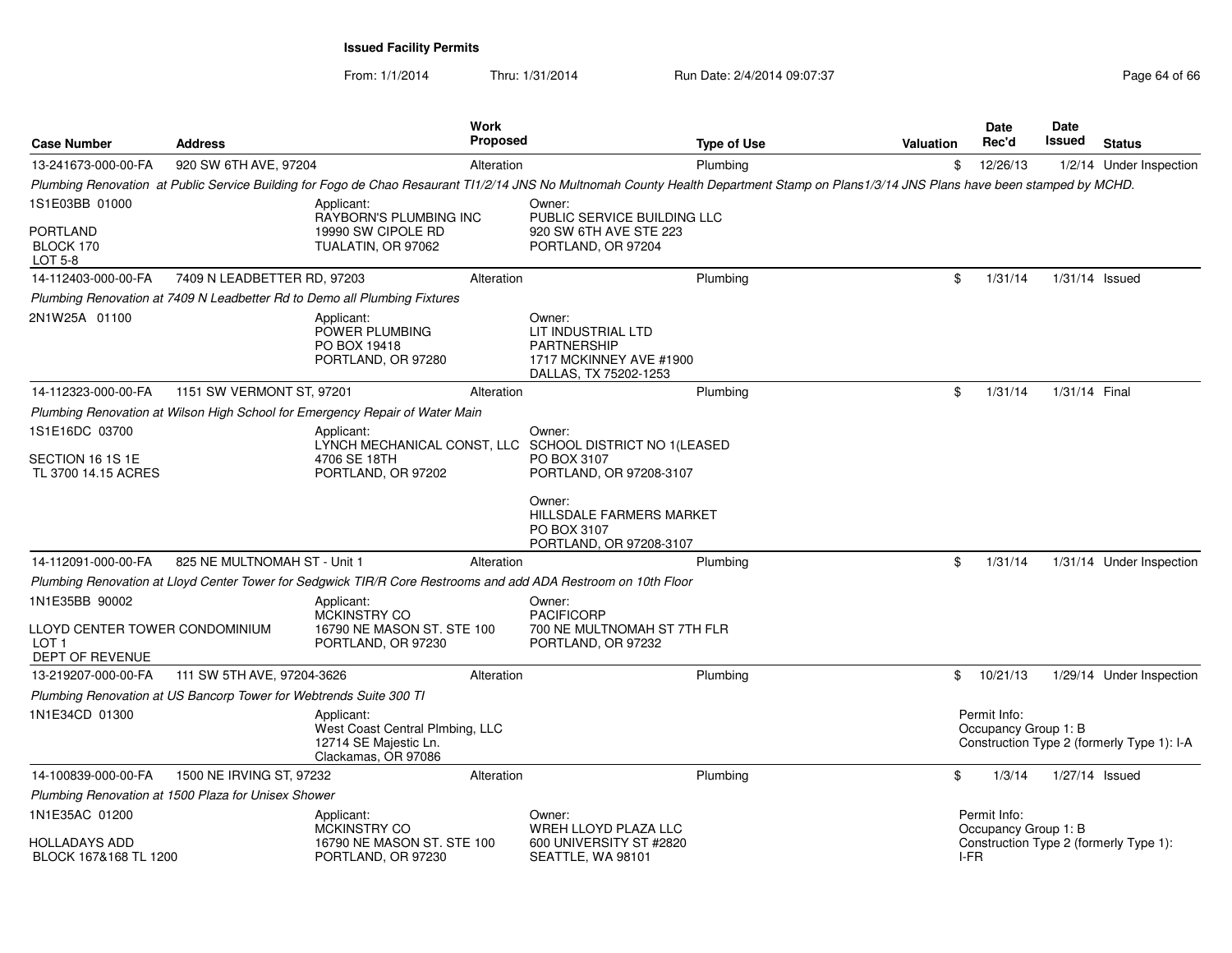From: 1/1/2014Thru: 1/31/2014 Run Date: 2/4/2014 09:07:37 Page 64 of 66

| <b>Case Number</b>                                                 | <b>Address</b>               |                                                                                               | Work<br><b>Proposed</b> |                                                                                                                                                                                         | <b>Type of Use</b> | <b>Valuation</b> |                | <b>Date</b><br>Rec'd                 | <b>Date</b><br>Issued | <b>Status</b>                              |
|--------------------------------------------------------------------|------------------------------|-----------------------------------------------------------------------------------------------|-------------------------|-----------------------------------------------------------------------------------------------------------------------------------------------------------------------------------------|--------------------|------------------|----------------|--------------------------------------|-----------------------|--------------------------------------------|
| 13-241673-000-00-FA                                                | 920 SW 6TH AVE, 97204        |                                                                                               | Alteration              |                                                                                                                                                                                         | Plumbing           |                  | \$             | 12/26/13                             |                       | 1/2/14 Under Inspection                    |
|                                                                    |                              |                                                                                               |                         | Plumbing Renovation at Public Service Building for Fogo de Chao Resaurant T11/2/14 JNS No Multnomah County Health Department Stamp on Plans 1/3/14 JNS Plans have been stamped by MCHD. |                    |                  |                |                                      |                       |                                            |
| 1S1E03BB 01000                                                     |                              | Applicant:<br>RAYBORN'S PLUMBING INC                                                          |                         | Owner:<br>PUBLIC SERVICE BUILDING LLC                                                                                                                                                   |                    |                  |                |                                      |                       |                                            |
| <b>PORTLAND</b><br>BLOCK 170<br>LOT 5-8                            |                              | 19990 SW CIPOLE RD<br>TUALATIN, OR 97062                                                      |                         | 920 SW 6TH AVE STE 223<br>PORTLAND, OR 97204                                                                                                                                            |                    |                  |                |                                      |                       |                                            |
| 14-112403-000-00-FA                                                | 7409 N LEADBETTER RD, 97203  |                                                                                               | Alteration              |                                                                                                                                                                                         | Plumbing           |                  | \$             | 1/31/14                              | $1/31/14$ Issued      |                                            |
|                                                                    |                              | Plumbing Renovation at 7409 N Leadbetter Rd to Demo all Plumbing Fixtures                     |                         |                                                                                                                                                                                         |                    |                  |                |                                      |                       |                                            |
| 2N1W25A 01100                                                      |                              | Applicant:<br>POWER PLUMBING<br>PO BOX 19418<br>PORTLAND, OR 97280                            |                         | Owner:<br>LIT INDUSTRIAL LTD<br><b>PARTNERSHIP</b><br>1717 MCKINNEY AVE #1900<br>DALLAS, TX 75202-1253                                                                                  |                    |                  |                |                                      |                       |                                            |
| 14-112323-000-00-FA                                                | 1151 SW VERMONT ST, 97201    |                                                                                               | Alteration              |                                                                                                                                                                                         | Plumbing           |                  | \$             | 1/31/14                              | 1/31/14 Final         |                                            |
|                                                                    |                              | Plumbing Renovation at Wilson High School for Emergency Repair of Water Main                  |                         |                                                                                                                                                                                         |                    |                  |                |                                      |                       |                                            |
| 1S1E16DC 03700                                                     |                              | Applicant:                                                                                    |                         | Owner:<br>LYNCH MECHANICAL CONST, LLC SCHOOL DISTRICT NO 1(LEASED                                                                                                                       |                    |                  |                |                                      |                       |                                            |
| SECTION 16 1S 1E<br>TL 3700 14.15 ACRES                            |                              | 4706 SE 18TH<br>PORTLAND, OR 97202                                                            |                         | PO BOX 3107<br>PORTLAND, OR 97208-3107                                                                                                                                                  |                    |                  |                |                                      |                       |                                            |
|                                                                    |                              |                                                                                               |                         | Owner:<br><b>HILLSDALE FARMERS MARKET</b><br>PO BOX 3107<br>PORTLAND, OR 97208-3107                                                                                                     |                    |                  |                |                                      |                       |                                            |
| 14-112091-000-00-FA                                                | 825 NE MULTNOMAH ST - Unit 1 |                                                                                               | Alteration              |                                                                                                                                                                                         | Plumbing           |                  | \$             | 1/31/14                              |                       | 1/31/14 Under Inspection                   |
|                                                                    |                              |                                                                                               |                         | Plumbing Renovation at Lloyd Center Tower for Sedgwick TIR/R Core Restrooms and add ADA Restroom on 10th Floor                                                                          |                    |                  |                |                                      |                       |                                            |
| 1N1E35BB 90002                                                     |                              | Applicant:<br><b>MCKINSTRY CO</b>                                                             |                         | Owner:<br><b>PACIFICORP</b>                                                                                                                                                             |                    |                  |                |                                      |                       |                                            |
| LLOYD CENTER TOWER CONDOMINIUM<br>LOT <sub>1</sub>                 |                              | 16790 NE MASON ST. STE 100<br>PORTLAND, OR 97230                                              |                         | 700 NE MULTNOMAH ST 7TH FLR<br>PORTLAND, OR 97232                                                                                                                                       |                    |                  |                |                                      |                       |                                            |
| DEPT OF REVENUE                                                    |                              |                                                                                               |                         |                                                                                                                                                                                         |                    |                  |                |                                      |                       |                                            |
| 13-219207-000-00-FA                                                | 111 SW 5TH AVE, 97204-3626   |                                                                                               | Alteration              |                                                                                                                                                                                         | Plumbing           |                  | $\mathfrak{S}$ | 10/21/13                             |                       | 1/29/14 Under Inspection                   |
| Plumbing Renovation at US Bancorp Tower for Webtrends Suite 300 TI |                              |                                                                                               |                         |                                                                                                                                                                                         |                    |                  |                |                                      |                       |                                            |
| 1N1E34CD 01300                                                     |                              | Applicant:<br>West Coast Central Plmbing, LLC<br>12714 SE Majestic Ln.<br>Clackamas, OR 97086 |                         |                                                                                                                                                                                         |                    |                  |                | Permit Info:<br>Occupancy Group 1: B |                       | Construction Type 2 (formerly Type 1): I-A |
| 14-100839-000-00-FA                                                | 1500 NE IRVING ST, 97232     |                                                                                               | Alteration              |                                                                                                                                                                                         | Plumbing           |                  | \$             | 1/3/14                               | $1/27/14$ Issued      |                                            |
| Plumbing Renovation at 1500 Plaza for Unisex Shower                |                              |                                                                                               |                         |                                                                                                                                                                                         |                    |                  |                |                                      |                       |                                            |
| 1N1E35AC 01200                                                     |                              | Applicant:<br>MCKINSTRY CO                                                                    |                         | Owner:<br>WREH LLOYD PLAZA LLC                                                                                                                                                          |                    |                  |                | Permit Info:<br>Occupancy Group 1: B |                       |                                            |
| <b>HOLLADAYS ADD</b><br>BLOCK 167&168 TL 1200                      |                              | 16790 NE MASON ST. STE 100<br>PORTLAND, OR 97230                                              |                         | 600 UNIVERSITY ST #2820<br>SEATTLE, WA 98101                                                                                                                                            |                    |                  | I-FR           |                                      |                       | Construction Type 2 (formerly Type 1):     |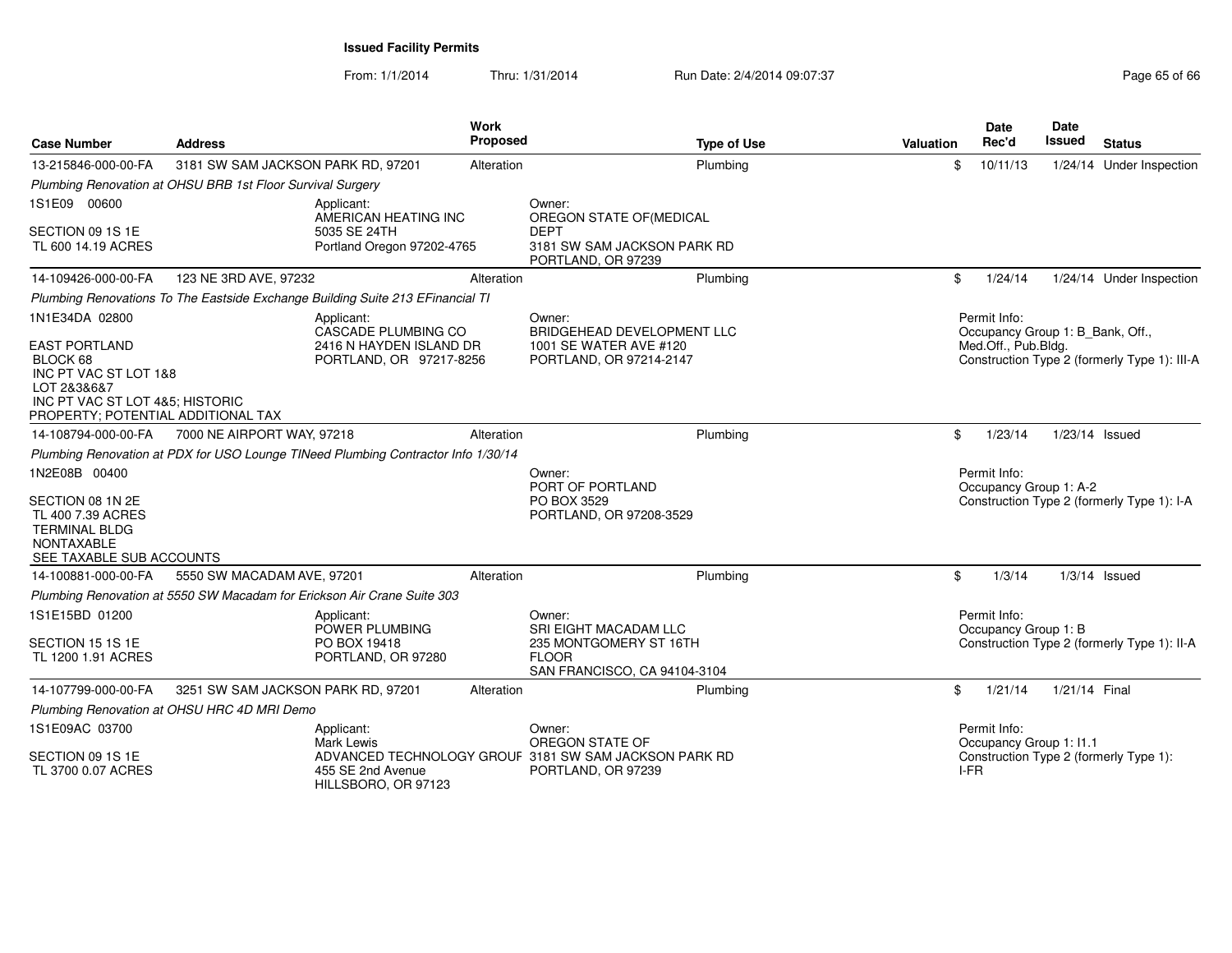From: 1/1/2014Thru: 1/31/2014 Run Date: 2/4/2014 09:07:37 Page 65 of 66

| <b>Case Number</b>                                                                                             | <b>Address</b>                                                                          | <b>Work</b><br>Proposed | <b>Type of Use</b>                                                                               | <b>Valuation</b> | <b>Date</b><br>Rec'd                                                    | <b>Date</b><br><b>Issued</b> | <b>Status</b>                                |
|----------------------------------------------------------------------------------------------------------------|-----------------------------------------------------------------------------------------|-------------------------|--------------------------------------------------------------------------------------------------|------------------|-------------------------------------------------------------------------|------------------------------|----------------------------------------------|
| 13-215846-000-00-FA                                                                                            | 3181 SW SAM JACKSON PARK RD, 97201                                                      | Alteration              | Plumbing                                                                                         | \$               | 10/11/13                                                                |                              | 1/24/14 Under Inspection                     |
|                                                                                                                | Plumbing Renovation at OHSU BRB 1st Floor Survival Surgery                              |                         |                                                                                                  |                  |                                                                         |                              |                                              |
| 1S1E09 00600<br>SECTION 09 1S 1E<br>TL 600 14.19 ACRES                                                         | Applicant:<br>AMERICAN HEATING INC<br>5035 SE 24TH<br>Portland Oregon 97202-4765        |                         | Owner:<br>OREGON STATE OF(MEDICAL<br><b>DEPT</b><br>3181 SW SAM JACKSON PARK RD                  |                  |                                                                         |                              |                                              |
|                                                                                                                |                                                                                         |                         | PORTLAND, OR 97239                                                                               |                  |                                                                         |                              |                                              |
| 14-109426-000-00-FA                                                                                            | 123 NE 3RD AVE, 97232                                                                   | Alteration              | Plumbing                                                                                         | \$               | 1/24/14                                                                 |                              | 1/24/14 Under Inspection                     |
|                                                                                                                | Plumbing Renovations To The Eastside Exchange Building Suite 213 EFinancial TI          |                         |                                                                                                  |                  |                                                                         |                              |                                              |
| 1N1E34DA 02800<br><b>EAST PORTLAND</b><br>BLOCK 68                                                             | Applicant:<br>CASCADE PLUMBING CO<br>2416 N HAYDEN ISLAND DR<br>PORTLAND, OR 97217-8256 |                         | Owner:<br><b>BRIDGEHEAD DEVELOPMENT LLC</b><br>1001 SE WATER AVE #120<br>PORTLAND, OR 97214-2147 |                  | Permit Info:<br>Occupancy Group 1: B_Bank, Off.,<br>Med.Off., Pub.Bldg. |                              | Construction Type 2 (formerly Type 1): III-A |
| INC PT VAC ST LOT 1&8<br>LOT 2&3&6&7<br>INC PT VAC ST LOT 4&5; HISTORIC<br>PROPERTY; POTENTIAL ADDITIONAL TAX  |                                                                                         |                         |                                                                                                  |                  |                                                                         |                              |                                              |
| 14-108794-000-00-FA                                                                                            | 7000 NE AIRPORT WAY, 97218                                                              | Alteration              | Plumbing                                                                                         | \$               | 1/23/14                                                                 | 1/23/14 Issued               |                                              |
|                                                                                                                | Plumbing Renovation at PDX for USO Lounge TINeed Plumbing Contractor Info 1/30/14       |                         |                                                                                                  |                  |                                                                         |                              |                                              |
| 1N2E08B 00400                                                                                                  |                                                                                         |                         | Owner:<br>PORT OF PORTLAND                                                                       |                  | Permit Info:<br>Occupancy Group 1: A-2                                  |                              |                                              |
| SECTION 08 1N 2E<br>TL 400 7.39 ACRES<br><b>TERMINAL BLDG</b><br><b>NONTAXABLE</b><br>SEE TAXABLE SUB ACCOUNTS |                                                                                         |                         | PO BOX 3529<br>PORTLAND, OR 97208-3529                                                           |                  |                                                                         |                              | Construction Type 2 (formerly Type 1): I-A   |
| 14-100881-000-00-FA                                                                                            | 5550 SW MACADAM AVE, 97201                                                              | Alteration              | Plumbing                                                                                         | \$               | 1/3/14                                                                  |                              | $1/3/14$ Issued                              |
|                                                                                                                | Plumbing Renovation at 5550 SW Macadam for Erickson Air Crane Suite 303                 |                         |                                                                                                  |                  |                                                                         |                              |                                              |
| 1S1E15BD 01200                                                                                                 | Applicant:<br>POWER PLUMBING                                                            |                         | Owner:<br>SRI EIGHT MACADAM LLC                                                                  |                  | Permit Info:<br>Occupancy Group 1: B                                    |                              |                                              |
| SECTION 15 1S 1E<br>TL 1200 1.91 ACRES                                                                         | PO BOX 19418<br>PORTLAND, OR 97280                                                      |                         | 235 MONTGOMERY ST 16TH<br><b>FLOOR</b><br>SAN FRANCISCO, CA 94104-3104                           |                  |                                                                         |                              | Construction Type 2 (formerly Type 1): II-A  |
| 14-107799-000-00-FA                                                                                            | 3251 SW SAM JACKSON PARK RD, 97201                                                      | Alteration              | Plumbing                                                                                         | \$               | 1/21/14                                                                 | 1/21/14 Final                |                                              |
|                                                                                                                | Plumbing Renovation at OHSU HRC 4D MRI Demo                                             |                         |                                                                                                  |                  |                                                                         |                              |                                              |
| 1S1E09AC 03700                                                                                                 | Applicant:<br>Mark Lewis                                                                |                         | Owner:<br>OREGON STATE OF                                                                        |                  | Permit Info:<br>Occupancy Group 1: I1.1                                 |                              |                                              |
| SECTION 09 1S 1E<br>TL 3700 0.07 ACRES                                                                         | 455 SE 2nd Avenue<br>HILLSBORO, OR 97123                                                |                         | ADVANCED TECHNOLOGY GROUF 3181 SW SAM JACKSON PARK RD<br>PORTLAND, OR 97239                      | I-FR             |                                                                         |                              | Construction Type 2 (formerly Type 1):       |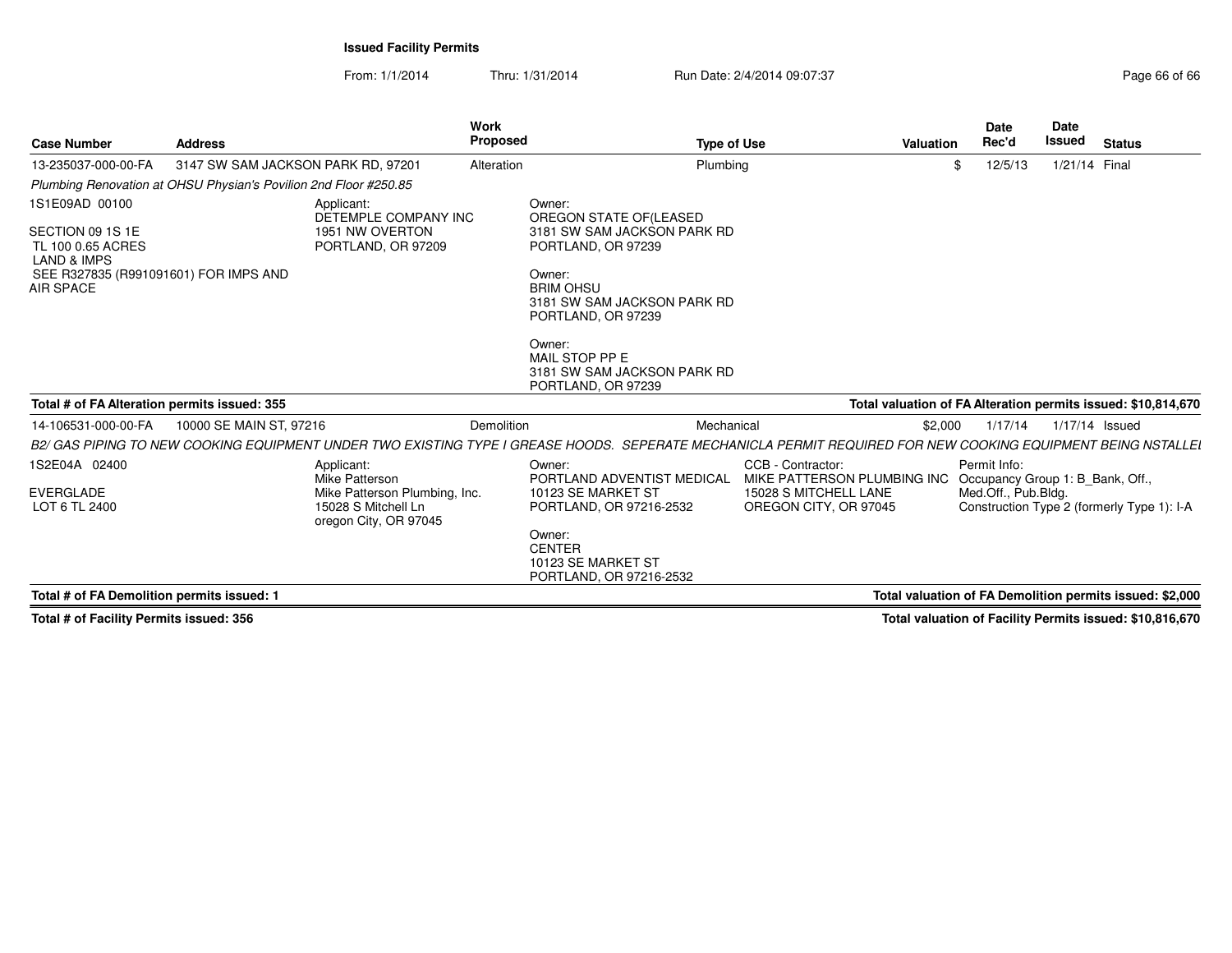From: 1/1/2014Thru: 1/31/2014 Run Date: 2/4/2014 09:07:37 Page 66 of 66

| <b>Case Number</b>                                                                                                                             | <b>Address</b>                                                   |                                                                                                               | Work<br>Proposed  |                                                                                                                                                                                                                                      | <b>Type of Use</b>                                                                                 | Valuation | <b>Date</b><br>Rec'd                                                    | <b>Date</b><br><b>Issued</b> | <b>Status</b>                                                 |
|------------------------------------------------------------------------------------------------------------------------------------------------|------------------------------------------------------------------|---------------------------------------------------------------------------------------------------------------|-------------------|--------------------------------------------------------------------------------------------------------------------------------------------------------------------------------------------------------------------------------------|----------------------------------------------------------------------------------------------------|-----------|-------------------------------------------------------------------------|------------------------------|---------------------------------------------------------------|
| 13-235037-000-00-FA                                                                                                                            | 3147 SW SAM JACKSON PARK RD, 97201                               |                                                                                                               | Alteration        |                                                                                                                                                                                                                                      | Plumbing                                                                                           |           | 12/5/13                                                                 | 1/21/14 Final                |                                                               |
|                                                                                                                                                | Plumbing Renovation at OHSU Physian's Povilion 2nd Floor #250.85 |                                                                                                               |                   |                                                                                                                                                                                                                                      |                                                                                                    |           |                                                                         |                              |                                                               |
| 1S1E09AD 00100<br>SECTION 09 1S 1E<br>TL 100 0.65 ACRES<br><b>LAND &amp; IMPS</b><br>SEE R327835 (R991091601) FOR IMPS AND<br><b>AIR SPACE</b> |                                                                  | Applicant:<br>DETEMPLE COMPANY INC<br>1951 NW OVERTON<br>PORTLAND, OR 97209                                   |                   | Owner:<br>OREGON STATE OF (LEASED<br>3181 SW SAM JACKSON PARK RD<br>PORTLAND, OR 97239<br>Owner:<br><b>BRIM OHSU</b><br>3181 SW SAM JACKSON PARK RD<br>PORTLAND, OR 97239<br>Owner:<br>MAIL STOP PP E<br>3181 SW SAM JACKSON PARK RD |                                                                                                    |           |                                                                         |                              |                                                               |
| Total # of FA Alteration permits issued: 355                                                                                                   |                                                                  |                                                                                                               |                   | PORTLAND, OR 97239                                                                                                                                                                                                                   |                                                                                                    |           |                                                                         |                              | Total valuation of FA Alteration permits issued: \$10,814,670 |
| 14-106531-000-00-FA                                                                                                                            | 10000 SE MAIN ST, 97216                                          |                                                                                                               | <b>Demolition</b> |                                                                                                                                                                                                                                      | Mechanical                                                                                         | \$2,000   | 1/17/14                                                                 | 1/17/14 Issued               |                                                               |
|                                                                                                                                                |                                                                  |                                                                                                               |                   | B2/ GAS PIPING TO NEW COOKING EQUIPMENT UNDER TWO EXISTING TYPE I GREASE HOODS. SEPERATE MECHANICLA PERMIT REQUIRED FOR NEW COOKING EQUIPMENT BEING NSTALLEI                                                                         |                                                                                                    |           |                                                                         |                              |                                                               |
| 1S2E04A 02400<br>EVERGLADE<br>LOT 6 TL 2400                                                                                                    |                                                                  | Applicant:<br>Mike Patterson<br>Mike Patterson Plumbing, Inc.<br>15028 S Mitchell Ln<br>oregon City, OR 97045 |                   | Owner:<br>PORTLAND ADVENTIST MEDICAL<br>10123 SE MARKET ST<br>PORTLAND, OR 97216-2532<br>Owner:<br><b>CENTER</b><br>10123 SE MARKET ST<br>PORTLAND, OR 97216-2532                                                                    | CCB - Contractor:<br>MIKE PATTERSON PLUMBING INC<br>15028 S MITCHELL LANE<br>OREGON CITY, OR 97045 |           | Permit Info:<br>Occupancy Group 1: B Bank, Off.,<br>Med.Off., Pub.Bldg. |                              | Construction Type 2 (formerly Type 1): I-A                    |
| Total # of FA Demolition permits issued: 1                                                                                                     |                                                                  |                                                                                                               |                   |                                                                                                                                                                                                                                      |                                                                                                    |           |                                                                         |                              | Total valuation of FA Demolition permits issued: \$2,000      |
|                                                                                                                                                |                                                                  |                                                                                                               |                   |                                                                                                                                                                                                                                      |                                                                                                    |           |                                                                         |                              |                                                               |

**Total # of Facility Permits issued: 356**

**Total valuation of Facility Permits issued: \$10,816,670**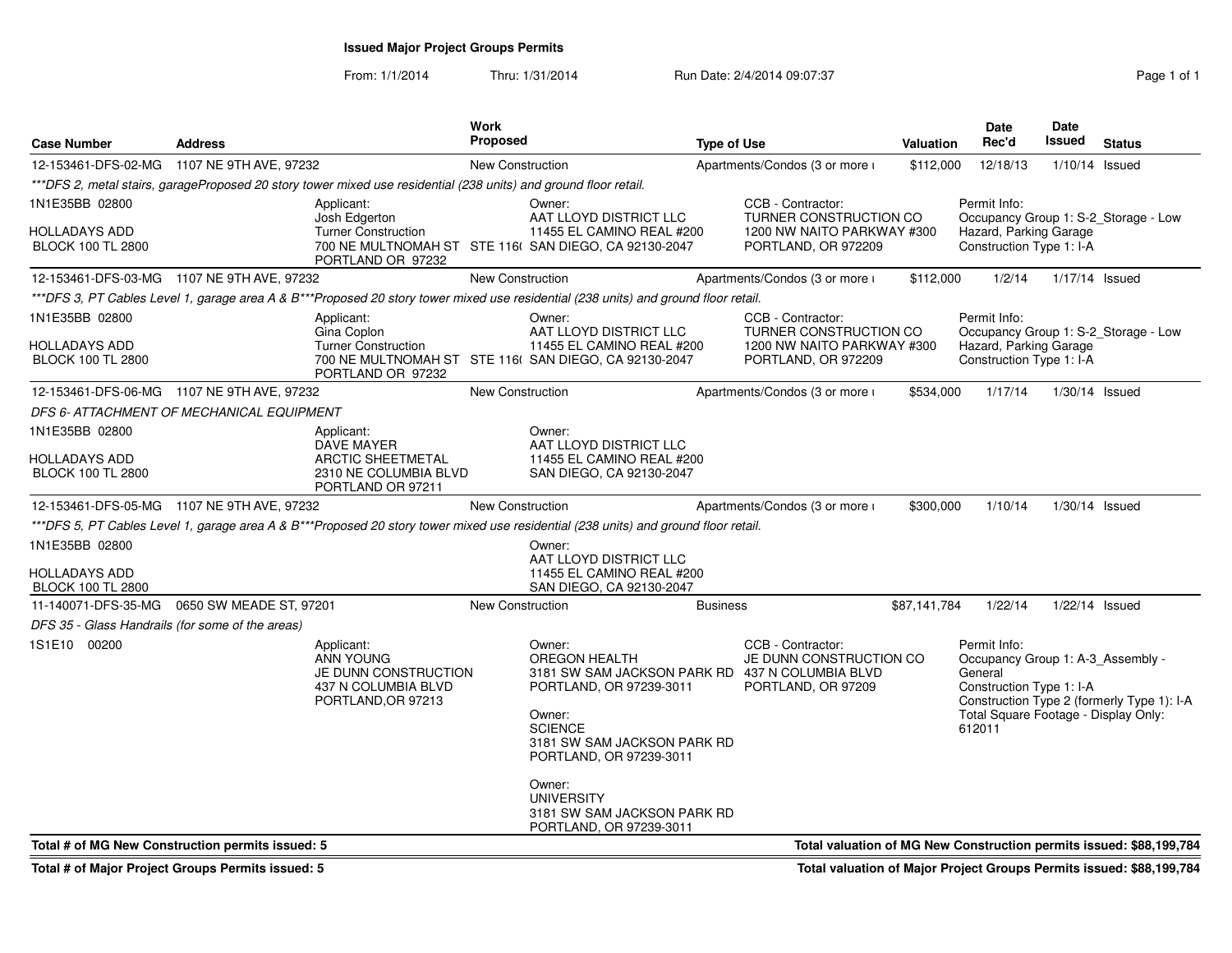**Issued Major Project Groups Permits**

From: 1/1/2014Thru: 1/31/2014 **Run Date: 2/4/2014 09:07:37** Page 1 of 1

| <b>Case Number</b>                               | <b>Address</b>          |                                                                                                                  | <b>Work</b><br><b>Proposed</b> | <b>Type of Use</b>                                                                                                                                                                                           |                 |                                                                    |              | <b>Date</b><br>Rec'd<br>Valuation                                                                                                          |                  | <b>Status</b>                                                       |
|--------------------------------------------------|-------------------------|------------------------------------------------------------------------------------------------------------------|--------------------------------|--------------------------------------------------------------------------------------------------------------------------------------------------------------------------------------------------------------|-----------------|--------------------------------------------------------------------|--------------|--------------------------------------------------------------------------------------------------------------------------------------------|------------------|---------------------------------------------------------------------|
| 12-153461-DFS-02-MG 1107 NE 9TH AVE, 97232       |                         |                                                                                                                  | New Construction               |                                                                                                                                                                                                              |                 | Apartments/Condos (3 or more i                                     |              | 12/18/13<br>\$112,000                                                                                                                      |                  | $1/10/14$ Issued                                                    |
|                                                  |                         | ***DFS 2, metal stairs, garageProposed 20 story tower mixed use residential (238 units) and ground floor retail. |                                |                                                                                                                                                                                                              |                 |                                                                    |              |                                                                                                                                            |                  |                                                                     |
| 1N1E35BB 02800                                   |                         | Applicant:<br>Josh Edgerton                                                                                      |                                | Owner:<br>AAT LLOYD DISTRICT LLC                                                                                                                                                                             |                 | CCB - Contractor:<br>TURNER CONSTRUCTION CO                        |              | Permit Info:                                                                                                                               |                  | Occupancy Group 1: S-2_Storage - Low                                |
| HOLLADAYS ADD<br><b>BLOCK 100 TL 2800</b>        |                         | <b>Turner Construction</b><br>PORTLAND OR 97232                                                                  |                                | 11455 EL CAMINO REAL #200<br>700 NE MULTNOMAH ST STE 116( SAN DIEGO, CA 92130-2047                                                                                                                           |                 | 1200 NW NAITO PARKWAY #300<br>PORTLAND, OR 972209                  |              | Hazard, Parking Garage<br>Construction Type 1: I-A                                                                                         |                  |                                                                     |
| 12-153461-DFS-03-MG 1107 NE 9TH AVE, 97232       |                         |                                                                                                                  | <b>New Construction</b>        |                                                                                                                                                                                                              |                 | Apartments/Condos (3 or more i                                     | \$112,000    | 1/2/14                                                                                                                                     | 1/17/14 Issued   |                                                                     |
|                                                  |                         |                                                                                                                  |                                | ***DFS 3, PT Cables Level 1, garage area A & B***Proposed 20 story tower mixed use residential (238 units) and ground floor retail.                                                                          |                 |                                                                    |              |                                                                                                                                            |                  |                                                                     |
| 1N1E35BB 02800                                   |                         | Applicant:<br>Gina Coplon                                                                                        |                                | Owner:<br>AAT LLOYD DISTRICT LLC                                                                                                                                                                             |                 | CCB - Contractor:<br>TURNER CONSTRUCTION CO                        |              | Permit Info:                                                                                                                               |                  | Occupancy Group 1: S-2_Storage - Low                                |
| HOLLADAYS ADD<br><b>BLOCK 100 TL 2800</b>        |                         | <b>Turner Construction</b><br>PORTLAND OR 97232                                                                  |                                | 11455 EL CAMINO REAL #200<br>700 NE MULTNOMAH ST STE 116( SAN DIEGO, CA 92130-2047                                                                                                                           |                 | 1200 NW NAITO PARKWAY #300<br>PORTLAND, OR 972209                  |              | Hazard, Parking Garage<br>Construction Type 1: I-A                                                                                         |                  |                                                                     |
| 12-153461-DFS-06-MG 1107 NE 9TH AVE, 97232       |                         |                                                                                                                  | New Construction               |                                                                                                                                                                                                              |                 | Apartments/Condos (3 or more i                                     | \$534,000    | 1/17/14                                                                                                                                    | $1/30/14$ Issued |                                                                     |
| DFS 6- ATTACHMENT OF MECHANICAL EQUIPMENT        |                         |                                                                                                                  |                                |                                                                                                                                                                                                              |                 |                                                                    |              |                                                                                                                                            |                  |                                                                     |
| 1N1E35BB 02800                                   |                         | Applicant:<br><b>DAVE MAYER</b>                                                                                  |                                | Owner:<br>AAT LLOYD DISTRICT LLC                                                                                                                                                                             |                 |                                                                    |              |                                                                                                                                            |                  |                                                                     |
| HOLLADAYS ADD<br><b>BLOCK 100 TL 2800</b>        |                         | <b>ARCTIC SHEETMETAL</b><br>2310 NE COLUMBIA BLVD<br>PORTLAND OR 97211                                           |                                | 11455 EL CAMINO REAL #200<br>SAN DIEGO, CA 92130-2047                                                                                                                                                        |                 |                                                                    |              |                                                                                                                                            |                  |                                                                     |
| 12-153461-DFS-05-MG 1107 NE 9TH AVE, 97232       |                         |                                                                                                                  | <b>New Construction</b>        |                                                                                                                                                                                                              |                 | Apartments/Condos (3 or more i                                     | \$300,000    | 1/10/14                                                                                                                                    | $1/30/14$ Issued |                                                                     |
|                                                  |                         |                                                                                                                  |                                | ***DFS 5, PT Cables Level 1, garage area A & B***Proposed 20 story tower mixed use residential (238 units) and ground floor retail.                                                                          |                 |                                                                    |              |                                                                                                                                            |                  |                                                                     |
| 1N1E35BB 02800                                   |                         |                                                                                                                  |                                | Owner:<br>AAT LLOYD DISTRICT LLC                                                                                                                                                                             |                 |                                                                    |              |                                                                                                                                            |                  |                                                                     |
| HOLLADAYS ADD<br><b>BLOCK 100 TL 2800</b>        |                         |                                                                                                                  |                                | 11455 EL CAMINO REAL #200<br>SAN DIEGO, CA 92130-2047                                                                                                                                                        |                 |                                                                    |              |                                                                                                                                            |                  |                                                                     |
| 11-140071-DFS-35-MG                              | 0650 SW MEADE ST, 97201 |                                                                                                                  | <b>New Construction</b>        |                                                                                                                                                                                                              | <b>Business</b> |                                                                    | \$87,141,784 | 1/22/14                                                                                                                                    | $1/22/14$ Issued |                                                                     |
| DFS 35 - Glass Handrails (for some of the areas) |                         |                                                                                                                  |                                |                                                                                                                                                                                                              |                 |                                                                    |              |                                                                                                                                            |                  |                                                                     |
| 1S1E10 00200                                     |                         | Applicant:<br><b>ANN YOUNG</b><br>JE DUNN CONSTRUCTION<br>437 N COLUMBIA BLVD<br>PORTLAND, OR 97213              |                                | Owner:<br><b>OREGON HEALTH</b><br>3181 SW SAM JACKSON PARK RD 437 N COLUMBIA BLVD<br>PORTLAND, OR 97239-3011<br>Owner:<br><b>SCIENCE</b><br>3181 SW SAM JACKSON PARK RD<br>PORTLAND, OR 97239-3011<br>Owner: |                 | CCB - Contractor:<br>JE DUNN CONSTRUCTION CO<br>PORTLAND, OR 97209 |              | Permit Info:<br>Occupancy Group 1: A-3_Assembly -<br>General<br>Construction Type 1: I-A<br>Total Square Footage - Display Only:<br>612011 |                  | Construction Type 2 (formerly Type 1): I-A                          |
| Total # of MG New Construction permits issued: 5 |                         |                                                                                                                  |                                | <b>UNIVERSITY</b><br>3181 SW SAM JACKSON PARK RD<br>PORTLAND, OR 97239-3011                                                                                                                                  |                 |                                                                    |              |                                                                                                                                            |                  | Total valuation of MG New Construction permits issued: \$88,199,784 |

**Total # of Major Project Groups Permits issued: 5**

**Total valuation of Major Project Groups Permits issued: \$88,199,784**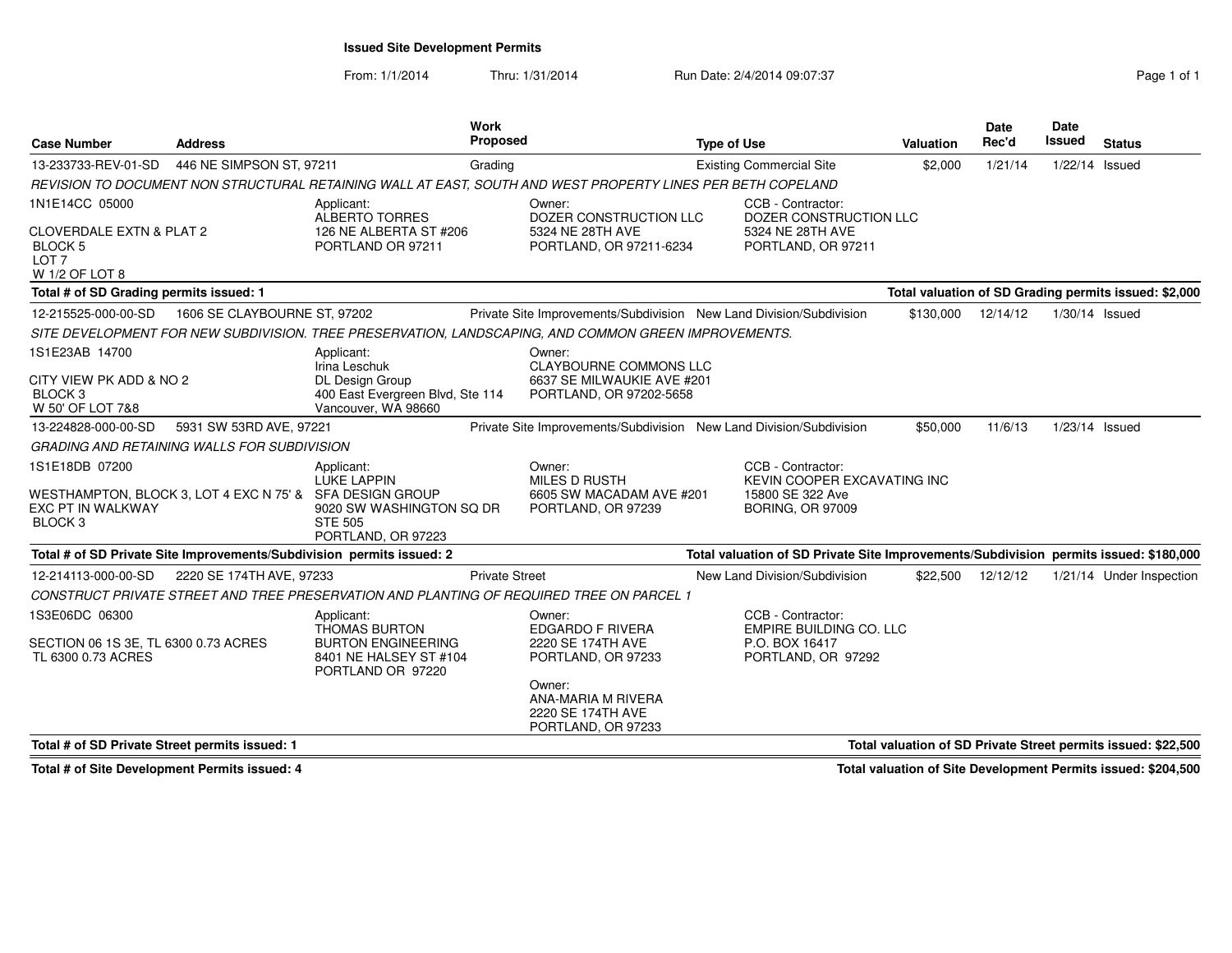**Issued Site Development Permits**

From: 1/1/2014

Thru: 1/31/2014 Run Date: 2/4/2014 09:07:37 Run Date: 2/4/2014 09:07:37

| <b>Case Number</b>                                                                                                    | <b>Address</b>               |                                                                                                                  | <b>Work</b><br>Proposed |                                                                                                                                                         | <b>Type of Use</b> |                                                                                                 | Valuation | <b>Date</b><br>Rec'd | <b>Date</b><br>Issued | <b>Status</b>                                                 |
|-----------------------------------------------------------------------------------------------------------------------|------------------------------|------------------------------------------------------------------------------------------------------------------|-------------------------|---------------------------------------------------------------------------------------------------------------------------------------------------------|--------------------|-------------------------------------------------------------------------------------------------|-----------|----------------------|-----------------------|---------------------------------------------------------------|
| 13-233733-REV-01-SD                                                                                                   | 446 NE SIMPSON ST, 97211     |                                                                                                                  | Grading                 |                                                                                                                                                         |                    | <b>Existing Commercial Site</b>                                                                 | \$2,000   | 1/21/14              | 1/22/14 Issued        |                                                               |
|                                                                                                                       |                              |                                                                                                                  |                         | REVISION TO DOCUMENT NON STRUCTURAL RETAINING WALL AT EAST, SOUTH AND WEST PROPERTY LINES PER BETH COPELAND                                             |                    |                                                                                                 |           |                      |                       |                                                               |
| 1N1E14CC 05000<br><b>CLOVERDALE EXTN &amp; PLAT 2</b><br><b>BLOCK5</b><br>LOT <sub>7</sub><br>W 1/2 OF LOT 8          |                              | Applicant:<br><b>ALBERTO TORRES</b><br>126 NE ALBERTA ST #206<br>PORTLAND OR 97211                               |                         | Owner:<br>DOZER CONSTRUCTION LLC<br>5324 NE 28TH AVE<br>PORTLAND, OR 97211-6234                                                                         |                    | CCB - Contractor:<br>DOZER CONSTRUCTION LLC<br>5324 NE 28TH AVE<br>PORTLAND, OR 97211           |           |                      |                       |                                                               |
| Total # of SD Grading permits issued: 1                                                                               |                              |                                                                                                                  |                         |                                                                                                                                                         |                    |                                                                                                 |           |                      |                       | Total valuation of SD Grading permits issued: \$2,000         |
| 12-215525-000-00-SD                                                                                                   | 1606 SE CLAYBOURNE ST, 97202 |                                                                                                                  |                         | Private Site Improvements/Subdivision New Land Division/Subdivision                                                                                     |                    |                                                                                                 | \$130,000 | 12/14/12             | $1/30/14$ Issued      |                                                               |
|                                                                                                                       |                              |                                                                                                                  |                         | SITE DEVELOPMENT FOR NEW SUBDIVISION. TREE PRESERVATION, LANDSCAPING, AND COMMON GREEN IMPROVEMENTS.                                                    |                    |                                                                                                 |           |                      |                       |                                                               |
| 1S1E23AB 14700<br>CITY VIEW PK ADD & NO 2<br>BLOCK <sub>3</sub><br>W 50' OF LOT 7&8                                   |                              | Applicant:<br>Irina Leschuk<br><b>DL Design Group</b><br>400 East Evergreen Blvd, Ste 114<br>Vancouver, WA 98660 |                         | Owner:<br><b>CLAYBOURNE COMMONS LLC</b><br>6637 SE MILWAUKIE AVE #201<br>PORTLAND, OR 97202-5658                                                        |                    |                                                                                                 |           |                      |                       |                                                               |
| 13-224828-000-00-SD                                                                                                   | 5931 SW 53RD AVE, 97221      |                                                                                                                  |                         | Private Site Improvements/Subdivision New Land Division/Subdivision                                                                                     |                    |                                                                                                 | \$50,000  | 11/6/13              | 1/23/14 Issued        |                                                               |
| <b>GRADING AND RETAINING WALLS FOR SUBDIVISION</b>                                                                    |                              |                                                                                                                  |                         |                                                                                                                                                         |                    |                                                                                                 |           |                      |                       |                                                               |
| 1S1E18DB 07200<br>WESTHAMPTON, BLOCK 3, LOT 4 EXC N 75' & SFA DESIGN GROUP<br>EXC PT IN WALKWAY<br>BLOCK <sub>3</sub> |                              | Applicant:<br>LUKE LAPPIN<br>9020 SW WASHINGTON SQ DR<br><b>STE 505</b><br>PORTLAND, OR 97223                    |                         | Owner:<br><b>MILES D RUSTH</b><br>6605 SW MACADAM AVE #201<br>PORTLAND, OR 97239                                                                        |                    | CCB - Contractor:<br>KEVIN COOPER EXCAVATING INC<br>15800 SE 322 Ave<br><b>BORING, OR 97009</b> |           |                      |                       |                                                               |
|                                                                                                                       |                              | Total # of SD Private Site Improvements/Subdivision permits issued: 2                                            |                         |                                                                                                                                                         |                    | Total valuation of SD Private Site Improvements/Subdivision permits issued: \$180,000           |           |                      |                       |                                                               |
| 12-214113-000-00-SD                                                                                                   | 2220 SE 174TH AVE, 97233     |                                                                                                                  | <b>Private Street</b>   | CONSTRUCT PRIVATE STREET AND TREE PRESERVATION AND PLANTING OF REQUIRED TREE ON PARCEL 1                                                                |                    | New Land Division/Subdivision                                                                   | \$22,500  | 12/12/12             |                       | 1/21/14 Under Inspection                                      |
| 1S3E06DC 06300<br>SECTION 06 1S 3E. TL 6300 0.73 ACRES<br>TL 6300 0.73 ACRES                                          |                              | Applicant:<br><b>THOMAS BURTON</b><br><b>BURTON ENGINEERING</b><br>8401 NE HALSEY ST #104<br>PORTLAND OR 97220   |                         | Owner:<br><b>EDGARDO F RIVERA</b><br>2220 SE 174TH AVE<br>PORTLAND, OR 97233<br>Owner:<br>ANA-MARIA M RIVERA<br>2220 SE 174TH AVE<br>PORTLAND, OR 97233 |                    | CCB - Contractor:<br><b>EMPIRE BUILDING CO. LLC</b><br>P.O. BOX 16417<br>PORTLAND, OR 97292     |           |                      |                       |                                                               |
| Total # of SD Private Street permits issued: 1                                                                        |                              |                                                                                                                  |                         |                                                                                                                                                         |                    |                                                                                                 |           |                      |                       | Total valuation of SD Private Street permits issued: \$22,500 |

**Total # of Site Development Permits issued: 4**

**Total valuation of Site Development Permits issued: \$204,500**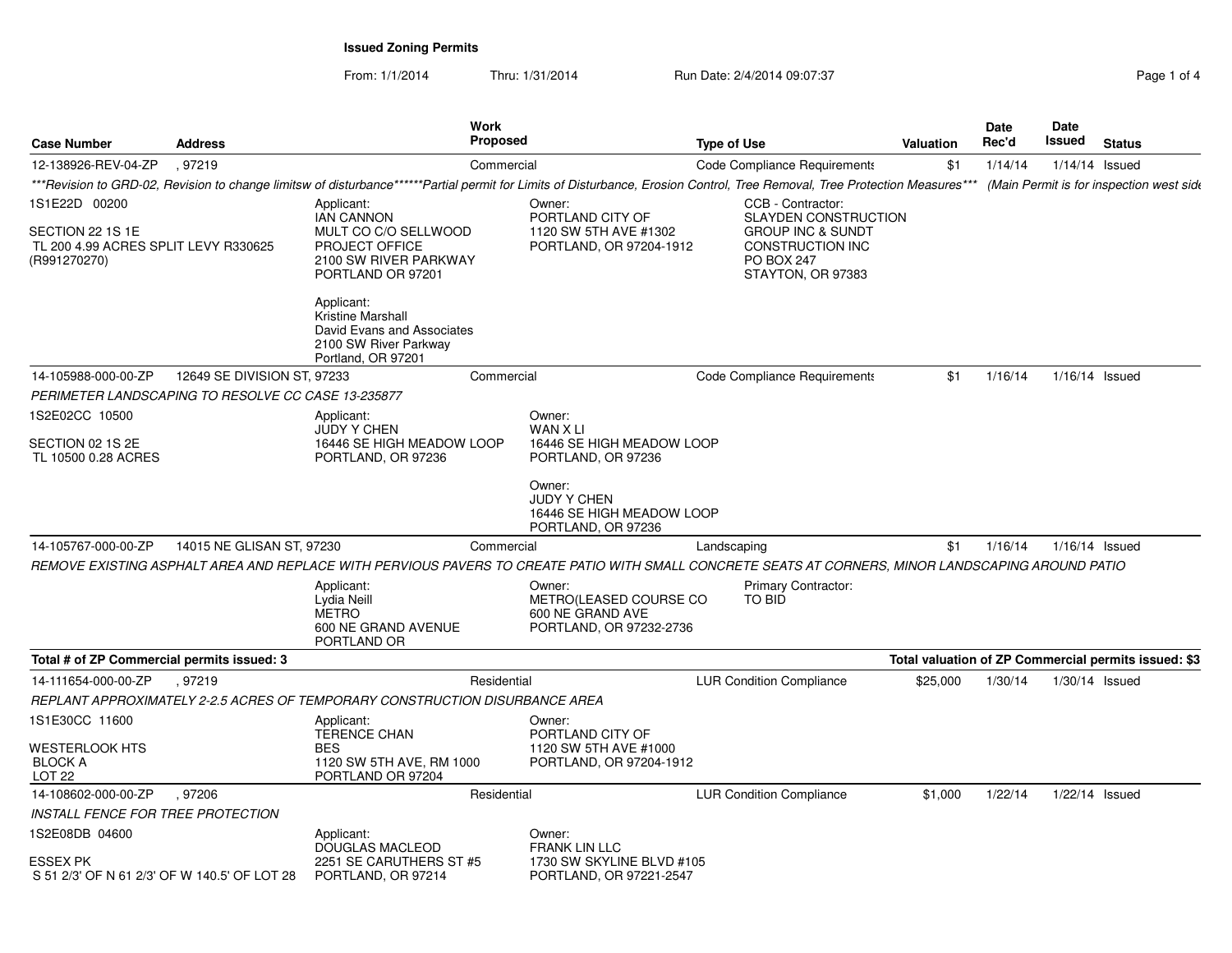From: 1/1/2014Thru: 1/31/2014 Run Date: 2/4/2014 09:07:37 Pag

| Page 1 of 4 |  |  |  |
|-------------|--|--|--|
|-------------|--|--|--|

| <b>Case Number</b>                                                       | <b>Address</b>              | Work                                                                                                         | Proposed                                                                                                                                                                   | <b>Type of Use</b>                   |                                                                              | <b>Valuation</b> | <b>Date</b><br>Rec'd | Date<br>Issued | <b>Status</b>                                        |
|--------------------------------------------------------------------------|-----------------------------|--------------------------------------------------------------------------------------------------------------|----------------------------------------------------------------------------------------------------------------------------------------------------------------------------|--------------------------------------|------------------------------------------------------------------------------|------------------|----------------------|----------------|------------------------------------------------------|
| 12-138926-REV-04-ZP                                                      | .97219                      |                                                                                                              | Commercial                                                                                                                                                                 | Code Compliance Requirements         |                                                                              | \$1              | 1/14/14              |                | $1/14/14$ Issued                                     |
|                                                                          |                             |                                                                                                              | ***Revision to GRD-02, Revision to change limitsw of disturbance******Partial permit for Limits of Disturbance, Erosion Control, Tree Removal, Tree Protection Measures*** |                                      |                                                                              |                  |                      |                | (Main Permit is for inspection west side             |
| 1S1E22D 00200                                                            |                             | Applicant:<br><b>IAN CANNON</b>                                                                              | Owner:<br>PORTLAND CITY OF                                                                                                                                                 | CCB - Contractor:                    | <b>SLAYDEN CONSTRUCTION</b>                                                  |                  |                      |                |                                                      |
| SECTION 22 1S 1E<br>TL 200 4.99 ACRES SPLIT LEVY R330625<br>(R991270270) |                             | MULT CO C/O SELLWOOD<br>PROJECT OFFICE<br>2100 SW RIVER PARKWAY<br>PORTLAND OR 97201                         | 1120 SW 5TH AVE #1302<br>PORTLAND, OR 97204-1912                                                                                                                           | <b>PO BOX 247</b>                    | <b>GROUP INC &amp; SUNDT</b><br><b>CONSTRUCTION INC</b><br>STAYTON, OR 97383 |                  |                      |                |                                                      |
|                                                                          |                             | Applicant:<br>Kristine Marshall<br>David Evans and Associates<br>2100 SW River Parkway<br>Portland, OR 97201 |                                                                                                                                                                            |                                      |                                                                              |                  |                      |                |                                                      |
| 14-105988-000-00-ZP                                                      | 12649 SE DIVISION ST, 97233 |                                                                                                              | Commercial                                                                                                                                                                 | Code Compliance Requirements         |                                                                              | \$1              | 1/16/14              | 1/16/14 Issued |                                                      |
| PERIMETER LANDSCAPING TO RESOLVE CC CASE 13-235877                       |                             |                                                                                                              |                                                                                                                                                                            |                                      |                                                                              |                  |                      |                |                                                      |
| 1S2E02CC 10500                                                           |                             | Applicant:<br><b>JUDY Y CHEN</b>                                                                             | Owner:<br>WAN X LI                                                                                                                                                         |                                      |                                                                              |                  |                      |                |                                                      |
| SECTION 02 1S 2E<br>TL 10500 0.28 ACRES                                  |                             | 16446 SE HIGH MEADOW LOOP<br>PORTLAND, OR 97236                                                              | 16446 SE HIGH MEADOW LOOP<br>PORTLAND, OR 97236                                                                                                                            |                                      |                                                                              |                  |                      |                |                                                      |
|                                                                          |                             |                                                                                                              | Owner:<br><b>JUDY Y CHEN</b><br>16446 SE HIGH MEADOW LOOP<br>PORTLAND, OR 97236                                                                                            |                                      |                                                                              |                  |                      |                |                                                      |
| 14-105767-000-00-ZP                                                      | 14015 NE GLISAN ST, 97230   |                                                                                                              | Commercial                                                                                                                                                                 | Landscaping                          |                                                                              | \$1              | 1/16/14              | 1/16/14 Issued |                                                      |
|                                                                          |                             |                                                                                                              | REMOVE EXISTING ASPHALT AREA AND REPLACE WITH PERVIOUS PAVERS TO CREATE PATIO WITH SMALL CONCRETE SEATS AT CORNERS, MINOR LANDSCAPING AROUND PATIO                         |                                      |                                                                              |                  |                      |                |                                                      |
|                                                                          |                             | Applicant:<br>Lydia Neill<br><b>METRO</b><br>600 NE GRAND AVENUE<br>PORTLAND OR                              | Owner:<br>METRO(LEASED COURSE CO<br>600 NE GRAND AVE<br>PORTLAND, OR 97232-2736                                                                                            | <b>Primary Contractor:</b><br>TO BID |                                                                              |                  |                      |                |                                                      |
| Total # of ZP Commercial permits issued: 3                               |                             |                                                                                                              |                                                                                                                                                                            |                                      |                                                                              |                  |                      |                | Total valuation of ZP Commercial permits issued: \$3 |
| 14-111654-000-00-ZP                                                      | .97219                      |                                                                                                              | Residential                                                                                                                                                                | <b>LUR Condition Compliance</b>      |                                                                              | \$25,000         | 1/30/14              | 1/30/14 Issued |                                                      |
|                                                                          |                             | REPLANT APPROXIMATELY 2-2.5 ACRES OF TEMPORARY CONSTRUCTION DISURBANCE AREA                                  |                                                                                                                                                                            |                                      |                                                                              |                  |                      |                |                                                      |
| 1S1E30CC 11600                                                           |                             | Applicant:<br><b>TERENCE CHAN</b>                                                                            | Owner:<br>PORTLAND CITY OF                                                                                                                                                 |                                      |                                                                              |                  |                      |                |                                                      |
| <b>WESTERLOOK HTS</b><br><b>BLOCK A</b><br>LOT <sub>22</sub>             |                             | <b>BES</b><br>1120 SW 5TH AVE, RM 1000<br>PORTLAND OR 97204                                                  | 1120 SW 5TH AVE #1000<br>PORTLAND, OR 97204-1912                                                                                                                           |                                      |                                                                              |                  |                      |                |                                                      |
| 14-108602-000-00-ZP                                                      | .97206                      |                                                                                                              | Residential                                                                                                                                                                | <b>LUR Condition Compliance</b>      |                                                                              | \$1,000          | 1/22/14              | 1/22/14 Issued |                                                      |
| <b>INSTALL FENCE FOR TREE PROTECTION</b>                                 |                             |                                                                                                              |                                                                                                                                                                            |                                      |                                                                              |                  |                      |                |                                                      |
| 1S2E08DB 04600                                                           |                             | Applicant:<br>DOUGLAS MACLEOD                                                                                | Owner:<br><b>FRANK LIN LLC</b>                                                                                                                                             |                                      |                                                                              |                  |                      |                |                                                      |
| ESSEX PK<br>S 51 2/3' OF N 61 2/3' OF W 140.5' OF LOT 28                 |                             | 2251 SE CARUTHERS ST #5<br>PORTLAND, OR 97214                                                                | 1730 SW SKYLINE BLVD #105<br>PORTLAND, OR 97221-2547                                                                                                                       |                                      |                                                                              |                  |                      |                |                                                      |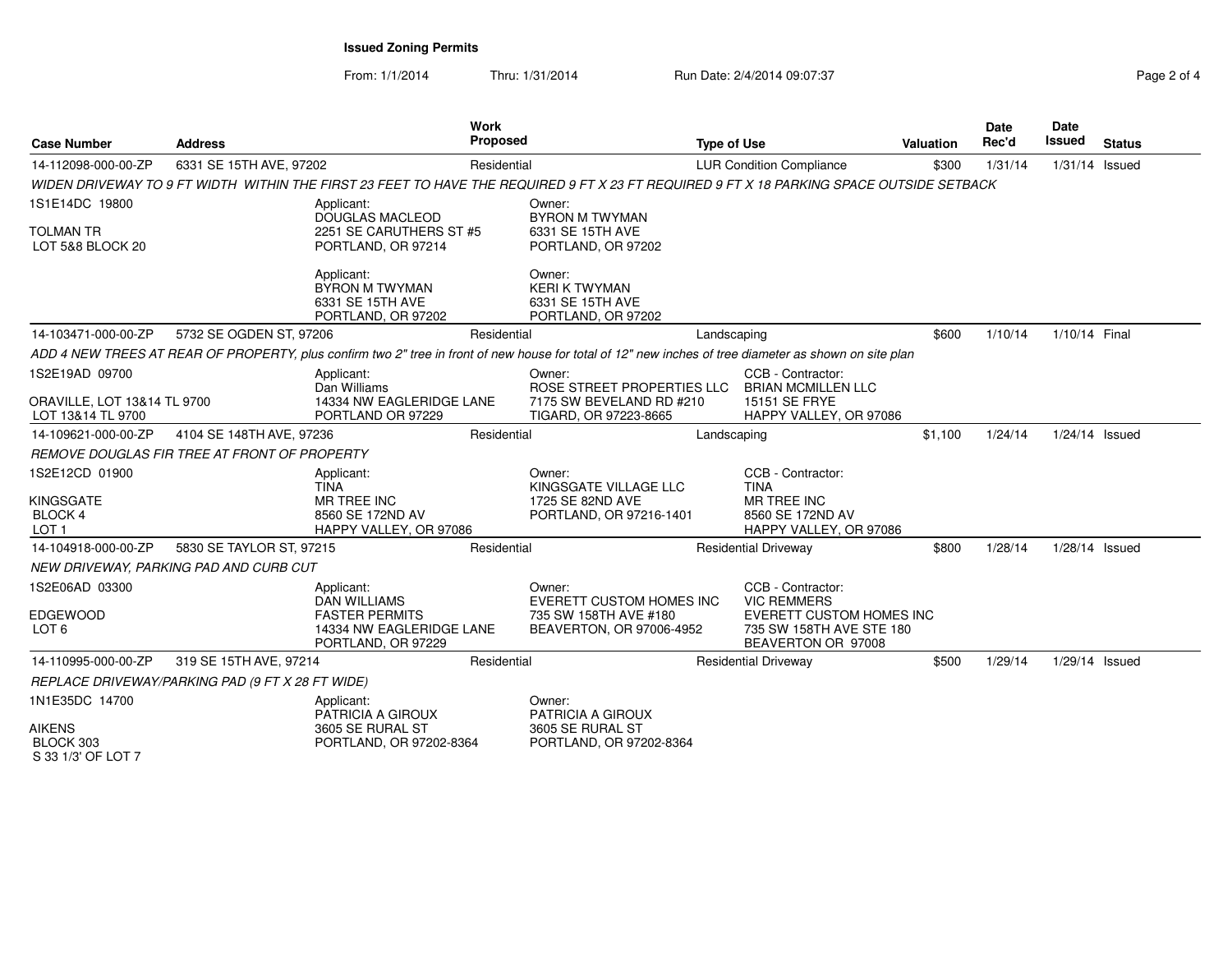From: 1/1/2014Thru: 1/31/2014 **Run Date: 2/4/2014 09:07:37 Report Assembly** Page 2 of

| Page 2 of 4 |  |  |
|-------------|--|--|
|             |  |  |

| <b>Case Number</b>                                          | <b>Address</b>                                   |                                                                                       | Work<br><b>Proposed</b> |                                                                                                                                                        | <b>Type of Use</b> |                                                                                   | <b>Valuation</b> | <b>Date</b><br>Rec'd | <b>Date</b><br>Issued | <b>Status</b> |
|-------------------------------------------------------------|--------------------------------------------------|---------------------------------------------------------------------------------------|-------------------------|--------------------------------------------------------------------------------------------------------------------------------------------------------|--------------------|-----------------------------------------------------------------------------------|------------------|----------------------|-----------------------|---------------|
| 14-112098-000-00-ZP                                         | 6331 SE 15TH AVE, 97202                          |                                                                                       | Residential             |                                                                                                                                                        |                    | <b>LUR Condition Compliance</b>                                                   | \$300            | 1/31/14              | $1/31/14$ Issued      |               |
|                                                             |                                                  |                                                                                       |                         | WIDEN DRIVEWAY TO 9 FT WIDTH_WITHIN THE FIRST 23 FEET TO HAVE THE REQUIRED 9 FT X 23 FT REQUIRED 9 FT X 18 PARKING SPACE OUTSIDE SETBACK               |                    |                                                                                   |                  |                      |                       |               |
| 1S1E14DC 19800<br><b>TOLMAN TR</b><br>LOT 5&8 BLOCK 20      |                                                  | Applicant:<br><b>DOUGLAS MACLEOD</b><br>2251 SE CARUTHERS ST #5<br>PORTLAND, OR 97214 |                         | Owner:<br><b>BYRON M TWYMAN</b><br>6331 SE 15TH AVE<br>PORTLAND, OR 97202                                                                              |                    |                                                                                   |                  |                      |                       |               |
|                                                             |                                                  | Applicant:<br><b>BYRON M TWYMAN</b><br>6331 SE 15TH AVE<br>PORTLAND, OR 97202         |                         | Owner:<br><b>KERI K TWYMAN</b><br>6331 SE 15TH AVE<br>PORTLAND, OR 97202                                                                               |                    |                                                                                   |                  |                      |                       |               |
| 14-103471-000-00-ZP                                         | 5732 SE OGDEN ST, 97206                          |                                                                                       | Residential             |                                                                                                                                                        | Landscaping        |                                                                                   | \$600            | 1/10/14              | 1/10/14 Final         |               |
|                                                             |                                                  |                                                                                       |                         | ADD 4 NEW TREES AT REAR OF PROPERTY, plus confirm two 2" tree in front of new house for total of 12" new inches of tree diameter as shown on site plan |                    |                                                                                   |                  |                      |                       |               |
| 1S2E19AD 09700                                              |                                                  | Applicant:<br>Dan Williams                                                            |                         | Owner:<br>ROSE STREET PROPERTIES LLC                                                                                                                   |                    | CCB - Contractor:<br><b>BRIAN MCMILLEN LLC</b>                                    |                  |                      |                       |               |
| <b>ORAVILLE, LOT 13&amp;14 TL 9700</b><br>LOT 13&14 TL 9700 |                                                  | 14334 NW EAGLERIDGE LANE<br>PORTLAND OR 97229                                         |                         | 7175 SW BEVELAND RD #210<br>TIGARD, OR 97223-8665                                                                                                      |                    | 15151 SE FRYE<br>HAPPY VALLEY, OR 97086                                           |                  |                      |                       |               |
| 14-109621-000-00-ZP                                         | 4104 SE 148TH AVE, 97236                         |                                                                                       | Residential             |                                                                                                                                                        | Landscaping        |                                                                                   | \$1,100          | 1/24/14              | 1/24/14 Issued        |               |
|                                                             | REMOVE DOUGLAS FIR TREE AT FRONT OF PROPERTY     |                                                                                       |                         |                                                                                                                                                        |                    |                                                                                   |                  |                      |                       |               |
| 1S2E12CD 01900                                              |                                                  | Applicant:<br><b>TINA</b>                                                             |                         | Owner:<br>KINGSGATE VILLAGE LLC                                                                                                                        |                    | CCB - Contractor:<br><b>TINA</b>                                                  |                  |                      |                       |               |
| <b>KINGSGATE</b><br><b>BLOCK 4</b><br>LOT <sub>1</sub>      |                                                  | <b>MR TREE INC</b><br>8560 SE 172ND AV<br>HAPPY VALLEY, OR 97086                      |                         | 1725 SE 82ND AVE<br>PORTLAND, OR 97216-1401                                                                                                            |                    | MR TREE INC<br>8560 SE 172ND AV<br>HAPPY VALLEY, OR 97086                         |                  |                      |                       |               |
| 14-104918-000-00-ZP                                         | 5830 SE TAYLOR ST, 97215                         |                                                                                       | Residential             |                                                                                                                                                        |                    | <b>Residential Driveway</b>                                                       | \$800            | 1/28/14              | $1/28/14$ Issued      |               |
|                                                             | NEW DRIVEWAY, PARKING PAD AND CURB CUT           |                                                                                       |                         |                                                                                                                                                        |                    |                                                                                   |                  |                      |                       |               |
| 1S2E06AD 03300                                              |                                                  | Applicant:<br><b>DAN WILLIAMS</b>                                                     |                         | Owner:<br>EVERETT CUSTOM HOMES INC                                                                                                                     |                    | CCB - Contractor:<br><b>VIC REMMERS</b>                                           |                  |                      |                       |               |
| EDGEWOOD<br>LOT <sub>6</sub>                                |                                                  | <b>FASTER PERMITS</b><br>14334 NW EAGLERIDGE LANE<br>PORTLAND, OR 97229               |                         | 735 SW 158TH AVE #180<br>BEAVERTON, OR 97006-4952                                                                                                      |                    | <b>EVERETT CUSTOM HOMES INC</b><br>735 SW 158TH AVE STE 180<br>BEAVERTON OR 97008 |                  |                      |                       |               |
| 14-110995-000-00-ZP                                         | 319 SE 15TH AVE, 97214                           |                                                                                       | Residential             |                                                                                                                                                        |                    | <b>Residential Driveway</b>                                                       | \$500            | 1/29/14              | 1/29/14 Issued        |               |
|                                                             | REPLACE DRIVEWAY/PARKING PAD (9 FT X 28 FT WIDE) |                                                                                       |                         |                                                                                                                                                        |                    |                                                                                   |                  |                      |                       |               |
| 1N1E35DC 14700                                              |                                                  | Applicant:<br>PATRICIA A GIROUX                                                       |                         | Owner:<br>PATRICIA A GIROUX                                                                                                                            |                    |                                                                                   |                  |                      |                       |               |
| <b>AIKENS</b><br>BLOCK 303<br>S 33 1/3' OF LOT 7            |                                                  | 3605 SE RURAL ST<br>PORTLAND, OR 97202-8364                                           |                         | 3605 SE RURAL ST<br>PORTLAND, OR 97202-8364                                                                                                            |                    |                                                                                   |                  |                      |                       |               |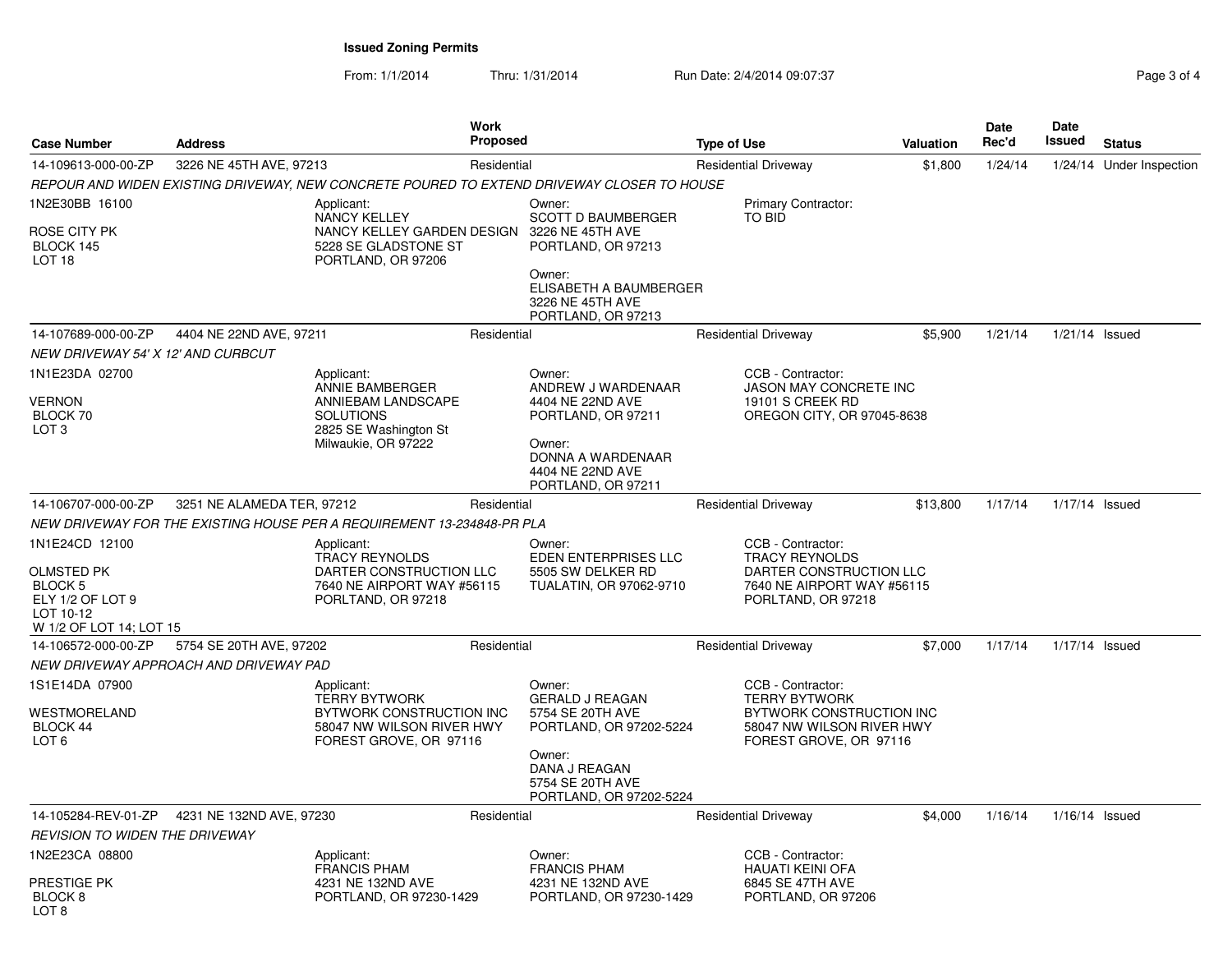From: 1/1/2014Thru: 1/31/2014 Run Date: 2/4/2014 09:07:37 Page 3 of 4

| <b>Case Number</b>                                                             | <b>Address</b>                         |                                                                                        | <b>Work</b><br><b>Proposed</b> |                                                                                            | <b>Type of Use</b>                                                                                                           | <b>Valuation</b>           | Date<br>Rec'd | Date<br>Issued   | <b>Status</b>            |
|--------------------------------------------------------------------------------|----------------------------------------|----------------------------------------------------------------------------------------|--------------------------------|--------------------------------------------------------------------------------------------|------------------------------------------------------------------------------------------------------------------------------|----------------------------|---------------|------------------|--------------------------|
| 14-109613-000-00-ZP                                                            | 3226 NE 45TH AVE, 97213                |                                                                                        | Residential                    |                                                                                            | <b>Residential Driveway</b>                                                                                                  | \$1,800                    | 1/24/14       |                  | 1/24/14 Under Inspection |
|                                                                                |                                        |                                                                                        |                                | REPOUR AND WIDEN EXISTING DRIVEWAY, NEW CONCRETE POURED TO EXTEND DRIVEWAY CLOSER TO HOUSE |                                                                                                                              |                            |               |                  |                          |
| 1N2E30BB 16100<br>ROSE CITY PK                                                 |                                        | Applicant:<br><b>NANCY KELLEY</b><br>NANCY KELLEY GARDEN DESIGN                        |                                | Owner:<br><b>SCOTT D BAUMBERGER</b><br>3226 NE 45TH AVE                                    | <b>Primary Contractor:</b><br>TO BID                                                                                         |                            |               |                  |                          |
| BLOCK 145<br>LOT <sub>18</sub>                                                 |                                        | 5228 SE GLADSTONE ST<br>PORTLAND, OR 97206                                             |                                | PORTLAND, OR 97213<br>Owner:                                                               |                                                                                                                              |                            |               |                  |                          |
|                                                                                |                                        |                                                                                        |                                | ELISABETH A BAUMBERGER<br>3226 NE 45TH AVE<br>PORTLAND, OR 97213                           |                                                                                                                              |                            |               |                  |                          |
| 14-107689-000-00-ZP                                                            | 4404 NE 22ND AVE, 97211                |                                                                                        | Residential                    |                                                                                            | <b>Residential Driveway</b>                                                                                                  | \$5,900                    | 1/21/14       | 1/21/14 Issued   |                          |
| <b>NEW DRIVEWAY 54' X 12' AND CURBCUT</b>                                      |                                        |                                                                                        |                                |                                                                                            |                                                                                                                              |                            |               |                  |                          |
| 1N1E23DA 02700                                                                 |                                        | Applicant:<br>ANNIE BAMBERGER                                                          |                                | Owner:<br>ANDREW J WARDENAAR                                                               | CCB - Contractor:<br>JASON MAY CONCRETE INC                                                                                  |                            |               |                  |                          |
| VERNON<br>BLOCK 70<br>LOT <sub>3</sub>                                         |                                        | ANNIEBAM LANDSCAPE<br><b>SOLUTIONS</b><br>2825 SE Washington St<br>Milwaukie, OR 97222 |                                | 4404 NE 22ND AVE<br>PORTLAND, OR 97211<br>Owner:                                           | <b>19101 S CREEK RD</b>                                                                                                      | OREGON CITY, OR 97045-8638 |               |                  |                          |
|                                                                                |                                        |                                                                                        |                                | DONNA A WARDENAAR<br>4404 NE 22ND AVE<br>PORTLAND, OR 97211                                |                                                                                                                              |                            |               |                  |                          |
| 14-106707-000-00-ZP                                                            | 3251 NE ALAMEDA TER, 97212             |                                                                                        | Residential                    |                                                                                            | <b>Residential Driveway</b>                                                                                                  | \$13,800                   | 1/17/14       | 1/17/14 Issued   |                          |
|                                                                                |                                        | NEW DRIVEWAY FOR THE EXISTING HOUSE PER A REQUIREMENT 13-234848-PR PLA                 |                                |                                                                                            |                                                                                                                              |                            |               |                  |                          |
| 1N1E24CD 12100<br><b>OLMSTED PK</b>                                            |                                        | Applicant:<br><b>TRACY REYNOLDS</b><br>DARTER CONSTRUCTION LLC                         |                                | Owner:<br>EDEN ENTERPRISES LLC<br>5505 SW DELKER RD                                        | CCB - Contractor:<br><b>TRACY REYNOLDS</b>                                                                                   | DARTER CONSTRUCTION LLC    |               |                  |                          |
| BLOCK <sub>5</sub><br>ELY 1/2 OF LOT 9<br>LOT 10-12<br>W 1/2 OF LOT 14; LOT 15 |                                        | 7640 NE AIRPORT WAY #56115<br>PORLTAND, OR 97218                                       |                                | TUALATIN, OR 97062-9710                                                                    | PORLTAND, OR 97218                                                                                                           | 7640 NE AIRPORT WAY #56115 |               |                  |                          |
| 14-106572-000-00-ZP                                                            | 5754 SE 20TH AVE, 97202                |                                                                                        | Residential                    |                                                                                            | <b>Residential Driveway</b>                                                                                                  | \$7,000                    | 1/17/14       | 1/17/14 Issued   |                          |
|                                                                                | NEW DRIVEWAY APPROACH AND DRIVEWAY PAD |                                                                                        |                                |                                                                                            |                                                                                                                              |                            |               |                  |                          |
| 1S1E14DA 07900                                                                 |                                        | Applicant:<br><b>TERRY BYTWORK</b>                                                     |                                | Owner:<br><b>GERALD J REAGAN</b><br>5754 SE 20TH AVE<br>PORTLAND, OR 97202-5224            | CCB - Contractor:<br><b>TERRY BYTWORK</b><br>BYTWORK CONSTRUCTION INC<br>58047 NW WILSON RIVER HWY<br>FOREST GROVE, OR 97116 |                            |               |                  |                          |
| WESTMORELAND<br>BLOCK 44<br>LOT 6                                              |                                        | BYTWORK CONSTRUCTION INC<br>58047 NW WILSON RIVER HWY<br>FOREST GROVE, OR 97116        |                                |                                                                                            |                                                                                                                              |                            |               |                  |                          |
|                                                                                |                                        |                                                                                        |                                | Owner:<br>DANA J REAGAN<br>5754 SE 20TH AVE<br>PORTLAND, OR 97202-5224                     |                                                                                                                              |                            |               |                  |                          |
| 14-105284-REV-01-ZP                                                            | 4231 NE 132ND AVE, 97230               |                                                                                        | Residential                    |                                                                                            | <b>Residential Driveway</b>                                                                                                  | \$4,000                    | 1/16/14       | $1/16/14$ Issued |                          |
| <b>REVISION TO WIDEN THE DRIVEWAY</b>                                          |                                        |                                                                                        |                                |                                                                                            |                                                                                                                              |                            |               |                  |                          |
| 1N2E23CA 08800                                                                 |                                        | Applicant:<br><b>FRANCIS PHAM</b>                                                      |                                | Owner:<br><b>FRANCIS PHAM</b>                                                              | CCB - Contractor:<br><b>HAUATI KEINI OFA</b>                                                                                 |                            |               |                  |                          |
| PRESTIGE PK<br>BLOCK 8<br>LOT 8                                                |                                        | 4231 NE 132ND AVE<br>PORTLAND, OR 97230-1429                                           |                                | 4231 NE 132ND AVE<br>PORTLAND, OR 97230-1429                                               | 6845 SE 47TH AVE<br>PORTLAND, OR 97206                                                                                       |                            |               |                  |                          |